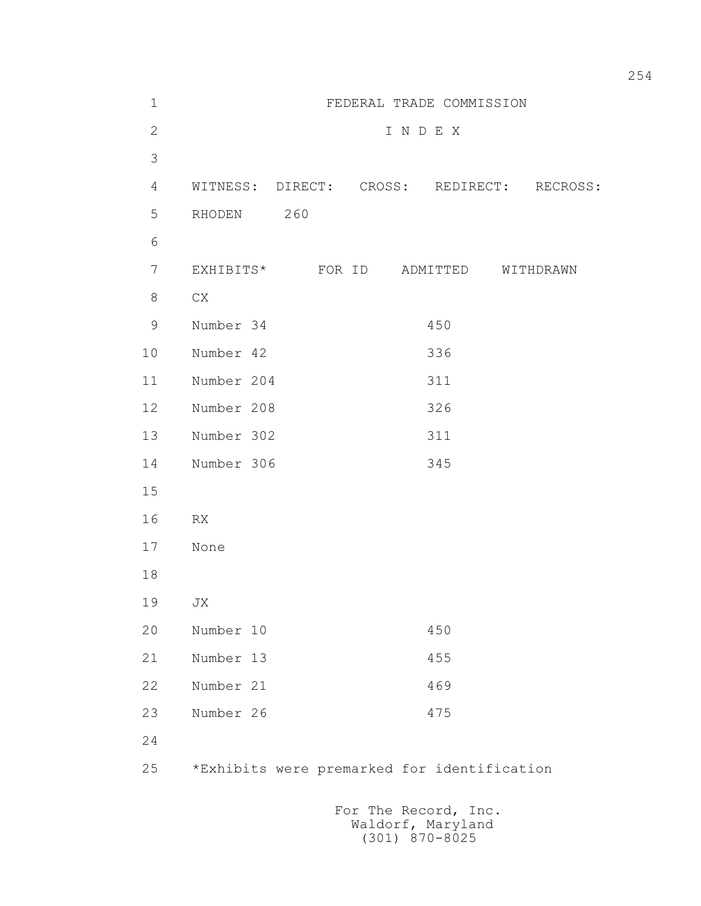| $\mathbf 1$    |                                             |  |       | FEDERAL TRADE COMMISSION |  |
|----------------|---------------------------------------------|--|-------|--------------------------|--|
| $\overline{2}$ |                                             |  | INDEX |                          |  |
| 3              |                                             |  |       |                          |  |
| 4              | WITNESS: DIRECT: CROSS: REDIRECT: RECROSS:  |  |       |                          |  |
| 5              | RHODEN 260                                  |  |       |                          |  |
| 6              |                                             |  |       |                          |  |
| 7              | EXHIBITS* FOR ID ADMITTED WITHDRAWN         |  |       |                          |  |
| 8              | CX                                          |  |       |                          |  |
| $\mathsf 9$    | Number 34                                   |  |       | 450                      |  |
| 10             | Number 42                                   |  |       | 336                      |  |
| 11             | Number 204                                  |  |       | 311                      |  |
| 12             | Number 208                                  |  |       | 326                      |  |
| 13             | Number 302                                  |  |       | 311                      |  |
| 14             | Number 306                                  |  |       | 345                      |  |
| 15             |                                             |  |       |                          |  |
| 16             | RX                                          |  |       |                          |  |
| 17             | None                                        |  |       |                          |  |
| 18             |                                             |  |       |                          |  |
| 19             | JX                                          |  |       |                          |  |
| 20             | Number 10                                   |  |       | 450                      |  |
| 21             | Number 13                                   |  |       | 455                      |  |
| 22             | Number 21                                   |  |       | 469                      |  |
| 23             | Number 26                                   |  |       | 475                      |  |
| 24             |                                             |  |       |                          |  |
| 25             | *Exhibits were premarked for identification |  |       |                          |  |
|                |                                             |  |       |                          |  |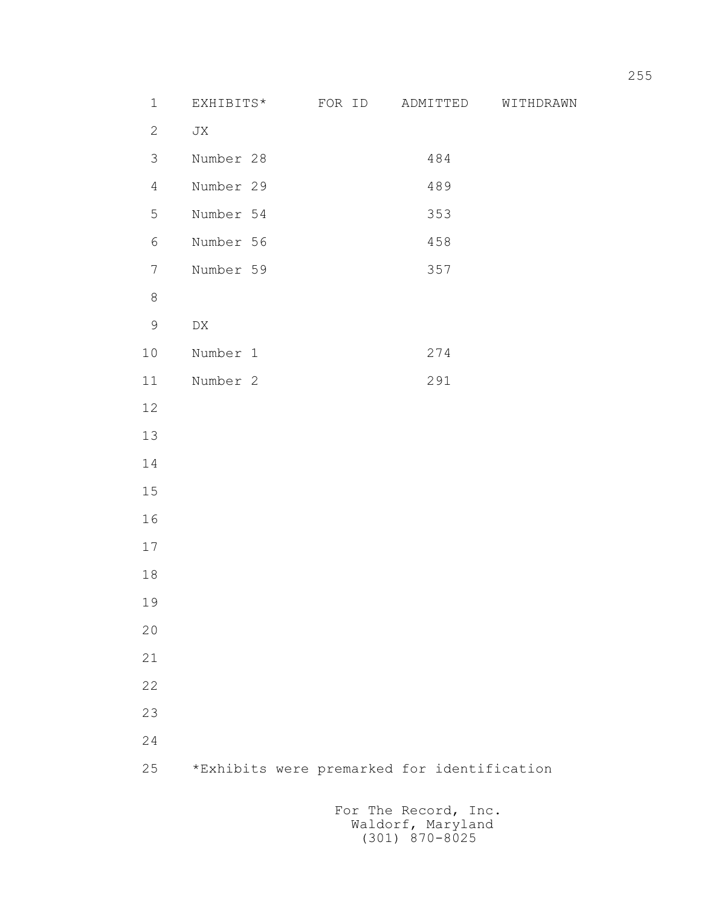| $\mathbf 1$    | EXHIBITS*        | FOR ID                                      | ADMITTED                                  | WITHDRAWN |
|----------------|------------------|---------------------------------------------|-------------------------------------------|-----------|
| $\overline{2}$ | JX               |                                             |                                           |           |
| 3              | Number 28        |                                             | 484                                       |           |
| $\overline{4}$ | Number 29        |                                             | 489                                       |           |
| 5              | Number 54        |                                             | 353                                       |           |
| 6              | Number 56        |                                             | 458                                       |           |
| $\overline{7}$ | Number 59        |                                             | 357                                       |           |
| $\,8\,$        |                  |                                             |                                           |           |
| $\mathsf 9$    | ${\rm D}{\rm X}$ |                                             |                                           |           |
| 10             | Number 1         |                                             | 274                                       |           |
| 11             | Number 2         |                                             | 291                                       |           |
| 12             |                  |                                             |                                           |           |
| 13             |                  |                                             |                                           |           |
| 14             |                  |                                             |                                           |           |
| 15             |                  |                                             |                                           |           |
| 16             |                  |                                             |                                           |           |
| 17             |                  |                                             |                                           |           |
| $18\,$         |                  |                                             |                                           |           |
| 19             |                  |                                             |                                           |           |
| 20             |                  |                                             |                                           |           |
| 21             |                  |                                             |                                           |           |
| 22             |                  |                                             |                                           |           |
| 23             |                  |                                             |                                           |           |
| 24             |                  |                                             |                                           |           |
| 25             |                  | *Exhibits were premarked for identification |                                           |           |
|                |                  |                                             | For The Record, Inc.<br>Waldorf, Maryland |           |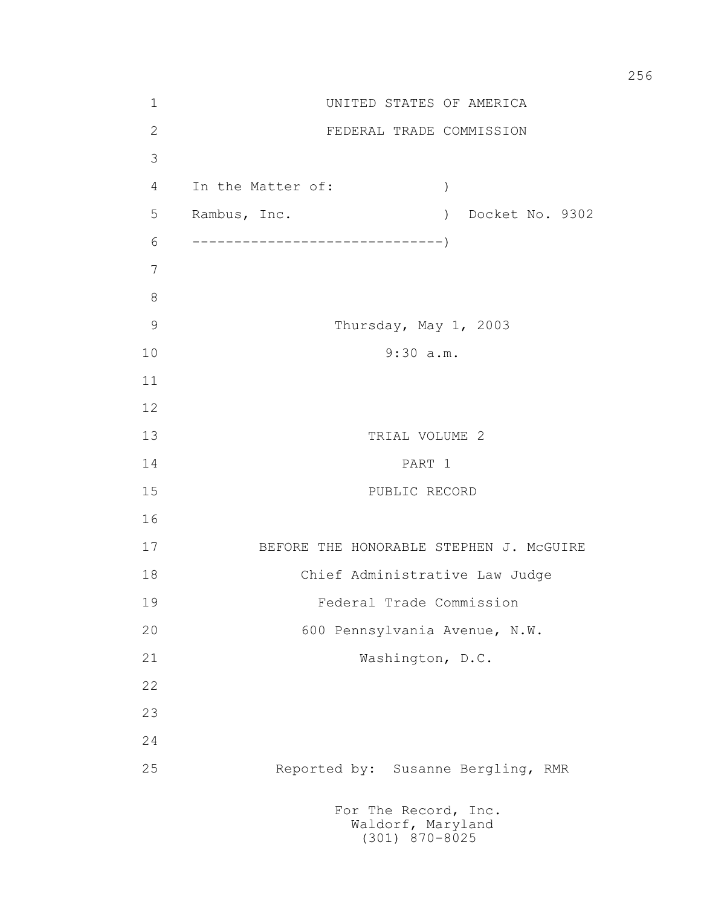| $\mathbf 1$    | UNITED STATES OF AMERICA                  |                   |
|----------------|-------------------------------------------|-------------------|
| $\mathbf{2}$   | FEDERAL TRADE COMMISSION                  |                   |
| 3              |                                           |                   |
| 4              | In the Matter of:                         | $\left( \right)$  |
| 5              | Rambus, Inc.                              | ) Docket No. 9302 |
| 6              |                                           |                   |
| $\overline{7}$ |                                           |                   |
| $8\,$          |                                           |                   |
| 9              | Thursday, May 1, 2003                     |                   |
| 10             | 9:30 a.m.                                 |                   |
| 11             |                                           |                   |
| 12             |                                           |                   |
| 13             | TRIAL VOLUME 2                            |                   |
| 14             | PART 1                                    |                   |
| 15             | PUBLIC RECORD                             |                   |
| 16             |                                           |                   |
| 17             | BEFORE THE HONORABLE STEPHEN J. MCGUIRE   |                   |
| 18             | Chief Administrative Law Judge            |                   |
| 19             | Federal Trade Commission                  |                   |
| 20             | 600 Pennsylvania Avenue, N.W.             |                   |
| 21             | Washington, D.C.                          |                   |
| 22             |                                           |                   |
| 23             |                                           |                   |
| 24             |                                           |                   |
| 25             | Reported by: Susanne Bergling, RMR        |                   |
|                | For The Record, Inc.<br>Waldorf, Maryland |                   |

(301) 870-8025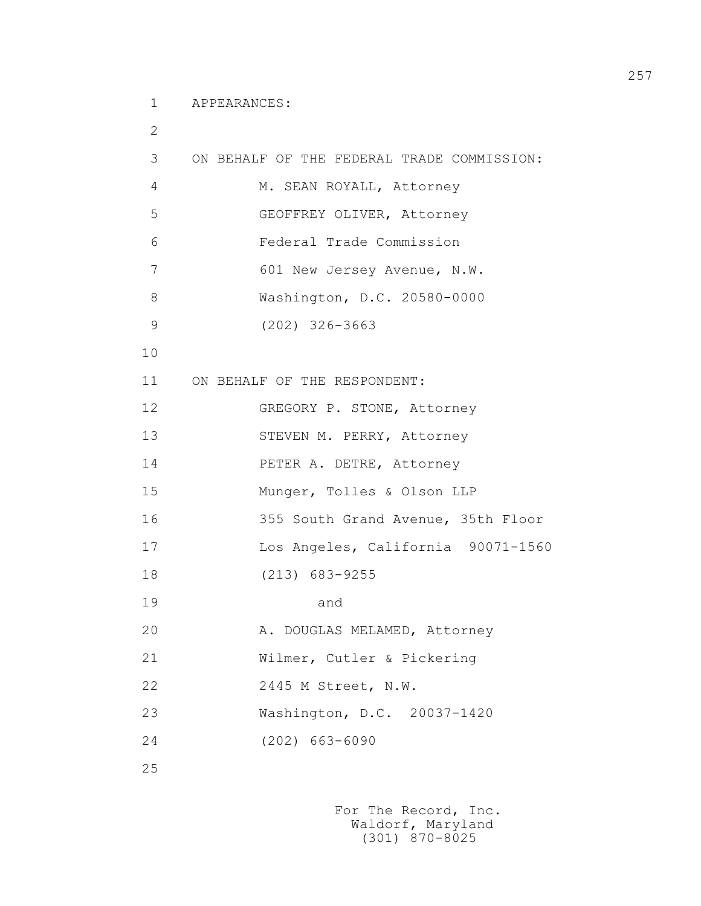1 APPEARANCES:

```
 2
         3 ON BEHALF OF THE FEDERAL TRADE COMMISSION: 
        4 M. SEAN ROYALL, Attorney
         5 GEOFFREY OLIVER, Attorney
         6 Federal Trade Commission
         7 601 New Jersey Avenue, N.W.
         8 Washington, D.C. 20580-0000
         9 (202) 326-3663
        10
        11 ON BEHALF OF THE RESPONDENT:
        12 GREGORY P. STONE, Attorney
       13 STEVEN M. PERRY, Attorney
        14 PETER A. DETRE, Attorney
        15 Munger, Tolles & Olson LLP
        16 355 South Grand Avenue, 35th Floor
        17 Los Angeles, California 90071-1560
        18 (213) 683-9255
19 and
       20 A. DOUGLAS MELAMED, Attorney
        21 Wilmer, Cutler & Pickering
        22 2445 M Street, N.W.
        23 Washington, D.C. 20037-1420
        24 (202) 663-6090
```
25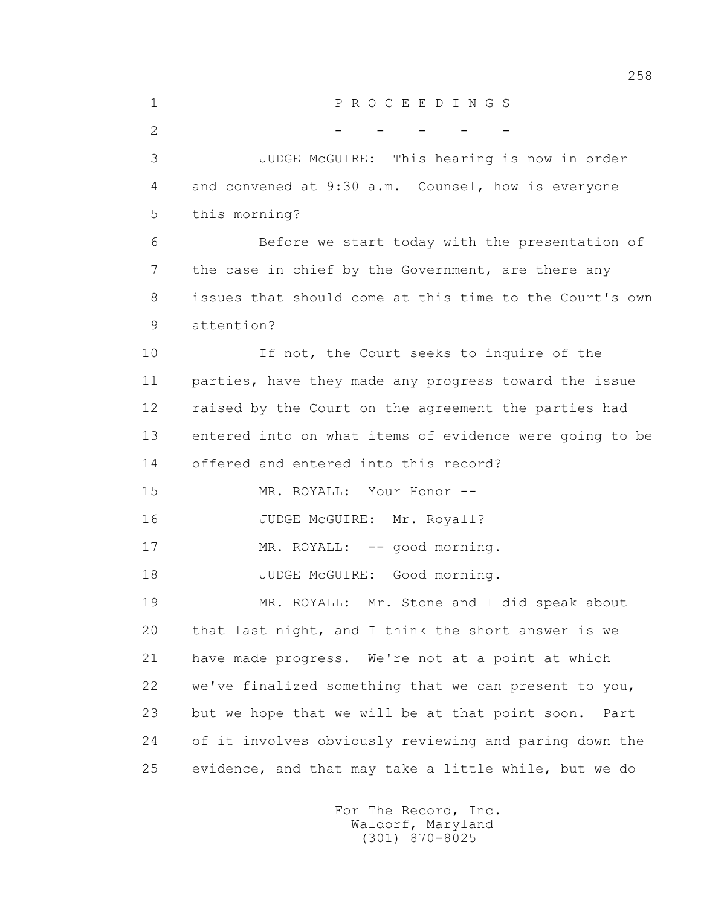| $\mathbf 1$    | PROCEEDINGS                                             |
|----------------|---------------------------------------------------------|
| $\overline{2}$ |                                                         |
| 3              | JUDGE McGUIRE: This hearing is now in order             |
| 4              | and convened at 9:30 a.m. Counsel, how is everyone      |
| 5              | this morning?                                           |
| 6              | Before we start today with the presentation of          |
| 7              | the case in chief by the Government, are there any      |
| 8              | issues that should come at this time to the Court's own |
| 9              | attention?                                              |
| 10             | If not, the Court seeks to inquire of the               |
| 11             | parties, have they made any progress toward the issue   |
| 12             | raised by the Court on the agreement the parties had    |
| 13             | entered into on what items of evidence were going to be |
| 14             | offered and entered into this record?                   |
| 15             | MR. ROYALL: Your Honor --                               |
| 16             | JUDGE McGUIRE: Mr. Royall?                              |
| 17             | MR. ROYALL: -- good morning.                            |
| 18             | JUDGE McGUIRE: Good morning.                            |
| 19             | MR. ROYALL: Mr. Stone and I did speak about             |
| 20             | that last night, and I think the short answer is we     |
| 21             | have made progress. We're not at a point at which       |
| 22             | we've finalized something that we can present to you,   |
| 23             | but we hope that we will be at that point soon.<br>Part |
| 24             | of it involves obviously reviewing and paring down the  |
| 25             | evidence, and that may take a little while, but we do   |
|                |                                                         |

 For The Record, Inc. Waldorf, Maryland (301) 870-8025

258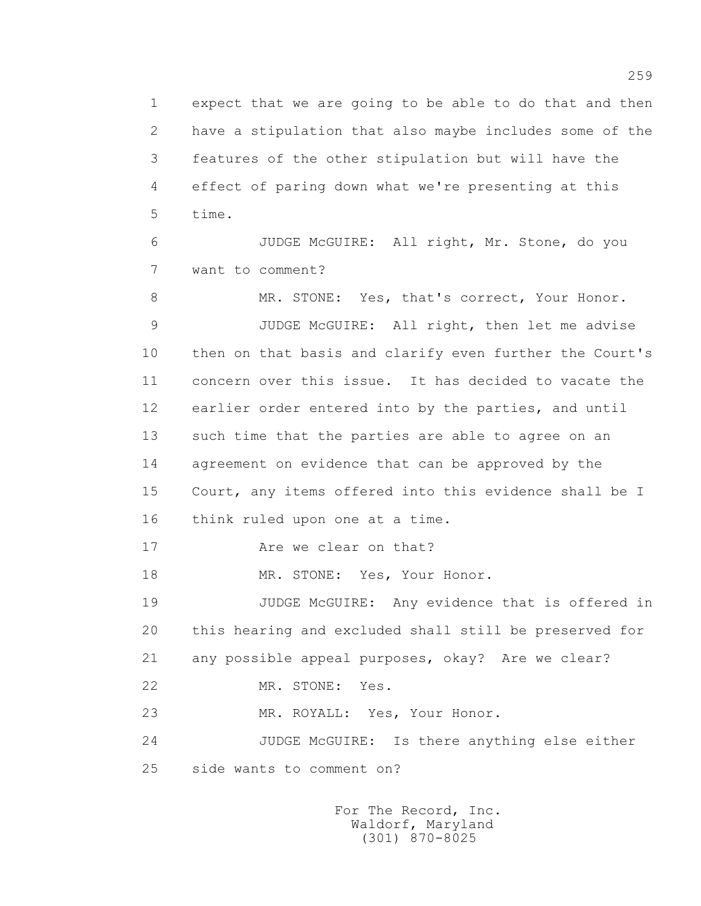1 expect that we are going to be able to do that and then 2 have a stipulation that also maybe includes some of the 3 features of the other stipulation but will have the 4 effect of paring down what we're presenting at this 5 time.

 6 JUDGE McGUIRE: All right, Mr. Stone, do you 7 want to comment?

8 MR. STONE: Yes, that's correct, Your Honor. 9 JUDGE McGUIRE: All right, then let me advise 10 then on that basis and clarify even further the Court's 11 concern over this issue. It has decided to vacate the 12 earlier order entered into by the parties, and until 13 such time that the parties are able to agree on an 14 agreement on evidence that can be approved by the 15 Court, any items offered into this evidence shall be I 16 think ruled upon one at a time.

17 Are we clear on that?

18 MR. STONE: Yes, Your Honor.

 19 JUDGE McGUIRE: Any evidence that is offered in 20 this hearing and excluded shall still be preserved for 21 any possible appeal purposes, okay? Are we clear?

22 MR. STONE: Yes.

23 MR. ROYALL: Yes, Your Honor.

 24 JUDGE McGUIRE: Is there anything else either 25 side wants to comment on?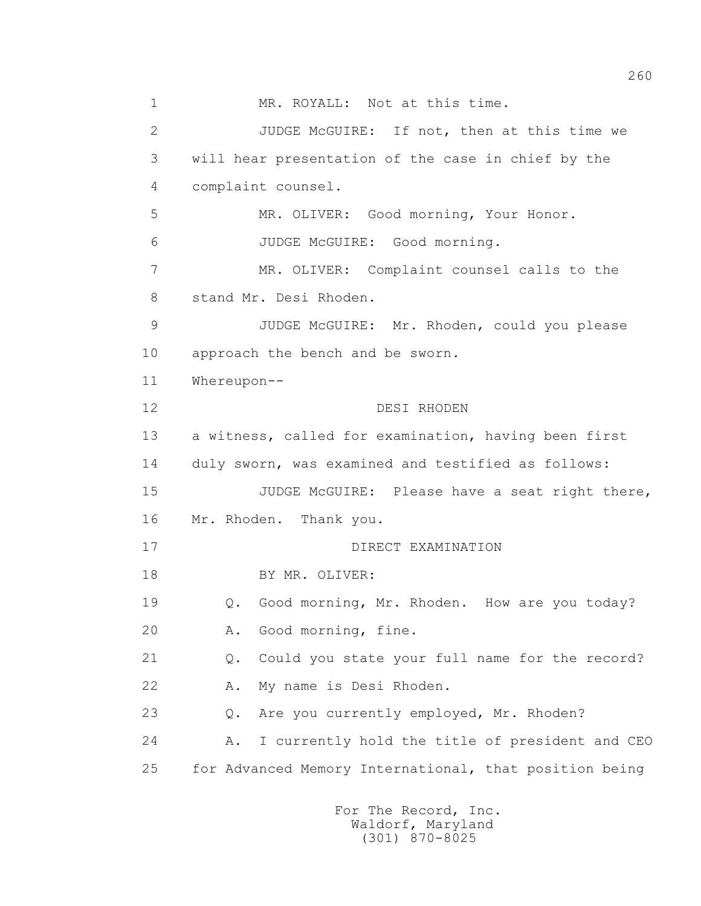1 MR. ROYALL: Not at this time. 2 JUDGE McGUIRE: If not, then at this time we 3 will hear presentation of the case in chief by the 4 complaint counsel. 5 MR. OLIVER: Good morning, Your Honor. 6 JUDGE McGUIRE: Good morning. 7 MR. OLIVER: Complaint counsel calls to the 8 stand Mr. Desi Rhoden. 9 JUDGE McGUIRE: Mr. Rhoden, could you please 10 approach the bench and be sworn. 11 Whereupon-- 12 DESI RHODEN 13 a witness, called for examination, having been first 14 duly sworn, was examined and testified as follows: 15 JUDGE McGUIRE: Please have a seat right there, 16 Mr. Rhoden. Thank you. 17 DIRECT EXAMINATION 18 BY MR. OLIVER: 19 Q. Good morning, Mr. Rhoden. How are you today? 20 A. Good morning, fine. 21 Q. Could you state your full name for the record? 22 A. My name is Desi Rhoden. 23 Q. Are you currently employed, Mr. Rhoden? 24 A. I currently hold the title of president and CEO 25 for Advanced Memory International, that position being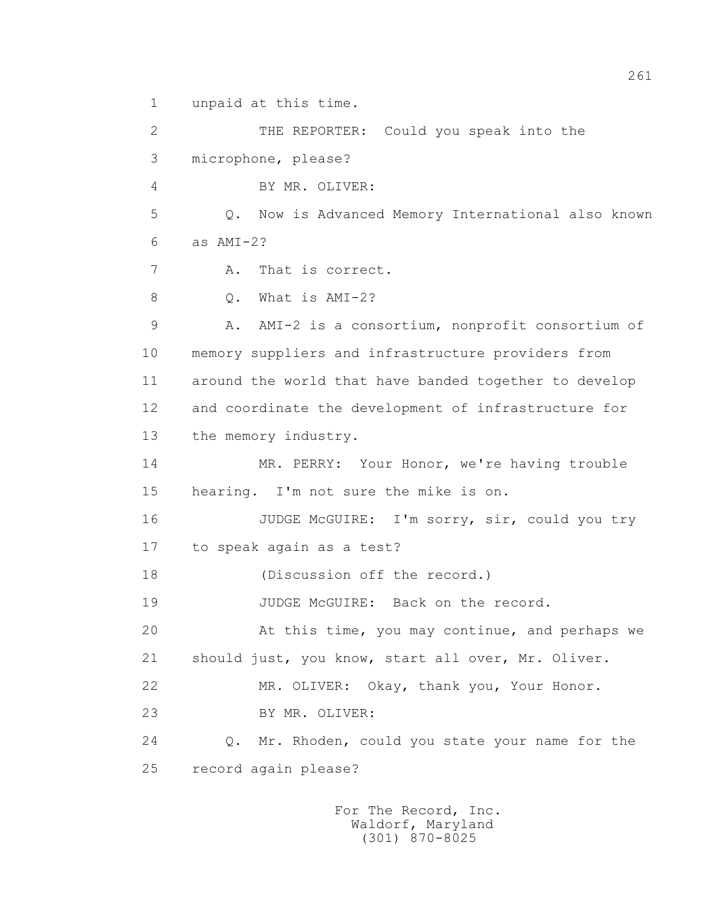1 unpaid at this time.

 2 THE REPORTER: Could you speak into the 3 microphone, please? 4 BY MR. OLIVER: 5 Q. Now is Advanced Memory International also known  $6 \qquad$  as  $AMT-2$ ? 7 A. That is correct. 8 0. What is AMI-2? 9 A. AMI-2 is a consortium, nonprofit consortium of 10 memory suppliers and infrastructure providers from 11 around the world that have banded together to develop 12 and coordinate the development of infrastructure for 13 the memory industry. 14 MR. PERRY: Your Honor, we're having trouble 15 hearing. I'm not sure the mike is on. 16 JUDGE McGUIRE: I'm sorry, sir, could you try 17 to speak again as a test? 18 (Discussion off the record.) 19 JUDGE McGUIRE: Back on the record. 20 At this time, you may continue, and perhaps we 21 should just, you know, start all over, Mr. Oliver. 22 MR. OLIVER: Okay, thank you, Your Honor. 23 BY MR. OLIVER: 24 Q. Mr. Rhoden, could you state your name for the 25 record again please?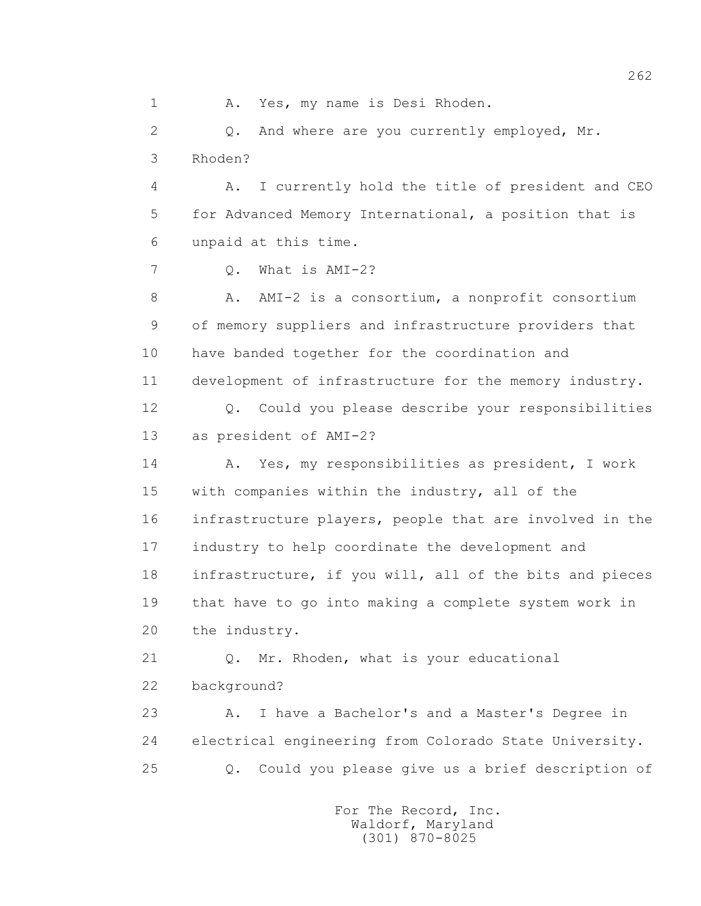1 A. Yes, my name is Desi Rhoden. 2 Q. And where are you currently employed, Mr. 3 Rhoden? 4 A. I currently hold the title of president and CEO 5 for Advanced Memory International, a position that is 6 unpaid at this time. 7 Q. What is AMI-2? 8 A. AMI-2 is a consortium, a nonprofit consortium 9 of memory suppliers and infrastructure providers that 10 have banded together for the coordination and 11 development of infrastructure for the memory industry. 12 Q. Could you please describe your responsibilities 13 as president of AMI-2? 14 A. Yes, my responsibilities as president, I work 15 with companies within the industry, all of the 16 infrastructure players, people that are involved in the 17 industry to help coordinate the development and 18 infrastructure, if you will, all of the bits and pieces 19 that have to go into making a complete system work in 20 the industry. 21 Q. Mr. Rhoden, what is your educational 22 background? 23 A. I have a Bachelor's and a Master's Degree in 24 electrical engineering from Colorado State University. 25 Q. Could you please give us a brief description of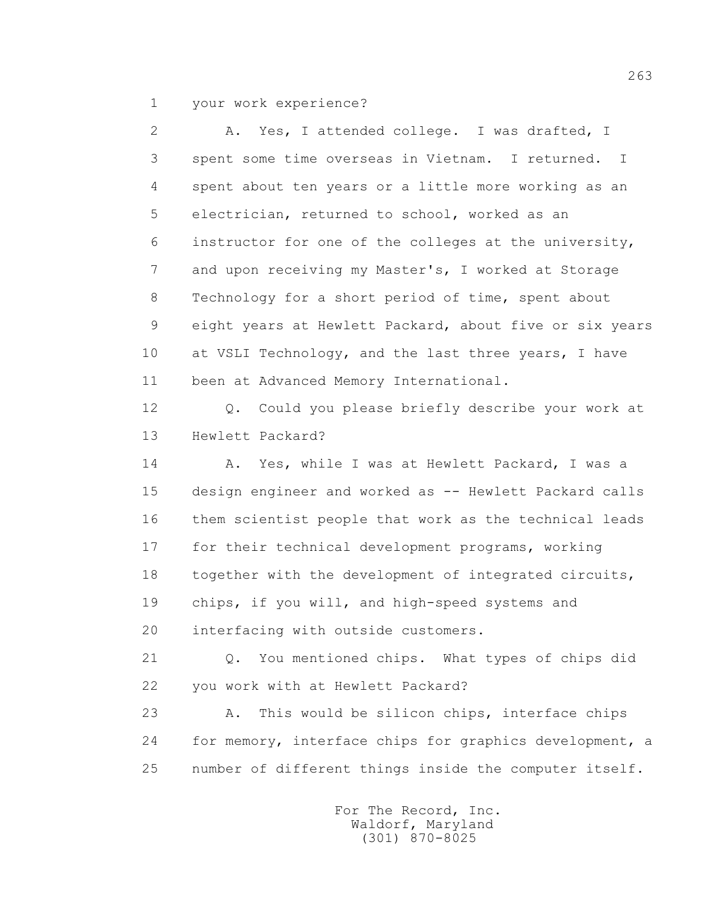1 your work experience?

 2 A. Yes, I attended college. I was drafted, I 3 spent some time overseas in Vietnam. I returned. I 4 spent about ten years or a little more working as an 5 electrician, returned to school, worked as an 6 instructor for one of the colleges at the university, 7 and upon receiving my Master's, I worked at Storage 8 Technology for a short period of time, spent about 9 eight years at Hewlett Packard, about five or six years 10 at VSLI Technology, and the last three years, I have 11 been at Advanced Memory International. 12 Q. Could you please briefly describe your work at 13 Hewlett Packard? 14 A. Yes, while I was at Hewlett Packard, I was a 15 design engineer and worked as -- Hewlett Packard calls 16 them scientist people that work as the technical leads 17 for their technical development programs, working 18 together with the development of integrated circuits, 19 chips, if you will, and high-speed systems and 20 interfacing with outside customers. 21 Q. You mentioned chips. What types of chips did 22 you work with at Hewlett Packard? 23 A. This would be silicon chips, interface chips 24 for memory, interface chips for graphics development, a 25 number of different things inside the computer itself.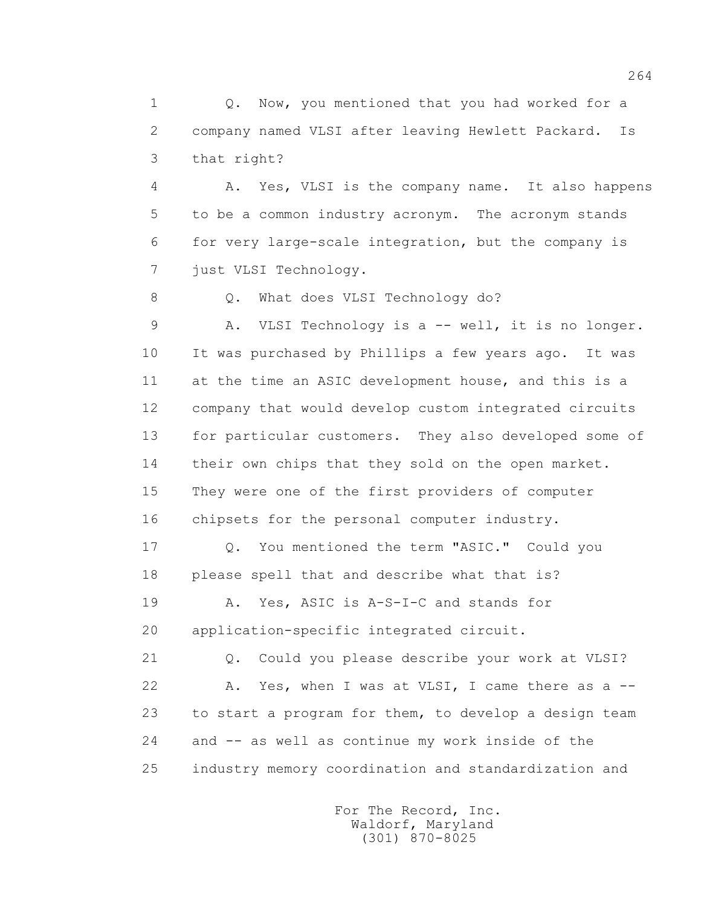1 0. Now, you mentioned that you had worked for a 2 company named VLSI after leaving Hewlett Packard. Is 3 that right?

 4 A. Yes, VLSI is the company name. It also happens 5 to be a common industry acronym. The acronym stands 6 for very large-scale integration, but the company is 7 just VLSI Technology.

8 Q. What does VLSI Technology do?

 9 A. VLSI Technology is a -- well, it is no longer. 10 It was purchased by Phillips a few years ago. It was 11 at the time an ASIC development house, and this is a 12 company that would develop custom integrated circuits 13 for particular customers. They also developed some of 14 their own chips that they sold on the open market. 15 They were one of the first providers of computer 16 chipsets for the personal computer industry.

 17 Q. You mentioned the term "ASIC." Could you 18 please spell that and describe what that is?

 19 A. Yes, ASIC is A-S-I-C and stands for 20 application-specific integrated circuit.

 21 Q. Could you please describe your work at VLSI? 22 A. Yes, when I was at VLSI, I came there as a -- 23 to start a program for them, to develop a design team 24 and -- as well as continue my work inside of the 25 industry memory coordination and standardization and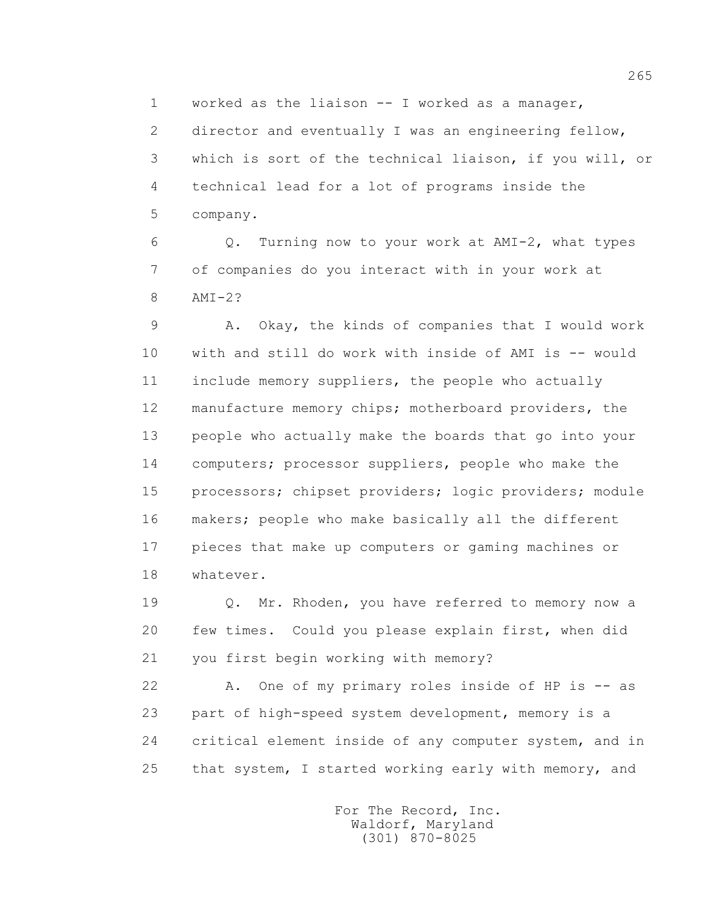1 worked as the liaison -- I worked as a manager, 2 director and eventually I was an engineering fellow, 3 which is sort of the technical liaison, if you will, or 4 technical lead for a lot of programs inside the 5 company.

 6 Q. Turning now to your work at AMI-2, what types 7 of companies do you interact with in your work at 8 AMI-2?

 9 A. Okay, the kinds of companies that I would work 10 with and still do work with inside of AMI is -- would 11 include memory suppliers, the people who actually 12 manufacture memory chips; motherboard providers, the 13 people who actually make the boards that go into your 14 computers; processor suppliers, people who make the 15 processors; chipset providers; logic providers; module 16 makers; people who make basically all the different 17 pieces that make up computers or gaming machines or 18 whatever.

 19 Q. Mr. Rhoden, you have referred to memory now a 20 few times. Could you please explain first, when did 21 you first begin working with memory?

 22 A. One of my primary roles inside of HP is -- as 23 part of high-speed system development, memory is a 24 critical element inside of any computer system, and in 25 that system, I started working early with memory, and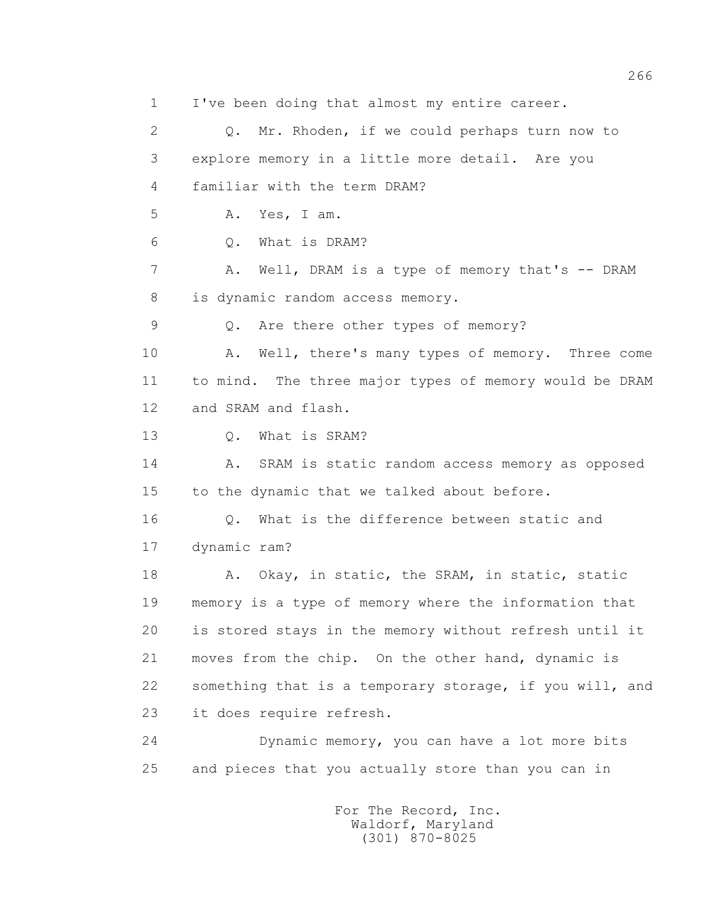1 I've been doing that almost my entire career. 2 Q. Mr. Rhoden, if we could perhaps turn now to 3 explore memory in a little more detail. Are you 4 familiar with the term DRAM? 5 A. Yes, I am. 6 Q. What is DRAM? 7 A. Well, DRAM is a type of memory that's -- DRAM 8 is dynamic random access memory. 9 Q. Are there other types of memory? 10 A. Well, there's many types of memory. Three come 11 to mind. The three major types of memory would be DRAM 12 and SRAM and flash. 13 Q. What is SRAM? 14 A. SRAM is static random access memory as opposed 15 to the dynamic that we talked about before. 16 0. What is the difference between static and 17 dynamic ram? 18 A. Okay, in static, the SRAM, in static, static 19 memory is a type of memory where the information that 20 is stored stays in the memory without refresh until it 21 moves from the chip. On the other hand, dynamic is 22 something that is a temporary storage, if you will, and 23 it does require refresh. 24 Dynamic memory, you can have a lot more bits 25 and pieces that you actually store than you can in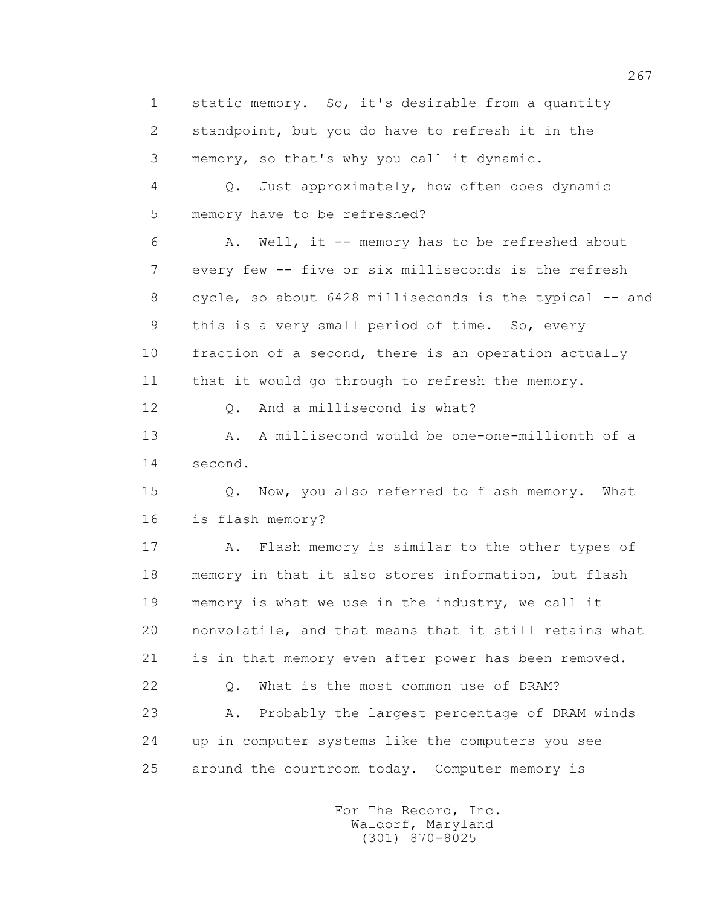1 static memory. So, it's desirable from a quantity 2 standpoint, but you do have to refresh it in the 3 memory, so that's why you call it dynamic.

 4 Q. Just approximately, how often does dynamic 5 memory have to be refreshed?

 6 A. Well, it -- memory has to be refreshed about 7 every few -- five or six milliseconds is the refresh 8 cycle, so about 6428 milliseconds is the typical -- and 9 this is a very small period of time. So, every 10 fraction of a second, there is an operation actually 11 that it would go through to refresh the memory.

12 0. And a millisecond is what?

 13 A. A millisecond would be one-one-millionth of a 14 second.

 15 Q. Now, you also referred to flash memory. What 16 is flash memory?

 17 A. Flash memory is similar to the other types of 18 memory in that it also stores information, but flash 19 memory is what we use in the industry, we call it 20 nonvolatile, and that means that it still retains what 21 is in that memory even after power has been removed. 22 Q. What is the most common use of DRAM? 23 A. Probably the largest percentage of DRAM winds 24 up in computer systems like the computers you see 25 around the courtroom today. Computer memory is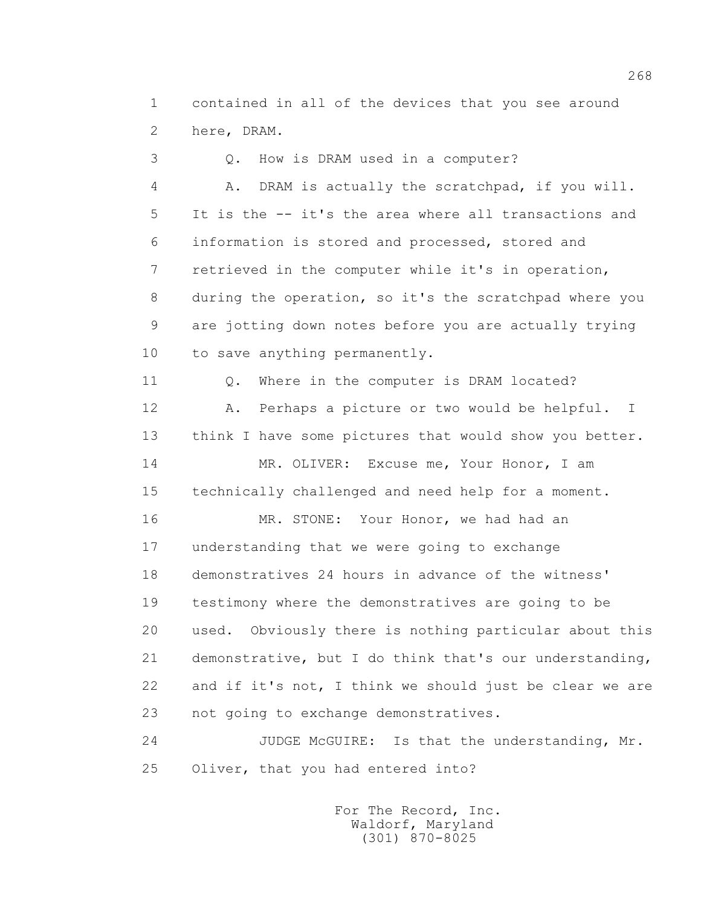1 contained in all of the devices that you see around 2 here, DRAM.

 3 Q. How is DRAM used in a computer? 4 A. DRAM is actually the scratchpad, if you will. 5 It is the -- it's the area where all transactions and 6 information is stored and processed, stored and 7 retrieved in the computer while it's in operation, 8 during the operation, so it's the scratchpad where you 9 are jotting down notes before you are actually trying 10 to save anything permanently. 11 0. Where in the computer is DRAM located? 12 A. Perhaps a picture or two would be helpful. I 13 think I have some pictures that would show you better. 14 MR. OLIVER: Excuse me, Your Honor, I am 15 technically challenged and need help for a moment. 16 MR. STONE: Your Honor, we had had an 17 understanding that we were going to exchange 18 demonstratives 24 hours in advance of the witness' 19 testimony where the demonstratives are going to be 20 used. Obviously there is nothing particular about this 21 demonstrative, but I do think that's our understanding, 22 and if it's not, I think we should just be clear we are 23 not going to exchange demonstratives.

 24 JUDGE McGUIRE: Is that the understanding, Mr. 25 Oliver, that you had entered into?

> For The Record, Inc. Waldorf, Maryland (301) 870-8025

268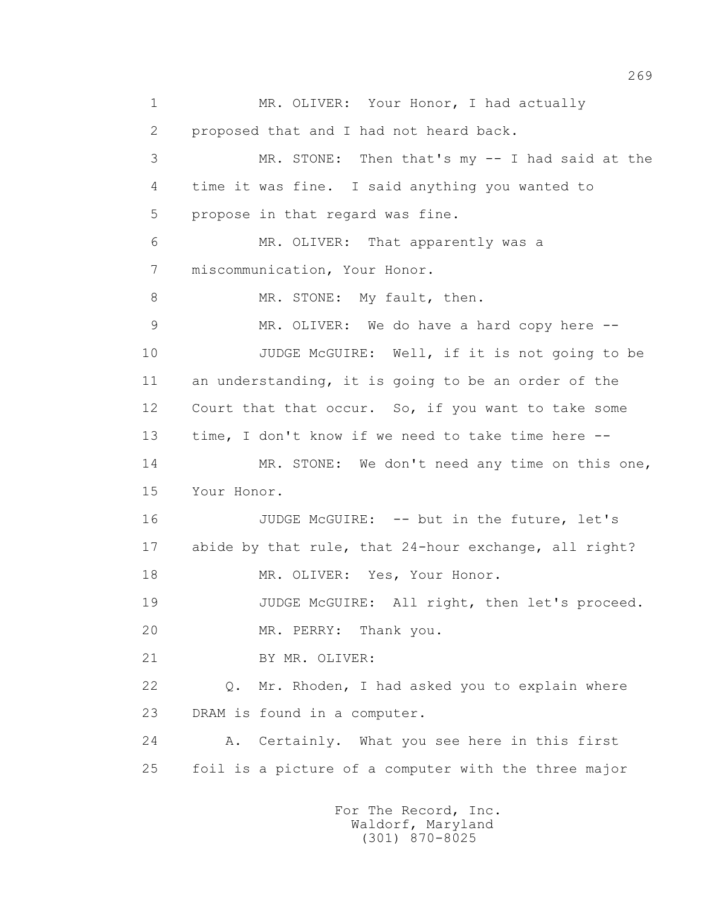1 MR. OLIVER: Your Honor, I had actually 2 proposed that and I had not heard back. 3 MR. STONE: Then that's my -- I had said at the 4 time it was fine. I said anything you wanted to 5 propose in that regard was fine. 6 MR. OLIVER: That apparently was a 7 miscommunication, Your Honor. 8 MR. STONE: My fault, then. 9 MR. OLIVER: We do have a hard copy here -- 10 JUDGE McGUIRE: Well, if it is not going to be 11 an understanding, it is going to be an order of the 12 Court that that occur. So, if you want to take some 13 time, I don't know if we need to take time here -- 14 MR. STONE: We don't need any time on this one, 15 Your Honor. 16 JUDGE McGUIRE: -- but in the future, let's 17 abide by that rule, that 24-hour exchange, all right? 18 MR. OLIVER: Yes, Your Honor. 19 JUDGE McGUIRE: All right, then let's proceed. 20 MR. PERRY: Thank you. 21 BY MR. OLIVER: 22 Q. Mr. Rhoden, I had asked you to explain where 23 DRAM is found in a computer. 24 A. Certainly. What you see here in this first 25 foil is a picture of a computer with the three major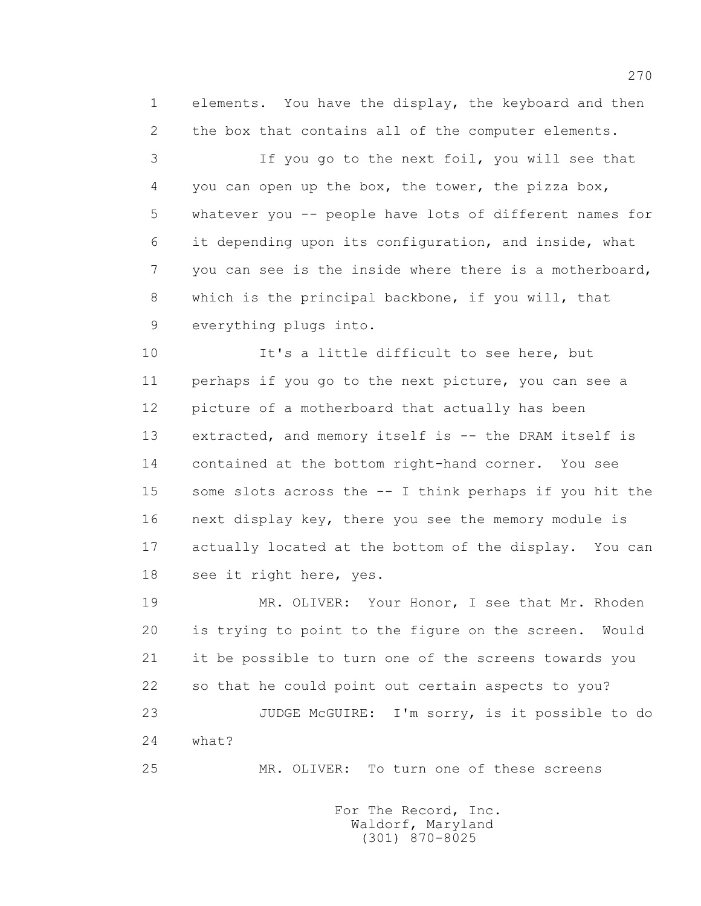1 elements. You have the display, the keyboard and then 2 the box that contains all of the computer elements.

 3 If you go to the next foil, you will see that 4 you can open up the box, the tower, the pizza box, 5 whatever you -- people have lots of different names for 6 it depending upon its configuration, and inside, what 7 you can see is the inside where there is a motherboard, 8 which is the principal backbone, if you will, that 9 everything plugs into.

10 It's a little difficult to see here, but 11 perhaps if you go to the next picture, you can see a 12 picture of a motherboard that actually has been 13 extracted, and memory itself is -- the DRAM itself is 14 contained at the bottom right-hand corner. You see 15 some slots across the -- I think perhaps if you hit the 16 next display key, there you see the memory module is 17 actually located at the bottom of the display. You can 18 see it right here, yes.

 19 MR. OLIVER: Your Honor, I see that Mr. Rhoden 20 is trying to point to the figure on the screen. Would 21 it be possible to turn one of the screens towards you 22 so that he could point out certain aspects to you? 23 JUDGE McGUIRE: I'm sorry, is it possible to do 24 what?

25 MR. OLIVER: To turn one of these screens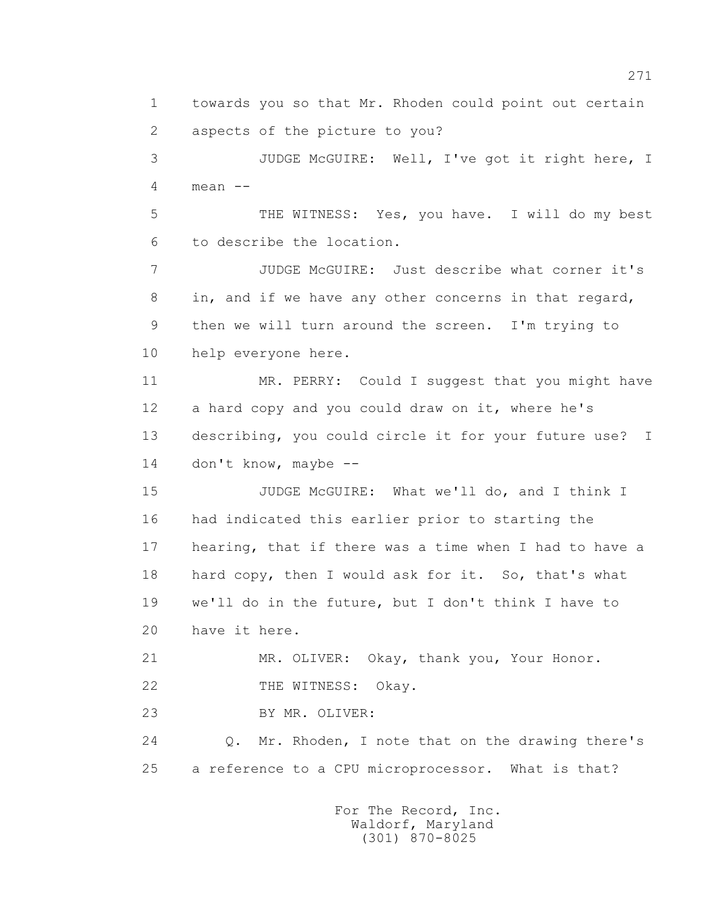1 towards you so that Mr. Rhoden could point out certain 2 aspects of the picture to you?

 3 JUDGE McGUIRE: Well, I've got it right here, I  $4$  mean  $-$ 

 5 THE WITNESS: Yes, you have. I will do my best 6 to describe the location.

 7 JUDGE McGUIRE: Just describe what corner it's 8 in, and if we have any other concerns in that regard, 9 then we will turn around the screen. I'm trying to 10 help everyone here.

 11 MR. PERRY: Could I suggest that you might have 12 a hard copy and you could draw on it, where he's 13 describing, you could circle it for your future use? I 14 don't know, maybe --

 15 JUDGE McGUIRE: What we'll do, and I think I 16 had indicated this earlier prior to starting the 17 hearing, that if there was a time when I had to have a 18 hard copy, then I would ask for it. So, that's what 19 we'll do in the future, but I don't think I have to 20 have it here.

21 MR. OLIVER: Okay, thank you, Your Honor.

22 THE WITNESS: Okay.

23 BY MR. OLIVER:

 24 Q. Mr. Rhoden, I note that on the drawing there's 25 a reference to a CPU microprocessor. What is that?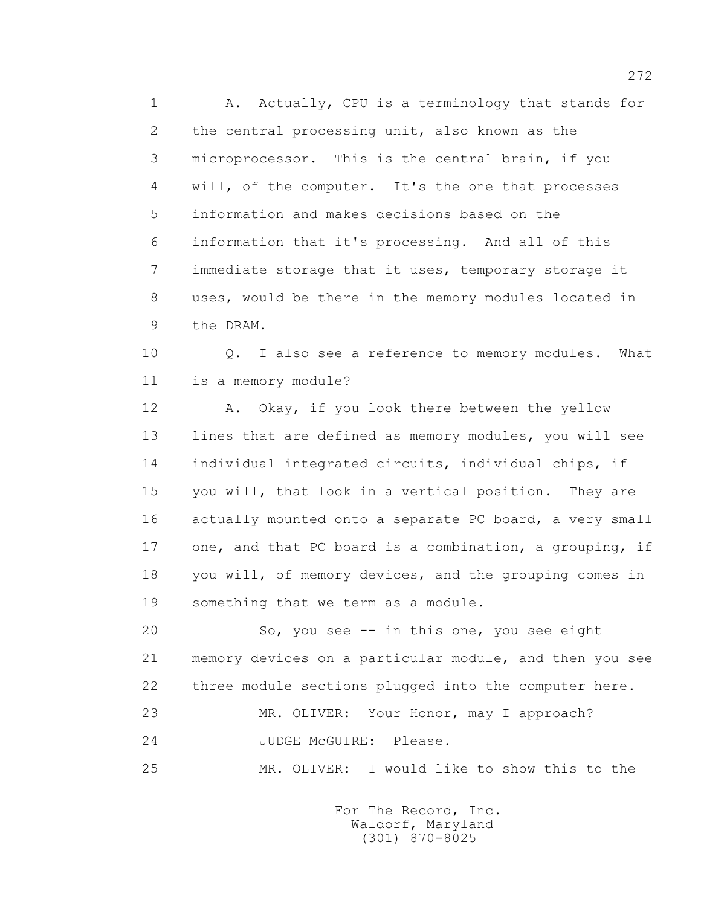1 A. Actually, CPU is a terminology that stands for 2 the central processing unit, also known as the 3 microprocessor. This is the central brain, if you 4 will, of the computer. It's the one that processes 5 information and makes decisions based on the 6 information that it's processing. And all of this 7 immediate storage that it uses, temporary storage it 8 uses, would be there in the memory modules located in 9 the DRAM.

 10 Q. I also see a reference to memory modules. What 11 is a memory module?

12 A. Okay, if you look there between the yellow 13 lines that are defined as memory modules, you will see 14 individual integrated circuits, individual chips, if 15 you will, that look in a vertical position. They are 16 actually mounted onto a separate PC board, a very small 17 one, and that PC board is a combination, a grouping, if 18 you will, of memory devices, and the grouping comes in 19 something that we term as a module.

 20 So, you see -- in this one, you see eight 21 memory devices on a particular module, and then you see 22 three module sections plugged into the computer here. 23 MR. OLIVER: Your Honor, may I approach? 24 JUDGE McGUIRE: Please.

25 MR. OLIVER: I would like to show this to the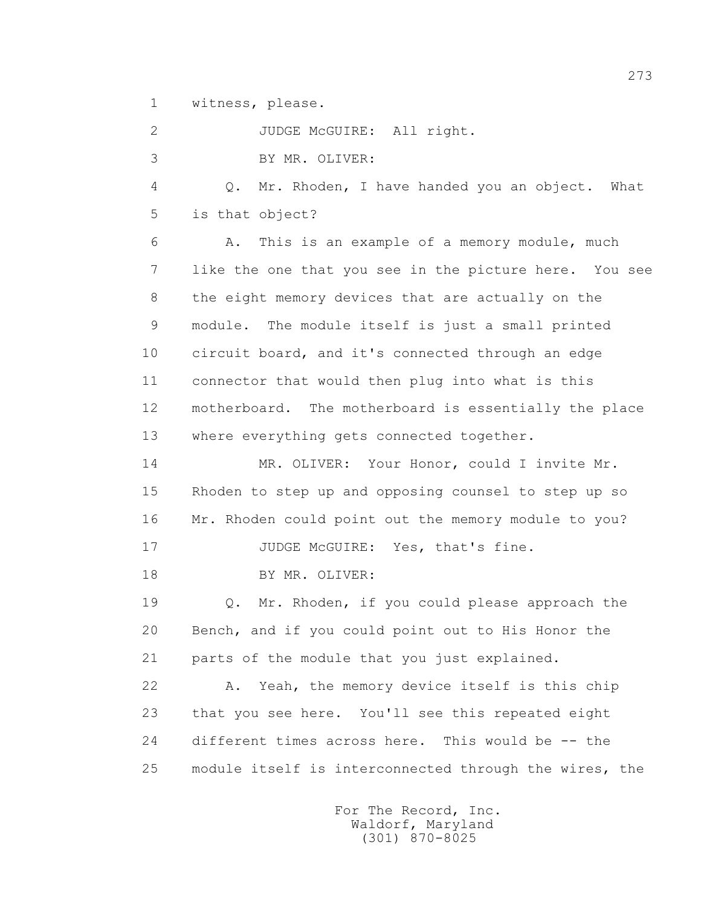1 witness, please.

 2 JUDGE McGUIRE: All right. 3 BY MR. OLIVER: 4 Q. Mr. Rhoden, I have handed you an object. What 5 is that object? 6 A. This is an example of a memory module, much 7 like the one that you see in the picture here. You see 8 the eight memory devices that are actually on the 9 module. The module itself is just a small printed 10 circuit board, and it's connected through an edge 11 connector that would then plug into what is this 12 motherboard. The motherboard is essentially the place 13 where everything gets connected together. 14 MR. OLIVER: Your Honor, could I invite Mr. 15 Rhoden to step up and opposing counsel to step up so 16 Mr. Rhoden could point out the memory module to you? 17 JUDGE McGUIRE: Yes, that's fine. 18 BY MR. OLIVER: 19 Q. Mr. Rhoden, if you could please approach the 20 Bench, and if you could point out to His Honor the 21 parts of the module that you just explained. 22 A. Yeah, the memory device itself is this chip 23 that you see here. You'll see this repeated eight 24 different times across here. This would be -- the 25 module itself is interconnected through the wires, the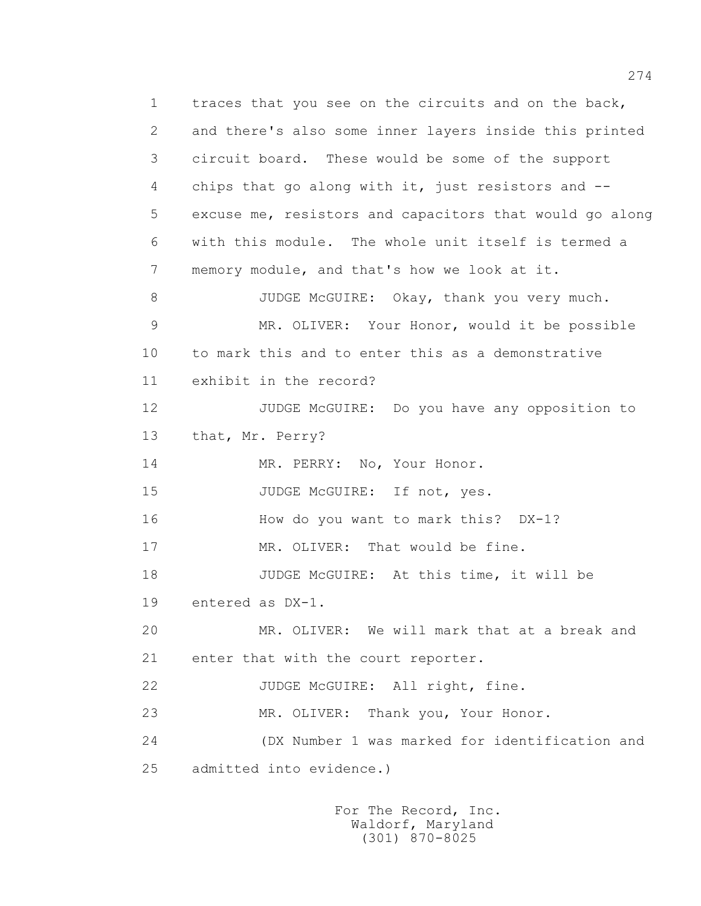1 traces that you see on the circuits and on the back, 2 and there's also some inner layers inside this printed 3 circuit board. These would be some of the support 4 chips that go along with it, just resistors and -- 5 excuse me, resistors and capacitors that would go along 6 with this module. The whole unit itself is termed a 7 memory module, and that's how we look at it. 8 JUDGE McGUIRE: Okay, thank you very much. 9 MR. OLIVER: Your Honor, would it be possible 10 to mark this and to enter this as a demonstrative 11 exhibit in the record? 12 JUDGE McGUIRE: Do you have any opposition to 13 that, Mr. Perry? 14 MR. PERRY: No, Your Honor. 15 JUDGE McGUIRE: If not, yes. 16 How do you want to mark this? DX-1? 17 MR. OLIVER: That would be fine. 18 JUDGE McGUIRE: At this time, it will be 19 entered as DX-1. 20 MR. OLIVER: We will mark that at a break and 21 enter that with the court reporter. 22 JUDGE McGUIRE: All right, fine. 23 MR. OLIVER: Thank you, Your Honor. 24 (DX Number 1 was marked for identification and 25 admitted into evidence.)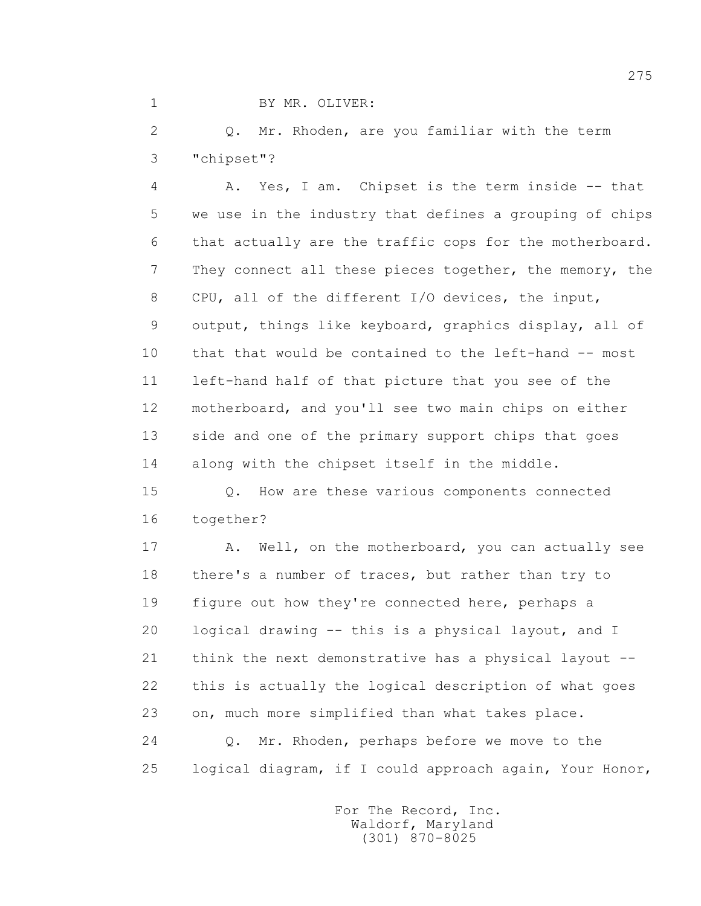## 1 BY MR. OLIVER:

 2 Q. Mr. Rhoden, are you familiar with the term 3 "chipset"?

 4 A. Yes, I am. Chipset is the term inside -- that 5 we use in the industry that defines a grouping of chips 6 that actually are the traffic cops for the motherboard. 7 They connect all these pieces together, the memory, the 8 CPU, all of the different I/O devices, the input, 9 output, things like keyboard, graphics display, all of 10 that that would be contained to the left-hand -- most 11 left-hand half of that picture that you see of the 12 motherboard, and you'll see two main chips on either 13 side and one of the primary support chips that goes 14 along with the chipset itself in the middle.

 15 Q. How are these various components connected 16 together?

17 A. Well, on the motherboard, you can actually see 18 there's a number of traces, but rather than try to 19 figure out how they're connected here, perhaps a 20 logical drawing -- this is a physical layout, and I 21 think the next demonstrative has a physical layout -- 22 this is actually the logical description of what goes 23 on, much more simplified than what takes place. 24 Q. Mr. Rhoden, perhaps before we move to the 25 logical diagram, if I could approach again, Your Honor,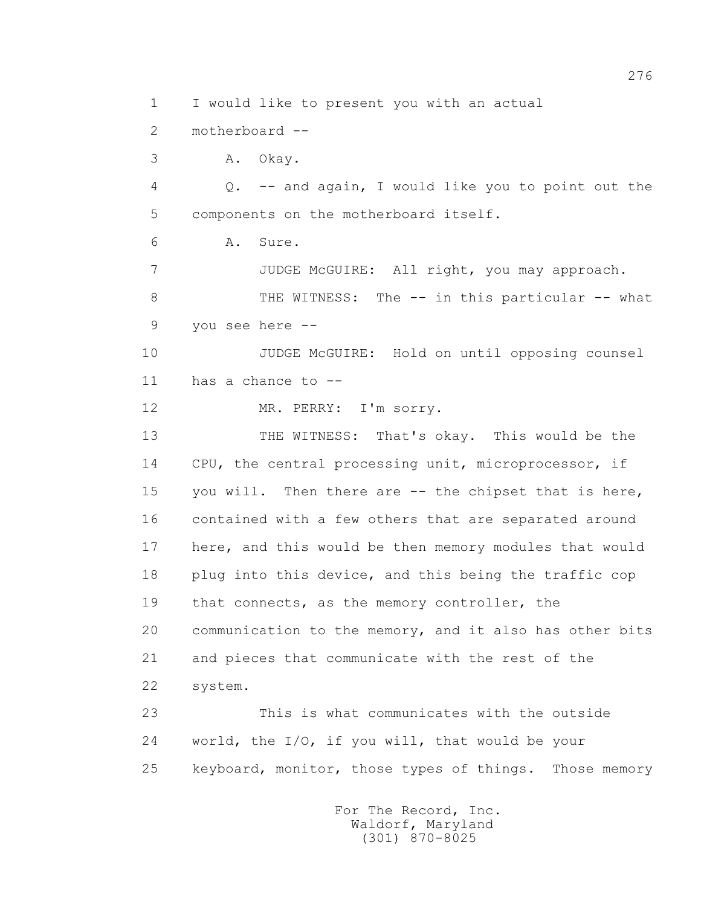1 I would like to present you with an actual

2 motherboard --

3 A. Okay.

 4 Q. -- and again, I would like you to point out the 5 components on the motherboard itself.

6 A. Sure.

 7 JUDGE McGUIRE: All right, you may approach. 8 THE WITNESS: The -- in this particular -- what

9 you see here --

 10 JUDGE McGUIRE: Hold on until opposing counsel 11 has a chance to --

12 MR. PERRY: I'm sorry.

 13 THE WITNESS: That's okay. This would be the 14 CPU, the central processing unit, microprocessor, if 15 you will. Then there are -- the chipset that is here, 16 contained with a few others that are separated around 17 here, and this would be then memory modules that would 18 plug into this device, and this being the traffic cop 19 that connects, as the memory controller, the 20 communication to the memory, and it also has other bits 21 and pieces that communicate with the rest of the 22 system.

 23 This is what communicates with the outside 24 world, the I/O, if you will, that would be your 25 keyboard, monitor, those types of things. Those memory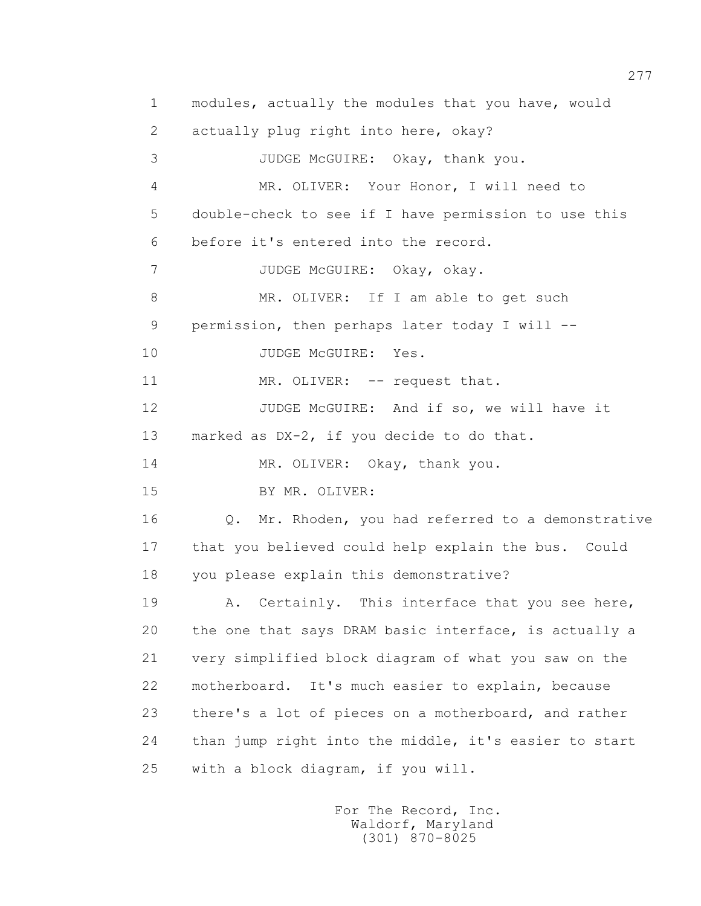1 modules, actually the modules that you have, would 2 actually plug right into here, okay? 3 JUDGE McGUIRE: Okay, thank you. 4 MR. OLIVER: Your Honor, I will need to 5 double-check to see if I have permission to use this 6 before it's entered into the record. 7 JUDGE McGUIRE: Okay, okay. 8 MR. OLIVER: If I am able to get such 9 permission, then perhaps later today I will -- 10 JUDGE McGUIRE: Yes. 11 MR. OLIVER: -- request that. 12 JUDGE McGUIRE: And if so, we will have it 13 marked as DX-2, if you decide to do that. 14 MR. OLIVER: Okay, thank you. 15 BY MR. OLIVER: 16 Q. Mr. Rhoden, you had referred to a demonstrative 17 that you believed could help explain the bus. Could 18 you please explain this demonstrative? 19 A. Certainly. This interface that you see here, 20 the one that says DRAM basic interface, is actually a 21 very simplified block diagram of what you saw on the 22 motherboard. It's much easier to explain, because 23 there's a lot of pieces on a motherboard, and rather 24 than jump right into the middle, it's easier to start 25 with a block diagram, if you will.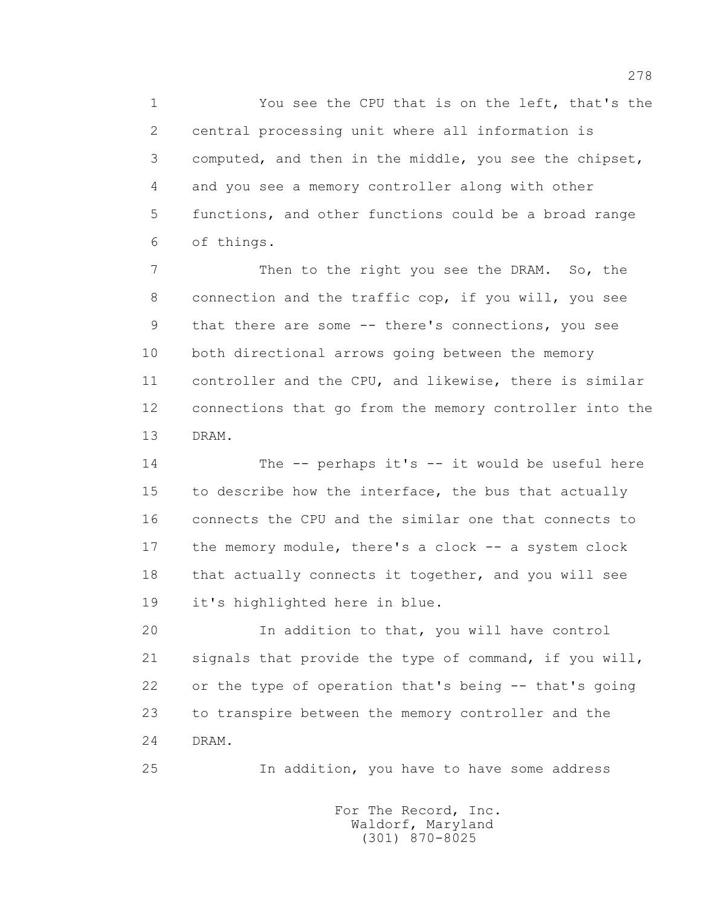1 You see the CPU that is on the left, that's the 2 central processing unit where all information is 3 computed, and then in the middle, you see the chipset, 4 and you see a memory controller along with other 5 functions, and other functions could be a broad range 6 of things.

 7 Then to the right you see the DRAM. So, the 8 connection and the traffic cop, if you will, you see 9 that there are some -- there's connections, you see 10 both directional arrows going between the memory 11 controller and the CPU, and likewise, there is similar 12 connections that go from the memory controller into the 13 DRAM.

 14 The -- perhaps it's -- it would be useful here 15 to describe how the interface, the bus that actually 16 connects the CPU and the similar one that connects to 17 the memory module, there's a clock -- a system clock 18 that actually connects it together, and you will see 19 it's highlighted here in blue.

 20 In addition to that, you will have control 21 signals that provide the type of command, if you will, 22 or the type of operation that's being -- that's going 23 to transpire between the memory controller and the 24 DRAM.

25 In addition, you have to have some address

 For The Record, Inc. Waldorf, Maryland (301) 870-8025

278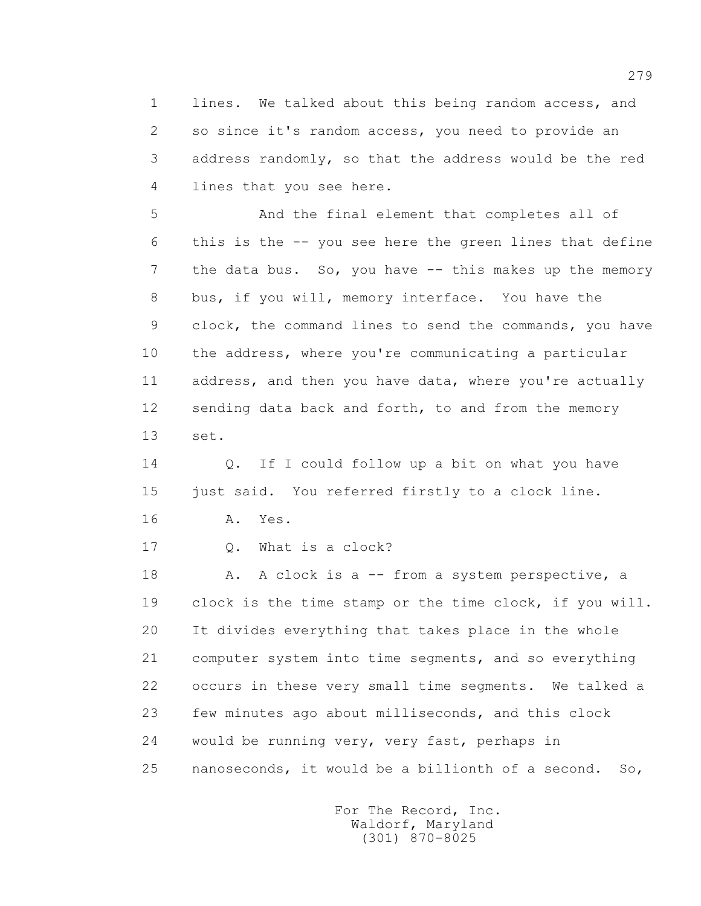1 lines. We talked about this being random access, and 2 so since it's random access, you need to provide an 3 address randomly, so that the address would be the red 4 lines that you see here.

 5 And the final element that completes all of 6 this is the -- you see here the green lines that define 7 the data bus. So, you have -- this makes up the memory 8 bus, if you will, memory interface. You have the 9 clock, the command lines to send the commands, you have 10 the address, where you're communicating a particular 11 address, and then you have data, where you're actually 12 sending data back and forth, to and from the memory 13 set.

 14 Q. If I could follow up a bit on what you have 15 just said. You referred firstly to a clock line.

16 **A.** Yes.

17 Q. What is a clock?

18 A. A clock is a -- from a system perspective, a 19 clock is the time stamp or the time clock, if you will. 20 It divides everything that takes place in the whole 21 computer system into time segments, and so everything 22 occurs in these very small time segments. We talked a 23 few minutes ago about milliseconds, and this clock 24 would be running very, very fast, perhaps in 25 nanoseconds, it would be a billionth of a second. So,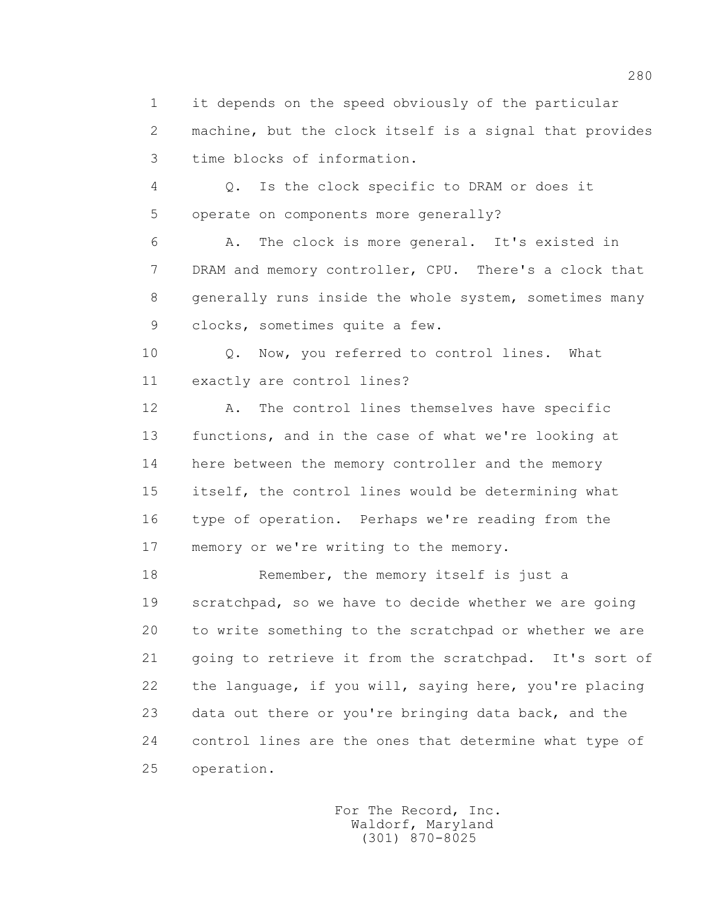1 it depends on the speed obviously of the particular 2 machine, but the clock itself is a signal that provides 3 time blocks of information.

 4 Q. Is the clock specific to DRAM or does it 5 operate on components more generally?

 6 A. The clock is more general. It's existed in 7 DRAM and memory controller, CPU. There's a clock that 8 generally runs inside the whole system, sometimes many 9 clocks, sometimes quite a few.

10 0. Now, you referred to control lines. What 11 exactly are control lines?

 12 A. The control lines themselves have specific 13 functions, and in the case of what we're looking at 14 here between the memory controller and the memory 15 itself, the control lines would be determining what 16 type of operation. Perhaps we're reading from the 17 memory or we're writing to the memory.

18 Remember, the memory itself is just a 19 scratchpad, so we have to decide whether we are going 20 to write something to the scratchpad or whether we are 21 going to retrieve it from the scratchpad. It's sort of 22 the language, if you will, saying here, you're placing 23 data out there or you're bringing data back, and the 24 control lines are the ones that determine what type of 25 operation.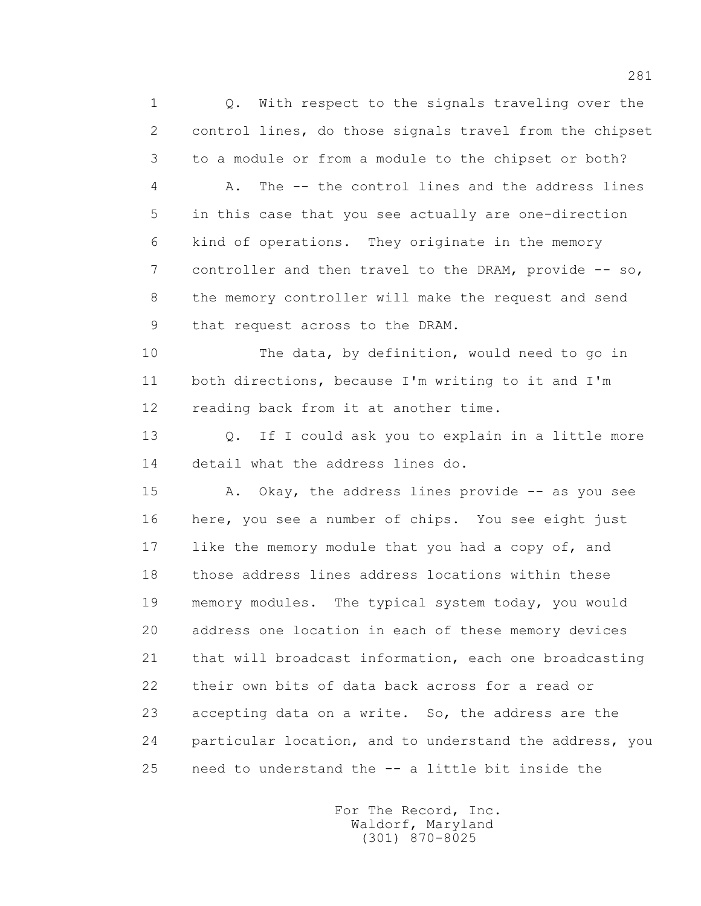1 0. With respect to the signals traveling over the 2 control lines, do those signals travel from the chipset 3 to a module or from a module to the chipset or both? 4 A. The -- the control lines and the address lines 5 in this case that you see actually are one-direction 6 kind of operations. They originate in the memory 7 controller and then travel to the DRAM, provide -- so, 8 the memory controller will make the request and send 9 that request across to the DRAM.

 10 The data, by definition, would need to go in 11 both directions, because I'm writing to it and I'm 12 reading back from it at another time.

 13 Q. If I could ask you to explain in a little more 14 detail what the address lines do.

 15 A. Okay, the address lines provide -- as you see 16 here, you see a number of chips. You see eight just 17 like the memory module that you had a copy of, and 18 those address lines address locations within these 19 memory modules. The typical system today, you would 20 address one location in each of these memory devices 21 that will broadcast information, each one broadcasting 22 their own bits of data back across for a read or 23 accepting data on a write. So, the address are the 24 particular location, and to understand the address, you 25 need to understand the -- a little bit inside the

> For The Record, Inc. Waldorf, Maryland (301) 870-8025

281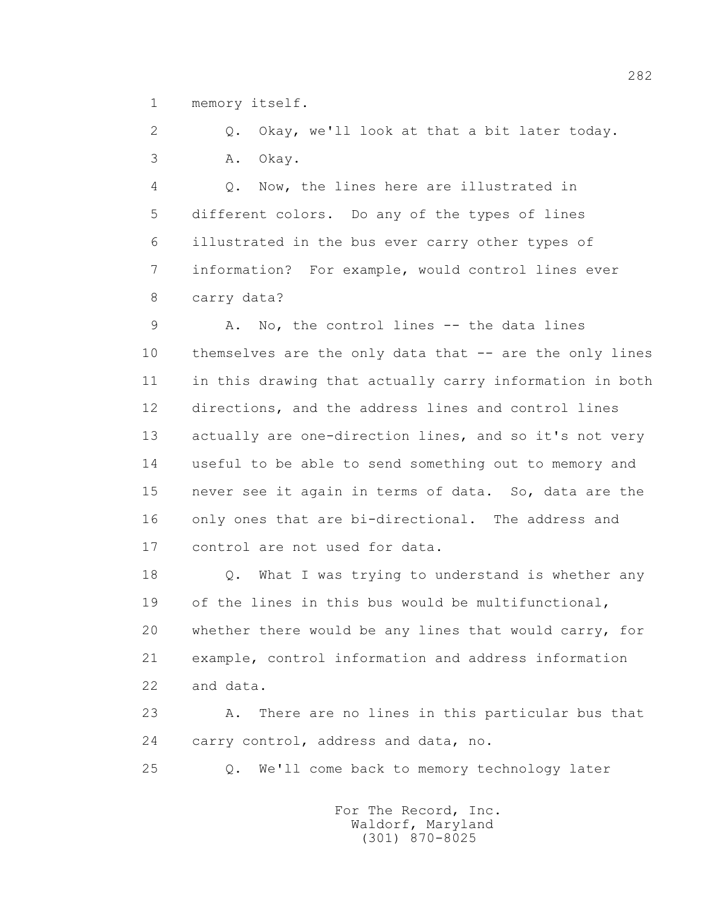1 memory itself.

 2 Q. Okay, we'll look at that a bit later today. 3 A. Okay.

 4 Q. Now, the lines here are illustrated in 5 different colors. Do any of the types of lines 6 illustrated in the bus ever carry other types of 7 information? For example, would control lines ever 8 carry data?

 9 A. No, the control lines -- the data lines 10 themselves are the only data that -- are the only lines 11 in this drawing that actually carry information in both 12 directions, and the address lines and control lines 13 actually are one-direction lines, and so it's not very 14 useful to be able to send something out to memory and 15 never see it again in terms of data. So, data are the 16 only ones that are bi-directional. The address and 17 control are not used for data.

 18 Q. What I was trying to understand is whether any 19 of the lines in this bus would be multifunctional, 20 whether there would be any lines that would carry, for 21 example, control information and address information 22 and data.

 23 A. There are no lines in this particular bus that 24 carry control, address and data, no.

25 Q. We'll come back to memory technology later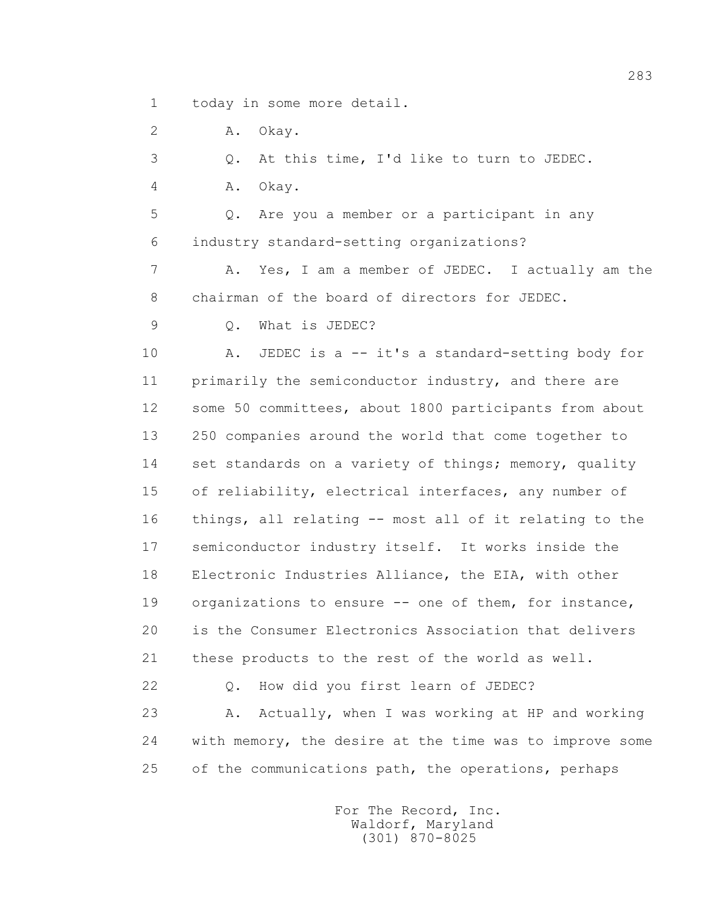1 today in some more detail.

2 A. Okay.

3 Q. At this time, I'd like to turn to JEDEC.

4 A. Okay.

 5 Q. Are you a member or a participant in any 6 industry standard-setting organizations?

 7 A. Yes, I am a member of JEDEC. I actually am the 8 chairman of the board of directors for JEDEC.

9 Q. What is JEDEC?

10 A. JEDEC is a -- it's a standard-setting body for 11 primarily the semiconductor industry, and there are 12 some 50 committees, about 1800 participants from about 13 250 companies around the world that come together to 14 set standards on a variety of things; memory, quality 15 of reliability, electrical interfaces, any number of 16 things, all relating -- most all of it relating to the 17 semiconductor industry itself. It works inside the 18 Electronic Industries Alliance, the EIA, with other 19 organizations to ensure -- one of them, for instance, 20 is the Consumer Electronics Association that delivers 21 these products to the rest of the world as well.

 22 Q. How did you first learn of JEDEC? 23 A. Actually, when I was working at HP and working 24 with memory, the desire at the time was to improve some 25 of the communications path, the operations, perhaps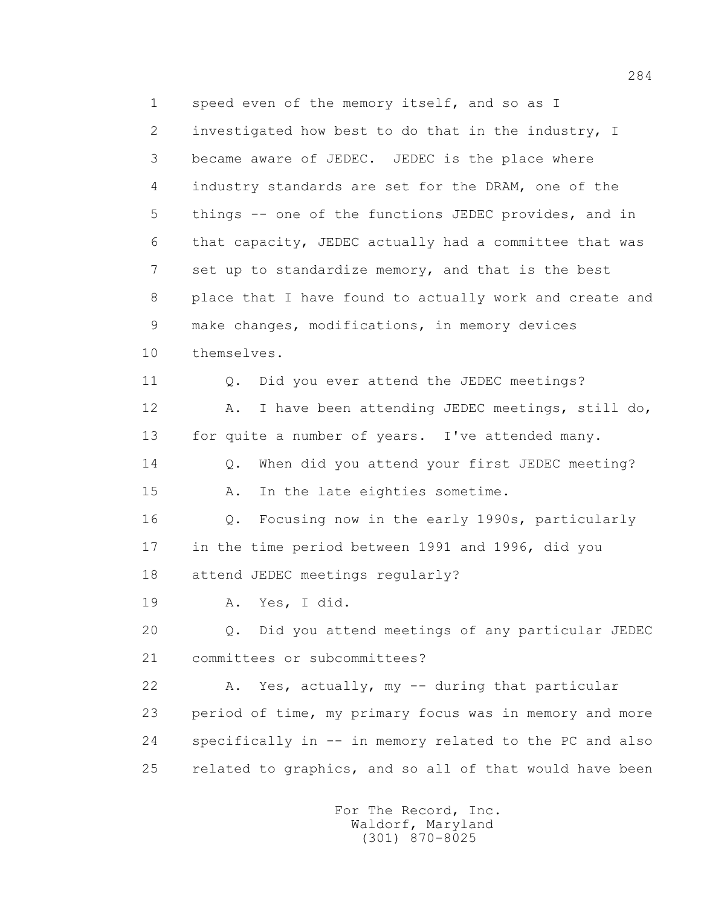1 speed even of the memory itself, and so as I 2 investigated how best to do that in the industry, I 3 became aware of JEDEC. JEDEC is the place where 4 industry standards are set for the DRAM, one of the 5 things -- one of the functions JEDEC provides, and in 6 that capacity, JEDEC actually had a committee that was 7 set up to standardize memory, and that is the best 8 place that I have found to actually work and create and 9 make changes, modifications, in memory devices 10 themselves. 11 0. Did you ever attend the JEDEC meetings? 12 A. I have been attending JEDEC meetings, still do, 13 for quite a number of years. I've attended many. 14 Q. When did you attend your first JEDEC meeting? 15 A. In the late eighties sometime. 16 Q. Focusing now in the early 1990s, particularly 17 in the time period between 1991 and 1996, did you 18 attend JEDEC meetings regularly? 19 A. Yes, I did. 20 Q. Did you attend meetings of any particular JEDEC 21 committees or subcommittees? 22 A. Yes, actually, my -- during that particular 23 period of time, my primary focus was in memory and more 24 specifically in -- in memory related to the PC and also 25 related to graphics, and so all of that would have been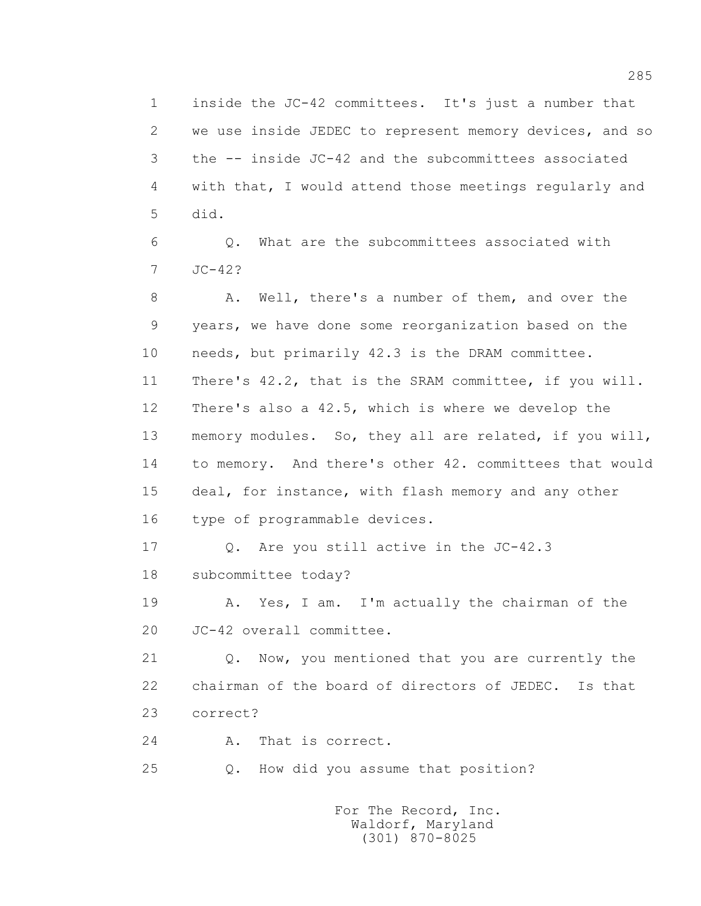1 inside the JC-42 committees. It's just a number that 2 we use inside JEDEC to represent memory devices, and so 3 the -- inside JC-42 and the subcommittees associated 4 with that, I would attend those meetings regularly and 5 did.

 6 Q. What are the subcommittees associated with 7 JC-42?

 8 A. Well, there's a number of them, and over the 9 years, we have done some reorganization based on the 10 needs, but primarily 42.3 is the DRAM committee. 11 There's 42.2, that is the SRAM committee, if you will. 12 There's also a 42.5, which is where we develop the 13 memory modules. So, they all are related, if you will, 14 to memory. And there's other 42. committees that would 15 deal, for instance, with flash memory and any other 16 type of programmable devices.

17 0. Are you still active in the JC-42.3 18 subcommittee today?

 19 A. Yes, I am. I'm actually the chairman of the 20 JC-42 overall committee.

 21 Q. Now, you mentioned that you are currently the 22 chairman of the board of directors of JEDEC. Is that 23 correct?

24 A. That is correct.

25 Q. How did you assume that position?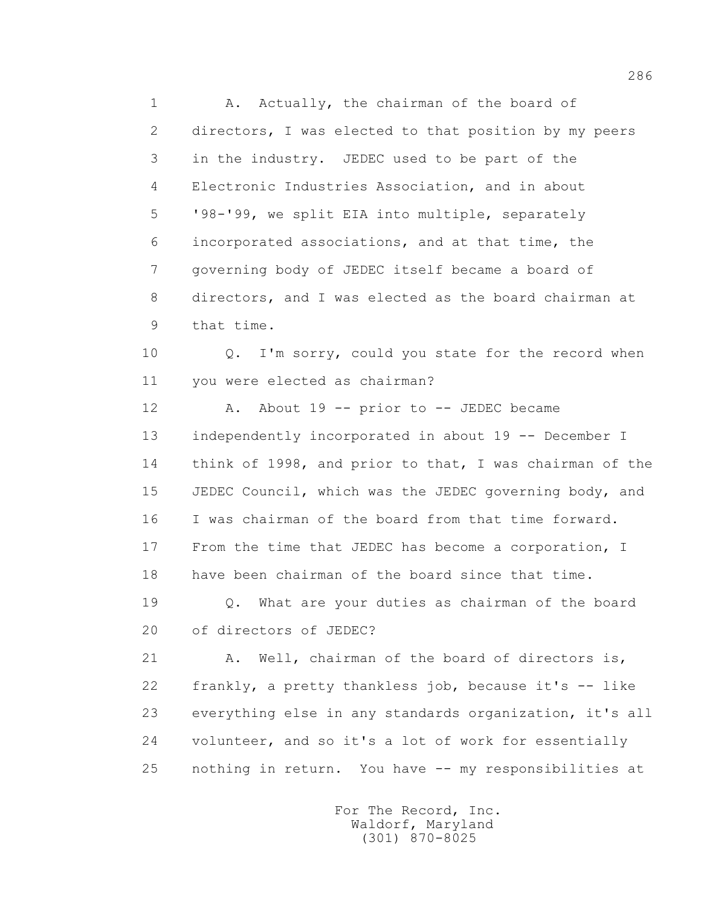1 A. Actually, the chairman of the board of 2 directors, I was elected to that position by my peers 3 in the industry. JEDEC used to be part of the 4 Electronic Industries Association, and in about 5 '98-'99, we split EIA into multiple, separately 6 incorporated associations, and at that time, the 7 governing body of JEDEC itself became a board of 8 directors, and I was elected as the board chairman at 9 that time.

 10 Q. I'm sorry, could you state for the record when 11 you were elected as chairman?

12 A. About 19 -- prior to -- JEDEC became 13 independently incorporated in about 19 -- December I 14 think of 1998, and prior to that, I was chairman of the 15 JEDEC Council, which was the JEDEC governing body, and 16 I was chairman of the board from that time forward. 17 From the time that JEDEC has become a corporation, I 18 have been chairman of the board since that time.

 19 Q. What are your duties as chairman of the board 20 of directors of JEDEC?

 21 A. Well, chairman of the board of directors is, 22 frankly, a pretty thankless job, because it's -- like 23 everything else in any standards organization, it's all 24 volunteer, and so it's a lot of work for essentially 25 nothing in return. You have -- my responsibilities at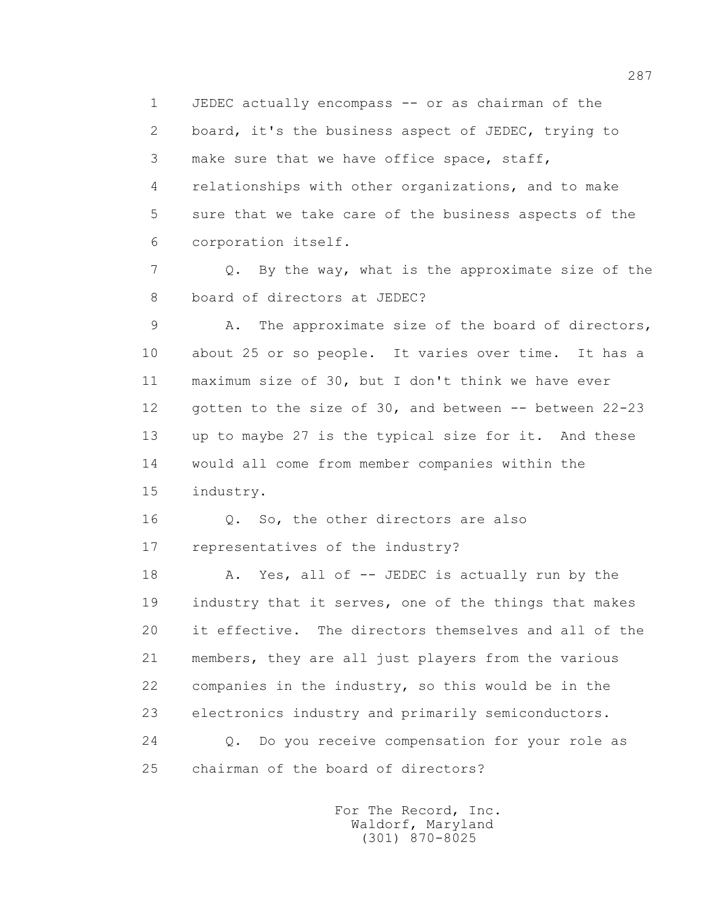1 JEDEC actually encompass -- or as chairman of the 2 board, it's the business aspect of JEDEC, trying to 3 make sure that we have office space, staff, 4 relationships with other organizations, and to make 5 sure that we take care of the business aspects of the 6 corporation itself.

 7 Q. By the way, what is the approximate size of the 8 board of directors at JEDEC?

 9 A. The approximate size of the board of directors, 10 about 25 or so people. It varies over time. It has a 11 maximum size of 30, but I don't think we have ever 12 gotten to the size of 30, and between -- between 22-23 13 up to maybe 27 is the typical size for it. And these 14 would all come from member companies within the 15 industry.

 16 Q. So, the other directors are also 17 representatives of the industry?

18 A. Yes, all of -- JEDEC is actually run by the 19 industry that it serves, one of the things that makes 20 it effective. The directors themselves and all of the 21 members, they are all just players from the various 22 companies in the industry, so this would be in the 23 electronics industry and primarily semiconductors. 24 Q. Do you receive compensation for your role as 25 chairman of the board of directors?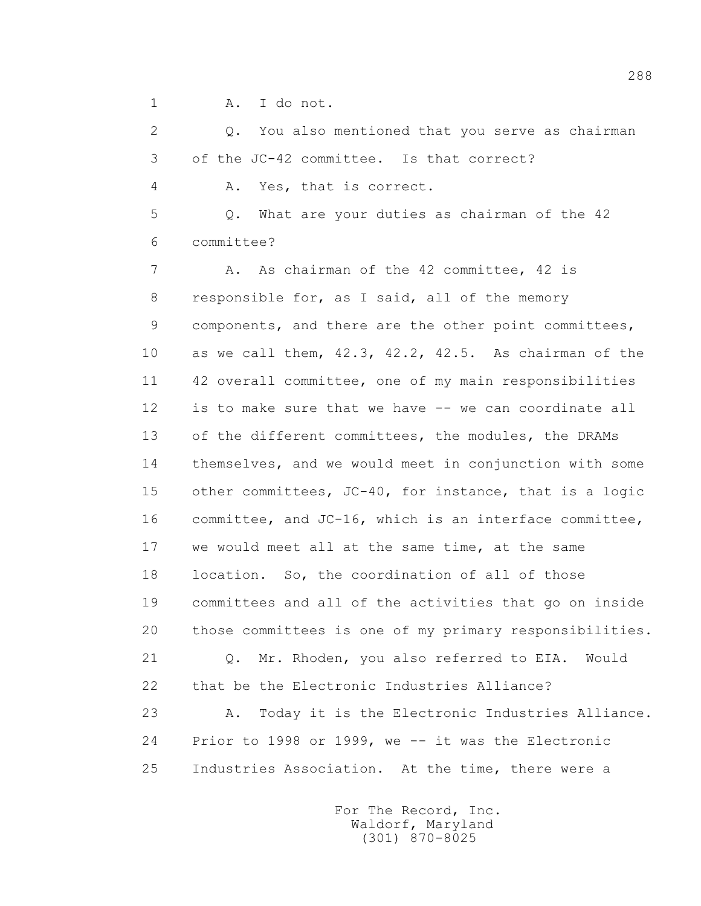1 A. I do not.

 2 Q. You also mentioned that you serve as chairman 3 of the JC-42 committee. Is that correct?

4 A. Yes, that is correct.

 5 Q. What are your duties as chairman of the 42 6 committee?

7 A. As chairman of the 42 committee, 42 is 8 responsible for, as I said, all of the memory 9 components, and there are the other point committees, 10 as we call them, 42.3, 42.2, 42.5. As chairman of the 11 42 overall committee, one of my main responsibilities 12 is to make sure that we have -- we can coordinate all 13 of the different committees, the modules, the DRAMs 14 themselves, and we would meet in conjunction with some 15 other committees, JC-40, for instance, that is a logic 16 committee, and JC-16, which is an interface committee, 17 we would meet all at the same time, at the same 18 location. So, the coordination of all of those 19 committees and all of the activities that go on inside 20 those committees is one of my primary responsibilities.

 21 Q. Mr. Rhoden, you also referred to EIA. Would 22 that be the Electronic Industries Alliance? 23 A. Today it is the Electronic Industries Alliance. 24 Prior to 1998 or 1999, we -- it was the Electronic 25 Industries Association. At the time, there were a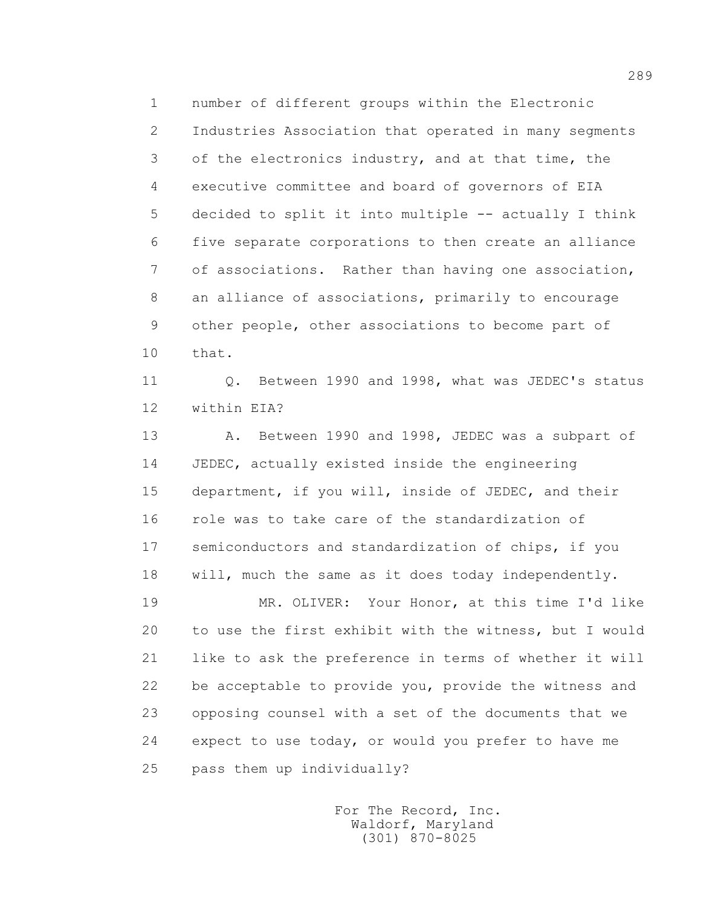1 number of different groups within the Electronic 2 Industries Association that operated in many segments 3 of the electronics industry, and at that time, the 4 executive committee and board of governors of EIA 5 decided to split it into multiple -- actually I think 6 five separate corporations to then create an alliance 7 of associations. Rather than having one association, 8 an alliance of associations, primarily to encourage 9 other people, other associations to become part of 10 that.

11 0. Between 1990 and 1998, what was JEDEC's status 12 within EIA?

 13 A. Between 1990 and 1998, JEDEC was a subpart of 14 JEDEC, actually existed inside the engineering 15 department, if you will, inside of JEDEC, and their 16 role was to take care of the standardization of 17 semiconductors and standardization of chips, if you 18 will, much the same as it does today independently.

 19 MR. OLIVER: Your Honor, at this time I'd like 20 to use the first exhibit with the witness, but I would 21 like to ask the preference in terms of whether it will 22 be acceptable to provide you, provide the witness and 23 opposing counsel with a set of the documents that we 24 expect to use today, or would you prefer to have me 25 pass them up individually?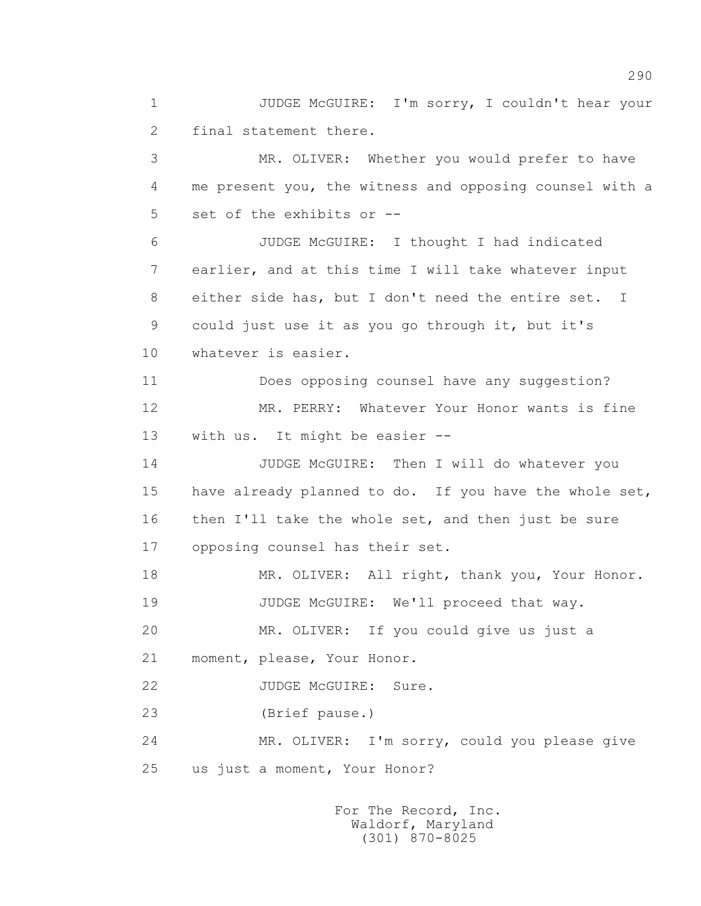1 JUDGE McGUIRE: I'm sorry, I couldn't hear your 2 final statement there.

 3 MR. OLIVER: Whether you would prefer to have 4 me present you, the witness and opposing counsel with a 5 set of the exhibits or --

 6 JUDGE McGUIRE: I thought I had indicated 7 earlier, and at this time I will take whatever input 8 either side has, but I don't need the entire set. I 9 could just use it as you go through it, but it's 10 whatever is easier.

 11 Does opposing counsel have any suggestion? 12 MR. PERRY: Whatever Your Honor wants is fine 13 with us. It might be easier --

14 JUDGE McGUIRE: Then I will do whatever you 15 have already planned to do. If you have the whole set, 16 then I'll take the whole set, and then just be sure 17 opposing counsel has their set.

18 MR. OLIVER: All right, thank you, Your Honor. 19 JUDGE McGUIRE: We'll proceed that way.

20 MR. OLIVER: If you could give us just a

21 moment, please, Your Honor.

22 JUDGE McGUIRE: Sure.

23 (Brief pause.)

 24 MR. OLIVER: I'm sorry, could you please give 25 us just a moment, Your Honor?

> For The Record, Inc. Waldorf, Maryland (301) 870-8025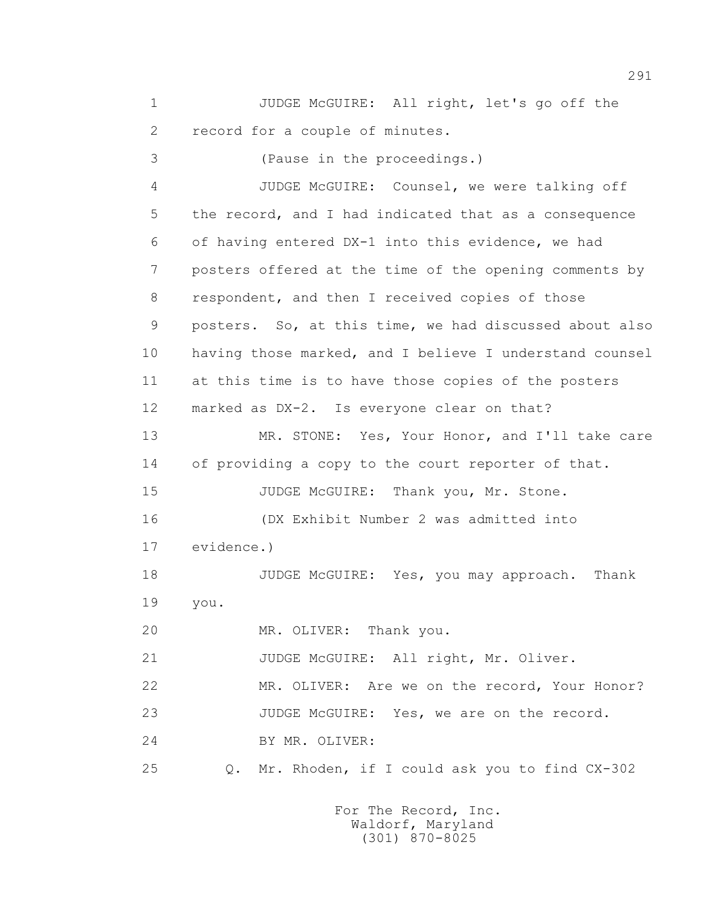1 JUDGE McGUIRE: All right, let's go off the 2 record for a couple of minutes.

 3 (Pause in the proceedings.) 4 JUDGE McGUIRE: Counsel, we were talking off 5 the record, and I had indicated that as a consequence 6 of having entered DX-1 into this evidence, we had 7 posters offered at the time of the opening comments by 8 respondent, and then I received copies of those 9 posters. So, at this time, we had discussed about also 10 having those marked, and I believe I understand counsel 11 at this time is to have those copies of the posters 12 marked as DX-2. Is everyone clear on that? 13 MR. STONE: Yes, Your Honor, and I'll take care 14 of providing a copy to the court reporter of that. 15 JUDGE McGUIRE: Thank you, Mr. Stone. 16 (DX Exhibit Number 2 was admitted into 17 evidence.) 18 **JUDGE McGUIRE:** Yes, you may approach. Thank 19 you. 20 MR. OLIVER: Thank you. 21 JUDGE McGUIRE: All right, Mr. Oliver. 22 MR. OLIVER: Are we on the record, Your Honor? 23 JUDGE McGUIRE: Yes, we are on the record. 24 BY MR. OLIVER:

25 Q. Mr. Rhoden, if I could ask you to find CX-302

 For The Record, Inc. Waldorf, Maryland (301) 870-8025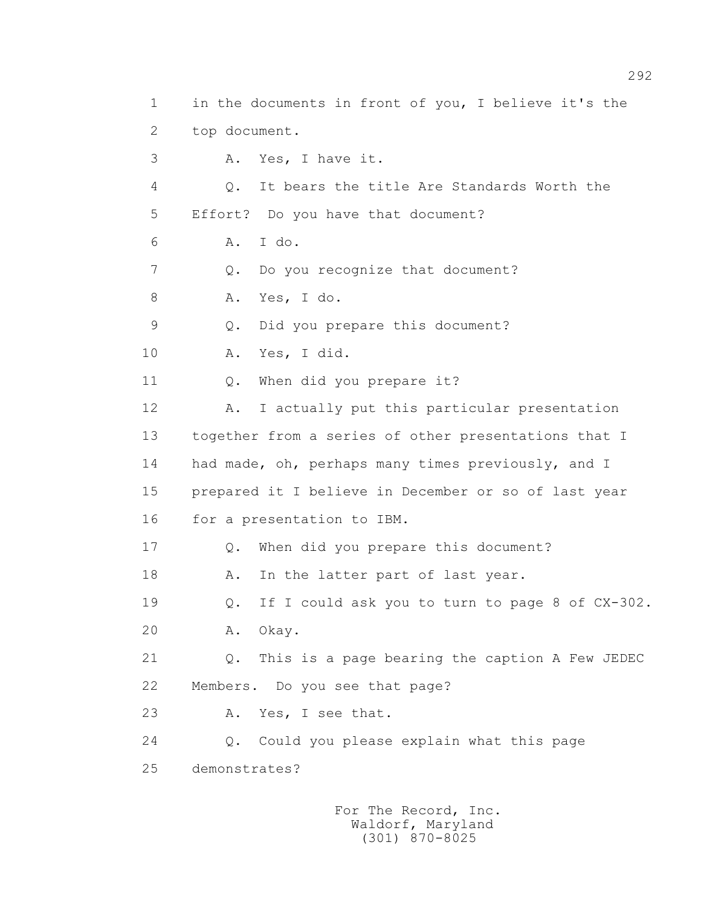1 in the documents in front of you, I believe it's the 2 top document. 3 A. Yes, I have it. 4 Q. It bears the title Are Standards Worth the 5 Effort? Do you have that document? 6 A. I do. 7 Q. Do you recognize that document? 8 A. Yes, I do. 9 Q. Did you prepare this document? 10 A. Yes, I did. 11 Q. When did you prepare it? 12 A. I actually put this particular presentation 13 together from a series of other presentations that I 14 had made, oh, perhaps many times previously, and I 15 prepared it I believe in December or so of last year 16 for a presentation to IBM. 17 Q. When did you prepare this document? 18 A. In the latter part of last year. 19 Q. If I could ask you to turn to page 8 of CX-302. 20 A. Okay. 21 Q. This is a page bearing the caption A Few JEDEC 22 Members. Do you see that page? 23 A. Yes, I see that. 24 Q. Could you please explain what this page 25 demonstrates?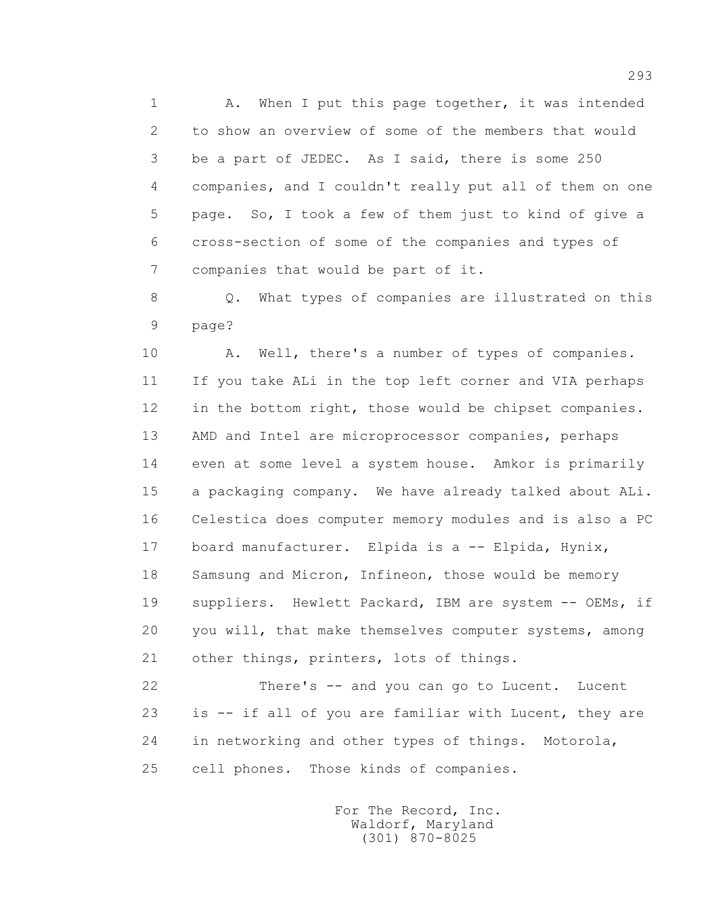1 A. When I put this page together, it was intended 2 to show an overview of some of the members that would 3 be a part of JEDEC. As I said, there is some 250 4 companies, and I couldn't really put all of them on one 5 page. So, I took a few of them just to kind of give a 6 cross-section of some of the companies and types of 7 companies that would be part of it.

 8 Q. What types of companies are illustrated on this 9 page?

10 A. Well, there's a number of types of companies. 11 If you take ALi in the top left corner and VIA perhaps 12 in the bottom right, those would be chipset companies. 13 AMD and Intel are microprocessor companies, perhaps 14 even at some level a system house. Amkor is primarily 15 a packaging company. We have already talked about ALi. 16 Celestica does computer memory modules and is also a PC 17 board manufacturer. Elpida is a -- Elpida, Hynix, 18 Samsung and Micron, Infineon, those would be memory 19 suppliers. Hewlett Packard, IBM are system -- OEMs, if 20 you will, that make themselves computer systems, among 21 other things, printers, lots of things.

 22 There's -- and you can go to Lucent. Lucent 23 is -- if all of you are familiar with Lucent, they are 24 in networking and other types of things. Motorola, 25 cell phones. Those kinds of companies.

> For The Record, Inc. Waldorf, Maryland (301) 870-8025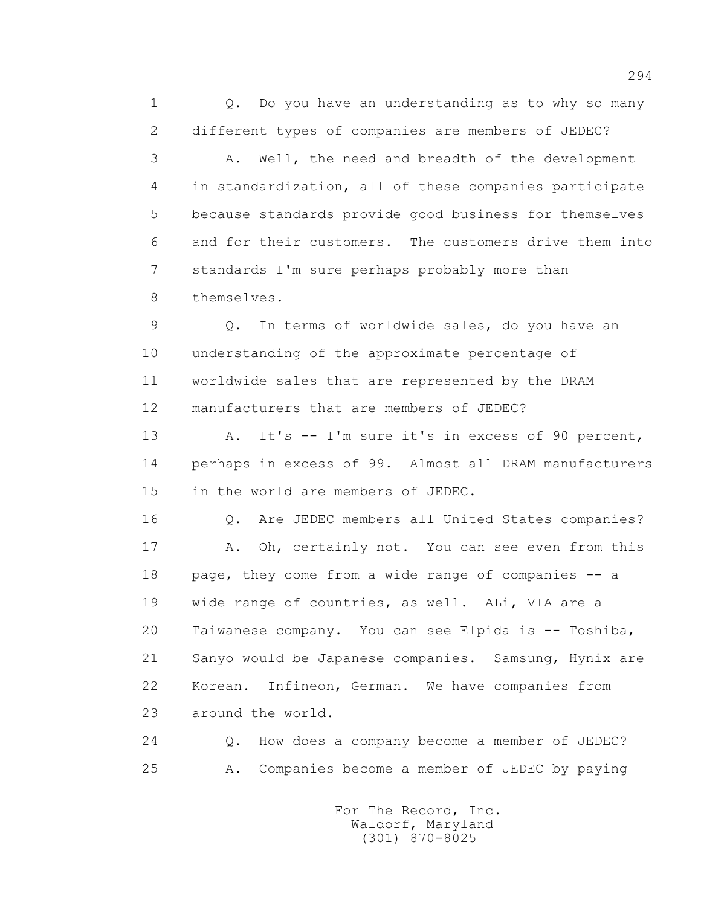1 0. Do you have an understanding as to why so many 2 different types of companies are members of JEDEC?

 3 A. Well, the need and breadth of the development 4 in standardization, all of these companies participate 5 because standards provide good business for themselves 6 and for their customers. The customers drive them into 7 standards I'm sure perhaps probably more than 8 themselves.

 9 Q. In terms of worldwide sales, do you have an 10 understanding of the approximate percentage of 11 worldwide sales that are represented by the DRAM 12 manufacturers that are members of JEDEC?

 13 A. It's -- I'm sure it's in excess of 90 percent, 14 perhaps in excess of 99. Almost all DRAM manufacturers 15 in the world are members of JEDEC.

 16 Q. Are JEDEC members all United States companies? 17 A. Oh, certainly not. You can see even from this 18 page, they come from a wide range of companies -- a 19 wide range of countries, as well. ALi, VIA are a 20 Taiwanese company. You can see Elpida is -- Toshiba, 21 Sanyo would be Japanese companies. Samsung, Hynix are 22 Korean. Infineon, German. We have companies from 23 around the world.

 24 Q. How does a company become a member of JEDEC? 25 A. Companies become a member of JEDEC by paying

> For The Record, Inc. Waldorf, Maryland (301) 870-8025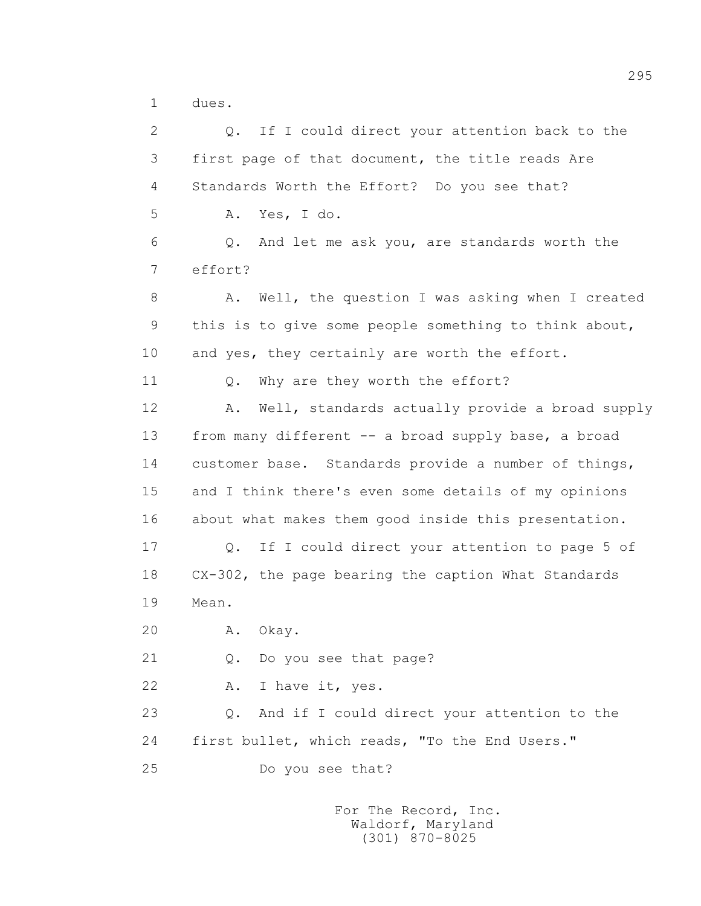1 dues.

 2 Q. If I could direct your attention back to the 3 first page of that document, the title reads Are 4 Standards Worth the Effort? Do you see that? 5 A. Yes, I do. 6 Q. And let me ask you, are standards worth the 7 effort? 8 A. Well, the question I was asking when I created 9 this is to give some people something to think about, 10 and yes, they certainly are worth the effort. 11 O. Why are they worth the effort? 12 A. Well, standards actually provide a broad supply 13 from many different -- a broad supply base, a broad 14 customer base. Standards provide a number of things, 15 and I think there's even some details of my opinions 16 about what makes them good inside this presentation. 17 Q. If I could direct your attention to page 5 of 18 CX-302, the page bearing the caption What Standards 19 Mean. 20 A. Okay. 21 Q. Do you see that page? 22 A. I have it, yes. 23 Q. And if I could direct your attention to the 24 first bullet, which reads, "To the End Users." 25 Do you see that?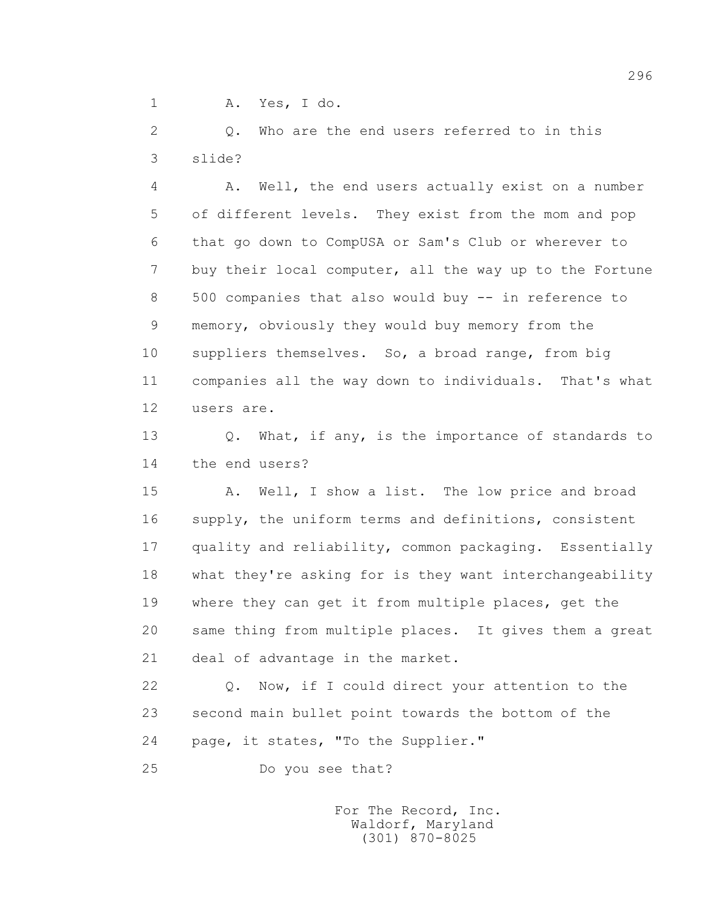1 A. Yes, I do.

 2 Q. Who are the end users referred to in this 3 slide?

 4 A. Well, the end users actually exist on a number 5 of different levels. They exist from the mom and pop 6 that go down to CompUSA or Sam's Club or wherever to 7 buy their local computer, all the way up to the Fortune 8 500 companies that also would buy -- in reference to 9 memory, obviously they would buy memory from the 10 suppliers themselves. So, a broad range, from big 11 companies all the way down to individuals. That's what 12 users are.

13 0. What, if any, is the importance of standards to 14 the end users?

 15 A. Well, I show a list. The low price and broad 16 supply, the uniform terms and definitions, consistent 17 quality and reliability, common packaging. Essentially 18 what they're asking for is they want interchangeability 19 where they can get it from multiple places, get the 20 same thing from multiple places. It gives them a great 21 deal of advantage in the market.

 22 Q. Now, if I could direct your attention to the 23 second main bullet point towards the bottom of the 24 page, it states, "To the Supplier."

25 Do you see that?

 For The Record, Inc. Waldorf, Maryland (301) 870-8025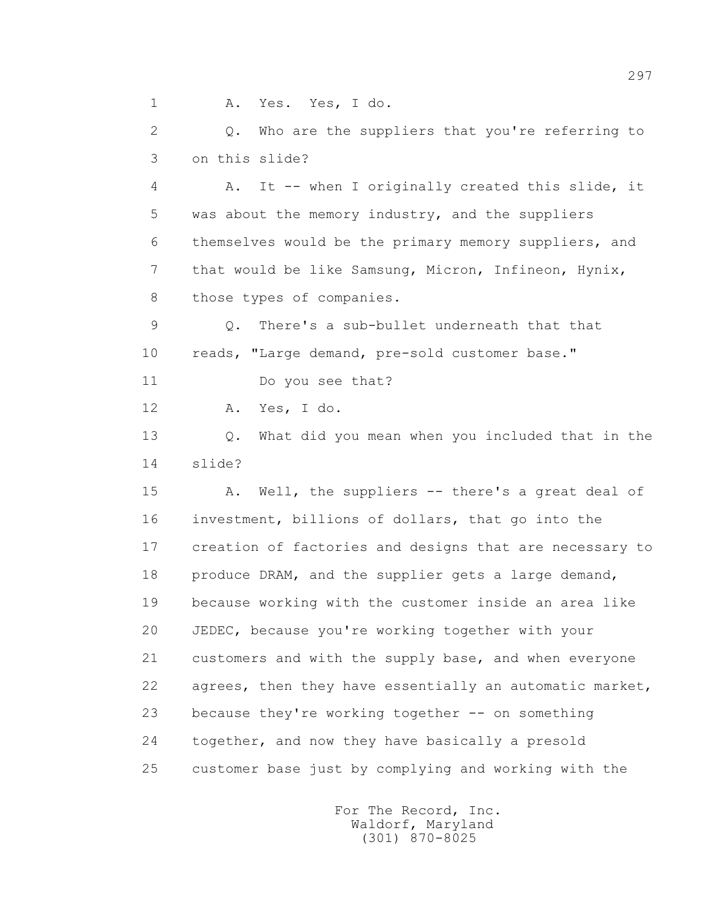1 A. Yes. Yes, I do.

 2 Q. Who are the suppliers that you're referring to 3 on this slide?

 4 A. It -- when I originally created this slide, it 5 was about the memory industry, and the suppliers 6 themselves would be the primary memory suppliers, and 7 that would be like Samsung, Micron, Infineon, Hynix, 8 those types of companies.

 9 Q. There's a sub-bullet underneath that that 10 reads, "Large demand, pre-sold customer base."

11 Do you see that?

12 A. Yes, I do.

 13 Q. What did you mean when you included that in the 14 slide?

 15 A. Well, the suppliers -- there's a great deal of 16 investment, billions of dollars, that go into the 17 creation of factories and designs that are necessary to 18 produce DRAM, and the supplier gets a large demand, 19 because working with the customer inside an area like 20 JEDEC, because you're working together with your 21 customers and with the supply base, and when everyone 22 agrees, then they have essentially an automatic market, 23 because they're working together -- on something 24 together, and now they have basically a presold 25 customer base just by complying and working with the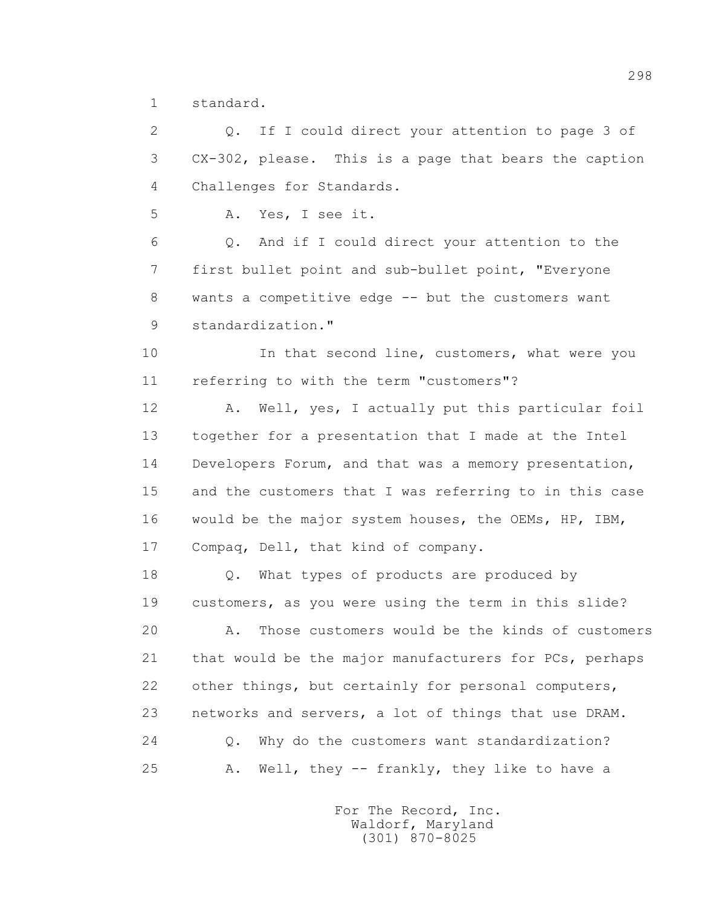1 standard.

 2 Q. If I could direct your attention to page 3 of 3 CX-302, please. This is a page that bears the caption 4 Challenges for Standards. 5 A. Yes, I see it. 6 Q. And if I could direct your attention to the 7 first bullet point and sub-bullet point, "Everyone 8 wants a competitive edge -- but the customers want 9 standardization." 10 10 In that second line, customers, what were you 11 referring to with the term "customers"? 12 A. Well, yes, I actually put this particular foil 13 together for a presentation that I made at the Intel 14 Developers Forum, and that was a memory presentation, 15 and the customers that I was referring to in this case 16 would be the major system houses, the OEMs, HP, IBM, 17 Compaq, Dell, that kind of company. 18 **Q.** What types of products are produced by 19 customers, as you were using the term in this slide? 20 A. Those customers would be the kinds of customers 21 that would be the major manufacturers for PCs, perhaps 22 other things, but certainly for personal computers, 23 networks and servers, a lot of things that use DRAM. 24 Q. Why do the customers want standardization? 25 A. Well, they -- frankly, they like to have a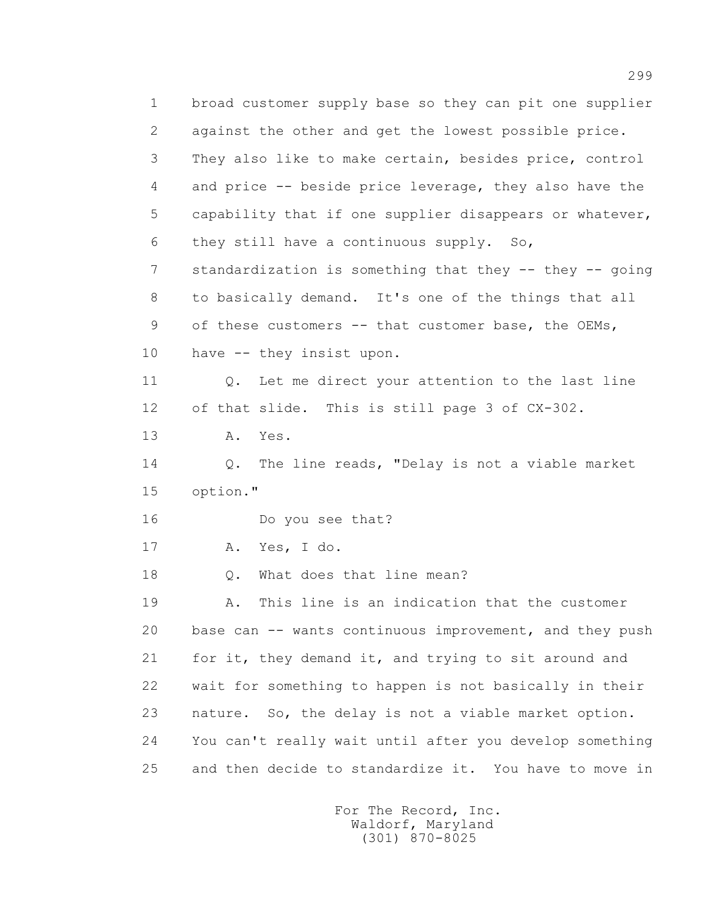1 broad customer supply base so they can pit one supplier 2 against the other and get the lowest possible price. 3 They also like to make certain, besides price, control 4 and price -- beside price leverage, they also have the 5 capability that if one supplier disappears or whatever, 6 they still have a continuous supply. So, 7 standardization is something that they -- they -- going 8 to basically demand. It's one of the things that all 9 of these customers -- that customer base, the OEMs, 10 have -- they insist upon. 11 Q. Let me direct your attention to the last line 12 of that slide. This is still page 3 of CX-302. 13 A. Yes. 14 Q. The line reads, "Delay is not a viable market 15 option." 16 Do you see that? 17 A. Yes, I do. 18 0. What does that line mean? 19 A. This line is an indication that the customer 20 base can -- wants continuous improvement, and they push 21 for it, they demand it, and trying to sit around and 22 wait for something to happen is not basically in their 23 nature. So, the delay is not a viable market option. 24 You can't really wait until after you develop something 25 and then decide to standardize it. You have to move in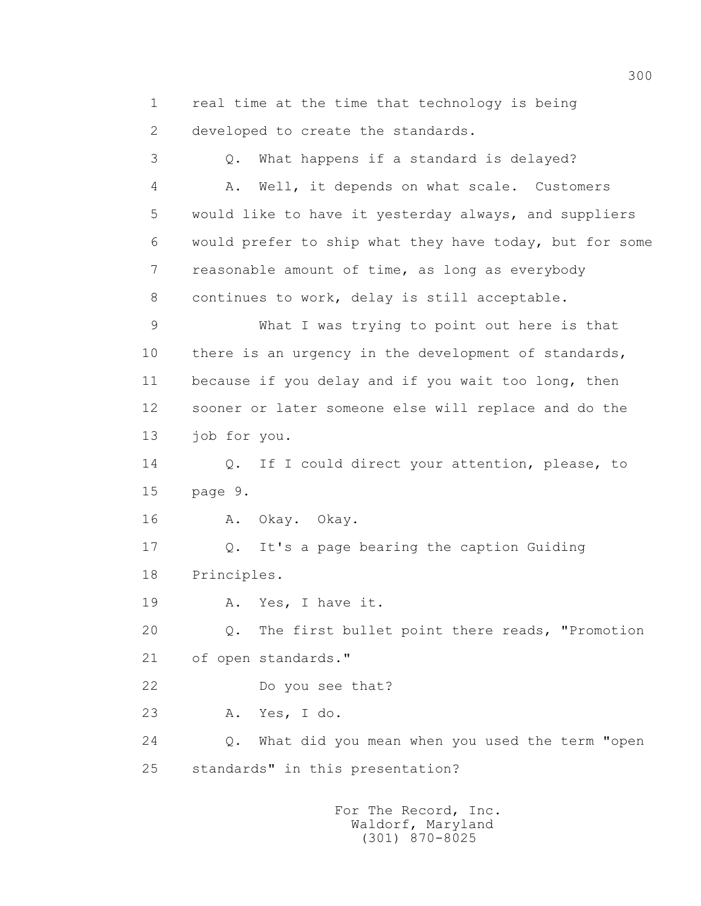1 real time at the time that technology is being 2 developed to create the standards.

 3 Q. What happens if a standard is delayed? 4 A. Well, it depends on what scale. Customers 5 would like to have it yesterday always, and suppliers 6 would prefer to ship what they have today, but for some 7 reasonable amount of time, as long as everybody 8 continues to work, delay is still acceptable. 9 What I was trying to point out here is that 10 there is an urgency in the development of standards, 11 because if you delay and if you wait too long, then 12 sooner or later someone else will replace and do the 13 job for you. 14 Q. If I could direct your attention, please, to 15 page 9. 16 A. Okay. Okay. 17 Q. It's a page bearing the caption Guiding 18 Principles. 19 A. Yes, I have it. 20 Q. The first bullet point there reads, "Promotion 21 of open standards." 22 Do you see that? 23 A. Yes, I do. 24 Q. What did you mean when you used the term "open 25 standards" in this presentation?

> For The Record, Inc. Waldorf, Maryland (301) 870-8025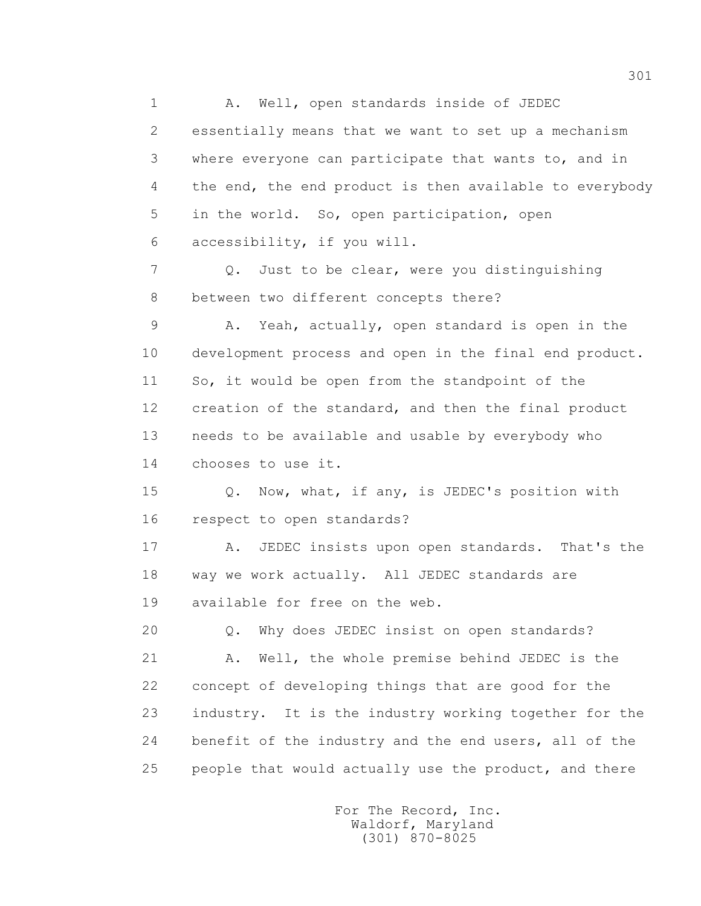1 A. Well, open standards inside of JEDEC 2 essentially means that we want to set up a mechanism 3 where everyone can participate that wants to, and in 4 the end, the end product is then available to everybody 5 in the world. So, open participation, open 6 accessibility, if you will. 7 Q. Just to be clear, were you distinguishing 8 between two different concepts there? 9 A. Yeah, actually, open standard is open in the 10 development process and open in the final end product. 11 So, it would be open from the standpoint of the 12 creation of the standard, and then the final product 13 needs to be available and usable by everybody who 14 chooses to use it. 15 Q. Now, what, if any, is JEDEC's position with 16 respect to open standards? 17 A. JEDEC insists upon open standards. That's the 18 way we work actually. All JEDEC standards are 19 available for free on the web. 20 Q. Why does JEDEC insist on open standards? 21 A. Well, the whole premise behind JEDEC is the 22 concept of developing things that are good for the 23 industry. It is the industry working together for the 24 benefit of the industry and the end users, all of the 25 people that would actually use the product, and there

> For The Record, Inc. Waldorf, Maryland (301) 870-8025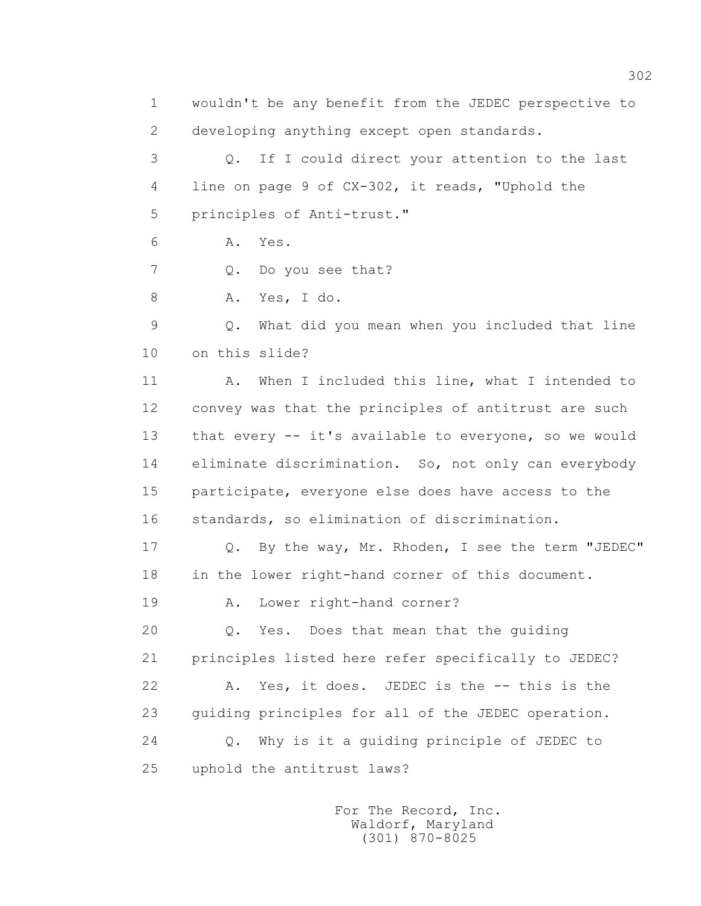1 wouldn't be any benefit from the JEDEC perspective to 2 developing anything except open standards. 3 Q. If I could direct your attention to the last 4 line on page 9 of CX-302, it reads, "Uphold the 5 principles of Anti-trust." 6 A. Yes. 7 Q. Do you see that? 8 A. Yes, I do. 9 Q. What did you mean when you included that line 10 on this slide? 11 A. When I included this line, what I intended to 12 convey was that the principles of antitrust are such 13 that every -- it's available to everyone, so we would 14 eliminate discrimination. So, not only can everybody 15 participate, everyone else does have access to the 16 standards, so elimination of discrimination. 17 Q. By the way, Mr. Rhoden, I see the term "JEDEC" 18 in the lower right-hand corner of this document. 19 A. Lower right-hand corner? 20 Q. Yes. Does that mean that the guiding 21 principles listed here refer specifically to JEDEC? 22 A. Yes, it does. JEDEC is the -- this is the 23 guiding principles for all of the JEDEC operation. 24 Q. Why is it a guiding principle of JEDEC to 25 uphold the antitrust laws?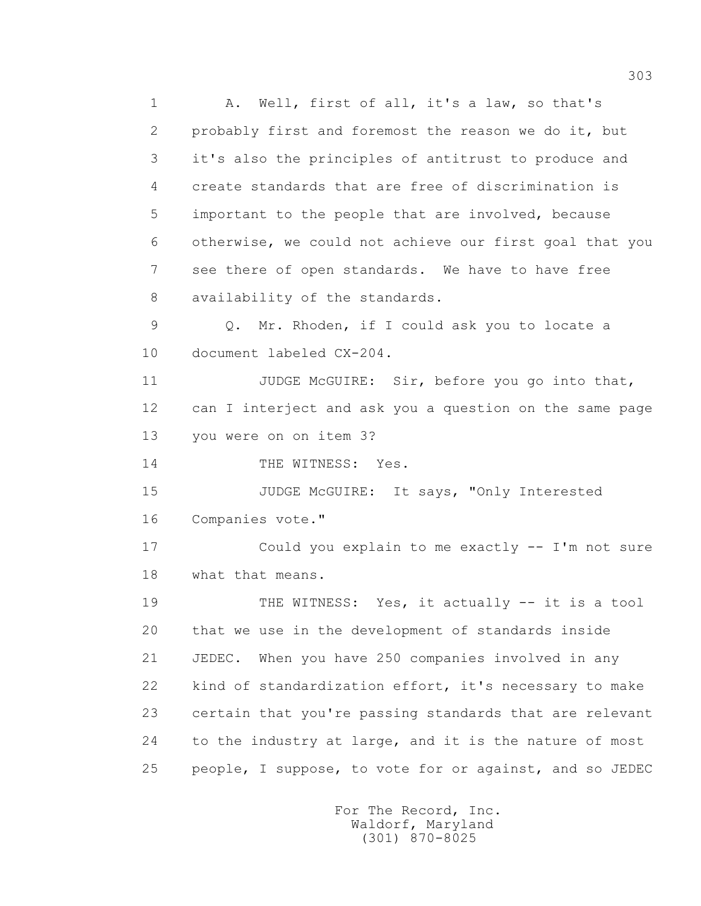1 A. Well, first of all, it's a law, so that's 2 probably first and foremost the reason we do it, but 3 it's also the principles of antitrust to produce and 4 create standards that are free of discrimination is 5 important to the people that are involved, because 6 otherwise, we could not achieve our first goal that you 7 see there of open standards. We have to have free 8 availability of the standards. 9 Q. Mr. Rhoden, if I could ask you to locate a 10 document labeled CX-204. 11 JUDGE McGUIRE: Sir, before you go into that, 12 can I interject and ask you a question on the same page 13 you were on on item 3? 14 THE WITNESS: Yes. 15 JUDGE McGUIRE: It says, "Only Interested 16 Companies vote." 17 Could you explain to me exactly -- I'm not sure 18 what that means. 19 THE WITNESS: Yes, it actually -- it is a tool 20 that we use in the development of standards inside 21 JEDEC. When you have 250 companies involved in any 22 kind of standardization effort, it's necessary to make 23 certain that you're passing standards that are relevant 24 to the industry at large, and it is the nature of most 25 people, I suppose, to vote for or against, and so JEDEC

 For The Record, Inc. Waldorf, Maryland (301) 870-8025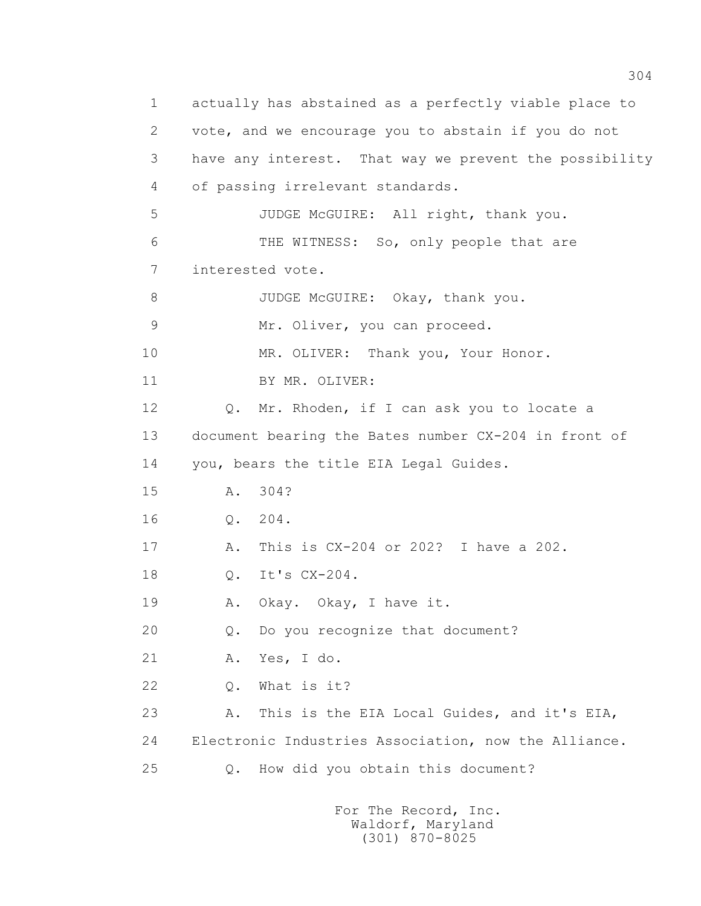1 actually has abstained as a perfectly viable place to 2 vote, and we encourage you to abstain if you do not 3 have any interest. That way we prevent the possibility 4 of passing irrelevant standards. 5 JUDGE McGUIRE: All right, thank you. 6 THE WITNESS: So, only people that are 7 interested vote. 8 JUDGE McGUIRE: Okay, thank you. 9 Mr. Oliver, you can proceed. 10 MR. OLIVER: Thank you, Your Honor. 11 BY MR. OLIVER: 12 Q. Mr. Rhoden, if I can ask you to locate a 13 document bearing the Bates number CX-204 in front of 14 you, bears the title EIA Legal Guides. 15 A. 304? 16 Q. 204. 17 A. This is CX-204 or 202? I have a 202. 18 0. It's CX-204. 19 A. Okay. Okay, I have it. 20 Q. Do you recognize that document? 21 A. Yes, I do. 22 Q. What is it? 23 A. This is the EIA Local Guides, and it's EIA, 24 Electronic Industries Association, now the Alliance. 25 Q. How did you obtain this document?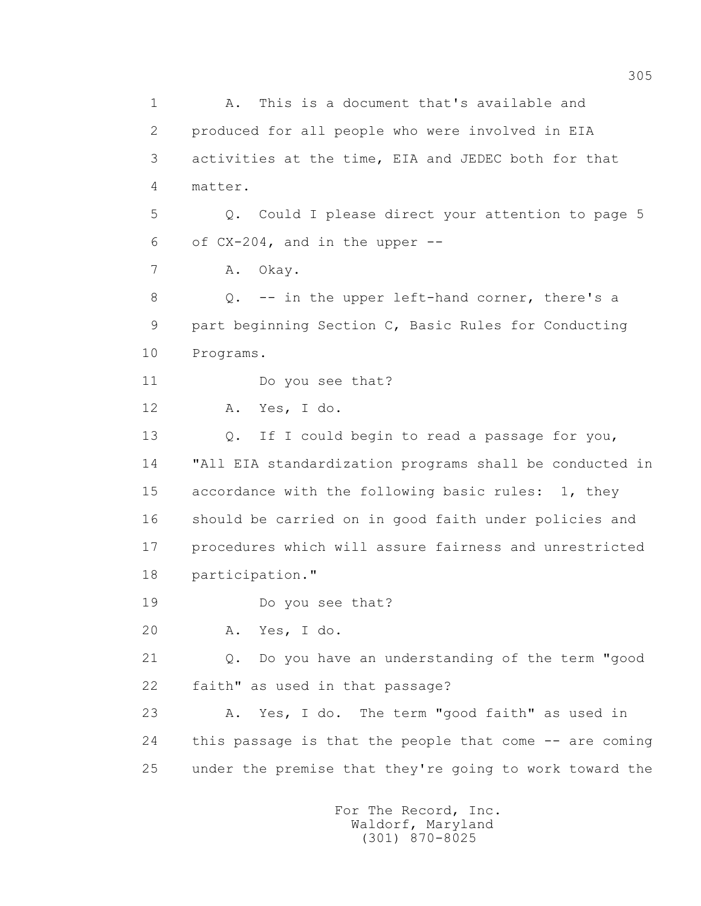1 A. This is a document that's available and 2 produced for all people who were involved in EIA 3 activities at the time, EIA and JEDEC both for that 4 matter. 5 Q. Could I please direct your attention to page 5 6 of CX-204, and in the upper -- 7 A. Okay. 8 Q. -- in the upper left-hand corner, there's a 9 part beginning Section C, Basic Rules for Conducting 10 Programs. 11 Do you see that? 12 A. Yes, I do. 13 O. If I could begin to read a passage for you, 14 "All EIA standardization programs shall be conducted in 15 accordance with the following basic rules: 1, they 16 should be carried on in good faith under policies and 17 procedures which will assure fairness and unrestricted 18 participation." 19 Do you see that? 20 A. Yes, I do. 21 Q. Do you have an understanding of the term "good 22 faith" as used in that passage? 23 A. Yes, I do. The term "good faith" as used in 24 this passage is that the people that come -- are coming 25 under the premise that they're going to work toward the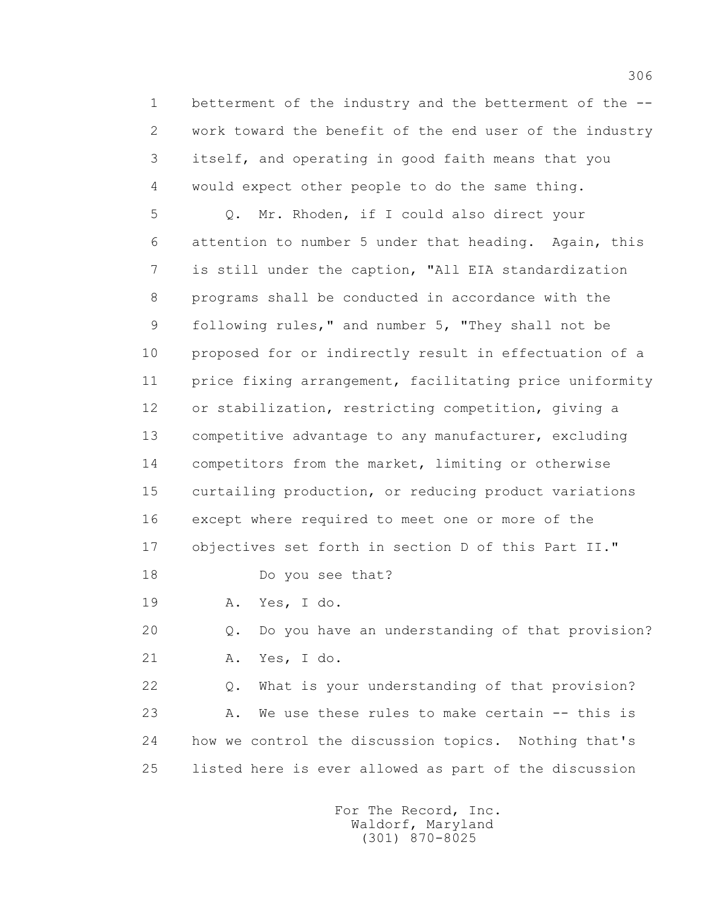1 betterment of the industry and the betterment of the -- 2 work toward the benefit of the end user of the industry 3 itself, and operating in good faith means that you 4 would expect other people to do the same thing.

 5 Q. Mr. Rhoden, if I could also direct your 6 attention to number 5 under that heading. Again, this 7 is still under the caption, "All EIA standardization 8 programs shall be conducted in accordance with the 9 following rules," and number 5, "They shall not be 10 proposed for or indirectly result in effectuation of a 11 price fixing arrangement, facilitating price uniformity 12 or stabilization, restricting competition, giving a 13 competitive advantage to any manufacturer, excluding 14 competitors from the market, limiting or otherwise 15 curtailing production, or reducing product variations 16 except where required to meet one or more of the 17 objectives set forth in section D of this Part II." 18 Do you see that?

19 A. Yes, I do.

 20 Q. Do you have an understanding of that provision? 21 A. Yes, I do.

 22 Q. What is your understanding of that provision? 23 A. We use these rules to make certain -- this is 24 how we control the discussion topics. Nothing that's 25 listed here is ever allowed as part of the discussion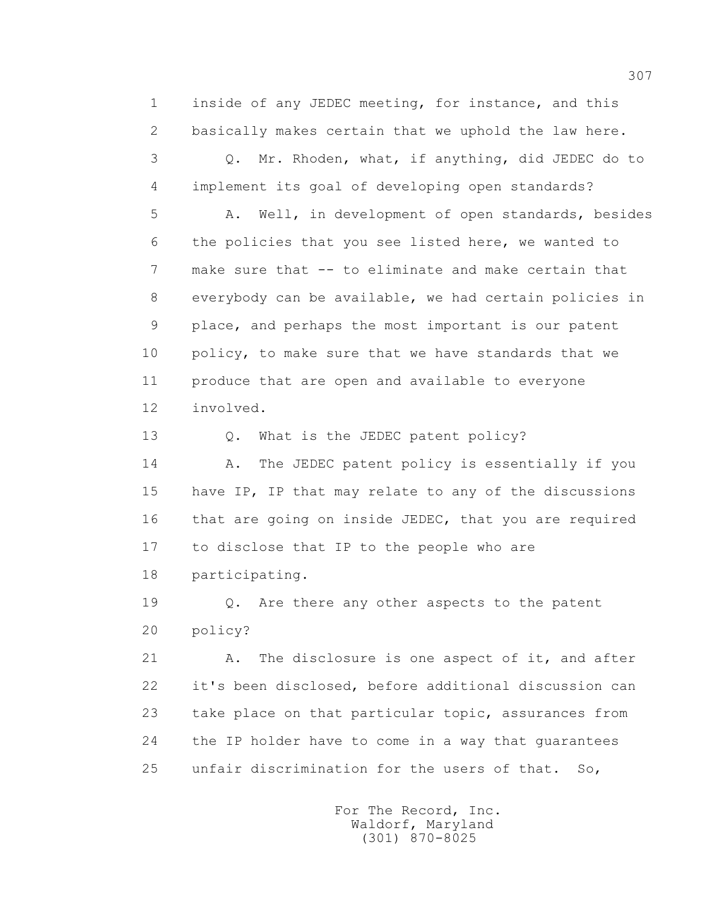1 inside of any JEDEC meeting, for instance, and this 2 basically makes certain that we uphold the law here.

 3 Q. Mr. Rhoden, what, if anything, did JEDEC do to 4 implement its goal of developing open standards?

 5 A. Well, in development of open standards, besides 6 the policies that you see listed here, we wanted to 7 make sure that -- to eliminate and make certain that 8 everybody can be available, we had certain policies in 9 place, and perhaps the most important is our patent 10 policy, to make sure that we have standards that we 11 produce that are open and available to everyone 12 involved.

13 Q. What is the JEDEC patent policy?

14 A. The JEDEC patent policy is essentially if you 15 have IP, IP that may relate to any of the discussions 16 that are going on inside JEDEC, that you are required 17 to disclose that IP to the people who are 18 participating.

 19 Q. Are there any other aspects to the patent 20 policy?

21 A. The disclosure is one aspect of it, and after 22 it's been disclosed, before additional discussion can 23 take place on that particular topic, assurances from 24 the IP holder have to come in a way that guarantees 25 unfair discrimination for the users of that. So,

> For The Record, Inc. Waldorf, Maryland (301) 870-8025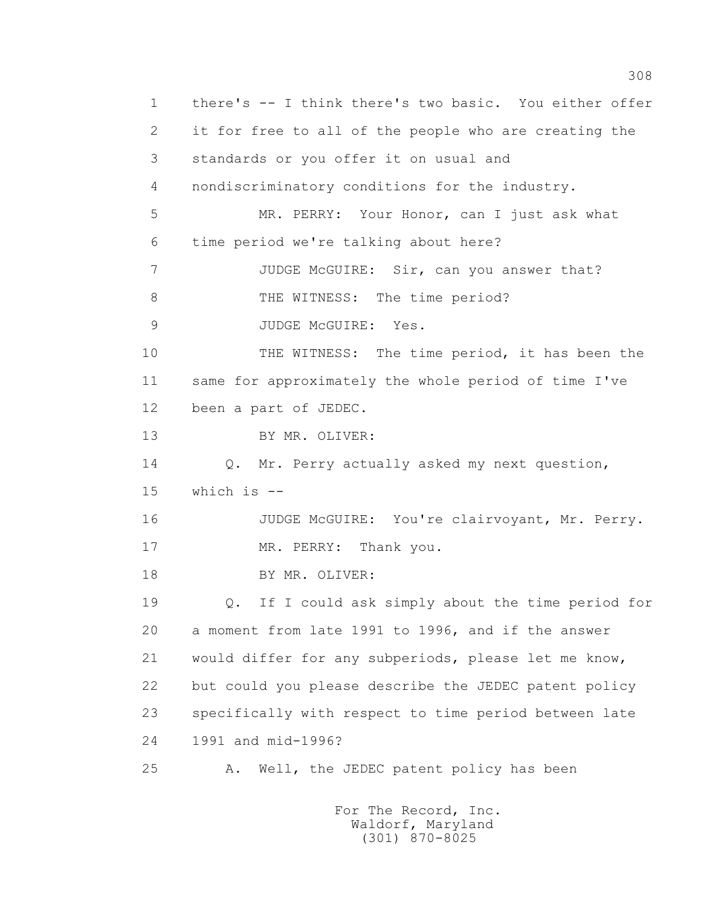1 there's -- I think there's two basic. You either offer 2 it for free to all of the people who are creating the 3 standards or you offer it on usual and 4 nondiscriminatory conditions for the industry. 5 MR. PERRY: Your Honor, can I just ask what 6 time period we're talking about here? 7 JUDGE McGUIRE: Sir, can you answer that? 8 THE WITNESS: The time period? 9 JUDGE McGUIRE: Yes. 10 THE WITNESS: The time period, it has been the 11 same for approximately the whole period of time I've 12 been a part of JEDEC. 13 BY MR. OLIVER: 14 Q. Mr. Perry actually asked my next question, 15 which is -- 16 JUDGE McGUIRE: You're clairvoyant, Mr. Perry. 17 MR. PERRY: Thank you. 18 BY MR. OLIVER: 19 Q. If I could ask simply about the time period for 20 a moment from late 1991 to 1996, and if the answer 21 would differ for any subperiods, please let me know, 22 but could you please describe the JEDEC patent policy 23 specifically with respect to time period between late 24 1991 and mid-1996? 25 A. Well, the JEDEC patent policy has been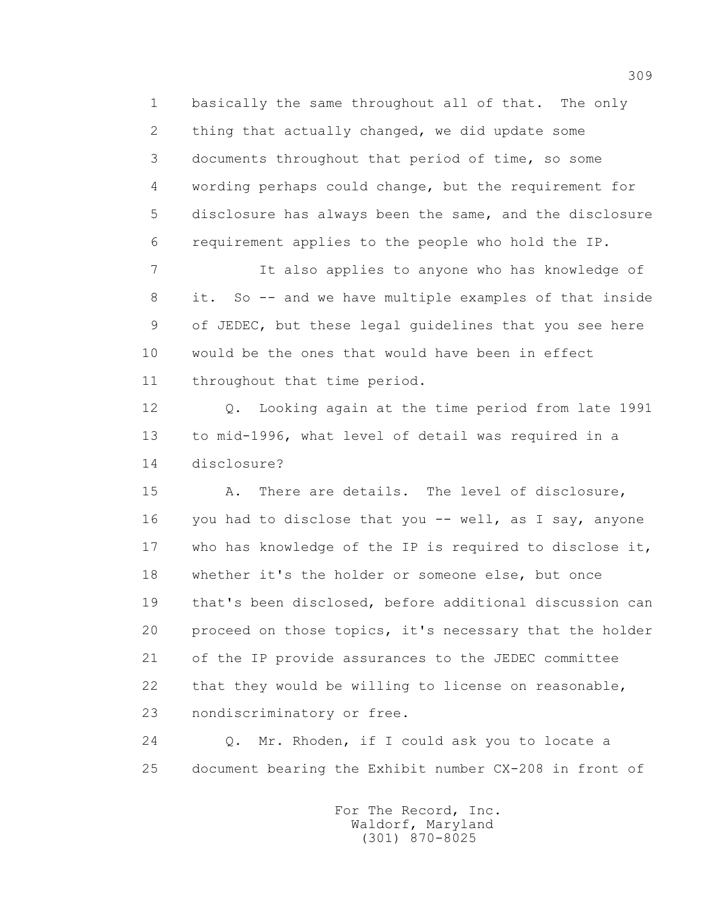1 basically the same throughout all of that. The only 2 thing that actually changed, we did update some 3 documents throughout that period of time, so some 4 wording perhaps could change, but the requirement for 5 disclosure has always been the same, and the disclosure 6 requirement applies to the people who hold the IP.

 7 It also applies to anyone who has knowledge of 8 it. So -- and we have multiple examples of that inside 9 of JEDEC, but these legal guidelines that you see here 10 would be the ones that would have been in effect 11 throughout that time period.

 12 Q. Looking again at the time period from late 1991 13 to mid-1996, what level of detail was required in a 14 disclosure?

 15 A. There are details. The level of disclosure, 16 you had to disclose that you -- well, as I say, anyone 17 who has knowledge of the IP is required to disclose it, 18 whether it's the holder or someone else, but once 19 that's been disclosed, before additional discussion can 20 proceed on those topics, it's necessary that the holder 21 of the IP provide assurances to the JEDEC committee 22 that they would be willing to license on reasonable, 23 nondiscriminatory or free.

 24 Q. Mr. Rhoden, if I could ask you to locate a 25 document bearing the Exhibit number CX-208 in front of

> For The Record, Inc. Waldorf, Maryland (301) 870-8025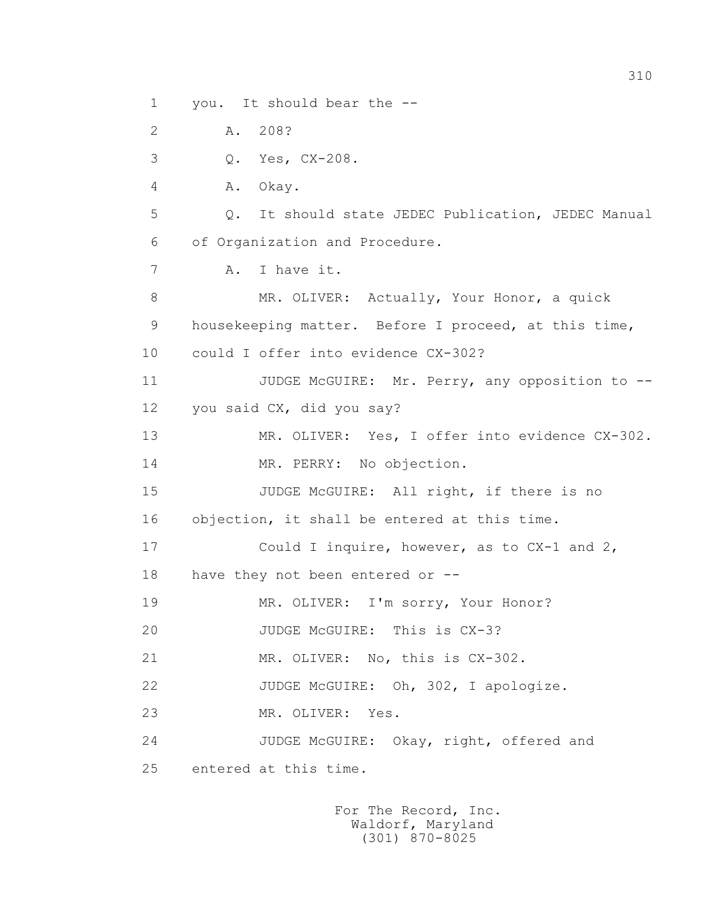1 you. It should bear the -- 2 A. 208? 3 Q. Yes, CX-208. 4 A. Okay. 5 Q. It should state JEDEC Publication, JEDEC Manual 6 of Organization and Procedure. 7 A. I have it. 8 MR. OLIVER: Actually, Your Honor, a quick 9 housekeeping matter. Before I proceed, at this time, 10 could I offer into evidence CX-302? 11 JUDGE McGUIRE: Mr. Perry, any opposition to -- 12 you said CX, did you say? 13 MR. OLIVER: Yes, I offer into evidence CX-302. 14 MR. PERRY: No objection. 15 JUDGE McGUIRE: All right, if there is no 16 objection, it shall be entered at this time. 17 Could I inquire, however, as to CX-1 and 2, 18 have they not been entered or -- 19 MR. OLIVER: I'm sorry, Your Honor? 20 JUDGE McGUIRE: This is CX-3? 21 MR. OLIVER: No, this is CX-302. 22 JUDGE McGUIRE: Oh, 302, I apologize. 23 MR. OLIVER: Yes. 24 JUDGE McGUIRE: Okay, right, offered and 25 entered at this time.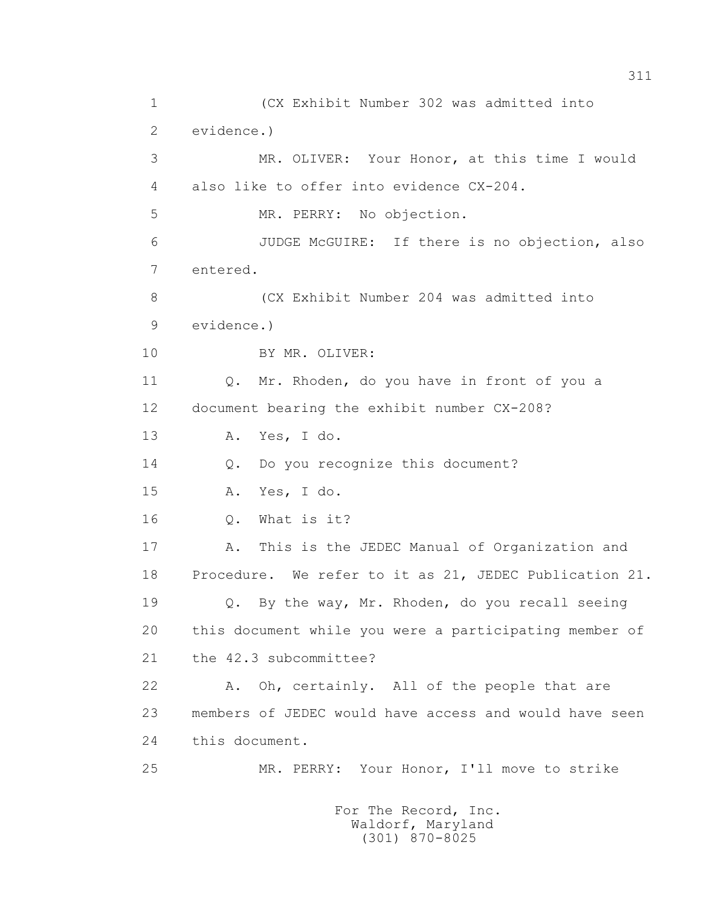1 (CX Exhibit Number 302 was admitted into 2 evidence.) 3 MR. OLIVER: Your Honor, at this time I would 4 also like to offer into evidence CX-204. 5 MR. PERRY: No objection. 6 JUDGE McGUIRE: If there is no objection, also 7 entered. 8 (CX Exhibit Number 204 was admitted into 9 evidence.) 10 BY MR. OLIVER: 11 0. Mr. Rhoden, do you have in front of you a 12 document bearing the exhibit number CX-208? 13 A. Yes, I do. 14 Q. Do you recognize this document? 15 A. Yes, I do. 16 Q. What is it? 17 A. This is the JEDEC Manual of Organization and 18 Procedure. We refer to it as 21, JEDEC Publication 21. 19 Q. By the way, Mr. Rhoden, do you recall seeing 20 this document while you were a participating member of 21 the 42.3 subcommittee? 22 A. Oh, certainly. All of the people that are 23 members of JEDEC would have access and would have seen 24 this document. 25 MR. PERRY: Your Honor, I'll move to strike

311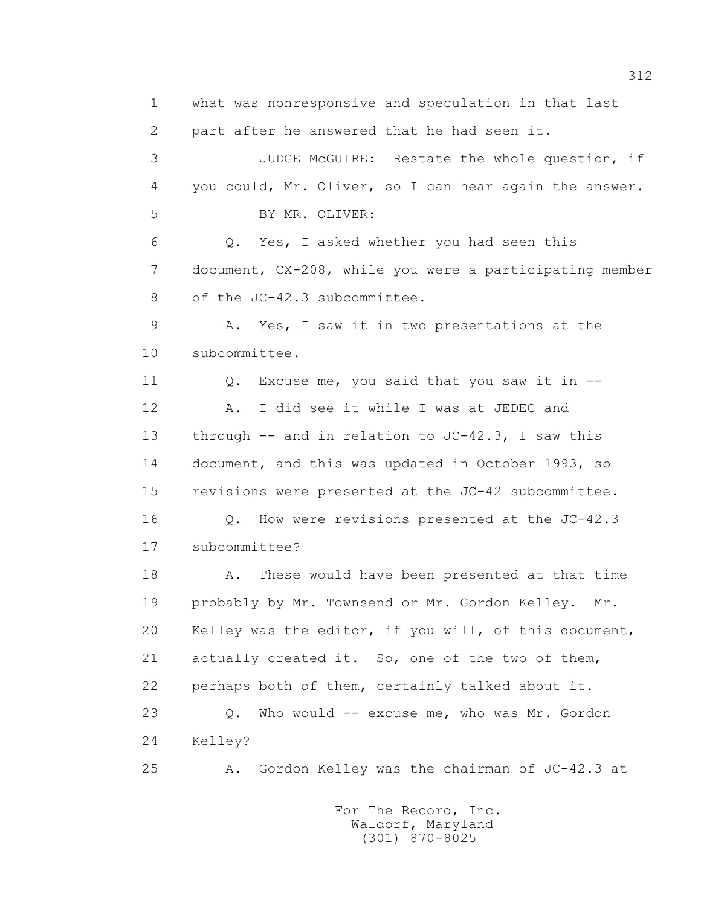1 what was nonresponsive and speculation in that last 2 part after he answered that he had seen it. 3 JUDGE McGUIRE: Restate the whole question, if 4 you could, Mr. Oliver, so I can hear again the answer. 5 BY MR. OLIVER: 6 Q. Yes, I asked whether you had seen this 7 document, CX-208, while you were a participating member 8 of the JC-42.3 subcommittee. 9 A. Yes, I saw it in two presentations at the 10 subcommittee. 11 O. Excuse me, you said that you saw it in -- 12 A. I did see it while I was at JEDEC and 13 through -- and in relation to JC-42.3, I saw this 14 document, and this was updated in October 1993, so 15 revisions were presented at the JC-42 subcommittee. 16 Q. How were revisions presented at the JC-42.3 17 subcommittee? 18 A. These would have been presented at that time 19 probably by Mr. Townsend or Mr. Gordon Kelley. Mr. 20 Kelley was the editor, if you will, of this document, 21 actually created it. So, one of the two of them, 22 perhaps both of them, certainly talked about it. 23 Q. Who would -- excuse me, who was Mr. Gordon 24 Kelley? 25 A. Gordon Kelley was the chairman of JC-42.3 at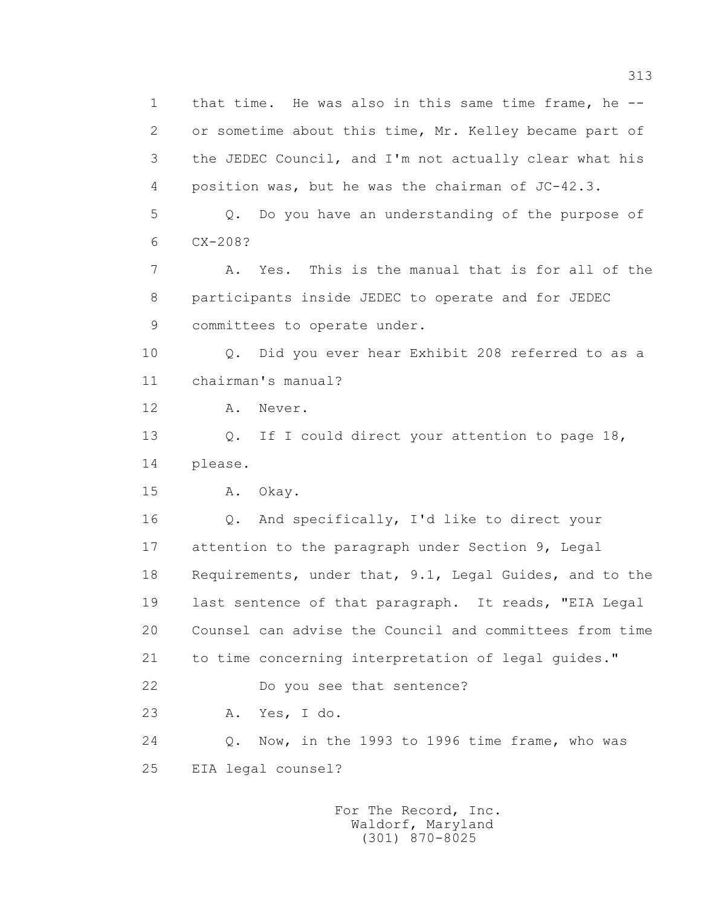1 that time. He was also in this same time frame, he -- 2 or sometime about this time, Mr. Kelley became part of 3 the JEDEC Council, and I'm not actually clear what his 4 position was, but he was the chairman of JC-42.3.

 5 Q. Do you have an understanding of the purpose of 6 CX-208?

 7 A. Yes. This is the manual that is for all of the 8 participants inside JEDEC to operate and for JEDEC 9 committees to operate under.

 10 Q. Did you ever hear Exhibit 208 referred to as a 11 chairman's manual?

12 A. Never.

13 Q. If I could direct your attention to page 18, 14 please.

15 A. Okay.

 16 Q. And specifically, I'd like to direct your 17 attention to the paragraph under Section 9, Legal 18 Requirements, under that, 9.1, Legal Guides, and to the 19 last sentence of that paragraph. It reads, "EIA Legal 20 Counsel can advise the Council and committees from time 21 to time concerning interpretation of legal guides." 22 Do you see that sentence? 23 A. Yes, I do. 24 Q. Now, in the 1993 to 1996 time frame, who was

25 EIA legal counsel?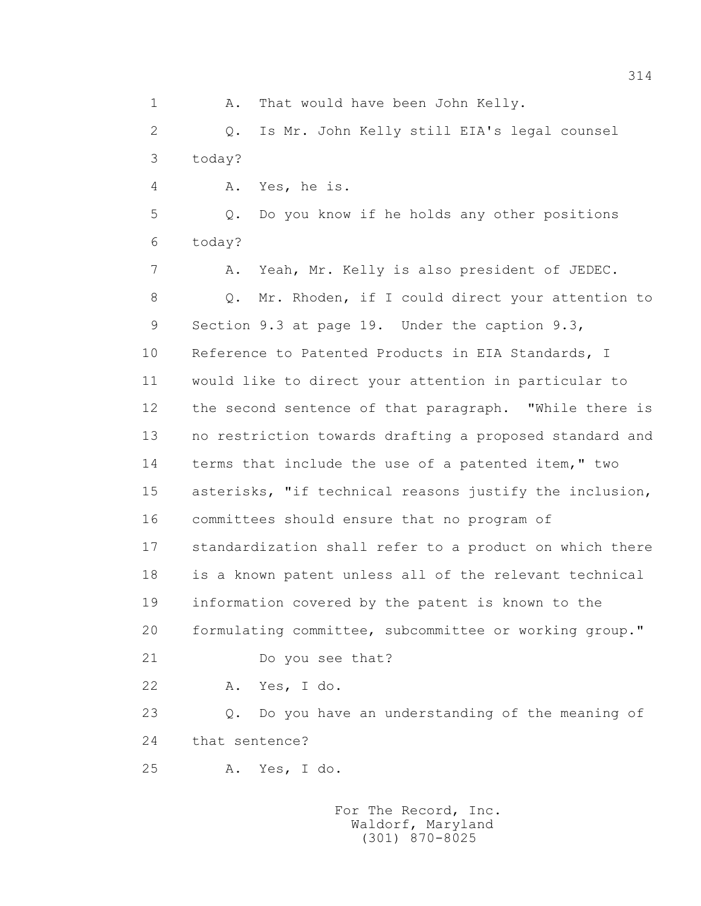1 A. That would have been John Kelly. 2 Q. Is Mr. John Kelly still EIA's legal counsel 3 today? 4 A. Yes, he is. 5 Q. Do you know if he holds any other positions 6 today? 7 A. Yeah, Mr. Kelly is also president of JEDEC. 8 Q. Mr. Rhoden, if I could direct your attention to 9 Section 9.3 at page 19. Under the caption 9.3, 10 Reference to Patented Products in EIA Standards, I 11 would like to direct your attention in particular to 12 the second sentence of that paragraph. "While there is 13 no restriction towards drafting a proposed standard and 14 terms that include the use of a patented item," two 15 asterisks, "if technical reasons justify the inclusion, 16 committees should ensure that no program of 17 standardization shall refer to a product on which there 18 is a known patent unless all of the relevant technical 19 information covered by the patent is known to the 20 formulating committee, subcommittee or working group." 21 Do you see that? 22 A. Yes, I do. 23 Q. Do you have an understanding of the meaning of 24 that sentence? 25 A. Yes, I do.

> For The Record, Inc. Waldorf, Maryland (301) 870-8025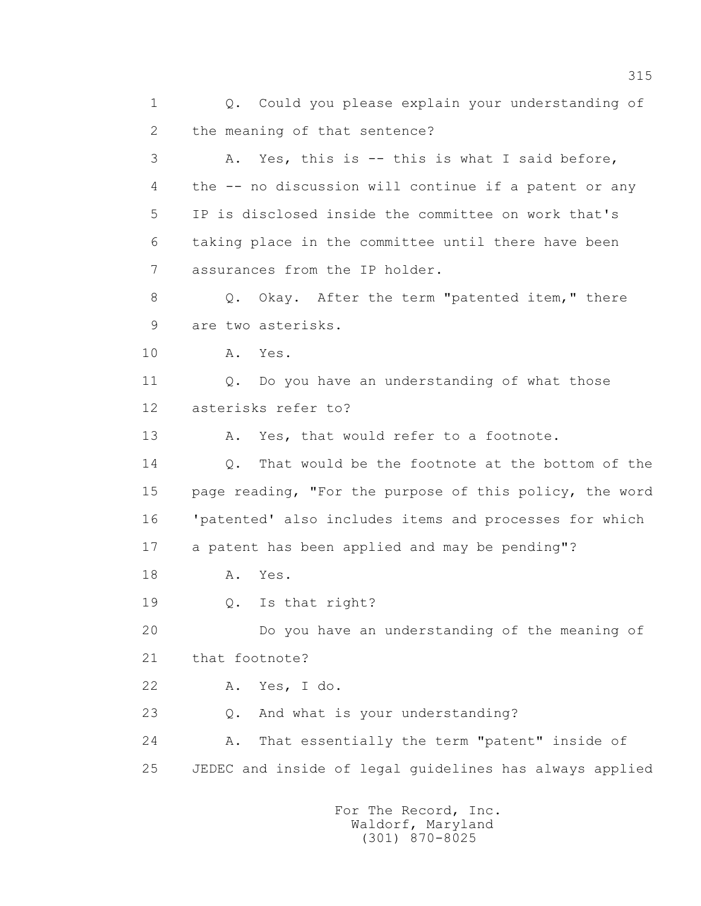1 Q. Could you please explain your understanding of 2 the meaning of that sentence? 3 A. Yes, this is -- this is what I said before, 4 the -- no discussion will continue if a patent or any 5 IP is disclosed inside the committee on work that's 6 taking place in the committee until there have been 7 assurances from the IP holder. 8 Q. Okay. After the term "patented item," there 9 are two asterisks. 10 A. Yes. 11 0. Do you have an understanding of what those 12 asterisks refer to? 13 A. Yes, that would refer to a footnote. 14 0. That would be the footnote at the bottom of the 15 page reading, "For the purpose of this policy, the word 16 'patented' also includes items and processes for which 17 a patent has been applied and may be pending"? 18 **A.** Yes. 19 Q. Is that right? 20 Do you have an understanding of the meaning of 21 that footnote? 22 A. Yes, I do. 23 Q. And what is your understanding? 24 A. That essentially the term "patent" inside of 25 JEDEC and inside of legal guidelines has always applied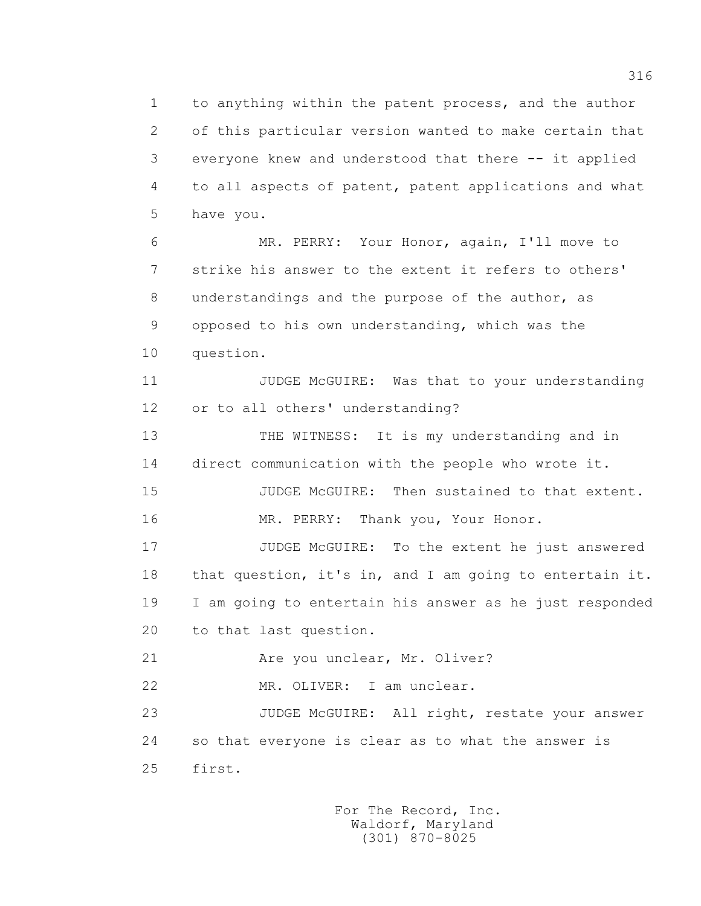1 to anything within the patent process, and the author 2 of this particular version wanted to make certain that 3 everyone knew and understood that there -- it applied 4 to all aspects of patent, patent applications and what 5 have you.

 6 MR. PERRY: Your Honor, again, I'll move to 7 strike his answer to the extent it refers to others' 8 understandings and the purpose of the author, as 9 opposed to his own understanding, which was the 10 question.

 11 JUDGE McGUIRE: Was that to your understanding 12 or to all others' understanding?

 13 THE WITNESS: It is my understanding and in 14 direct communication with the people who wrote it.

15 JUDGE McGUIRE: Then sustained to that extent.

16 MR. PERRY: Thank you, Your Honor.

 17 JUDGE McGUIRE: To the extent he just answered 18 that question, it's in, and I am going to entertain it. 19 I am going to entertain his answer as he just responded 20 to that last question.

21 Are you unclear, Mr. Oliver?

22 MR. OLIVER: I am unclear.

 23 JUDGE McGUIRE: All right, restate your answer 24 so that everyone is clear as to what the answer is 25 first.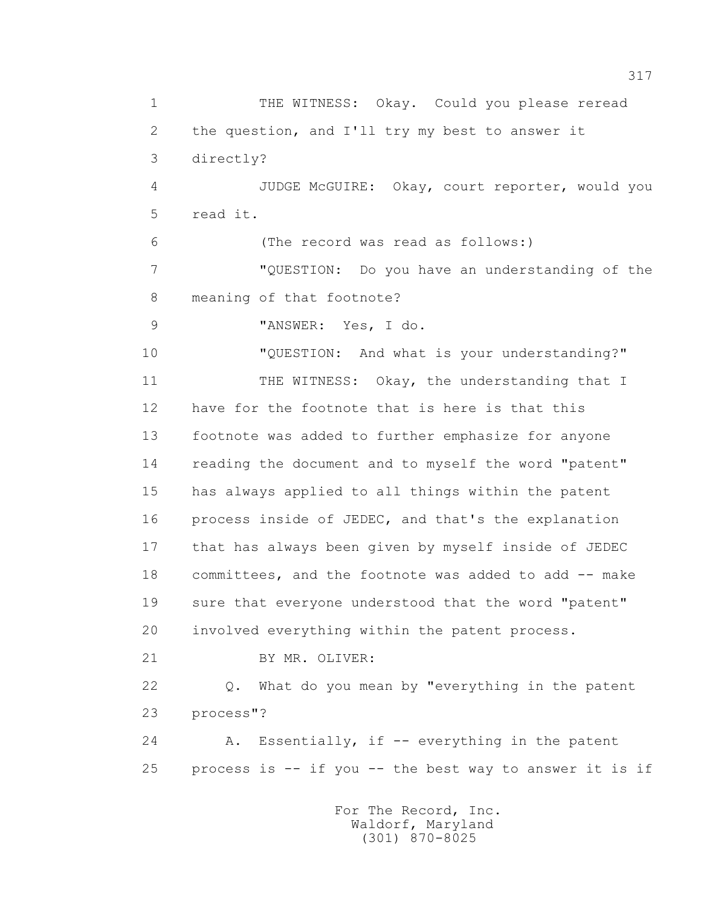1 THE WITNESS: Okay. Could you please reread 2 the question, and I'll try my best to answer it 3 directly? 4 JUDGE McGUIRE: Okay, court reporter, would you 5 read it. 6 (The record was read as follows:) 7 "QUESTION: Do you have an understanding of the 8 meaning of that footnote? 9 "ANSWER: Yes, I do. 10 "QUESTION: And what is your understanding?" 11 THE WITNESS: Okay, the understanding that I 12 have for the footnote that is here is that this 13 footnote was added to further emphasize for anyone 14 reading the document and to myself the word "patent" 15 has always applied to all things within the patent 16 process inside of JEDEC, and that's the explanation 17 that has always been given by myself inside of JEDEC 18 committees, and the footnote was added to add -- make 19 sure that everyone understood that the word "patent" 20 involved everything within the patent process. 21 BY MR. OLIVER: 22 Q. What do you mean by "everything in the patent 23 process"? 24 A. Essentially, if -- everything in the patent 25 process is -- if you -- the best way to answer it is if For The Record, Inc. Waldorf, Maryland

(301) 870-8025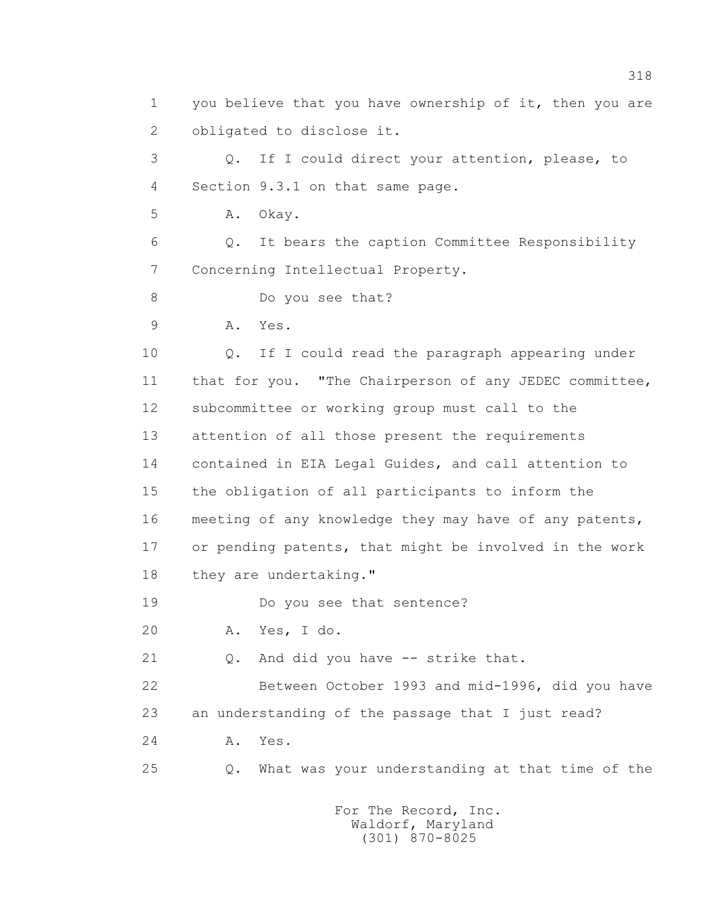1 you believe that you have ownership of it, then you are 2 obligated to disclose it. 3 Q. If I could direct your attention, please, to 4 Section 9.3.1 on that same page. 5 A. Okay. 6 Q. It bears the caption Committee Responsibility 7 Concerning Intellectual Property. 8 Do you see that? 9 A. Yes. 10 Q. If I could read the paragraph appearing under 11 that for you. "The Chairperson of any JEDEC committee, 12 subcommittee or working group must call to the 13 attention of all those present the requirements 14 contained in EIA Legal Guides, and call attention to 15 the obligation of all participants to inform the 16 meeting of any knowledge they may have of any patents, 17 or pending patents, that might be involved in the work 18 they are undertaking." 19 Do you see that sentence? 20 A. Yes, I do. 21 Q. And did you have -- strike that. 22 Between October 1993 and mid-1996, did you have 23 an understanding of the passage that I just read? 24 A. Yes. 25 Q. What was your understanding at that time of the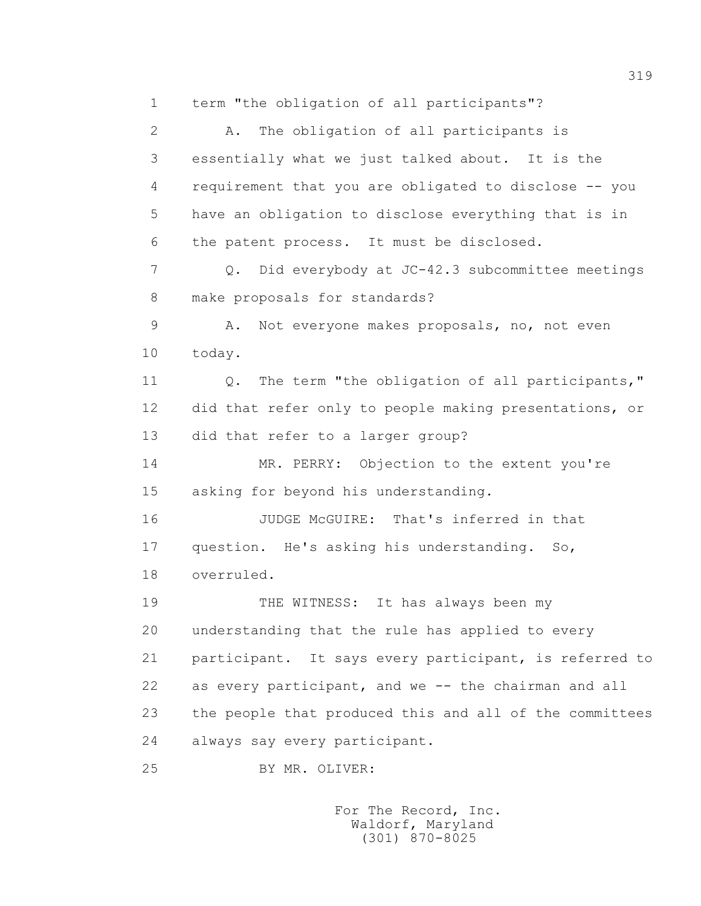1 term "the obligation of all participants"?

 2 A. The obligation of all participants is 3 essentially what we just talked about. It is the 4 requirement that you are obligated to disclose -- you 5 have an obligation to disclose everything that is in 6 the patent process. It must be disclosed. 7 Q. Did everybody at JC-42.3 subcommittee meetings 8 make proposals for standards? 9 A. Not everyone makes proposals, no, not even 10 today. 11 0. The term "the obligation of all participants," 12 did that refer only to people making presentations, or 13 did that refer to a larger group? 14 MR. PERRY: Objection to the extent you're 15 asking for beyond his understanding. 16 JUDGE McGUIRE: That's inferred in that 17 question. He's asking his understanding. So, 18 overruled. 19 THE WITNESS: It has always been my 20 understanding that the rule has applied to every 21 participant. It says every participant, is referred to 22 as every participant, and we -- the chairman and all 23 the people that produced this and all of the committees 24 always say every participant. 25 BY MR. OLIVER: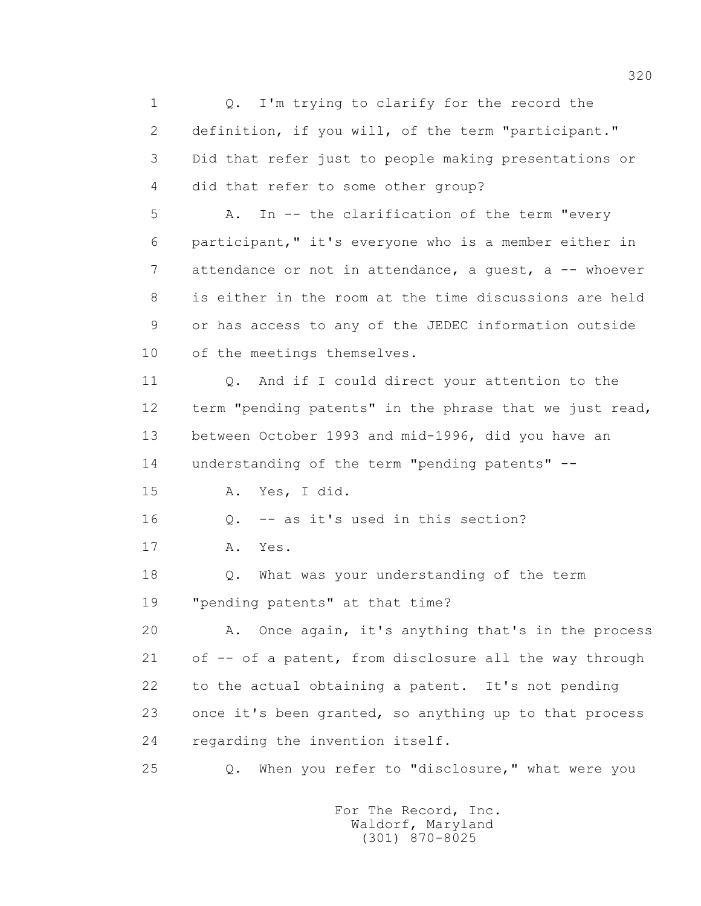1 0. I'm trying to clarify for the record the 2 definition, if you will, of the term "participant." 3 Did that refer just to people making presentations or 4 did that refer to some other group? 5 A. In -- the clarification of the term "every 6 participant," it's everyone who is a member either in 7 attendance or not in attendance, a quest, a -- whoever 8 is either in the room at the time discussions are held 9 or has access to any of the JEDEC information outside 10 of the meetings themselves. 11 Q. And if I could direct your attention to the 12 term "pending patents" in the phrase that we just read, 13 between October 1993 and mid-1996, did you have an 14 understanding of the term "pending patents" -- 15 A. Yes, I did. 16 Q. -- as it's used in this section? 17 A. Yes. 18 Q. What was your understanding of the term 19 "pending patents" at that time? 20 A. Once again, it's anything that's in the process 21 of -- of a patent, from disclosure all the way through 22 to the actual obtaining a patent. It's not pending 23 once it's been granted, so anything up to that process 24 regarding the invention itself. 25 Q. When you refer to "disclosure," what were you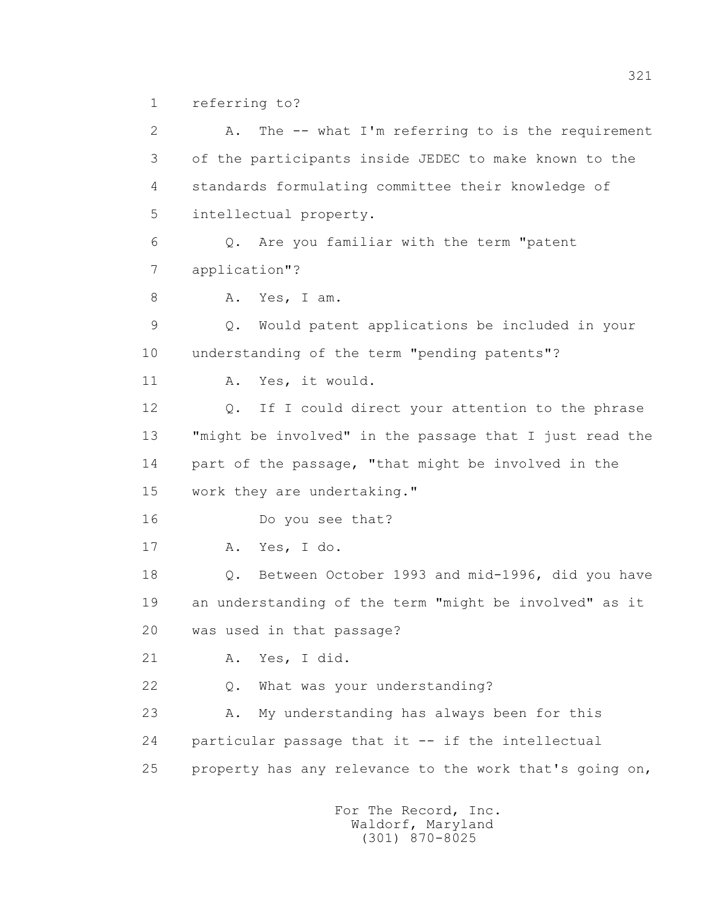1 referring to?

 2 A. The -- what I'm referring to is the requirement 3 of the participants inside JEDEC to make known to the 4 standards formulating committee their knowledge of 5 intellectual property. 6 Q. Are you familiar with the term "patent 7 application"? 8 A. Yes, I am. 9 Q. Would patent applications be included in your 10 understanding of the term "pending patents"? 11 A. Yes, it would. 12 Q. If I could direct your attention to the phrase 13 "might be involved" in the passage that I just read the 14 part of the passage, "that might be involved in the 15 work they are undertaking." 16 Do you see that? 17 A. Yes, I do. 18 Q. Between October 1993 and mid-1996, did you have 19 an understanding of the term "might be involved" as it 20 was used in that passage? 21 A. Yes, I did. 22 Q. What was your understanding? 23 A. My understanding has always been for this 24 particular passage that it -- if the intellectual 25 property has any relevance to the work that's going on,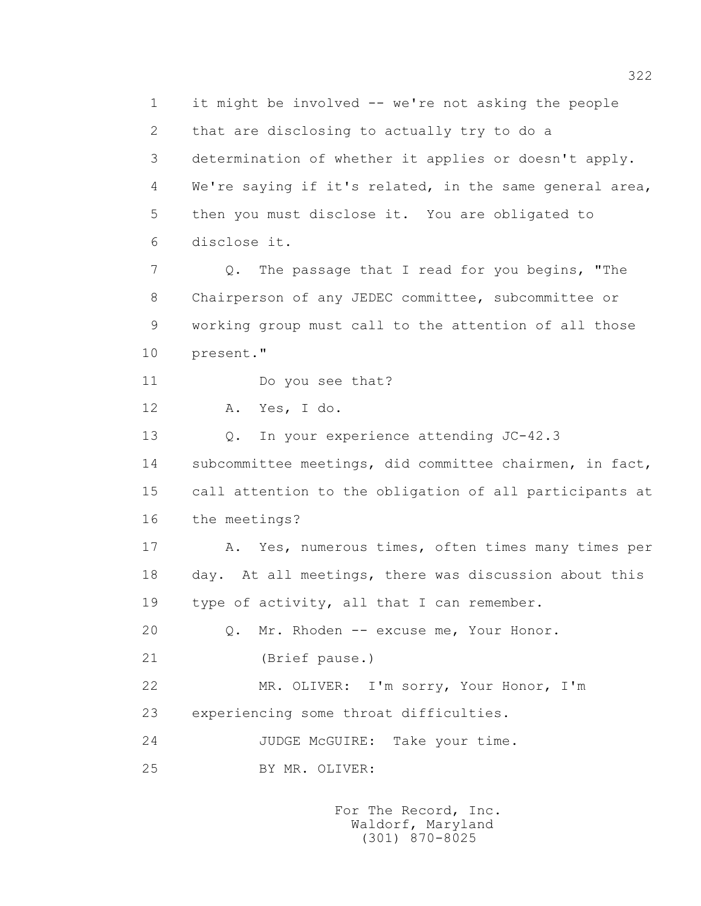1 it might be involved -- we're not asking the people 2 that are disclosing to actually try to do a 3 determination of whether it applies or doesn't apply. 4 We're saying if it's related, in the same general area, 5 then you must disclose it. You are obligated to 6 disclose it. 7 2. The passage that I read for you begins, "The 8 Chairperson of any JEDEC committee, subcommittee or 9 working group must call to the attention of all those 10 present." 11 Do you see that? 12 A. Yes, I do. 13 Q. In your experience attending JC-42.3 14 subcommittee meetings, did committee chairmen, in fact, 15 call attention to the obligation of all participants at 16 the meetings? 17 A. Yes, numerous times, often times many times per 18 day. At all meetings, there was discussion about this 19 type of activity, all that I can remember. 20 Q. Mr. Rhoden -- excuse me, Your Honor. 21 (Brief pause.) 22 MR. OLIVER: I'm sorry, Your Honor, I'm 23 experiencing some throat difficulties. 24 JUDGE McGUIRE: Take your time. 25 BY MR. OLIVER: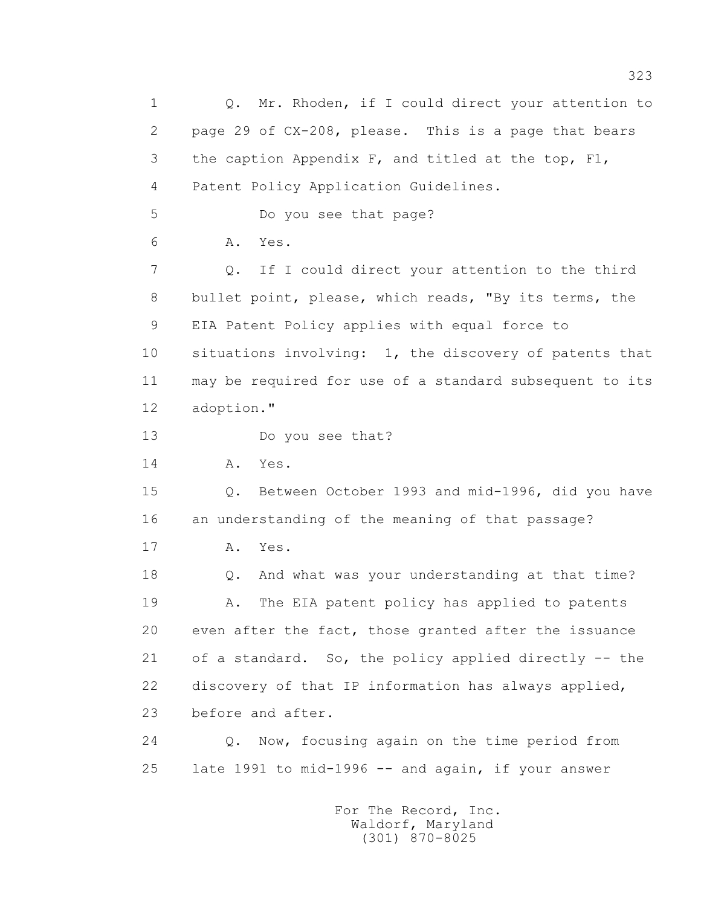1 0. Mr. Rhoden, if I could direct your attention to 2 page 29 of CX-208, please. This is a page that bears 3 the caption Appendix F, and titled at the top, F1, 4 Patent Policy Application Guidelines. 5 Do you see that page? 6 A. Yes. 7 Q. If I could direct your attention to the third 8 bullet point, please, which reads, "By its terms, the 9 EIA Patent Policy applies with equal force to 10 situations involving: 1, the discovery of patents that 11 may be required for use of a standard subsequent to its 12 adoption." 13 Do you see that? 14 A. Yes. 15 Q. Between October 1993 and mid-1996, did you have 16 an understanding of the meaning of that passage? 17 A. Yes. 18 Q. And what was your understanding at that time? 19 A. The EIA patent policy has applied to patents 20 even after the fact, those granted after the issuance 21 of a standard. So, the policy applied directly -- the 22 discovery of that IP information has always applied, 23 before and after. 24 Q. Now, focusing again on the time period from 25 late 1991 to mid-1996 -- and again, if your answer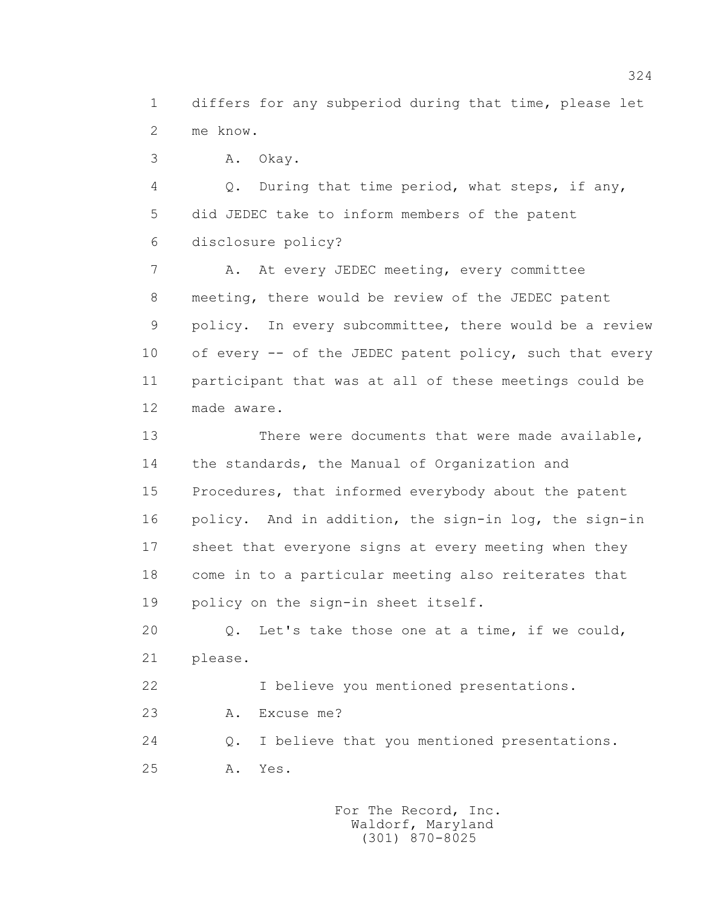1 differs for any subperiod during that time, please let 2 me know.

3 A. Okay.

 4 Q. During that time period, what steps, if any, 5 did JEDEC take to inform members of the patent 6 disclosure policy?

7 A. At every JEDEC meeting, every committee 8 meeting, there would be review of the JEDEC patent 9 policy. In every subcommittee, there would be a review 10 of every -- of the JEDEC patent policy, such that every 11 participant that was at all of these meetings could be 12 made aware.

 13 There were documents that were made available, 14 the standards, the Manual of Organization and 15 Procedures, that informed everybody about the patent 16 policy. And in addition, the sign-in log, the sign-in 17 sheet that everyone signs at every meeting when they 18 come in to a particular meeting also reiterates that 19 policy on the sign-in sheet itself.

 20 Q. Let's take those one at a time, if we could, 21 please.

22 I believe you mentioned presentations.

23 A. Excuse me?

 24 Q. I believe that you mentioned presentations. 25 A. Yes.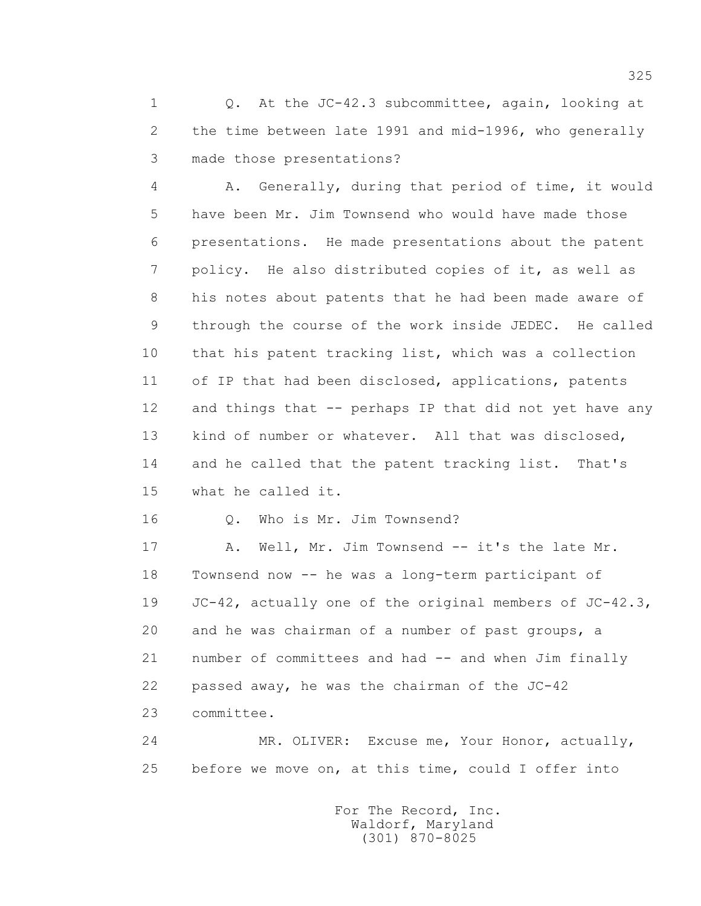1 0. At the JC-42.3 subcommittee, again, looking at 2 the time between late 1991 and mid-1996, who generally 3 made those presentations?

 4 A. Generally, during that period of time, it would 5 have been Mr. Jim Townsend who would have made those 6 presentations. He made presentations about the patent 7 policy. He also distributed copies of it, as well as 8 his notes about patents that he had been made aware of 9 through the course of the work inside JEDEC. He called 10 that his patent tracking list, which was a collection 11 of IP that had been disclosed, applications, patents 12 and things that -- perhaps IP that did not yet have any 13 kind of number or whatever. All that was disclosed, 14 and he called that the patent tracking list. That's 15 what he called it.

16 0. Who is Mr. Jim Townsend?

17 A. Well, Mr. Jim Townsend -- it's the late Mr. 18 Townsend now -- he was a long-term participant of 19 JC-42, actually one of the original members of JC-42.3, 20 and he was chairman of a number of past groups, a 21 number of committees and had -- and when Jim finally 22 passed away, he was the chairman of the JC-42 23 committee.

 24 MR. OLIVER: Excuse me, Your Honor, actually, 25 before we move on, at this time, could I offer into

> For The Record, Inc. Waldorf, Maryland (301) 870-8025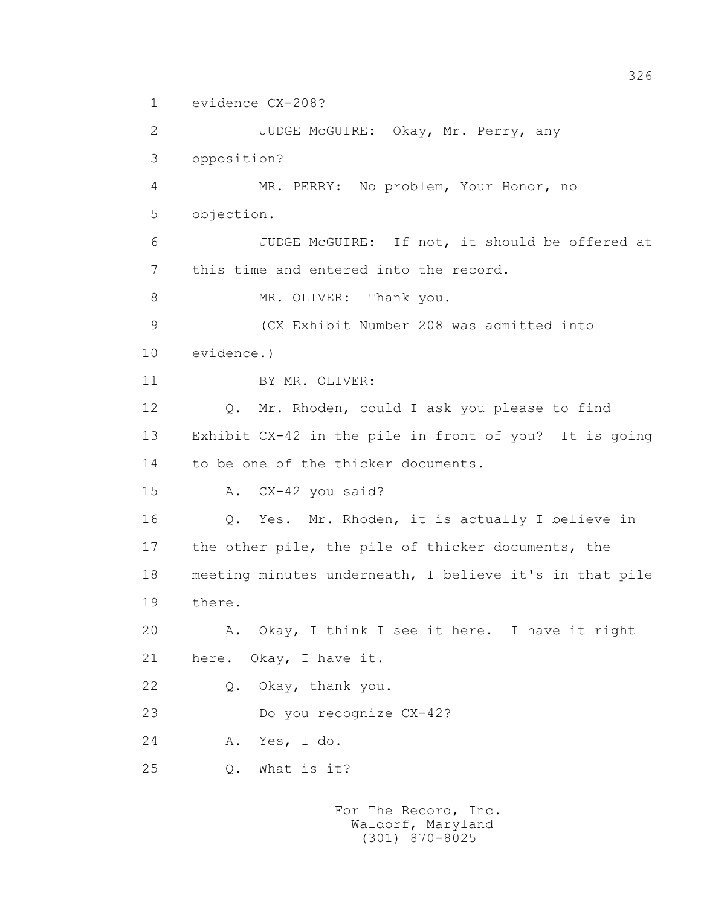1 evidence CX-208?

 2 JUDGE McGUIRE: Okay, Mr. Perry, any 3 opposition? 4 MR. PERRY: No problem, Your Honor, no 5 objection. 6 JUDGE McGUIRE: If not, it should be offered at 7 this time and entered into the record. 8 MR. OLIVER: Thank you. 9 (CX Exhibit Number 208 was admitted into 10 evidence.) 11 BY MR. OLIVER: 12 Q. Mr. Rhoden, could I ask you please to find 13 Exhibit CX-42 in the pile in front of you? It is going 14 to be one of the thicker documents. 15 A. CX-42 you said? 16 Q. Yes. Mr. Rhoden, it is actually I believe in 17 the other pile, the pile of thicker documents, the 18 meeting minutes underneath, I believe it's in that pile 19 there. 20 A. Okay, I think I see it here. I have it right 21 here. Okay, I have it. 22 Q. Okay, thank you. 23 Do you recognize CX-42? 24 A. Yes, I do. 25 Q. What is it?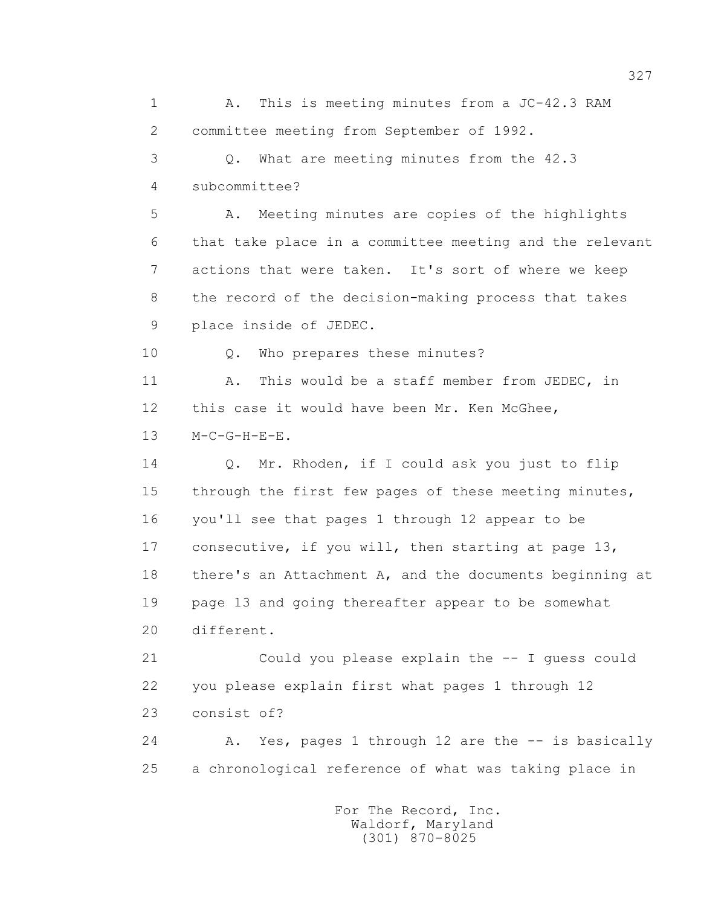1 A. This is meeting minutes from a JC-42.3 RAM 2 committee meeting from September of 1992. 3 Q. What are meeting minutes from the 42.3 4 subcommittee? 5 A. Meeting minutes are copies of the highlights 6 that take place in a committee meeting and the relevant 7 actions that were taken. It's sort of where we keep 8 the record of the decision-making process that takes 9 place inside of JEDEC. 10 Q. Who prepares these minutes? 11 A. This would be a staff member from JEDEC, in 12 this case it would have been Mr. Ken McGhee, 13 M-C-G-H-E-E. 14 Q. Mr. Rhoden, if I could ask you just to flip 15 through the first few pages of these meeting minutes, 16 you'll see that pages 1 through 12 appear to be 17 consecutive, if you will, then starting at page 13, 18 there's an Attachment A, and the documents beginning at 19 page 13 and going thereafter appear to be somewhat 20 different. 21 Could you please explain the -- I guess could 22 you please explain first what pages 1 through 12 23 consist of? 24 A. Yes, pages 1 through 12 are the -- is basically 25 a chronological reference of what was taking place in For The Record, Inc.

> Waldorf, Maryland (301) 870-8025

327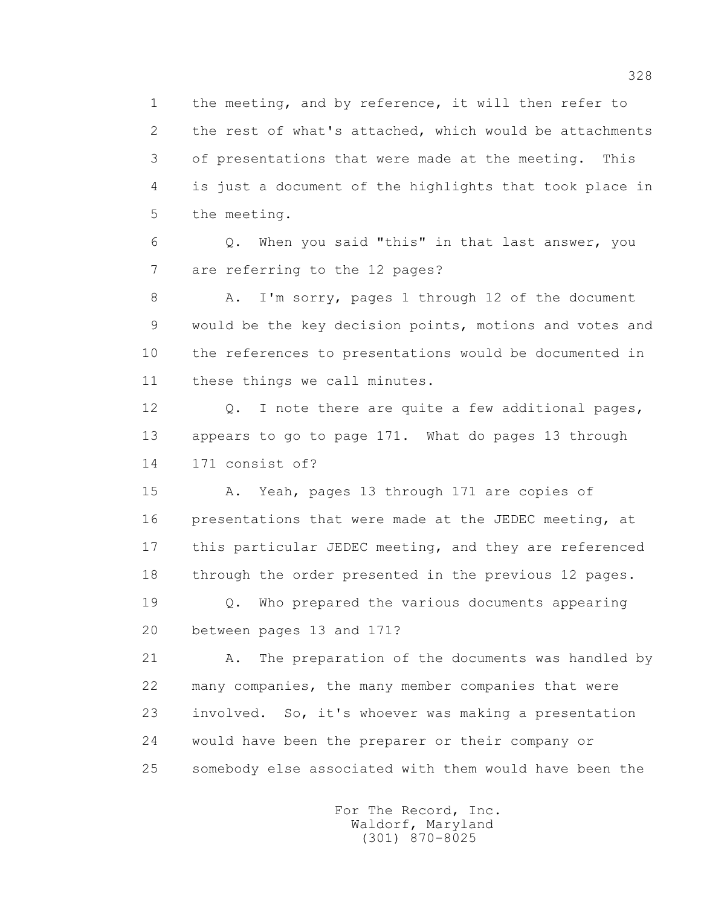1 the meeting, and by reference, it will then refer to 2 the rest of what's attached, which would be attachments 3 of presentations that were made at the meeting. This 4 is just a document of the highlights that took place in 5 the meeting.

 6 Q. When you said "this" in that last answer, you 7 are referring to the 12 pages?

 8 A. I'm sorry, pages 1 through 12 of the document 9 would be the key decision points, motions and votes and 10 the references to presentations would be documented in 11 these things we call minutes.

12 Q. I note there are quite a few additional pages, 13 appears to go to page 171. What do pages 13 through 14 171 consist of?

 15 A. Yeah, pages 13 through 171 are copies of 16 presentations that were made at the JEDEC meeting, at 17 this particular JEDEC meeting, and they are referenced 18 through the order presented in the previous 12 pages.

 19 Q. Who prepared the various documents appearing 20 between pages 13 and 171?

21 A. The preparation of the documents was handled by 22 many companies, the many member companies that were 23 involved. So, it's whoever was making a presentation 24 would have been the preparer or their company or 25 somebody else associated with them would have been the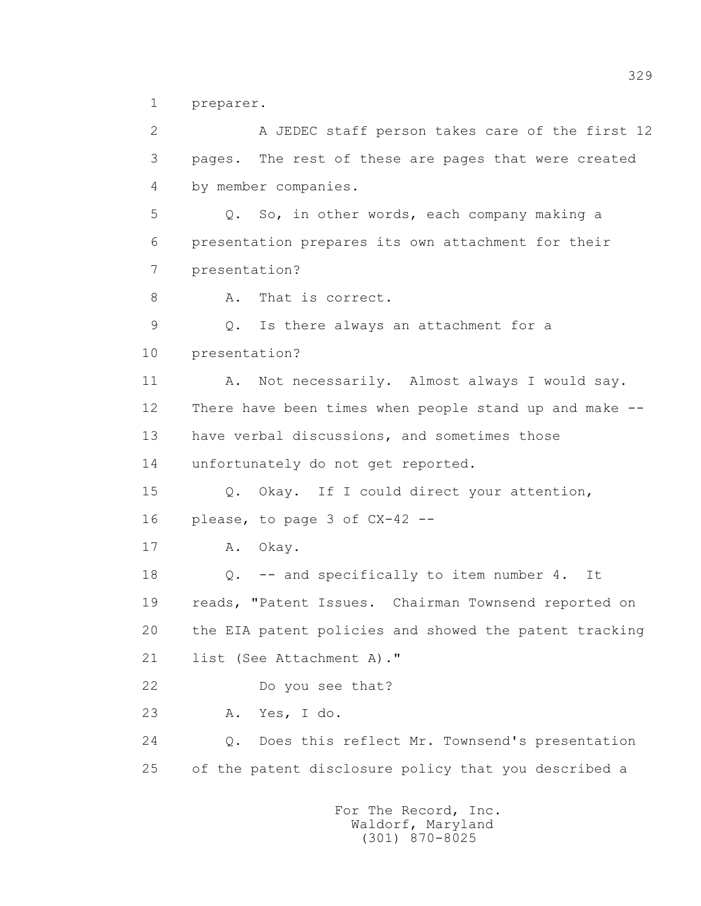1 preparer.

 2 A JEDEC staff person takes care of the first 12 3 pages. The rest of these are pages that were created 4 by member companies. 5 Q. So, in other words, each company making a 6 presentation prepares its own attachment for their 7 presentation? 8 A. That is correct. 9 Q. Is there always an attachment for a 10 presentation? 11 A. Not necessarily. Almost always I would say. 12 There have been times when people stand up and make -- 13 have verbal discussions, and sometimes those 14 unfortunately do not get reported. 15 Q. Okay. If I could direct your attention, 16 please, to page 3 of CX-42 -- 17 A. Okay. 18 Q. -- and specifically to item number 4. It 19 reads, "Patent Issues. Chairman Townsend reported on 20 the EIA patent policies and showed the patent tracking 21 list (See Attachment A)." 22 Do you see that? 23 A. Yes, I do. 24 Q. Does this reflect Mr. Townsend's presentation 25 of the patent disclosure policy that you described a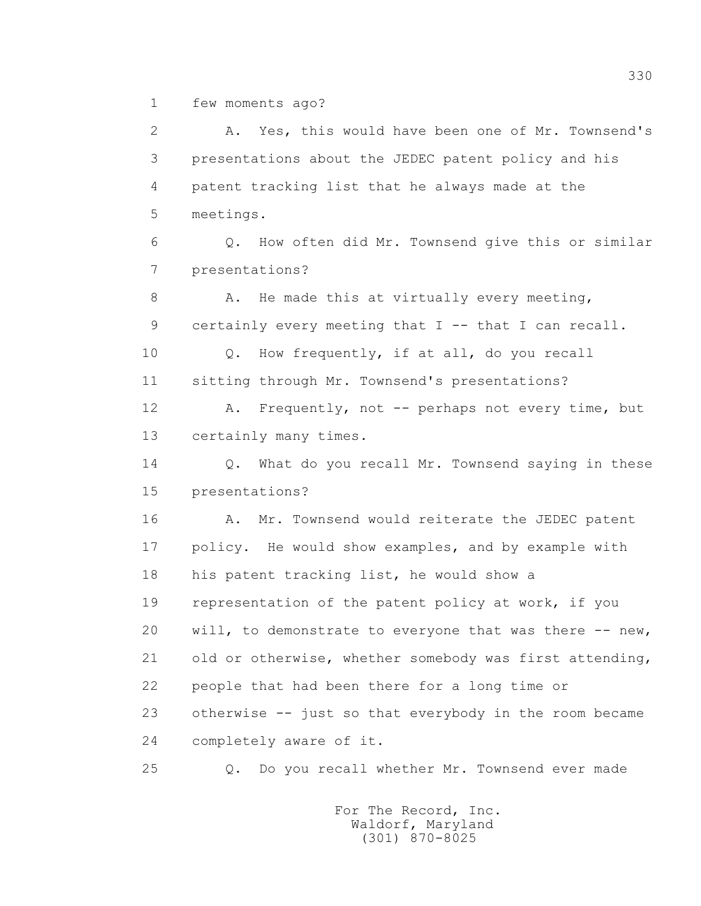1 few moments ago?

 2 A. Yes, this would have been one of Mr. Townsend's 3 presentations about the JEDEC patent policy and his 4 patent tracking list that he always made at the 5 meetings. 6 Q. How often did Mr. Townsend give this or similar 7 presentations? 8 A. He made this at virtually every meeting, 9 certainly every meeting that I -- that I can recall. 10 Q. How frequently, if at all, do you recall 11 sitting through Mr. Townsend's presentations? 12 A. Frequently, not -- perhaps not every time, but 13 certainly many times. 14 Q. What do you recall Mr. Townsend saying in these 15 presentations? 16 A. Mr. Townsend would reiterate the JEDEC patent 17 policy. He would show examples, and by example with 18 his patent tracking list, he would show a 19 representation of the patent policy at work, if you 20 will, to demonstrate to everyone that was there -- new, 21 old or otherwise, whether somebody was first attending, 22 people that had been there for a long time or 23 otherwise -- just so that everybody in the room became 24 completely aware of it. 25 Q. Do you recall whether Mr. Townsend ever made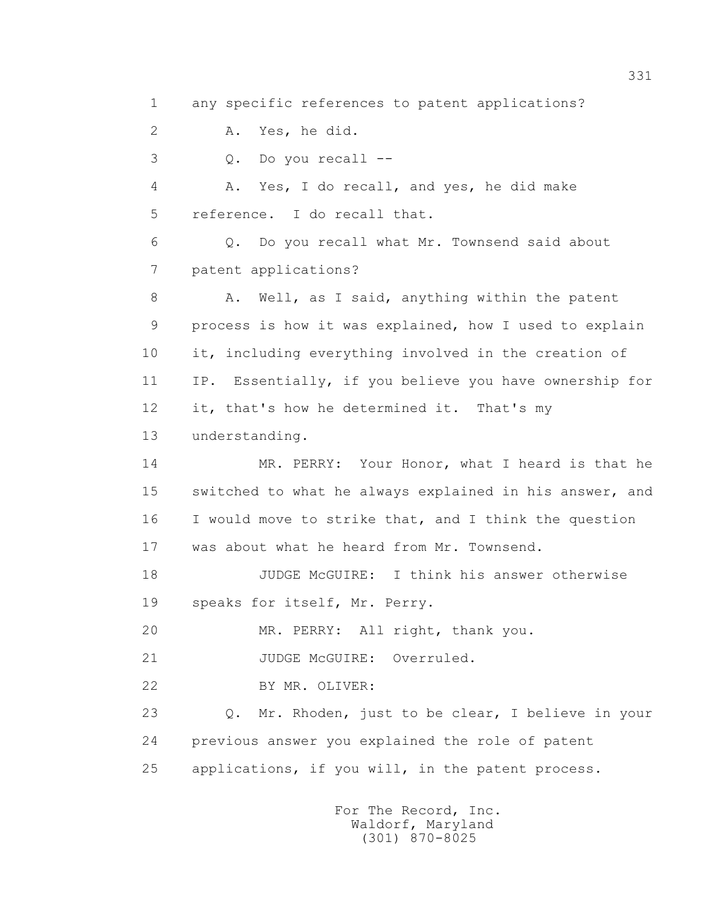1 any specific references to patent applications?

2 A. Yes, he did.

3 Q. Do you recall --

 4 A. Yes, I do recall, and yes, he did make 5 reference. I do recall that.

 6 Q. Do you recall what Mr. Townsend said about 7 patent applications?

8 A. Well, as I said, anything within the patent 9 process is how it was explained, how I used to explain 10 it, including everything involved in the creation of 11 IP. Essentially, if you believe you have ownership for 12 it, that's how he determined it. That's my 13 understanding.

 14 MR. PERRY: Your Honor, what I heard is that he 15 switched to what he always explained in his answer, and 16 I would move to strike that, and I think the question 17 was about what he heard from Mr. Townsend.

 18 JUDGE McGUIRE: I think his answer otherwise 19 speaks for itself, Mr. Perry.

20 MR. PERRY: All right, thank you.

21 JUDGE McGUIRE: Overruled.

22 BY MR. OLIVER:

 23 Q. Mr. Rhoden, just to be clear, I believe in your 24 previous answer you explained the role of patent 25 applications, if you will, in the patent process.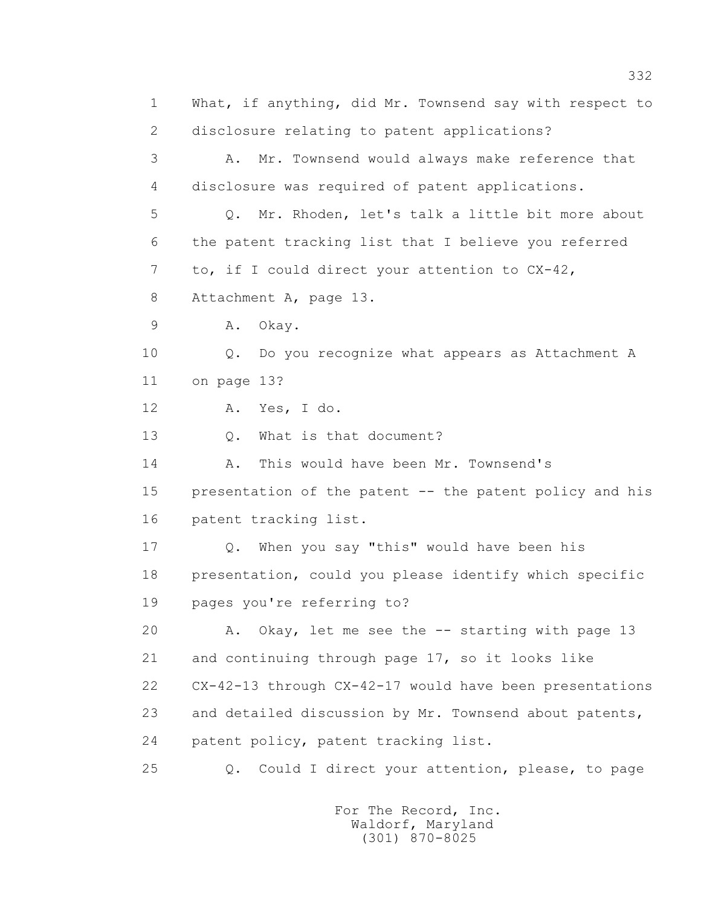1 What, if anything, did Mr. Townsend say with respect to 2 disclosure relating to patent applications? 3 A. Mr. Townsend would always make reference that 4 disclosure was required of patent applications. 5 Q. Mr. Rhoden, let's talk a little bit more about 6 the patent tracking list that I believe you referred 7 to, if I could direct your attention to CX-42, 8 Attachment A, page 13. 9 A. Okay. 10 Q. Do you recognize what appears as Attachment A 11 on page 13? 12 A. Yes, I do. 13 Q. What is that document? 14 A. This would have been Mr. Townsend's 15 presentation of the patent -- the patent policy and his 16 patent tracking list. 17 Q. When you say "this" would have been his 18 presentation, could you please identify which specific 19 pages you're referring to? 20 A. Okay, let me see the -- starting with page 13 21 and continuing through page 17, so it looks like 22 CX-42-13 through CX-42-17 would have been presentations 23 and detailed discussion by Mr. Townsend about patents, 24 patent policy, patent tracking list. 25 Q. Could I direct your attention, please, to page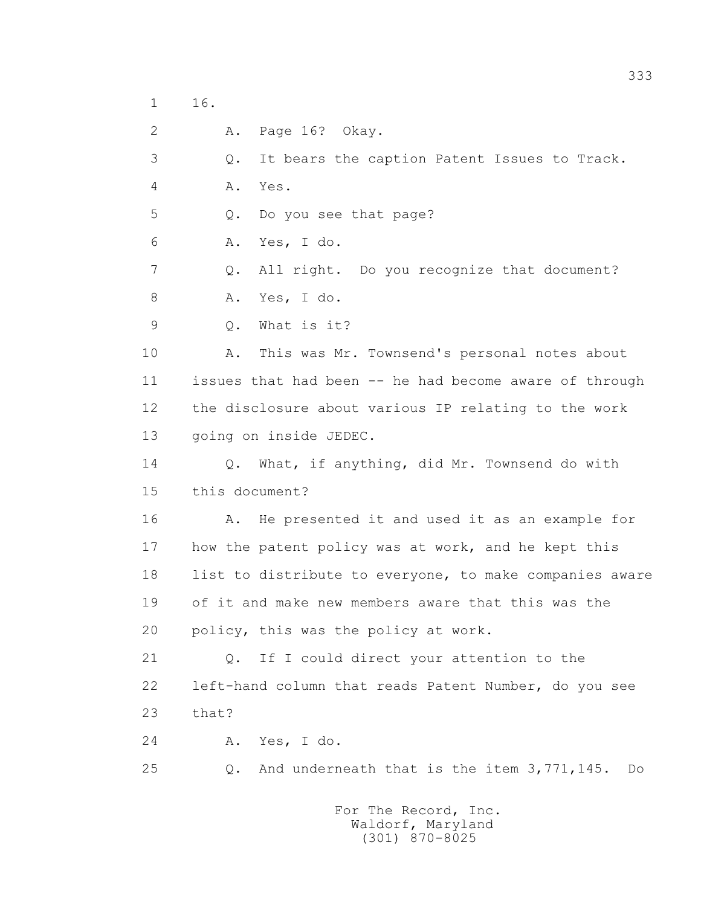1 16.

2 A. Page 16? Okay.

3 Q. It bears the caption Patent Issues to Track.

4 A. Yes.

5 Q. Do you see that page?

6 A. Yes, I do.

 7 Q. All right. Do you recognize that document? 8 A. Yes, I do.

9 Q. What is it?

 10 A. This was Mr. Townsend's personal notes about 11 issues that had been -- he had become aware of through 12 the disclosure about various IP relating to the work 13 going on inside JEDEC.

 14 Q. What, if anything, did Mr. Townsend do with 15 this document?

 16 A. He presented it and used it as an example for 17 how the patent policy was at work, and he kept this 18 list to distribute to everyone, to make companies aware 19 of it and make new members aware that this was the 20 policy, this was the policy at work.

 21 Q. If I could direct your attention to the 22 left-hand column that reads Patent Number, do you see 23 that?

24 A. Yes, I do.

25 Q. And underneath that is the item 3,771,145. Do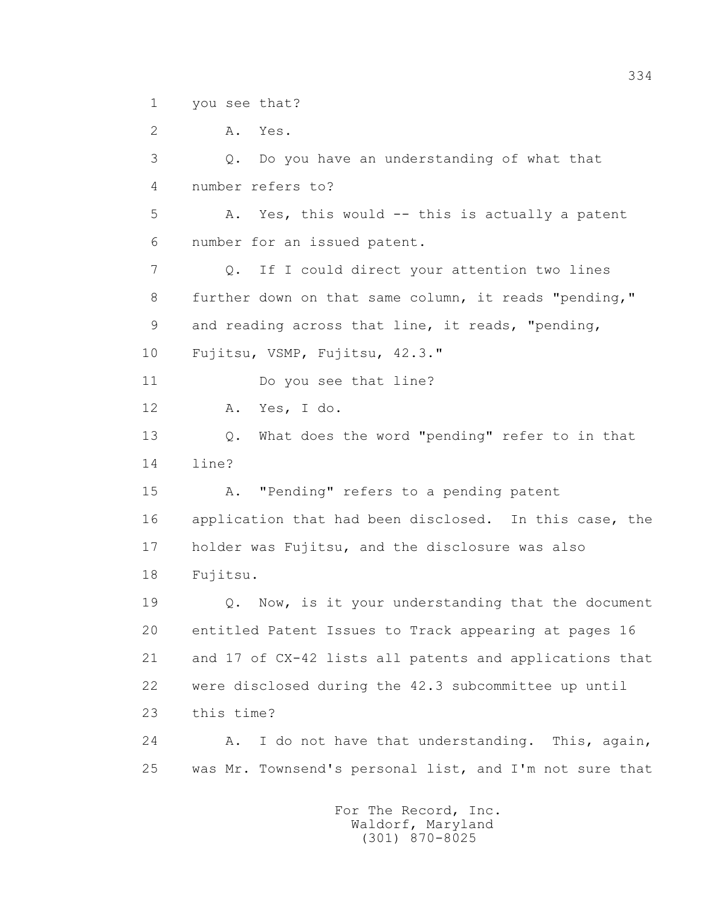1 you see that?

 2 A. Yes. 3 Q. Do you have an understanding of what that 4 number refers to? 5 A. Yes, this would -- this is actually a patent 6 number for an issued patent. 7 Q. If I could direct your attention two lines 8 further down on that same column, it reads "pending," 9 and reading across that line, it reads, "pending, 10 Fujitsu, VSMP, Fujitsu, 42.3." 11 Do you see that line? 12 A. Yes, I do. 13 Q. What does the word "pending" refer to in that 14 line? 15 A. "Pending" refers to a pending patent 16 application that had been disclosed. In this case, the 17 holder was Fujitsu, and the disclosure was also 18 Fujitsu. 19 Q. Now, is it your understanding that the document 20 entitled Patent Issues to Track appearing at pages 16 21 and 17 of CX-42 lists all patents and applications that 22 were disclosed during the 42.3 subcommittee up until 23 this time? 24 A. I do not have that understanding. This, again, 25 was Mr. Townsend's personal list, and I'm not sure that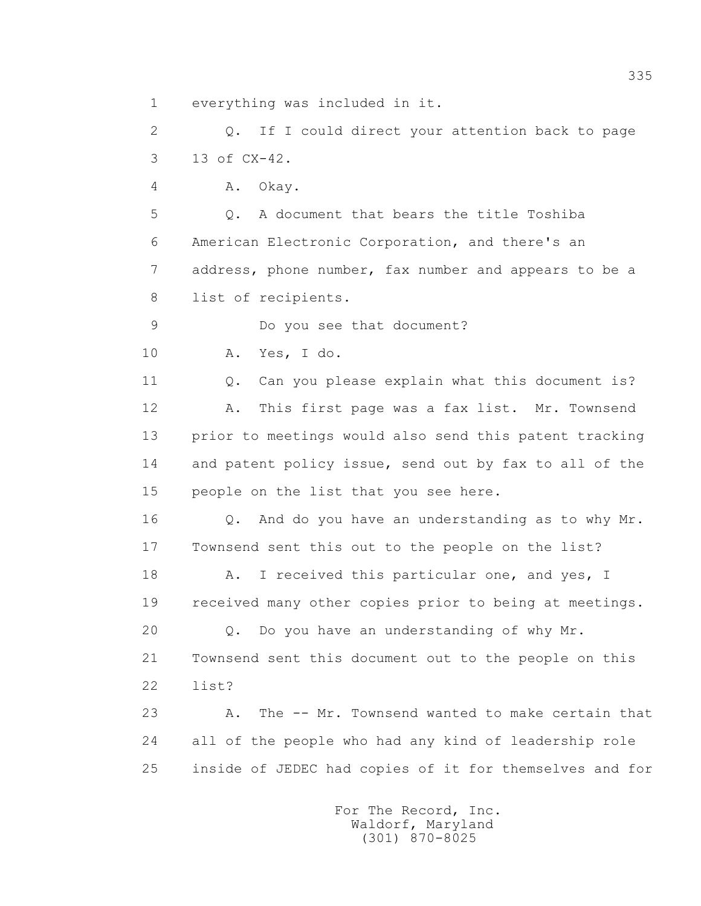1 everything was included in it.

 2 Q. If I could direct your attention back to page 3 13 of CX-42.

4 A. Okay.

 5 Q. A document that bears the title Toshiba 6 American Electronic Corporation, and there's an 7 address, phone number, fax number and appears to be a 8 list of recipients.

9 Do you see that document?

10 A. Yes, I do.

 11 Q. Can you please explain what this document is? 12 A. This first page was a fax list. Mr. Townsend 13 prior to meetings would also send this patent tracking 14 and patent policy issue, send out by fax to all of the 15 people on the list that you see here.

 16 Q. And do you have an understanding as to why Mr. 17 Townsend sent this out to the people on the list?

18 A. I received this particular one, and yes, I 19 received many other copies prior to being at meetings.

 20 Q. Do you have an understanding of why Mr. 21 Townsend sent this document out to the people on this 22 list?

 23 A. The -- Mr. Townsend wanted to make certain that 24 all of the people who had any kind of leadership role 25 inside of JEDEC had copies of it for themselves and for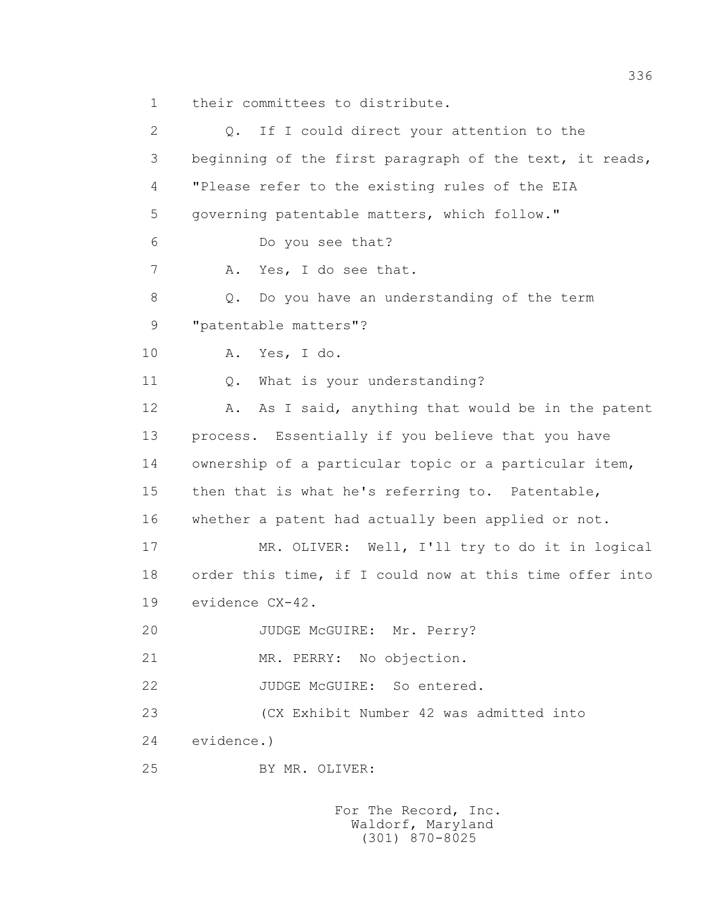1 their committees to distribute.

 2 Q. If I could direct your attention to the 3 beginning of the first paragraph of the text, it reads, 4 "Please refer to the existing rules of the EIA 5 governing patentable matters, which follow." 6 Do you see that? 7 A. Yes, I do see that. 8 Q. Do you have an understanding of the term 9 "patentable matters"? 10 A. Yes, I do. 11 Q. What is your understanding? 12 A. As I said, anything that would be in the patent 13 process. Essentially if you believe that you have 14 ownership of a particular topic or a particular item, 15 then that is what he's referring to. Patentable, 16 whether a patent had actually been applied or not. 17 MR. OLIVER: Well, I'll try to do it in logical 18 order this time, if I could now at this time offer into 19 evidence CX-42. 20 JUDGE McGUIRE: Mr. Perry? 21 MR. PERRY: No objection. 22 JUDGE McGUIRE: So entered. 23 (CX Exhibit Number 42 was admitted into 24 evidence.) 25 BY MR. OLIVER: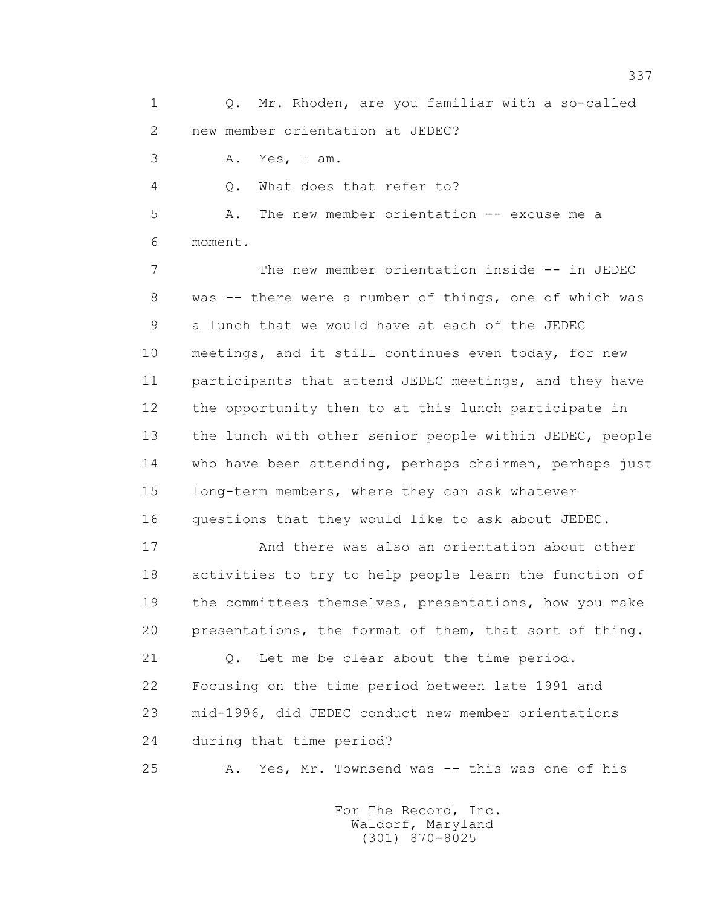1 Q. Mr. Rhoden, are you familiar with a so-called 2 new member orientation at JEDEC?

3 A. Yes, I am.

4 Q. What does that refer to?

 5 A. The new member orientation -- excuse me a 6 moment.

 7 The new member orientation inside -- in JEDEC 8 was -- there were a number of things, one of which was 9 a lunch that we would have at each of the JEDEC 10 meetings, and it still continues even today, for new 11 participants that attend JEDEC meetings, and they have 12 the opportunity then to at this lunch participate in 13 the lunch with other senior people within JEDEC, people 14 who have been attending, perhaps chairmen, perhaps just 15 long-term members, where they can ask whatever 16 questions that they would like to ask about JEDEC.

 17 And there was also an orientation about other 18 activities to try to help people learn the function of 19 the committees themselves, presentations, how you make 20 presentations, the format of them, that sort of thing.

 21 Q. Let me be clear about the time period. 22 Focusing on the time period between late 1991 and 23 mid-1996, did JEDEC conduct new member orientations 24 during that time period?

25 A. Yes, Mr. Townsend was -- this was one of his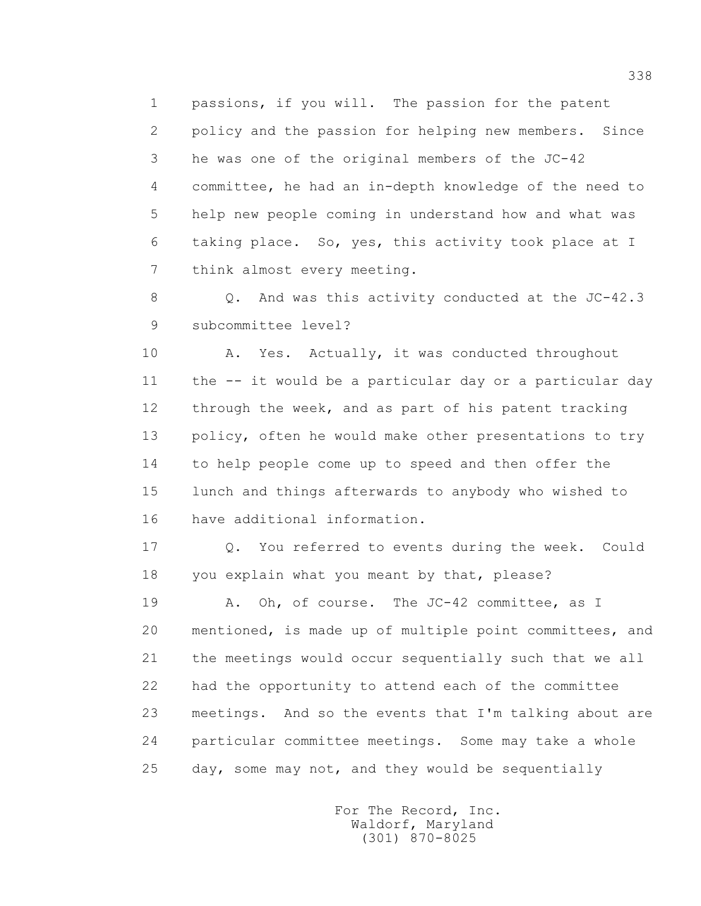1 passions, if you will. The passion for the patent 2 policy and the passion for helping new members. Since 3 he was one of the original members of the JC-42 4 committee, he had an in-depth knowledge of the need to 5 help new people coming in understand how and what was 6 taking place. So, yes, this activity took place at I 7 think almost every meeting.

 8 Q. And was this activity conducted at the JC-42.3 9 subcommittee level?

10 A. Yes. Actually, it was conducted throughout 11 the -- it would be a particular day or a particular day 12 through the week, and as part of his patent tracking 13 policy, often he would make other presentations to try 14 to help people come up to speed and then offer the 15 lunch and things afterwards to anybody who wished to 16 have additional information.

 17 Q. You referred to events during the week. Could 18 you explain what you meant by that, please?

19 A. Oh, of course. The JC-42 committee, as I 20 mentioned, is made up of multiple point committees, and 21 the meetings would occur sequentially such that we all 22 had the opportunity to attend each of the committee 23 meetings. And so the events that I'm talking about are 24 particular committee meetings. Some may take a whole 25 day, some may not, and they would be sequentially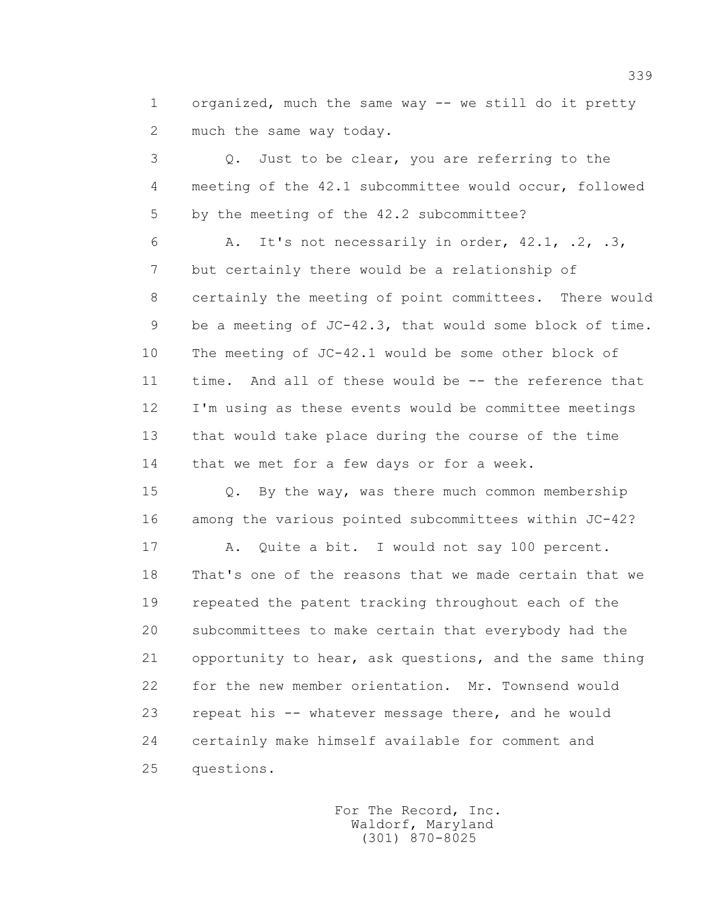1 organized, much the same way -- we still do it pretty 2 much the same way today.

 3 Q. Just to be clear, you are referring to the 4 meeting of the 42.1 subcommittee would occur, followed 5 by the meeting of the 42.2 subcommittee?

 6 A. It's not necessarily in order, 42.1, .2, .3, 7 but certainly there would be a relationship of 8 certainly the meeting of point committees. There would 9 be a meeting of JC-42.3, that would some block of time. 10 The meeting of JC-42.1 would be some other block of 11 time. And all of these would be -- the reference that 12 I'm using as these events would be committee meetings 13 that would take place during the course of the time 14 that we met for a few days or for a week.

 15 Q. By the way, was there much common membership 16 among the various pointed subcommittees within JC-42?

 17 A. Quite a bit. I would not say 100 percent. 18 That's one of the reasons that we made certain that we 19 repeated the patent tracking throughout each of the 20 subcommittees to make certain that everybody had the 21 opportunity to hear, ask questions, and the same thing 22 for the new member orientation. Mr. Townsend would 23 repeat his -- whatever message there, and he would 24 certainly make himself available for comment and 25 questions.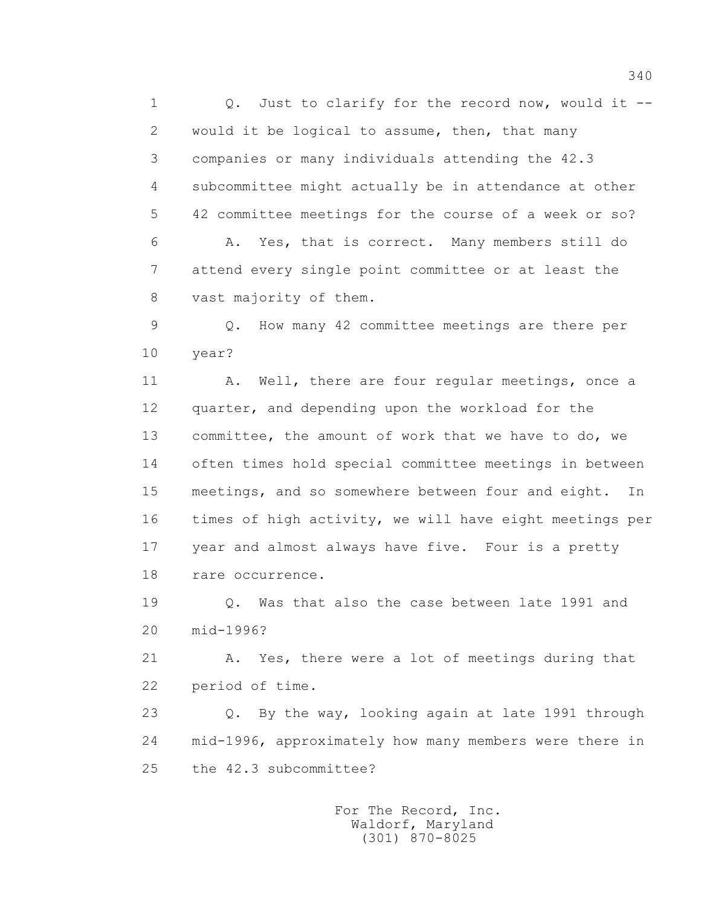1 0. Just to clarify for the record now, would it -- 2 would it be logical to assume, then, that many 3 companies or many individuals attending the 42.3 4 subcommittee might actually be in attendance at other 5 42 committee meetings for the course of a week or so? 6 A. Yes, that is correct. Many members still do 7 attend every single point committee or at least the 8 vast majority of them.

 9 Q. How many 42 committee meetings are there per 10 year?

11 A. Well, there are four regular meetings, once a 12 quarter, and depending upon the workload for the 13 committee, the amount of work that we have to do, we 14 often times hold special committee meetings in between 15 meetings, and so somewhere between four and eight. In 16 times of high activity, we will have eight meetings per 17 year and almost always have five. Four is a pretty 18 rare occurrence.

 19 Q. Was that also the case between late 1991 and 20 mid-1996?

 21 A. Yes, there were a lot of meetings during that 22 period of time.

 23 Q. By the way, looking again at late 1991 through 24 mid-1996, approximately how many members were there in 25 the 42.3 subcommittee?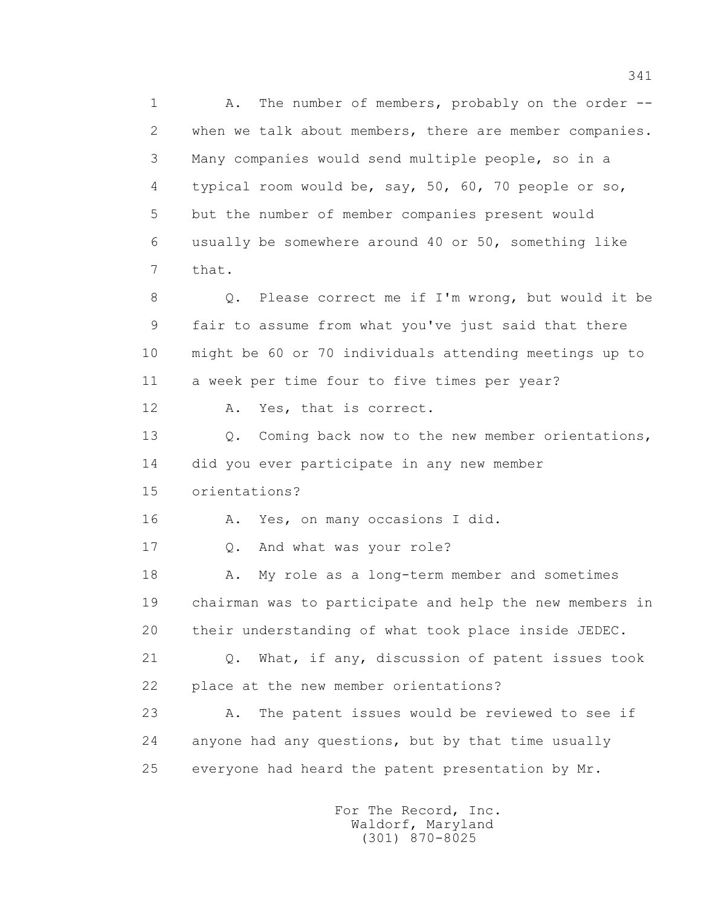1 A. The number of members, probably on the order -- 2 when we talk about members, there are member companies. 3 Many companies would send multiple people, so in a 4 typical room would be, say, 50, 60, 70 people or so, 5 but the number of member companies present would 6 usually be somewhere around 40 or 50, something like 7 that. 8 Q. Please correct me if I'm wrong, but would it be 9 fair to assume from what you've just said that there 10 might be 60 or 70 individuals attending meetings up to 11 a week per time four to five times per year? 12 A. Yes, that is correct. 13 O. Coming back now to the new member orientations, 14 did you ever participate in any new member 15 orientations? 16 A. Yes, on many occasions I did. 17 0. And what was your role? 18 A. My role as a long-term member and sometimes 19 chairman was to participate and help the new members in 20 their understanding of what took place inside JEDEC. 21 Q. What, if any, discussion of patent issues took 22 place at the new member orientations? 23 A. The patent issues would be reviewed to see if 24 anyone had any questions, but by that time usually 25 everyone had heard the patent presentation by Mr.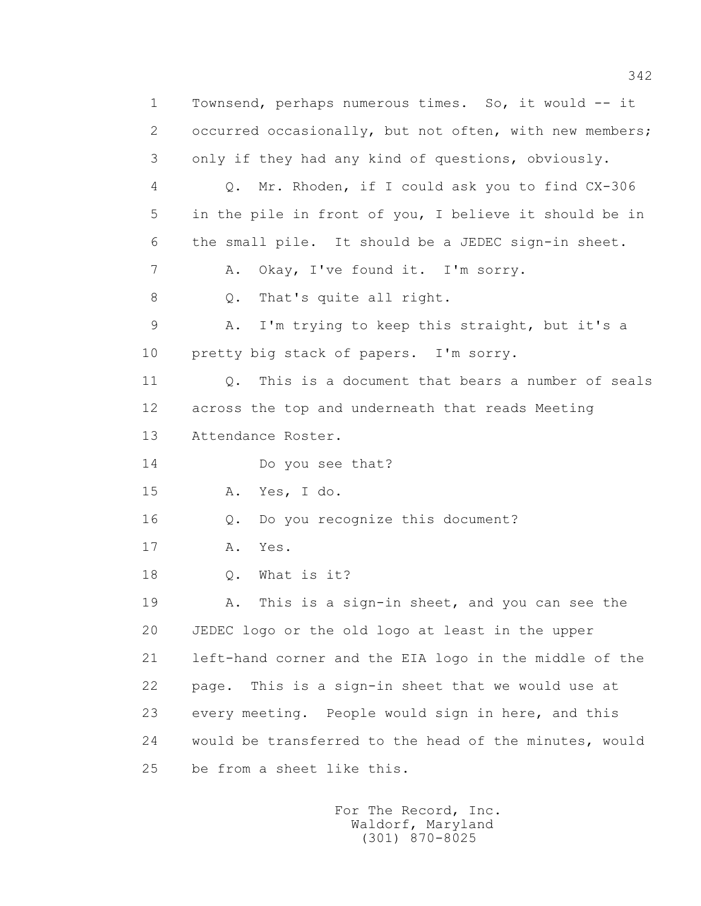1 Townsend, perhaps numerous times. So, it would -- it 2 occurred occasionally, but not often, with new members; 3 only if they had any kind of questions, obviously. 4 Q. Mr. Rhoden, if I could ask you to find CX-306 5 in the pile in front of you, I believe it should be in 6 the small pile. It should be a JEDEC sign-in sheet. 7 A. Okay, I've found it. I'm sorry. 8 Q. That's quite all right. 9 A. I'm trying to keep this straight, but it's a 10 pretty big stack of papers. I'm sorry. 11 Q. This is a document that bears a number of seals 12 across the top and underneath that reads Meeting 13 Attendance Roster. 14 Do you see that? 15 A. Yes, I do. 16 Q. Do you recognize this document? 17 A. Yes. 18 Q. What is it? 19 A. This is a sign-in sheet, and you can see the 20 JEDEC logo or the old logo at least in the upper 21 left-hand corner and the EIA logo in the middle of the 22 page. This is a sign-in sheet that we would use at 23 every meeting. People would sign in here, and this 24 would be transferred to the head of the minutes, would 25 be from a sheet like this.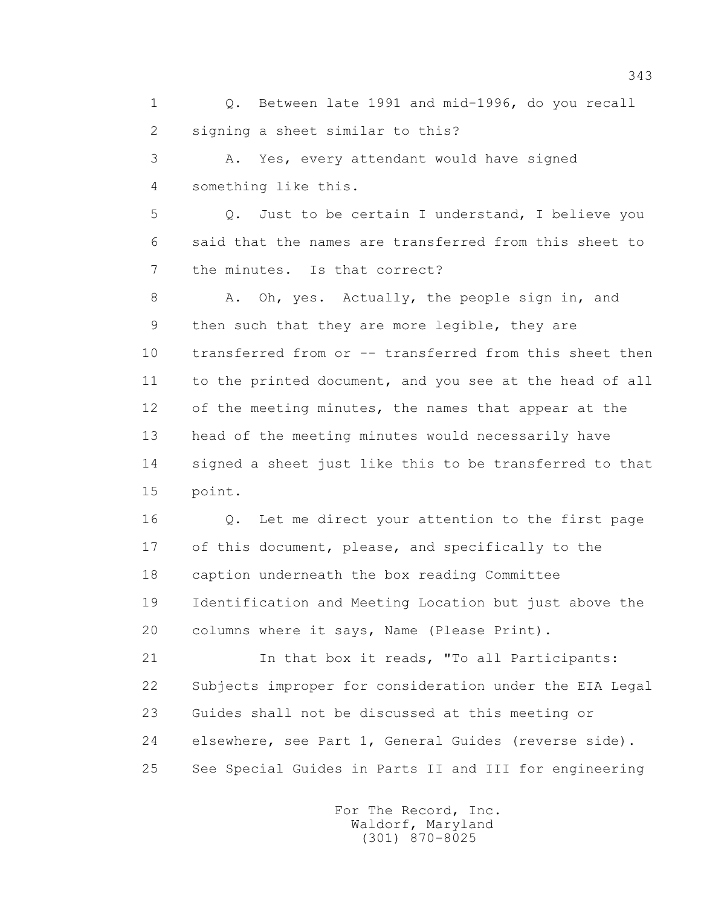1 Q. Between late 1991 and mid-1996, do you recall 2 signing a sheet similar to this?

 3 A. Yes, every attendant would have signed 4 something like this.

 5 Q. Just to be certain I understand, I believe you 6 said that the names are transferred from this sheet to 7 the minutes. Is that correct?

8 A. Oh, yes. Actually, the people sign in, and 9 then such that they are more legible, they are 10 transferred from or -- transferred from this sheet then 11 to the printed document, and you see at the head of all 12 of the meeting minutes, the names that appear at the 13 head of the meeting minutes would necessarily have 14 signed a sheet just like this to be transferred to that 15 point.

 16 Q. Let me direct your attention to the first page 17 of this document, please, and specifically to the 18 caption underneath the box reading Committee 19 Identification and Meeting Location but just above the 20 columns where it says, Name (Please Print).

 21 In that box it reads, "To all Participants: 22 Subjects improper for consideration under the EIA Legal 23 Guides shall not be discussed at this meeting or 24 elsewhere, see Part 1, General Guides (reverse side). 25 See Special Guides in Parts II and III for engineering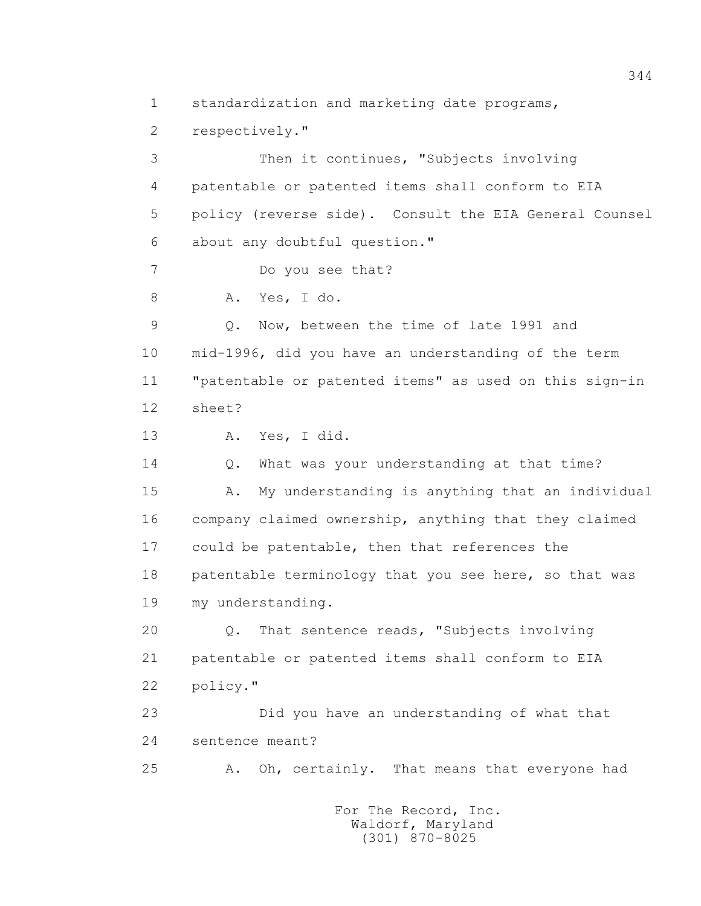1 standardization and marketing date programs, 2 respectively." 3 Then it continues, "Subjects involving 4 patentable or patented items shall conform to EIA 5 policy (reverse side). Consult the EIA General Counsel 6 about any doubtful question." 7 Do you see that? 8 A. Yes, I do. 9 Q. Now, between the time of late 1991 and 10 mid-1996, did you have an understanding of the term 11 "patentable or patented items" as used on this sign-in 12 sheet? 13 A. Yes, I did. 14 Q. What was your understanding at that time? 15 A. My understanding is anything that an individual 16 company claimed ownership, anything that they claimed 17 could be patentable, then that references the 18 patentable terminology that you see here, so that was 19 my understanding. 20 Q. That sentence reads, "Subjects involving 21 patentable or patented items shall conform to EIA 22 policy." 23 Did you have an understanding of what that 24 sentence meant? 25 A. Oh, certainly. That means that everyone had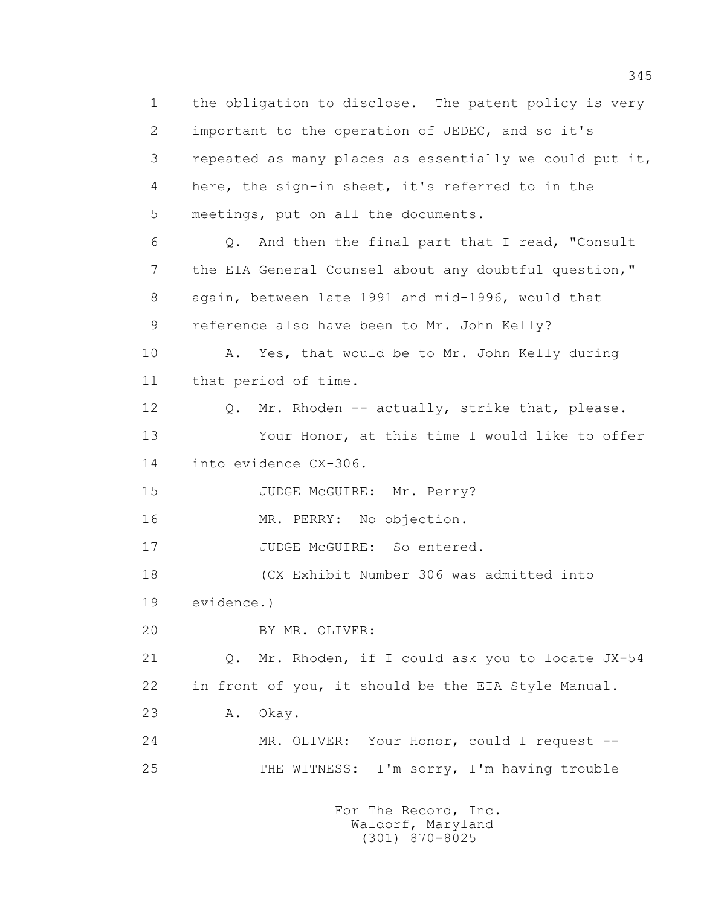1 the obligation to disclose. The patent policy is very 2 important to the operation of JEDEC, and so it's 3 repeated as many places as essentially we could put it, 4 here, the sign-in sheet, it's referred to in the 5 meetings, put on all the documents. 6 Q. And then the final part that I read, "Consult 7 the EIA General Counsel about any doubtful question," 8 again, between late 1991 and mid-1996, would that 9 reference also have been to Mr. John Kelly? 10 A. Yes, that would be to Mr. John Kelly during 11 that period of time. 12 Q. Mr. Rhoden -- actually, strike that, please. 13 Your Honor, at this time I would like to offer 14 into evidence CX-306. 15 JUDGE McGUIRE: Mr. Perry? 16 MR. PERRY: No objection. 17 JUDGE McGUIRE: So entered. 18 (CX Exhibit Number 306 was admitted into 19 evidence.) 20 BY MR. OLIVER: 21 Q. Mr. Rhoden, if I could ask you to locate JX-54 22 in front of you, it should be the EIA Style Manual. 23 A. Okay. 24 MR. OLIVER: Your Honor, could I request -- 25 THE WITNESS: I'm sorry, I'm having trouble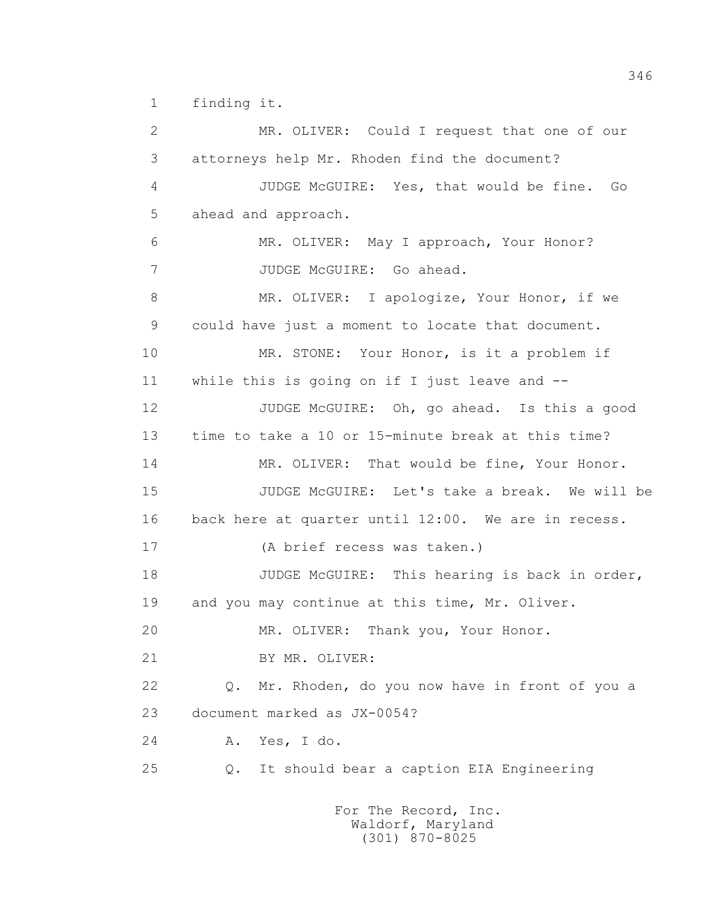1 finding it.

 2 MR. OLIVER: Could I request that one of our 3 attorneys help Mr. Rhoden find the document? 4 JUDGE McGUIRE: Yes, that would be fine. Go 5 ahead and approach. 6 MR. OLIVER: May I approach, Your Honor? 7 JUDGE McGUIRE: Go ahead. 8 MR. OLIVER: I apologize, Your Honor, if we 9 could have just a moment to locate that document. 10 MR. STONE: Your Honor, is it a problem if 11 while this is going on if I just leave and -- 12 JUDGE McGUIRE: Oh, go ahead. Is this a good 13 time to take a 10 or 15-minute break at this time? 14 MR. OLIVER: That would be fine, Your Honor. 15 JUDGE McGUIRE: Let's take a break. We will be 16 back here at quarter until 12:00. We are in recess. 17 (A brief recess was taken.) 18 JUDGE McGUIRE: This hearing is back in order, 19 and you may continue at this time, Mr. Oliver. 20 MR. OLIVER: Thank you, Your Honor. 21 BY MR. OLIVER: 22 Q. Mr. Rhoden, do you now have in front of you a 23 document marked as JX-0054? 24 A. Yes, I do. 25 Q. It should bear a caption EIA Engineering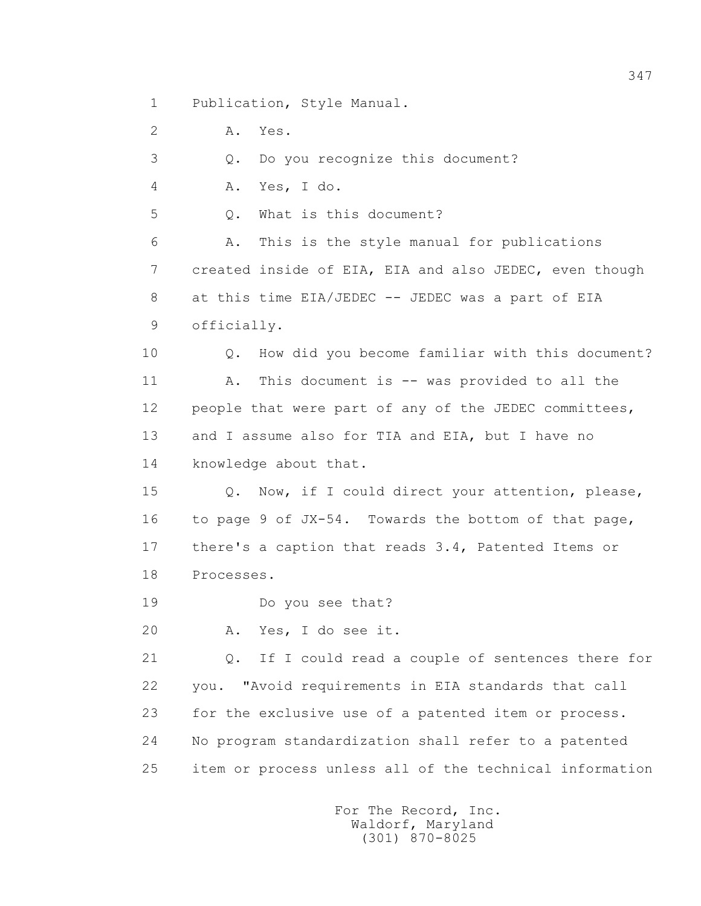1 Publication, Style Manual.

 2 A. Yes. 3 Q. Do you recognize this document? 4 A. Yes, I do. 5 0. What is this document? 6 A. This is the style manual for publications 7 created inside of EIA, EIA and also JEDEC, even though 8 at this time EIA/JEDEC -- JEDEC was a part of EIA 9 officially. 10 Q. How did you become familiar with this document? 11 A. This document is -- was provided to all the 12 people that were part of any of the JEDEC committees, 13 and I assume also for TIA and EIA, but I have no 14 knowledge about that. 15 Q. Now, if I could direct your attention, please, 16 to page 9 of JX-54. Towards the bottom of that page, 17 there's a caption that reads 3.4, Patented Items or 18 Processes. 19 Do you see that? 20 A. Yes, I do see it. 21 Q. If I could read a couple of sentences there for 22 you. "Avoid requirements in EIA standards that call 23 for the exclusive use of a patented item or process. 24 No program standardization shall refer to a patented 25 item or process unless all of the technical information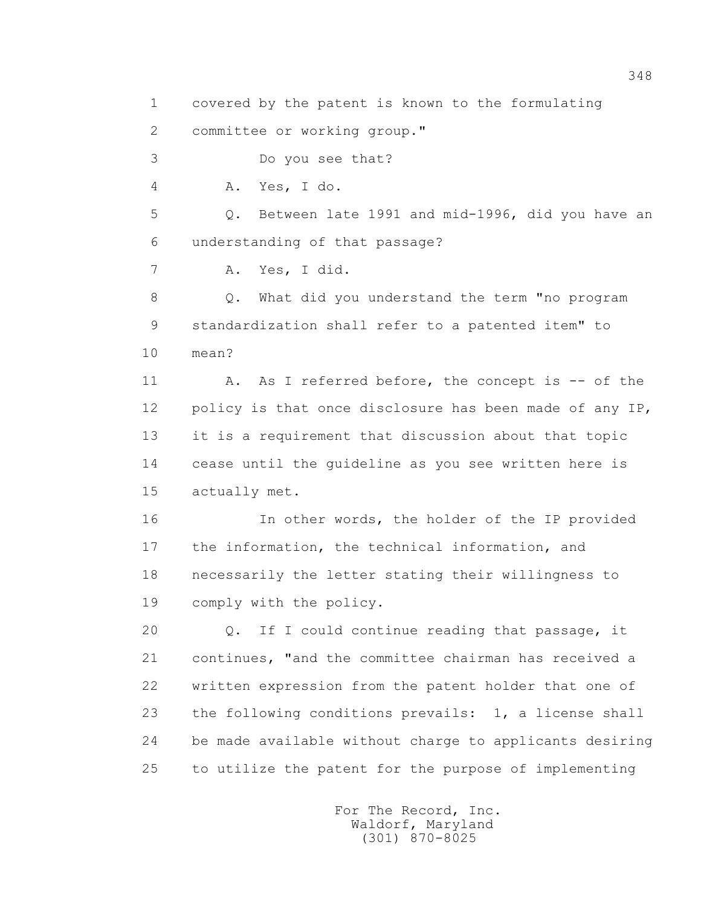1 covered by the patent is known to the formulating

2 committee or working group."

3 Do you see that?

4 A. Yes, I do.

 5 Q. Between late 1991 and mid-1996, did you have an 6 understanding of that passage?

7 A. Yes, I did.

 8 Q. What did you understand the term "no program 9 standardization shall refer to a patented item" to 10 mean?

11 A. As I referred before, the concept is -- of the 12 policy is that once disclosure has been made of any IP, 13 it is a requirement that discussion about that topic 14 cease until the guideline as you see written here is 15 actually met.

 16 In other words, the holder of the IP provided 17 the information, the technical information, and 18 necessarily the letter stating their willingness to 19 comply with the policy.

 20 Q. If I could continue reading that passage, it 21 continues, "and the committee chairman has received a 22 written expression from the patent holder that one of 23 the following conditions prevails: 1, a license shall 24 be made available without charge to applicants desiring 25 to utilize the patent for the purpose of implementing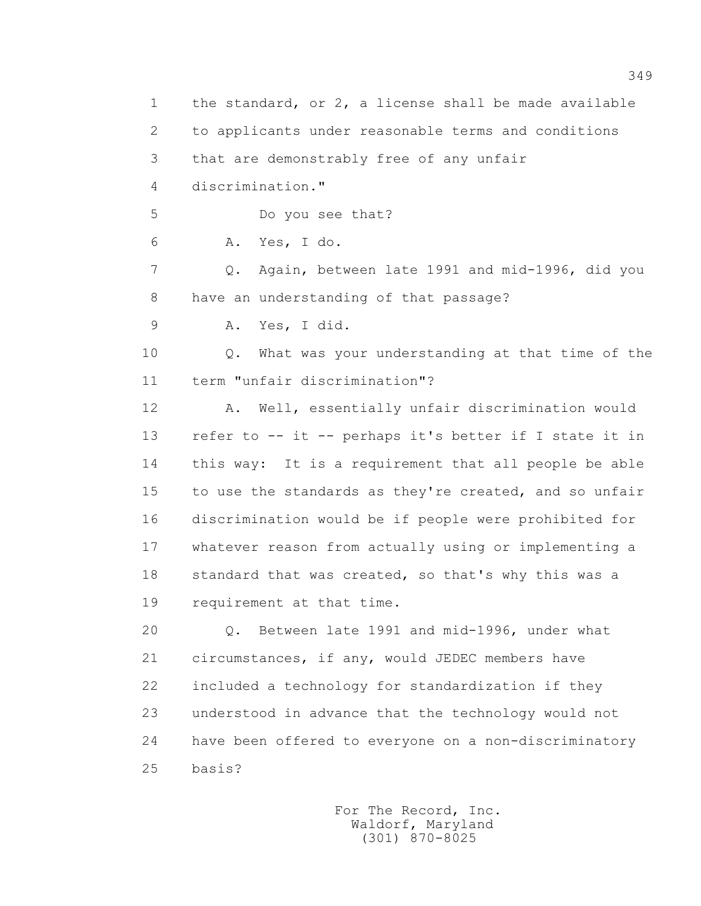1 the standard, or 2, a license shall be made available 2 to applicants under reasonable terms and conditions 3 that are demonstrably free of any unfair 4 discrimination." 5 Do you see that? 6 A. Yes, I do. 7 Q. Again, between late 1991 and mid-1996, did you 8 have an understanding of that passage? 9 A. Yes, I did. 10 Q. What was your understanding at that time of the 11 term "unfair discrimination"? 12 A. Well, essentially unfair discrimination would 13 refer to -- it -- perhaps it's better if I state it in 14 this way: It is a requirement that all people be able 15 to use the standards as they're created, and so unfair 16 discrimination would be if people were prohibited for 17 whatever reason from actually using or implementing a 18 standard that was created, so that's why this was a 19 requirement at that time. 20 Q. Between late 1991 and mid-1996, under what 21 circumstances, if any, would JEDEC members have 22 included a technology for standardization if they 23 understood in advance that the technology would not 24 have been offered to everyone on a non-discriminatory 25 basis?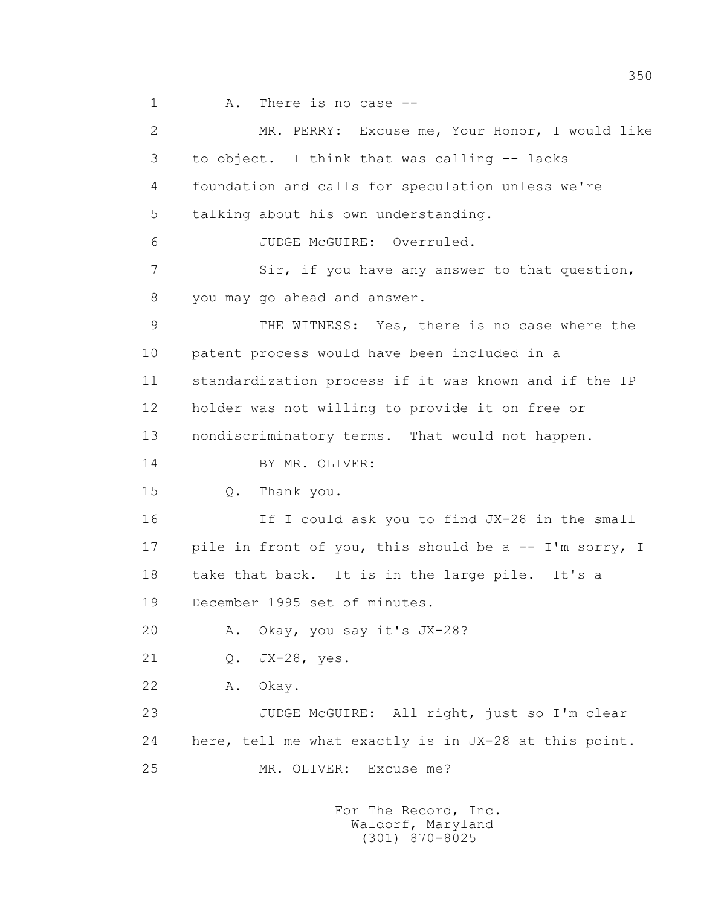1 A. There is no case -- 2 MR. PERRY: Excuse me, Your Honor, I would like 3 to object. I think that was calling -- lacks 4 foundation and calls for speculation unless we're 5 talking about his own understanding. 6 JUDGE McGUIRE: Overruled. 7 Sir, if you have any answer to that question, 8 you may go ahead and answer. 9 THE WITNESS: Yes, there is no case where the 10 patent process would have been included in a 11 standardization process if it was known and if the IP 12 holder was not willing to provide it on free or 13 nondiscriminatory terms. That would not happen. 14 BY MR. OLIVER: 15 Q. Thank you. 16 If I could ask you to find JX-28 in the small 17 pile in front of you, this should be a -- I'm sorry, I 18 take that back. It is in the large pile. It's a 19 December 1995 set of minutes. 20 A. Okay, you say it's JX-28? 21 Q. JX-28, yes. 22 A. Okay. 23 JUDGE McGUIRE: All right, just so I'm clear 24 here, tell me what exactly is in JX-28 at this point. 25 MR. OLIVER: Excuse me?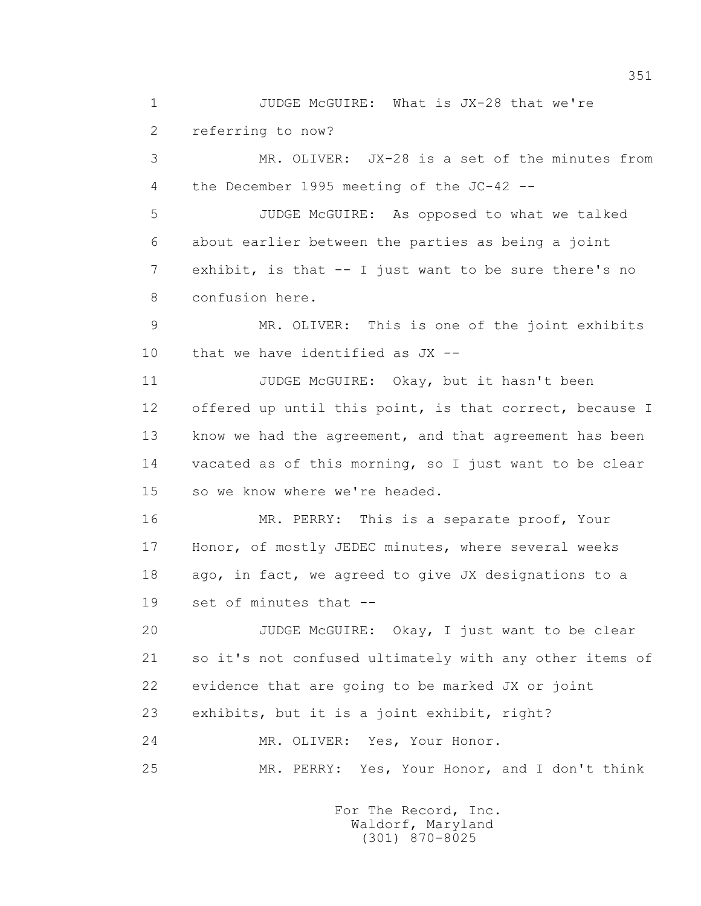1 JUDGE McGUIRE: What is JX-28 that we're 2 referring to now? 3 MR. OLIVER: JX-28 is a set of the minutes from 4 the December 1995 meeting of the JC-42 -- 5 JUDGE McGUIRE: As opposed to what we talked 6 about earlier between the parties as being a joint 7 exhibit, is that -- I just want to be sure there's no 8 confusion here. 9 MR. OLIVER: This is one of the joint exhibits 10 that we have identified as JX -- 11 JUDGE McGUIRE: Okay, but it hasn't been 12 offered up until this point, is that correct, because I 13 know we had the agreement, and that agreement has been 14 vacated as of this morning, so I just want to be clear 15 so we know where we're headed. 16 MR. PERRY: This is a separate proof, Your 17 Honor, of mostly JEDEC minutes, where several weeks 18 ago, in fact, we agreed to give JX designations to a 19 set of minutes that -- 20 JUDGE McGUIRE: Okay, I just want to be clear 21 so it's not confused ultimately with any other items of 22 evidence that are going to be marked JX or joint 23 exhibits, but it is a joint exhibit, right? 24 MR. OLIVER: Yes, Your Honor. 25 MR. PERRY: Yes, Your Honor, and I don't think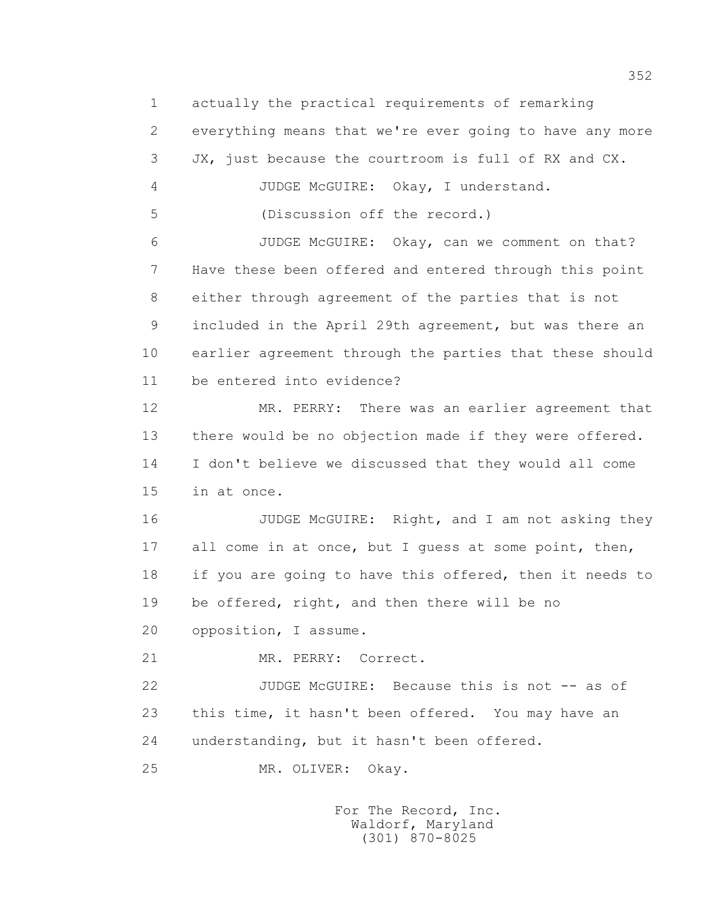1 actually the practical requirements of remarking 2 everything means that we're ever going to have any more 3 JX, just because the courtroom is full of RX and CX. 4 JUDGE McGUIRE: Okay, I understand. 5 (Discussion off the record.) 6 JUDGE McGUIRE: Okay, can we comment on that? 7 Have these been offered and entered through this point 8 either through agreement of the parties that is not 9 included in the April 29th agreement, but was there an 10 earlier agreement through the parties that these should 11 be entered into evidence? 12 MR. PERRY: There was an earlier agreement that 13 there would be no objection made if they were offered. 14 I don't believe we discussed that they would all come 15 in at once. 16 JUDGE McGUIRE: Right, and I am not asking they 17 all come in at once, but I guess at some point, then, 18 if you are going to have this offered, then it needs to 19 be offered, right, and then there will be no 20 opposition, I assume. 21 MR. PERRY: Correct. 22 JUDGE McGUIRE: Because this is not -- as of 23 this time, it hasn't been offered. You may have an 24 understanding, but it hasn't been offered. 25 MR. OLIVER: Okay.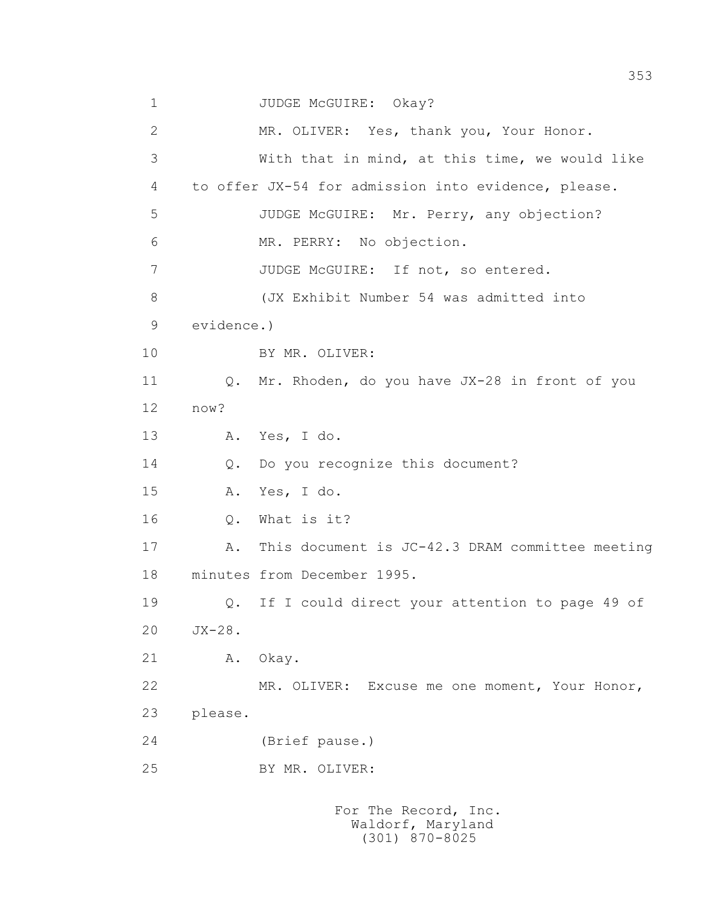1 JUDGE McGUIRE: Okay? 2 MR. OLIVER: Yes, thank you, Your Honor. 3 With that in mind, at this time, we would like 4 to offer JX-54 for admission into evidence, please. 5 JUDGE McGUIRE: Mr. Perry, any objection? 6 MR. PERRY: No objection. 7 JUDGE McGUIRE: If not, so entered. 8 (JX Exhibit Number 54 was admitted into 9 evidence.) 10 BY MR. OLIVER: 11 Q. Mr. Rhoden, do you have JX-28 in front of you 12 now? 13 A. Yes, I do. 14 Q. Do you recognize this document? 15 A. Yes, I do. 16 Q. What is it? 17 A. This document is JC-42.3 DRAM committee meeting 18 minutes from December 1995. 19 Q. If I could direct your attention to page 49 of 20 JX-28. 21 A. Okay. 22 MR. OLIVER: Excuse me one moment, Your Honor, 23 please. 24 (Brief pause.) 25 BY MR. OLIVER: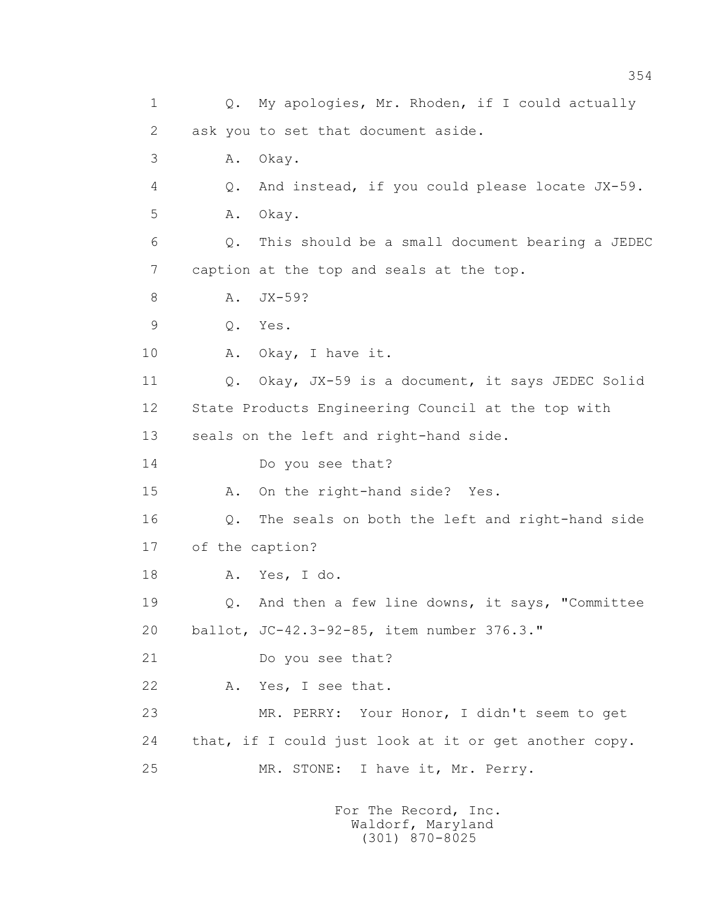1 Q. My apologies, Mr. Rhoden, if I could actually 2 ask you to set that document aside. 3 A. Okay. 4 Q. And instead, if you could please locate JX-59. 5 A. Okay. 6 Q. This should be a small document bearing a JEDEC 7 caption at the top and seals at the top. 8 A. JX-59? 9 Q. Yes. 10 A. Okay, I have it. 11 0. Okay, JX-59 is a document, it says JEDEC Solid 12 State Products Engineering Council at the top with 13 seals on the left and right-hand side. 14 Do you see that? 15 A. On the right-hand side? Yes. 16 Q. The seals on both the left and right-hand side 17 of the caption? 18 A. Yes, I do. 19 Q. And then a few line downs, it says, "Committee 20 ballot, JC-42.3-92-85, item number 376.3." 21 Do you see that? 22 A. Yes, I see that. 23 MR. PERRY: Your Honor, I didn't seem to get 24 that, if I could just look at it or get another copy. 25 MR. STONE: I have it, Mr. Perry.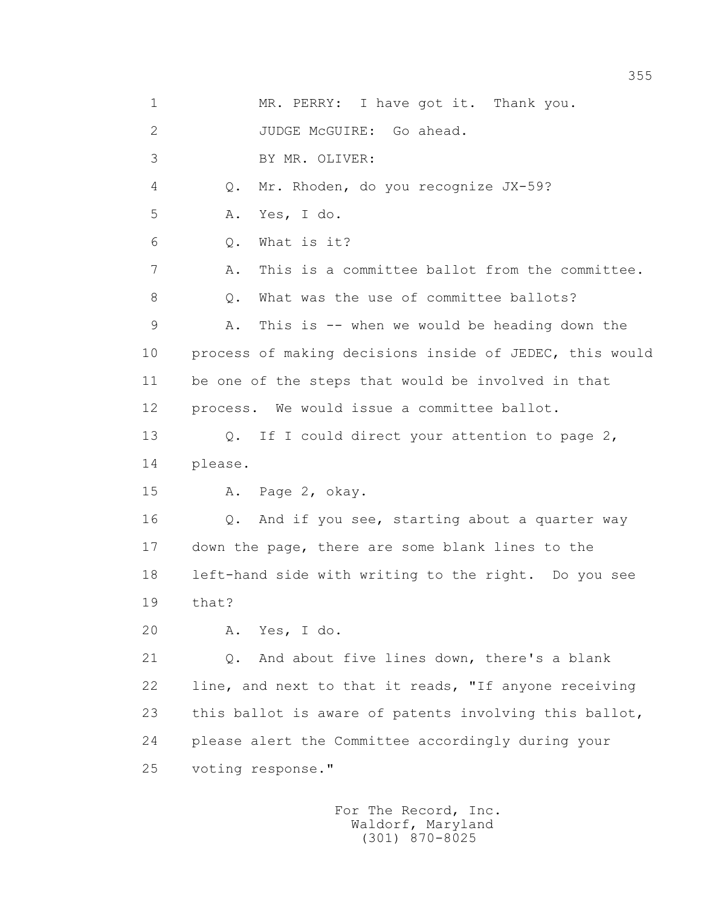1 MR. PERRY: I have got it. Thank you. 2 JUDGE McGUIRE: Go ahead. 3 BY MR. OLIVER: 4 Q. Mr. Rhoden, do you recognize JX-59? 5 A. Yes, I do. 6 Q. What is it? 7 A. This is a committee ballot from the committee. 8 0. What was the use of committee ballots? 9 A. This is -- when we would be heading down the 10 process of making decisions inside of JEDEC, this would 11 be one of the steps that would be involved in that 12 process. We would issue a committee ballot. 13 O. If I could direct your attention to page 2, 14 please. 15 A. Page 2, okay. 16 0. And if you see, starting about a quarter way 17 down the page, there are some blank lines to the 18 left-hand side with writing to the right. Do you see 19 that? 20 A. Yes, I do. 21 Q. And about five lines down, there's a blank 22 line, and next to that it reads, "If anyone receiving 23 this ballot is aware of patents involving this ballot, 24 please alert the Committee accordingly during your 25 voting response."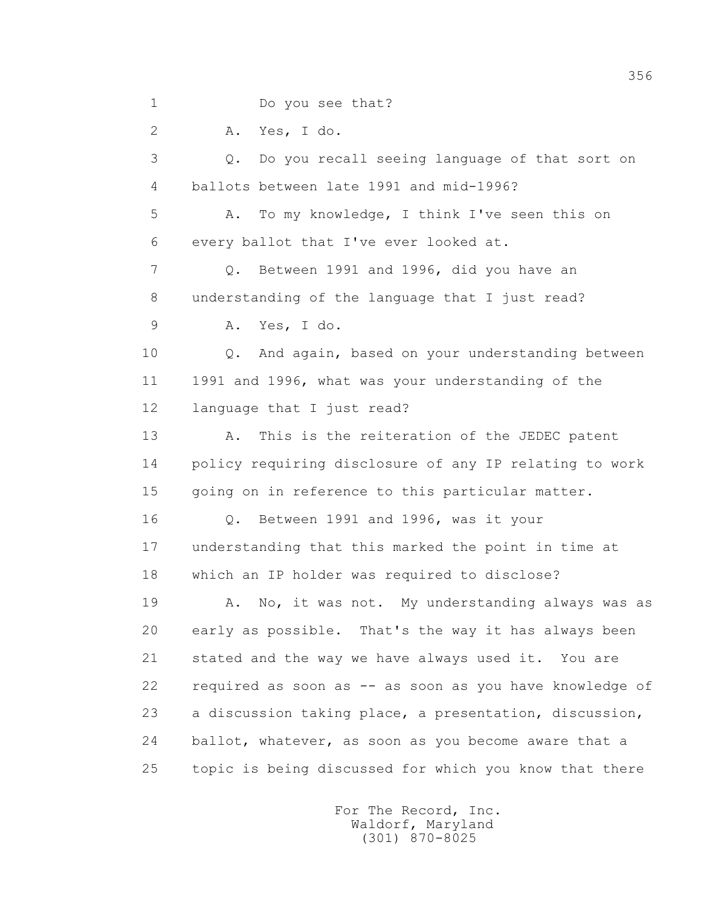1 Do you see that? 2 A. Yes, I do. 3 Q. Do you recall seeing language of that sort on 4 ballots between late 1991 and mid-1996? 5 A. To my knowledge, I think I've seen this on 6 every ballot that I've ever looked at. 7 Q. Between 1991 and 1996, did you have an 8 understanding of the language that I just read? 9 A. Yes, I do. 10 Q. And again, based on your understanding between 11 1991 and 1996, what was your understanding of the 12 language that I just read? 13 A. This is the reiteration of the JEDEC patent 14 policy requiring disclosure of any IP relating to work 15 going on in reference to this particular matter. 16 Q. Between 1991 and 1996, was it your 17 understanding that this marked the point in time at 18 which an IP holder was required to disclose? 19 A. No, it was not. My understanding always was as 20 early as possible. That's the way it has always been 21 stated and the way we have always used it. You are 22 required as soon as -- as soon as you have knowledge of 23 a discussion taking place, a presentation, discussion, 24 ballot, whatever, as soon as you become aware that a 25 topic is being discussed for which you know that there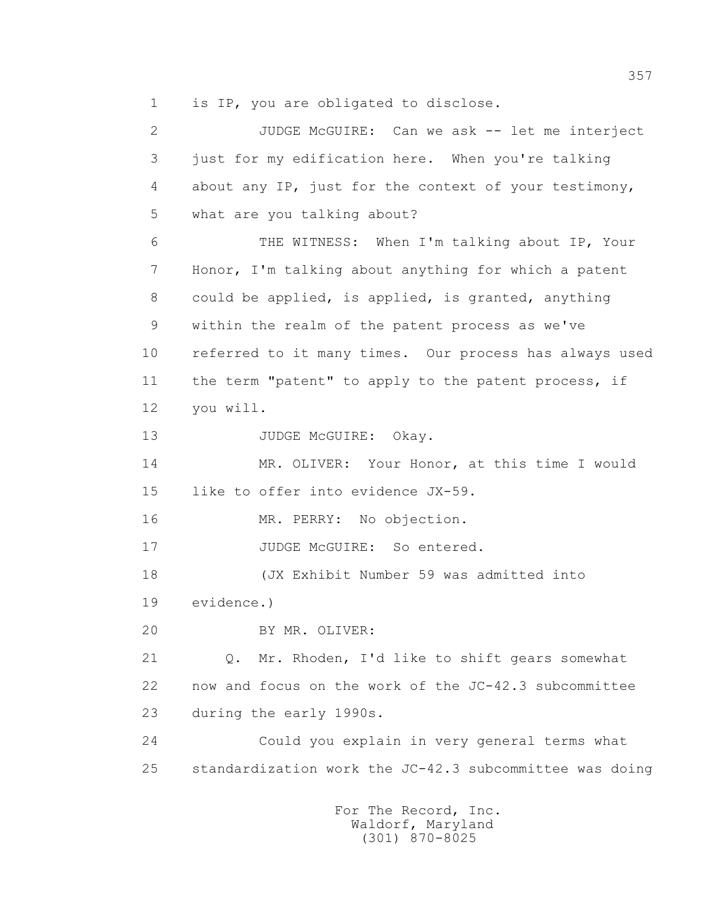1 is IP, you are obligated to disclose.

 2 JUDGE McGUIRE: Can we ask -- let me interject 3 just for my edification here. When you're talking 4 about any IP, just for the context of your testimony, 5 what are you talking about? 6 THE WITNESS: When I'm talking about IP, Your 7 Honor, I'm talking about anything for which a patent 8 could be applied, is applied, is granted, anything 9 within the realm of the patent process as we've 10 referred to it many times. Our process has always used 11 the term "patent" to apply to the patent process, if 12 you will. 13 JUDGE McGUIRE: Okav. 14 MR. OLIVER: Your Honor, at this time I would 15 like to offer into evidence JX-59. 16 MR. PERRY: No objection. 17 JUDGE McGUIRE: So entered. 18 (JX Exhibit Number 59 was admitted into 19 evidence.) 20 BY MR. OLIVER: 21 Q. Mr. Rhoden, I'd like to shift gears somewhat 22 now and focus on the work of the JC-42.3 subcommittee 23 during the early 1990s. 24 Could you explain in very general terms what 25 standardization work the JC-42.3 subcommittee was doing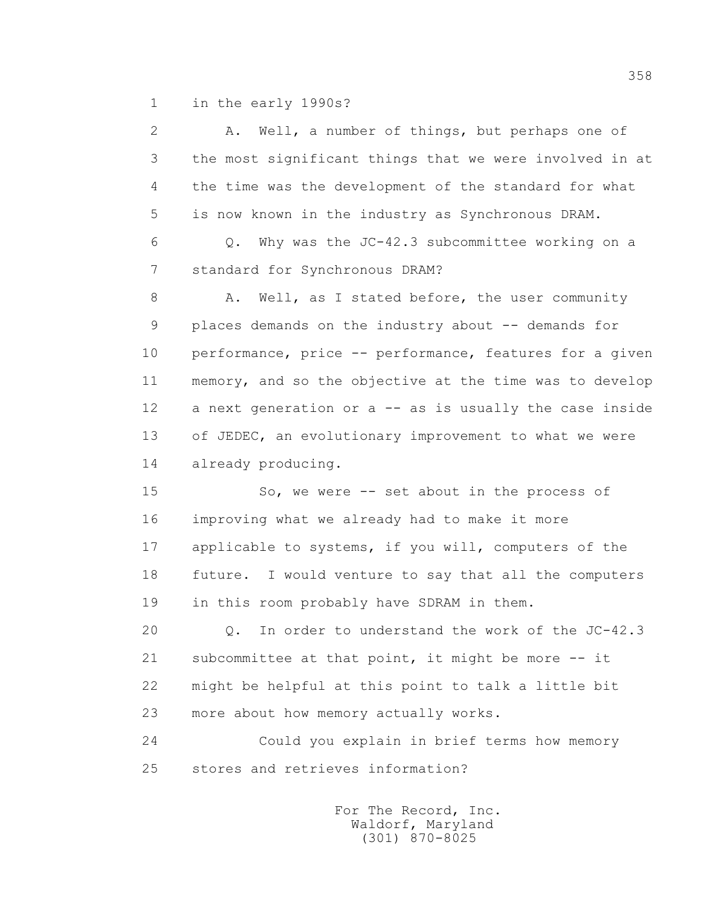1 in the early 1990s?

| $\mathbf{2}$ | Well, a number of things, but perhaps one of<br>Α.      |
|--------------|---------------------------------------------------------|
| 3            | the most significant things that we were involved in at |
| 4            | the time was the development of the standard for what   |
| 5            | is now known in the industry as Synchronous DRAM.       |
| 6            | Why was the JC-42.3 subcommittee working on a<br>$Q$ .  |
| 7            | standard for Synchronous DRAM?                          |
| 8            | Well, as I stated before, the user community<br>Α.      |
| 9            | places demands on the industry about -- demands for     |
| 10           | performance, price -- performance, features for a given |
| 11           | memory, and so the objective at the time was to develop |
| 12           | a next generation or a -- as is usually the case inside |
| 13           | of JEDEC, an evolutionary improvement to what we were   |
| 14           | already producing.                                      |
| 15           | So, we were -- set about in the process of              |
| 16           | improving what we already had to make it more           |
| 17           | applicable to systems, if you will, computers of the    |
| 18           | future. I would venture to say that all the computers   |
| 19           | in this room probably have SDRAM in them.               |
| 20           | In order to understand the work of the JC-42.3<br>Q.    |
| 21           | subcommittee at that point, it might be more -- it      |
| 22           | might be helpful at this point to talk a little bit     |
| 23           | more about how memory actually works.                   |
|              |                                                         |

 24 Could you explain in brief terms how memory 25 stores and retrieves information?

> For The Record, Inc. Waldorf, Maryland (301) 870-8025

358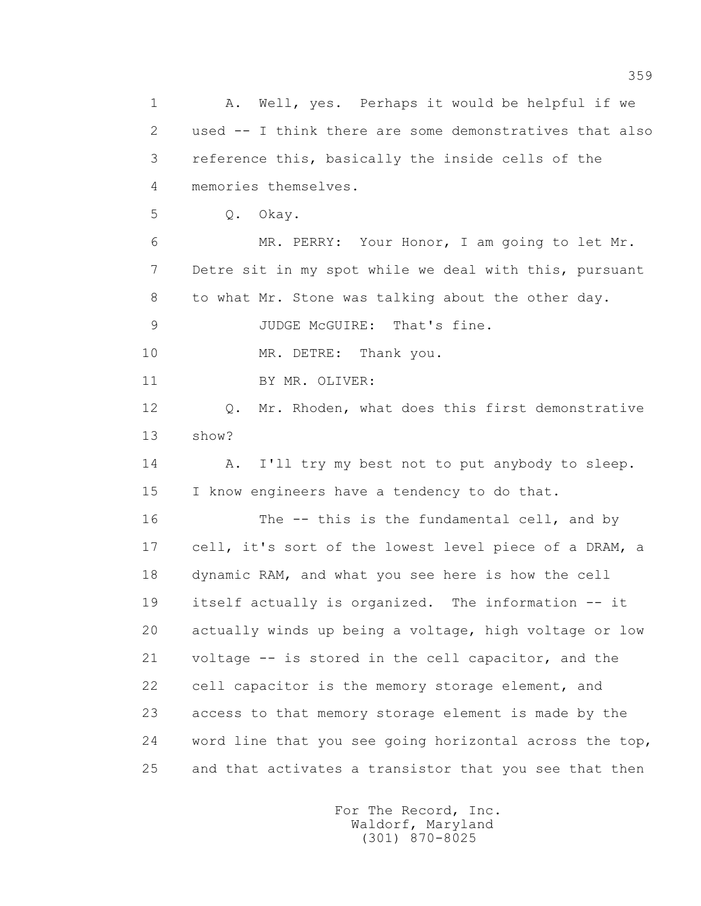1 A. Well, yes. Perhaps it would be helpful if we 2 used -- I think there are some demonstratives that also 3 reference this, basically the inside cells of the 4 memories themselves. 5 Q. Okay. 6 MR. PERRY: Your Honor, I am going to let Mr. 7 Detre sit in my spot while we deal with this, pursuant 8 to what Mr. Stone was talking about the other day. 9 JUDGE McGUIRE: That's fine. 10 MR. DETRE: Thank you. 11 BY MR. OLIVER: 12 Q. Mr. Rhoden, what does this first demonstrative 13 show? 14 A. I'll try my best not to put anybody to sleep. 15 I know engineers have a tendency to do that. 16 The -- this is the fundamental cell, and by 17 cell, it's sort of the lowest level piece of a DRAM, a 18 dynamic RAM, and what you see here is how the cell 19 itself actually is organized. The information -- it 20 actually winds up being a voltage, high voltage or low 21 voltage -- is stored in the cell capacitor, and the 22 cell capacitor is the memory storage element, and 23 access to that memory storage element is made by the 24 word line that you see going horizontal across the top, 25 and that activates a transistor that you see that then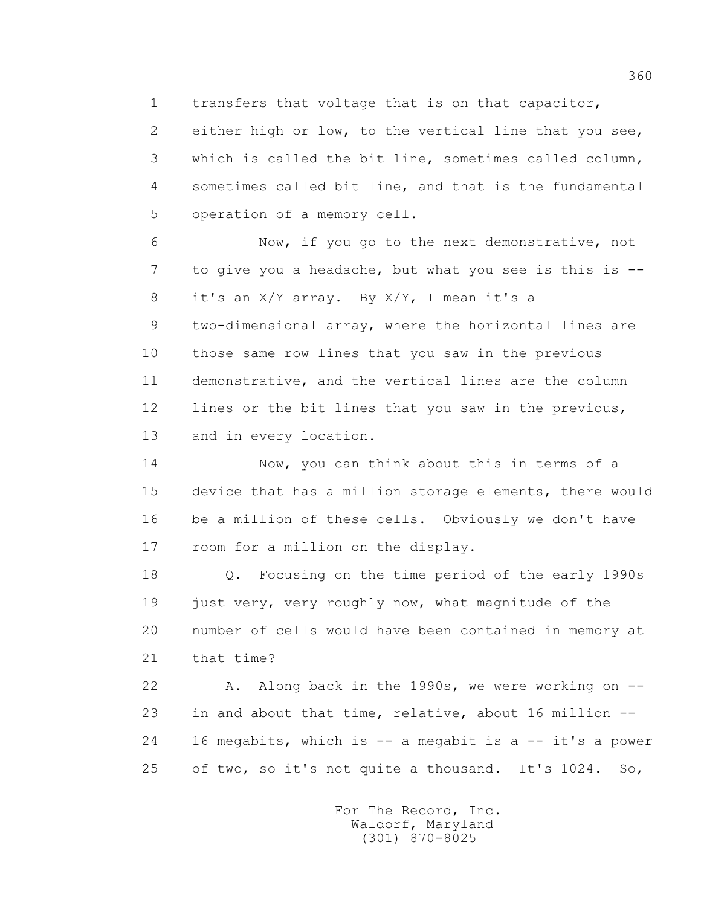1 transfers that voltage that is on that capacitor,

 2 either high or low, to the vertical line that you see, 3 which is called the bit line, sometimes called column, 4 sometimes called bit line, and that is the fundamental 5 operation of a memory cell.

 6 Now, if you go to the next demonstrative, not 7 to give you a headache, but what you see is this is -- 8 it's an X/Y array. By X/Y, I mean it's a

 9 two-dimensional array, where the horizontal lines are 10 those same row lines that you saw in the previous 11 demonstrative, and the vertical lines are the column 12 lines or the bit lines that you saw in the previous, 13 and in every location.

 14 Now, you can think about this in terms of a 15 device that has a million storage elements, there would 16 be a million of these cells. Obviously we don't have 17 room for a million on the display.

 18 Q. Focusing on the time period of the early 1990s 19 just very, very roughly now, what magnitude of the 20 number of cells would have been contained in memory at 21 that time?

22 A. Along back in the 1990s, we were working on -- 23 in and about that time, relative, about 16 million -- 24 16 megabits, which is -- a megabit is a -- it's a power 25 of two, so it's not quite a thousand. It's 1024. So,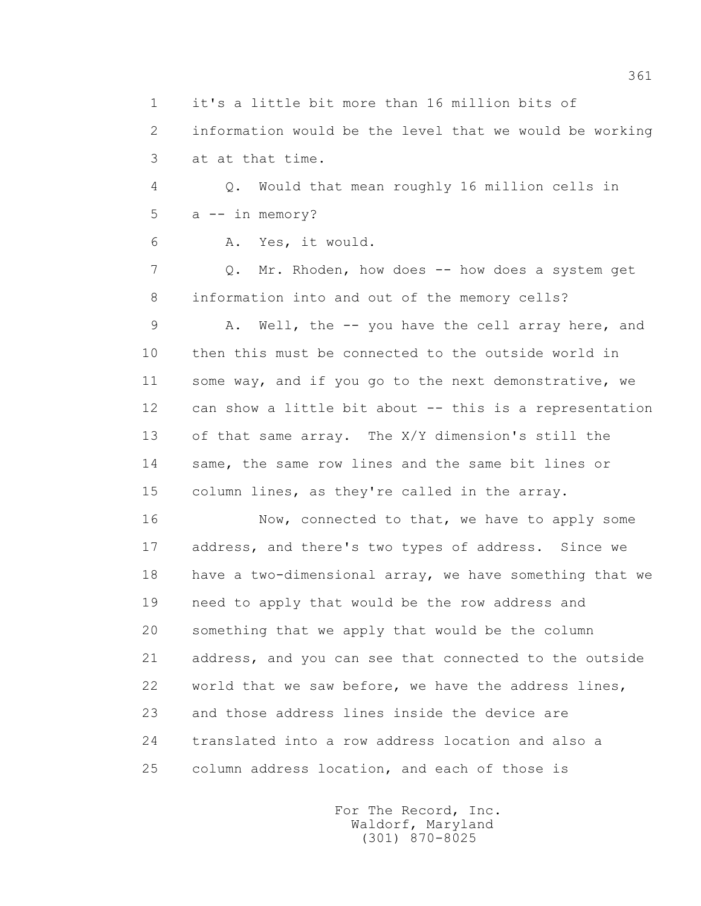1 it's a little bit more than 16 million bits of

 2 information would be the level that we would be working 3 at at that time.

 4 Q. Would that mean roughly 16 million cells in 5 a -- in memory?

6 A. Yes, it would.

7 Q. Mr. Rhoden, how does -- how does a system get 8 information into and out of the memory cells?

 9 A. Well, the -- you have the cell array here, and 10 then this must be connected to the outside world in 11 some way, and if you go to the next demonstrative, we 12 can show a little bit about -- this is a representation 13 of that same array. The X/Y dimension's still the 14 same, the same row lines and the same bit lines or 15 column lines, as they're called in the array.

16 Now, connected to that, we have to apply some 17 address, and there's two types of address. Since we 18 have a two-dimensional array, we have something that we 19 need to apply that would be the row address and 20 something that we apply that would be the column 21 address, and you can see that connected to the outside 22 world that we saw before, we have the address lines, 23 and those address lines inside the device are 24 translated into a row address location and also a 25 column address location, and each of those is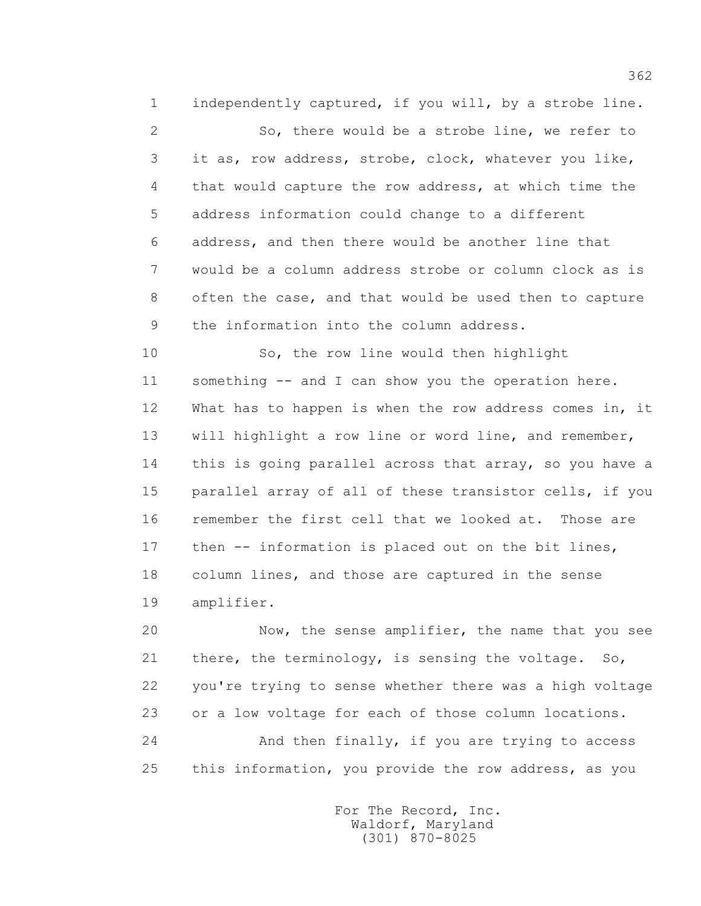1 independently captured, if you will, by a strobe line.

 2 So, there would be a strobe line, we refer to 3 it as, row address, strobe, clock, whatever you like, 4 that would capture the row address, at which time the 5 address information could change to a different 6 address, and then there would be another line that 7 would be a column address strobe or column clock as is 8 often the case, and that would be used then to capture 9 the information into the column address.

 10 So, the row line would then highlight 11 something -- and I can show you the operation here. 12 What has to happen is when the row address comes in, it 13 will highlight a row line or word line, and remember, 14 this is going parallel across that array, so you have a 15 parallel array of all of these transistor cells, if you 16 remember the first cell that we looked at. Those are 17 then -- information is placed out on the bit lines, 18 column lines, and those are captured in the sense 19 amplifier.

 20 Now, the sense amplifier, the name that you see 21 there, the terminology, is sensing the voltage. So, 22 you're trying to sense whether there was a high voltage 23 or a low voltage for each of those column locations. 24 And then finally, if you are trying to access 25 this information, you provide the row address, as you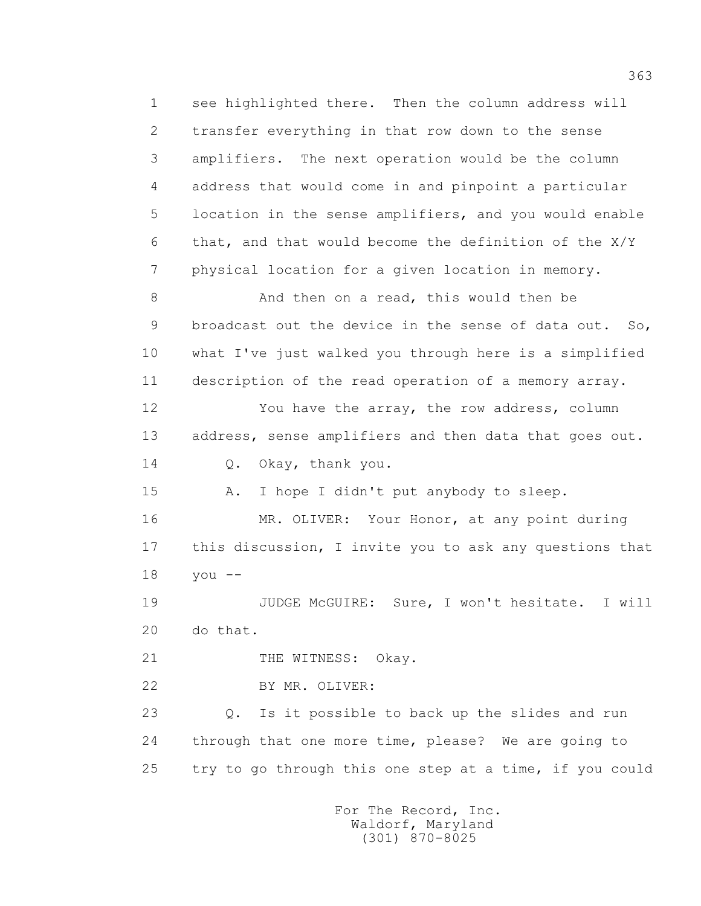1 see highlighted there. Then the column address will 2 transfer everything in that row down to the sense 3 amplifiers. The next operation would be the column 4 address that would come in and pinpoint a particular 5 location in the sense amplifiers, and you would enable 6 that, and that would become the definition of the X/Y 7 physical location for a given location in memory. 8 And then on a read, this would then be 9 broadcast out the device in the sense of data out. So, 10 what I've just walked you through here is a simplified 11 description of the read operation of a memory array. 12 You have the array, the row address, column 13 address, sense amplifiers and then data that goes out. 14 Q. Okay, thank you. 15 A. I hope I didn't put anybody to sleep. 16 MR. OLIVER: Your Honor, at any point during 17 this discussion, I invite you to ask any questions that 18 you -- 19 JUDGE McGUIRE: Sure, I won't hesitate. I will 20 do that. 21 THE WITNESS: Okay. 22 BY MR. OLIVER: 23 Q. Is it possible to back up the slides and run 24 through that one more time, please? We are going to 25 try to go through this one step at a time, if you could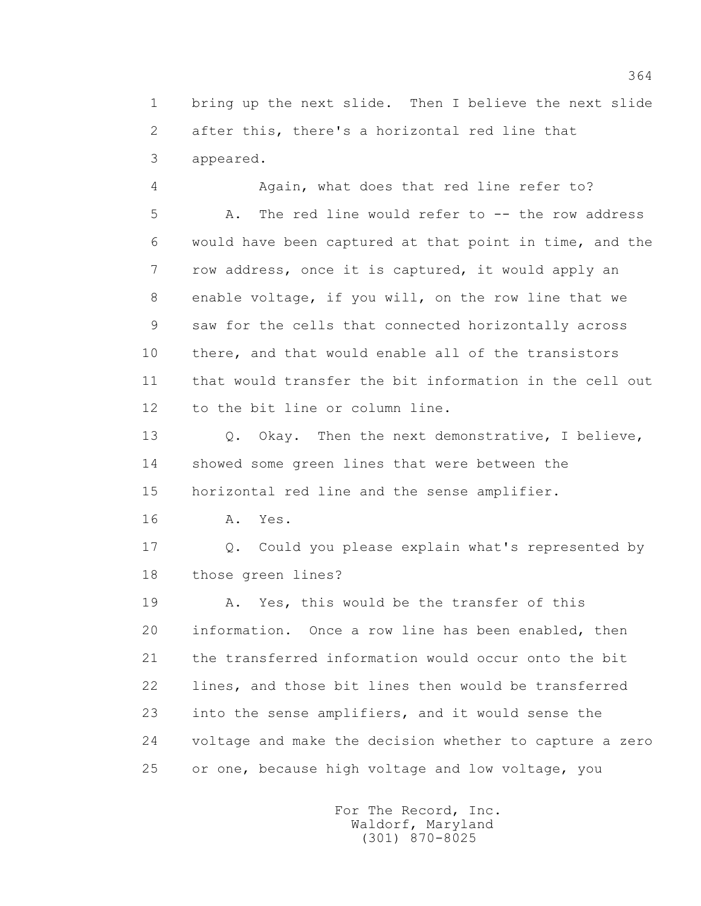1 bring up the next slide. Then I believe the next slide 2 after this, there's a horizontal red line that 3 appeared.

 4 Again, what does that red line refer to? 5 A. The red line would refer to -- the row address 6 would have been captured at that point in time, and the 7 row address, once it is captured, it would apply an 8 enable voltage, if you will, on the row line that we 9 saw for the cells that connected horizontally across 10 there, and that would enable all of the transistors 11 that would transfer the bit information in the cell out 12 to the bit line or column line.

13 0. Okay. Then the next demonstrative, I believe, 14 showed some green lines that were between the 15 horizontal red line and the sense amplifier.

16 **A.** Yes.

 17 Q. Could you please explain what's represented by 18 those green lines?

19 A. Yes, this would be the transfer of this 20 information. Once a row line has been enabled, then 21 the transferred information would occur onto the bit 22 lines, and those bit lines then would be transferred 23 into the sense amplifiers, and it would sense the 24 voltage and make the decision whether to capture a zero 25 or one, because high voltage and low voltage, you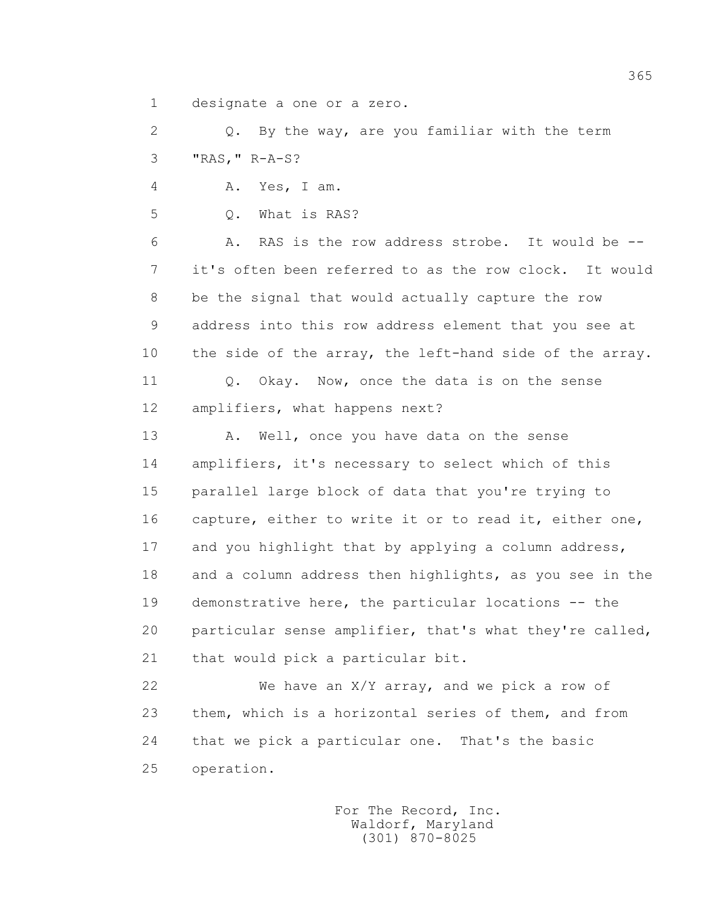1 designate a one or a zero.

 2 Q. By the way, are you familiar with the term 3 "RAS," R-A-S?

4 A. Yes, I am.

5 Q. What is RAS?

 6 A. RAS is the row address strobe. It would be -- 7 it's often been referred to as the row clock. It would 8 be the signal that would actually capture the row 9 address into this row address element that you see at 10 the side of the array, the left-hand side of the array.

11 0. Okay. Now, once the data is on the sense 12 amplifiers, what happens next?

13 A. Well, once you have data on the sense 14 amplifiers, it's necessary to select which of this 15 parallel large block of data that you're trying to 16 capture, either to write it or to read it, either one, 17 and you highlight that by applying a column address, 18 and a column address then highlights, as you see in the 19 demonstrative here, the particular locations -- the 20 particular sense amplifier, that's what they're called, 21 that would pick a particular bit.

 22 We have an X/Y array, and we pick a row of 23 them, which is a horizontal series of them, and from 24 that we pick a particular one. That's the basic 25 operation.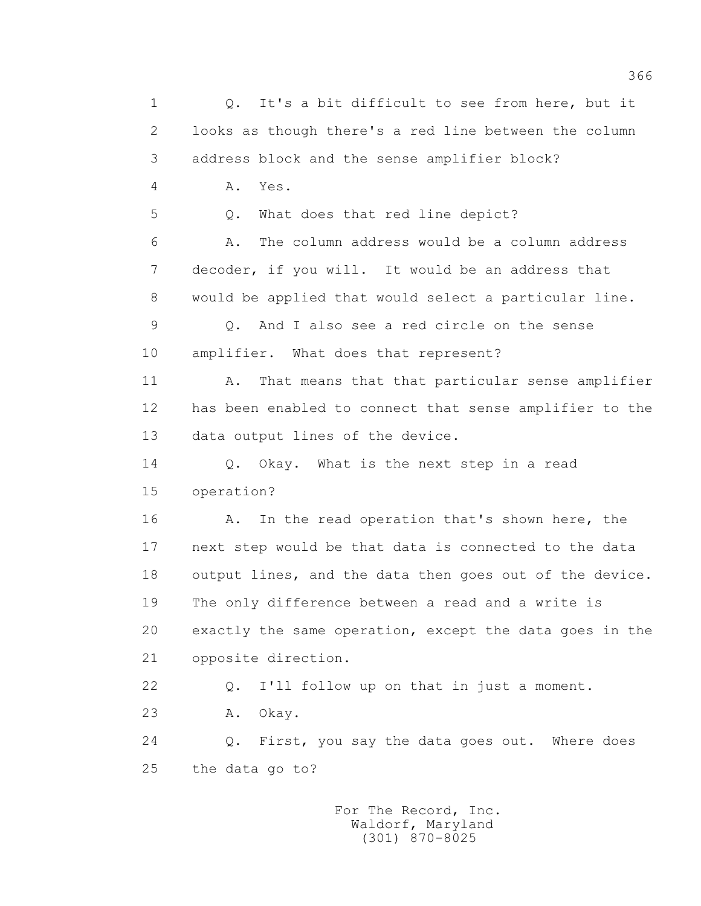1 0. It's a bit difficult to see from here, but it 2 looks as though there's a red line between the column 3 address block and the sense amplifier block? 4 A. Yes. 5 Q. What does that red line depict? 6 A. The column address would be a column address 7 decoder, if you will. It would be an address that 8 would be applied that would select a particular line. 9 Q. And I also see a red circle on the sense 10 amplifier. What does that represent? 11 A. That means that that particular sense amplifier 12 has been enabled to connect that sense amplifier to the 13 data output lines of the device. 14 Q. Okay. What is the next step in a read 15 operation? 16 A. In the read operation that's shown here, the 17 next step would be that data is connected to the data 18 output lines, and the data then goes out of the device. 19 The only difference between a read and a write is 20 exactly the same operation, except the data goes in the 21 opposite direction. 22 Q. I'll follow up on that in just a moment. 23 A. Okay. 24 Q. First, you say the data goes out. Where does 25 the data go to?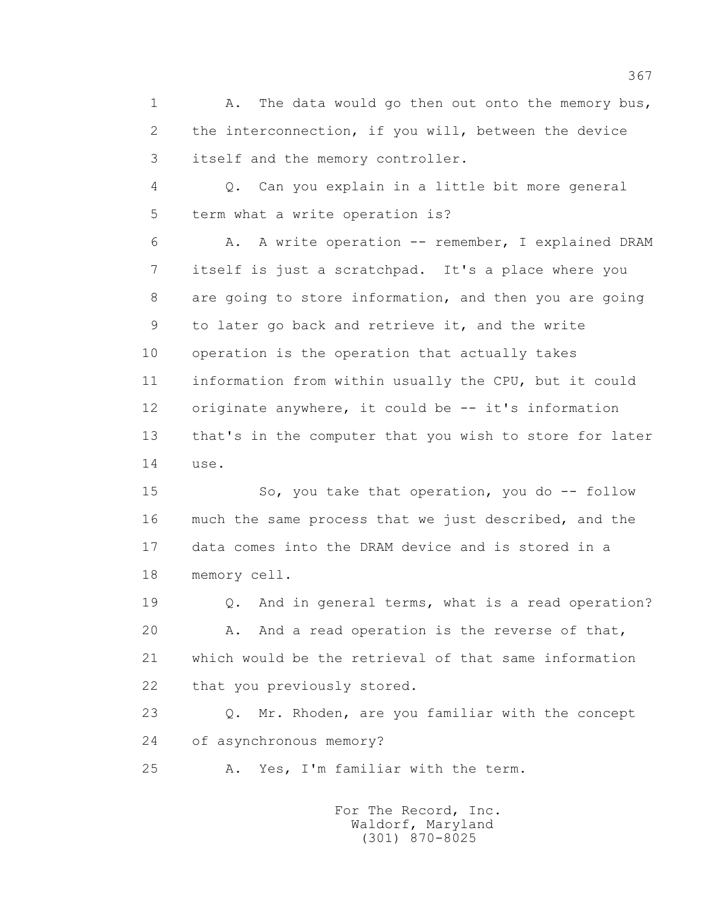1 A. The data would go then out onto the memory bus, 2 the interconnection, if you will, between the device 3 itself and the memory controller.

 4 Q. Can you explain in a little bit more general 5 term what a write operation is?

 6 A. A write operation -- remember, I explained DRAM 7 itself is just a scratchpad. It's a place where you 8 are going to store information, and then you are going 9 to later go back and retrieve it, and the write 10 operation is the operation that actually takes 11 information from within usually the CPU, but it could 12 originate anywhere, it could be -- it's information 13 that's in the computer that you wish to store for later 14 use.

 15 So, you take that operation, you do -- follow 16 much the same process that we just described, and the 17 data comes into the DRAM device and is stored in a 18 memory cell.

 19 Q. And in general terms, what is a read operation? 20 A. And a read operation is the reverse of that, 21 which would be the retrieval of that same information 22 that you previously stored.

 23 Q. Mr. Rhoden, are you familiar with the concept 24 of asynchronous memory?

25 A. Yes, I'm familiar with the term.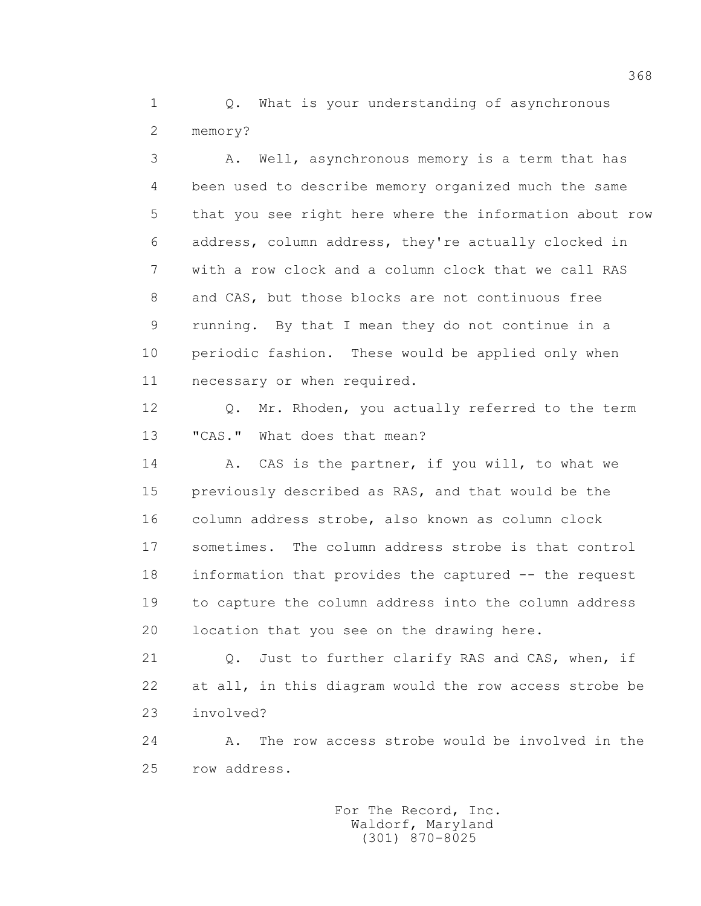1 0. What is your understanding of asynchronous 2 memory?

 3 A. Well, asynchronous memory is a term that has 4 been used to describe memory organized much the same 5 that you see right here where the information about row 6 address, column address, they're actually clocked in 7 with a row clock and a column clock that we call RAS 8 and CAS, but those blocks are not continuous free 9 running. By that I mean they do not continue in a 10 periodic fashion. These would be applied only when 11 necessary or when required.

 12 Q. Mr. Rhoden, you actually referred to the term 13 "CAS." What does that mean?

14 A. CAS is the partner, if you will, to what we 15 previously described as RAS, and that would be the 16 column address strobe, also known as column clock 17 sometimes. The column address strobe is that control 18 information that provides the captured -- the request 19 to capture the column address into the column address 20 location that you see on the drawing here.

 21 Q. Just to further clarify RAS and CAS, when, if 22 at all, in this diagram would the row access strobe be 23 involved?

 24 A. The row access strobe would be involved in the 25 row address.

> For The Record, Inc. Waldorf, Maryland (301) 870-8025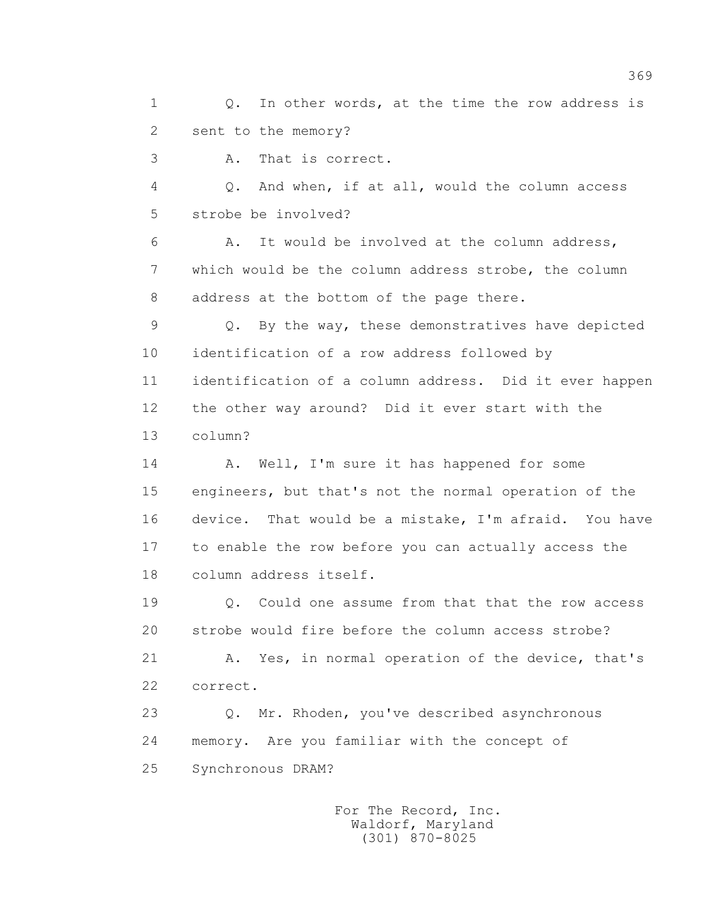1 0. In other words, at the time the row address is 2 sent to the memory?

3 A. That is correct.

 4 Q. And when, if at all, would the column access 5 strobe be involved?

 6 A. It would be involved at the column address, 7 which would be the column address strobe, the column 8 address at the bottom of the page there.

 9 Q. By the way, these demonstratives have depicted 10 identification of a row address followed by 11 identification of a column address. Did it ever happen 12 the other way around? Did it ever start with the 13 column?

14 A. Well, I'm sure it has happened for some 15 engineers, but that's not the normal operation of the 16 device. That would be a mistake, I'm afraid. You have 17 to enable the row before you can actually access the 18 column address itself.

 19 Q. Could one assume from that that the row access 20 strobe would fire before the column access strobe?

 21 A. Yes, in normal operation of the device, that's 22 correct.

 23 Q. Mr. Rhoden, you've described asynchronous 24 memory. Are you familiar with the concept of 25 Synchronous DRAM?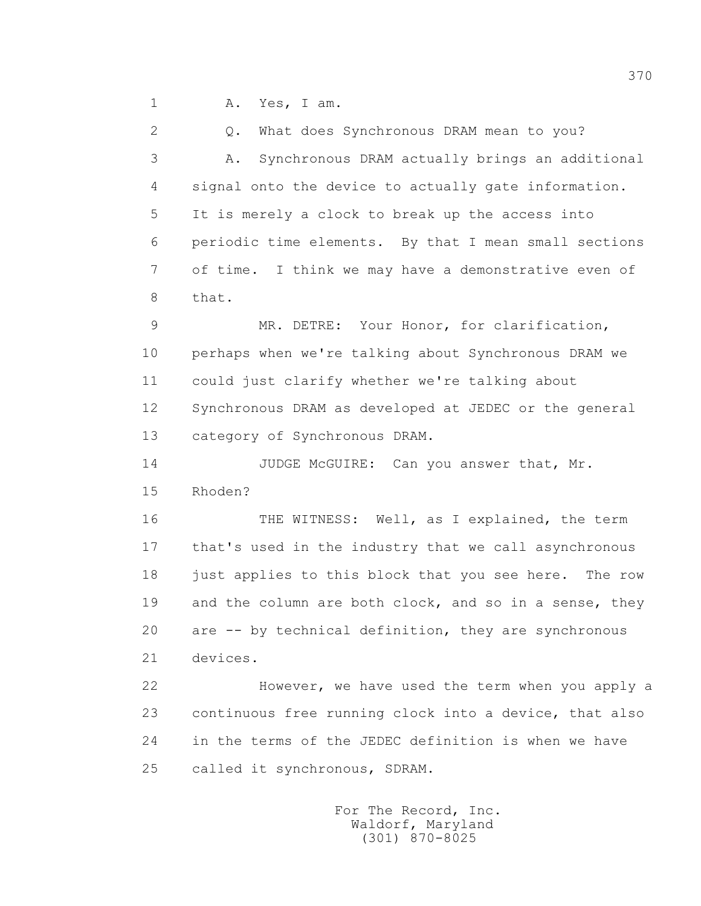1 A. Yes, I am.

 2 Q. What does Synchronous DRAM mean to you? 3 A. Synchronous DRAM actually brings an additional 4 signal onto the device to actually gate information. 5 It is merely a clock to break up the access into 6 periodic time elements. By that I mean small sections 7 of time. I think we may have a demonstrative even of 8 that.

 9 MR. DETRE: Your Honor, for clarification, 10 perhaps when we're talking about Synchronous DRAM we 11 could just clarify whether we're talking about 12 Synchronous DRAM as developed at JEDEC or the general 13 category of Synchronous DRAM.

14 JUDGE McGUIRE: Can you answer that, Mr. 15 Rhoden?

16 THE WITNESS: Well, as I explained, the term 17 that's used in the industry that we call asynchronous 18 just applies to this block that you see here. The row 19 and the column are both clock, and so in a sense, they 20 are -- by technical definition, they are synchronous 21 devices.

 22 However, we have used the term when you apply a 23 continuous free running clock into a device, that also 24 in the terms of the JEDEC definition is when we have 25 called it synchronous, SDRAM.

> For The Record, Inc. Waldorf, Maryland (301) 870-8025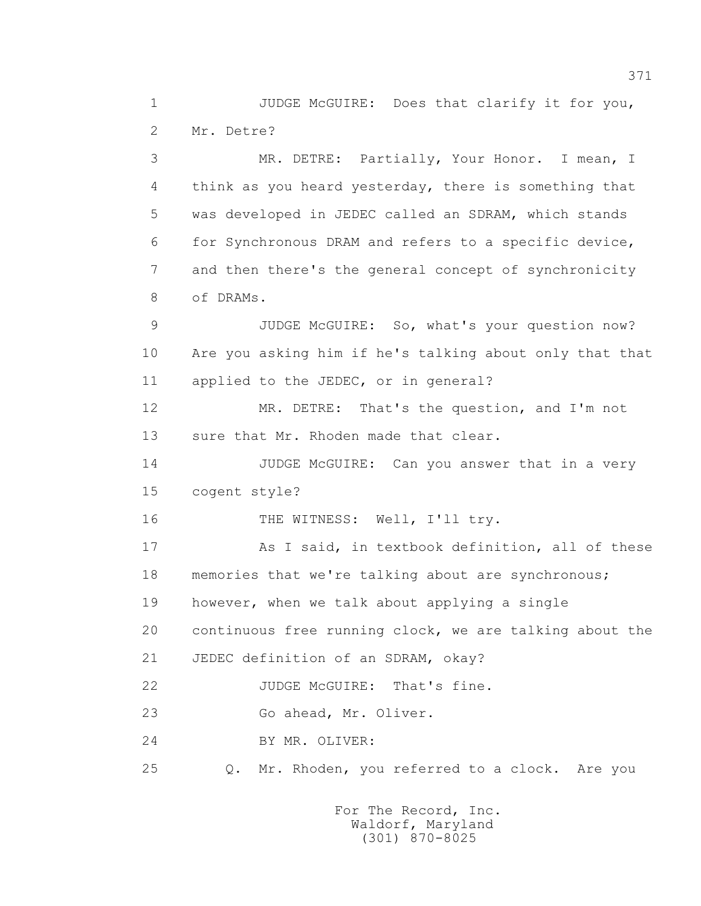1 JUDGE McGUIRE: Does that clarify it for you, 2 Mr. Detre?

 3 MR. DETRE: Partially, Your Honor. I mean, I 4 think as you heard yesterday, there is something that 5 was developed in JEDEC called an SDRAM, which stands 6 for Synchronous DRAM and refers to a specific device, 7 and then there's the general concept of synchronicity 8 of DRAMs.

9 JUDGE McGUIRE: So, what's your question now? 10 Are you asking him if he's talking about only that that 11 applied to the JEDEC, or in general?

 12 MR. DETRE: That's the question, and I'm not 13 sure that Mr. Rhoden made that clear.

14 JUDGE McGUIRE: Can you answer that in a very 15 cogent style?

16 THE WITNESS: Well, I'll try.

 17 As I said, in textbook definition, all of these 18 memories that we're talking about are synchronous; 19 however, when we talk about applying a single

20 continuous free running clock, we are talking about the

21 JEDEC definition of an SDRAM, okay?

22 JUDGE McGUIRE: That's fine.

23 Go ahead, Mr. Oliver.

24 BY MR. OLIVER:

25 Q. Mr. Rhoden, you referred to a clock. Are you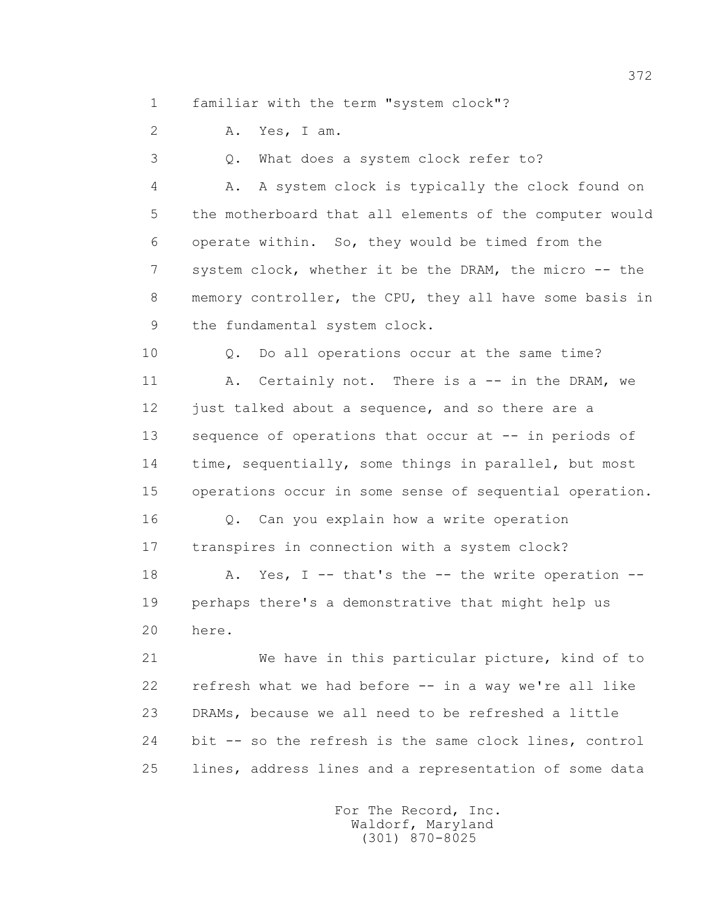1 familiar with the term "system clock"?

2 A. Yes, I am.

3 Q. What does a system clock refer to?

 4 A. A system clock is typically the clock found on 5 the motherboard that all elements of the computer would 6 operate within. So, they would be timed from the 7 system clock, whether it be the DRAM, the micro -- the 8 memory controller, the CPU, they all have some basis in 9 the fundamental system clock.

 10 Q. Do all operations occur at the same time? 11 A. Certainly not. There is a -- in the DRAM, we 12 just talked about a sequence, and so there are a 13 sequence of operations that occur at -- in periods of 14 time, sequentially, some things in parallel, but most 15 operations occur in some sense of sequential operation.

 16 Q. Can you explain how a write operation 17 transpires in connection with a system clock?

18 A. Yes, I -- that's the -- the write operation -- 19 perhaps there's a demonstrative that might help us 20 here.

 21 We have in this particular picture, kind of to 22 refresh what we had before -- in a way we're all like 23 DRAMs, because we all need to be refreshed a little 24 bit -- so the refresh is the same clock lines, control 25 lines, address lines and a representation of some data

> For The Record, Inc. Waldorf, Maryland (301) 870-8025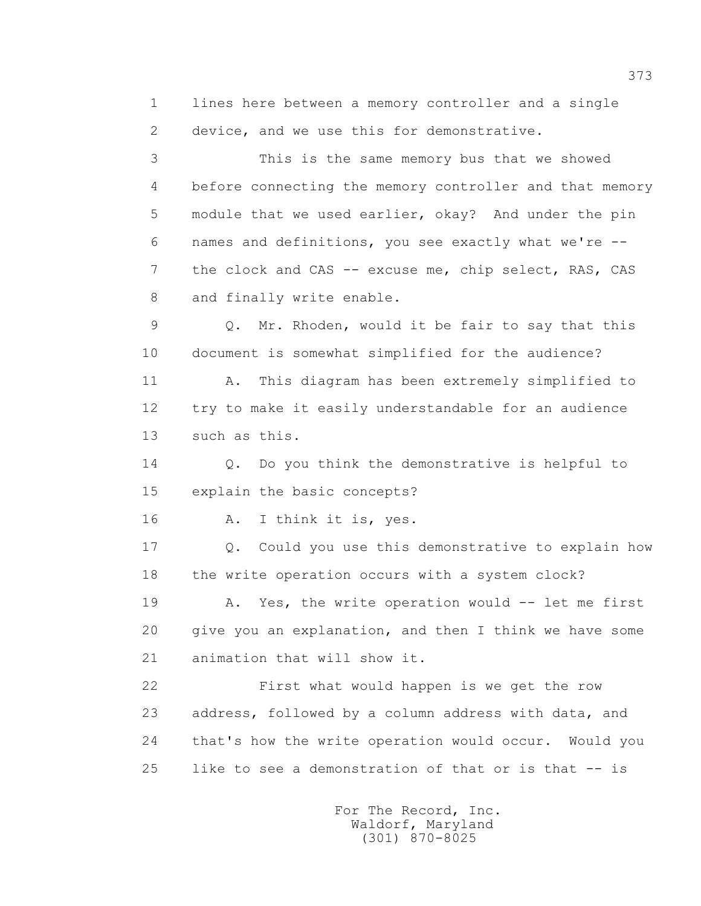1 lines here between a memory controller and a single 2 device, and we use this for demonstrative. 3 This is the same memory bus that we showed 4 before connecting the memory controller and that memory 5 module that we used earlier, okay? And under the pin 6 names and definitions, you see exactly what we're -- 7 the clock and CAS -- excuse me, chip select, RAS, CAS 8 and finally write enable. 9 Q. Mr. Rhoden, would it be fair to say that this 10 document is somewhat simplified for the audience? 11 A. This diagram has been extremely simplified to 12 try to make it easily understandable for an audience 13 such as this. 14 Q. Do you think the demonstrative is helpful to 15 explain the basic concepts? 16 A. I think it is, yes. 17 Q. Could you use this demonstrative to explain how 18 the write operation occurs with a system clock? 19 A. Yes, the write operation would -- let me first 20 give you an explanation, and then I think we have some 21 animation that will show it. 22 First what would happen is we get the row 23 address, followed by a column address with data, and 24 that's how the write operation would occur. Would you 25 like to see a demonstration of that or is that -- is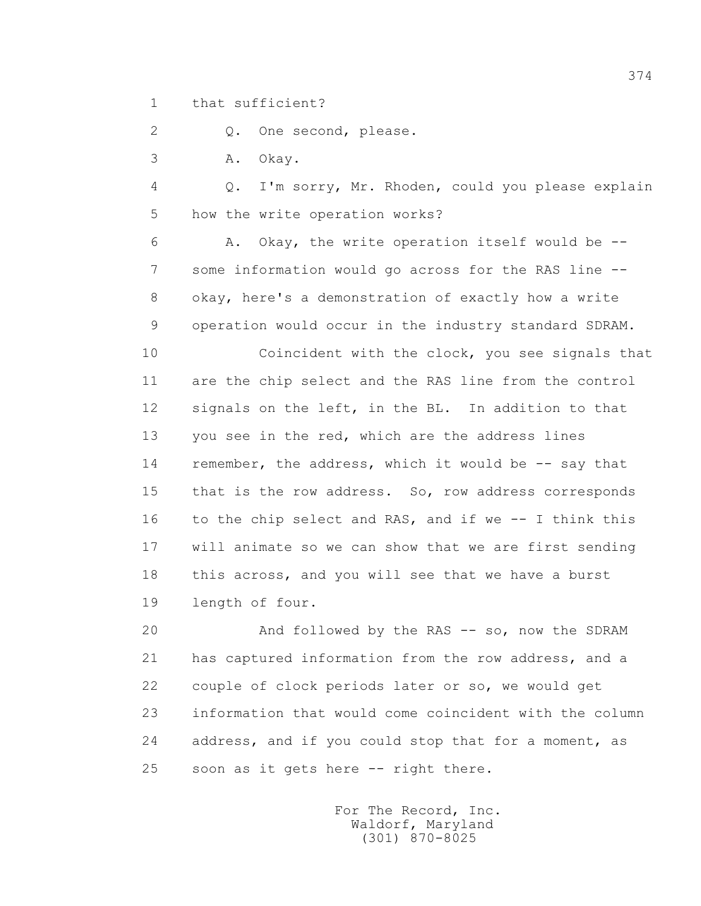1 that sufficient?

2 Q. One second, please.

3 A. Okay.

 4 Q. I'm sorry, Mr. Rhoden, could you please explain 5 how the write operation works?

 6 A. Okay, the write operation itself would be -- 7 some information would go across for the RAS line -- 8 okay, here's a demonstration of exactly how a write 9 operation would occur in the industry standard SDRAM.

 10 Coincident with the clock, you see signals that 11 are the chip select and the RAS line from the control 12 signals on the left, in the BL. In addition to that 13 you see in the red, which are the address lines 14 remember, the address, which it would be -- say that 15 that is the row address. So, row address corresponds 16 to the chip select and RAS, and if we -- I think this 17 will animate so we can show that we are first sending 18 this across, and you will see that we have a burst 19 length of four.

 20 And followed by the RAS -- so, now the SDRAM 21 has captured information from the row address, and a 22 couple of clock periods later or so, we would get 23 information that would come coincident with the column 24 address, and if you could stop that for a moment, as 25 soon as it gets here -- right there.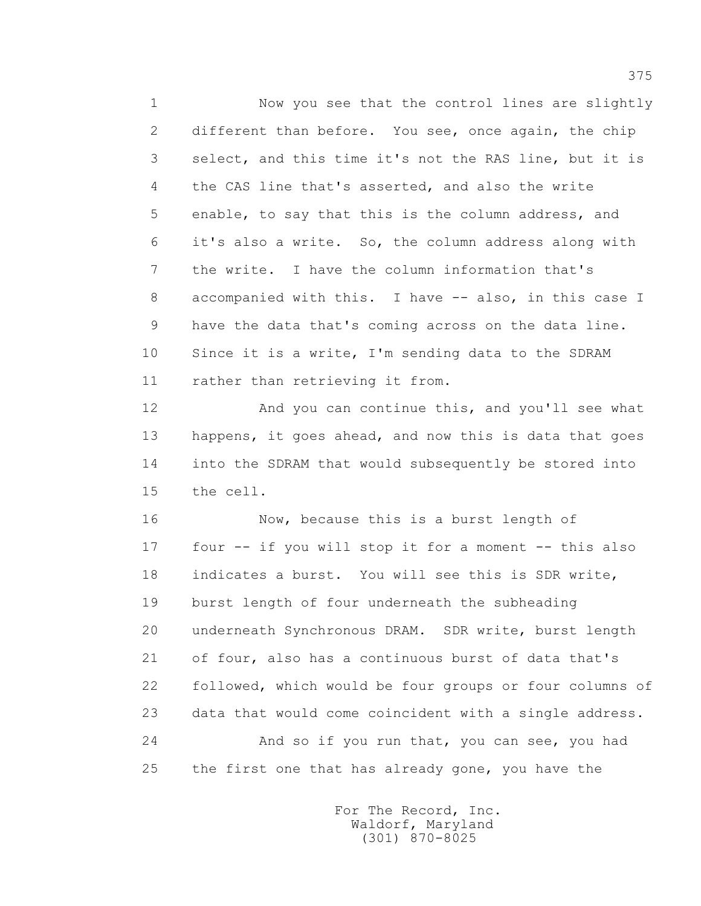1 Now you see that the control lines are slightly 2 different than before. You see, once again, the chip 3 select, and this time it's not the RAS line, but it is 4 the CAS line that's asserted, and also the write 5 enable, to say that this is the column address, and 6 it's also a write. So, the column address along with 7 the write. I have the column information that's 8 accompanied with this. I have -- also, in this case I 9 have the data that's coming across on the data line. 10 Since it is a write, I'm sending data to the SDRAM 11 rather than retrieving it from.

 12 And you can continue this, and you'll see what 13 happens, it goes ahead, and now this is data that goes 14 into the SDRAM that would subsequently be stored into 15 the cell.

 16 Now, because this is a burst length of 17 four -- if you will stop it for a moment -- this also 18 indicates a burst. You will see this is SDR write, 19 burst length of four underneath the subheading 20 underneath Synchronous DRAM. SDR write, burst length 21 of four, also has a continuous burst of data that's 22 followed, which would be four groups or four columns of 23 data that would come coincident with a single address. 24 And so if you run that, you can see, you had 25 the first one that has already gone, you have the

> For The Record, Inc. Waldorf, Maryland (301) 870-8025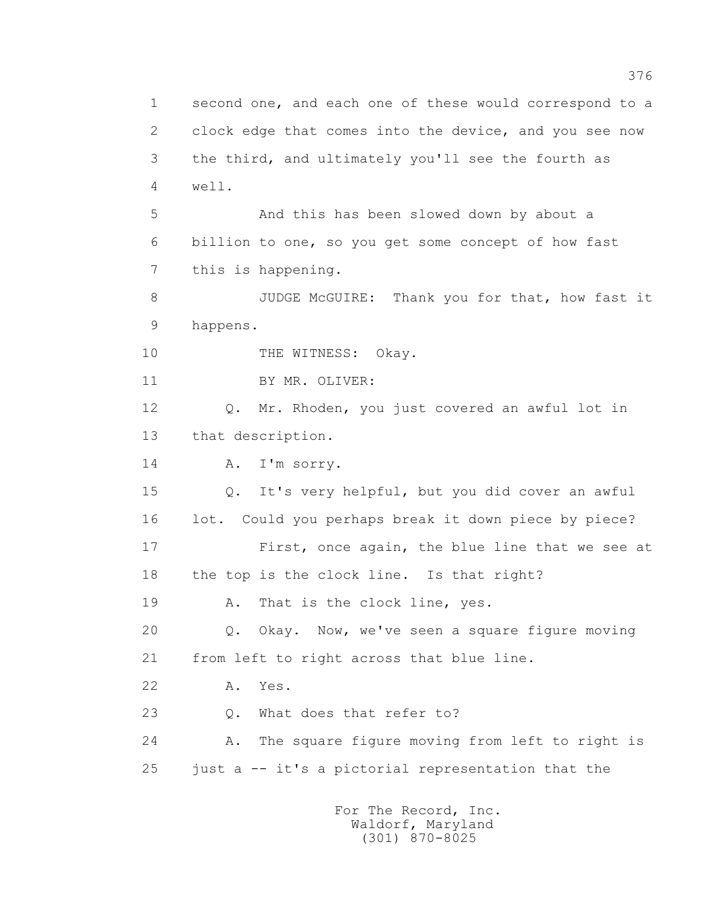1 second one, and each one of these would correspond to a 2 clock edge that comes into the device, and you see now 3 the third, and ultimately you'll see the fourth as 4 well. 5 And this has been slowed down by about a 6 billion to one, so you get some concept of how fast 7 this is happening. 8 JUDGE McGUIRE: Thank you for that, how fast it 9 happens. 10 THE WITNESS: Okay. 11 BY MR. OLIVER: 12 Q. Mr. Rhoden, you just covered an awful lot in 13 that description. 14 A. I'm sorry. 15 Q. It's very helpful, but you did cover an awful 16 lot. Could you perhaps break it down piece by piece? 17 First, once again, the blue line that we see at 18 the top is the clock line. Is that right? 19 A. That is the clock line, yes. 20 Q. Okay. Now, we've seen a square figure moving 21 from left to right across that blue line. 22 A. Yes. 23 0. What does that refer to? 24 A. The square figure moving from left to right is 25 just a -- it's a pictorial representation that the For The Record, Inc.

 Waldorf, Maryland (301) 870-8025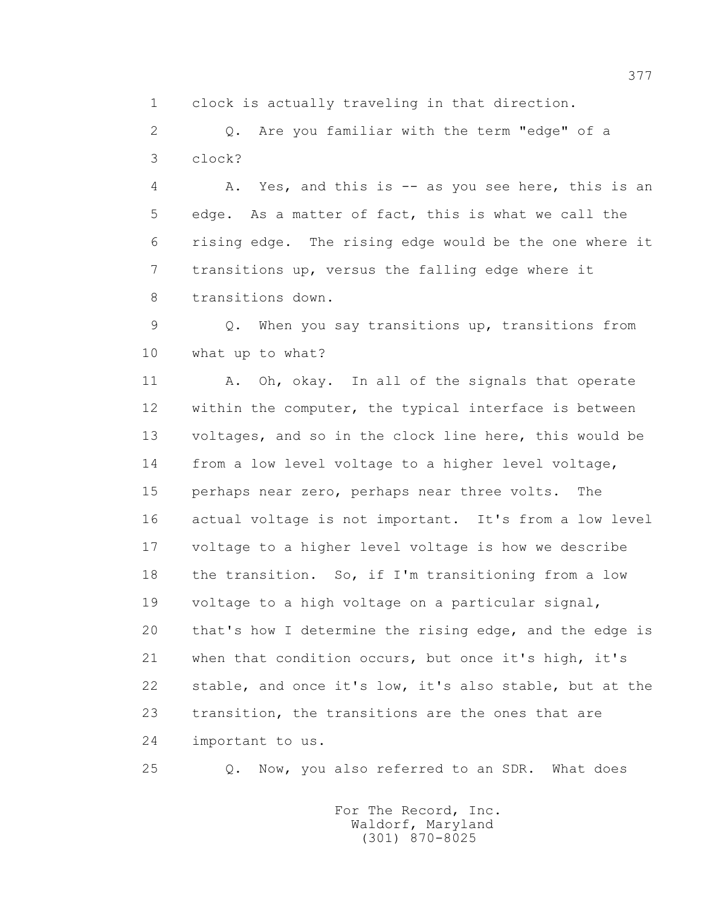1 clock is actually traveling in that direction.

 2 Q. Are you familiar with the term "edge" of a 3 clock?

 4 A. Yes, and this is -- as you see here, this is an 5 edge. As a matter of fact, this is what we call the 6 rising edge. The rising edge would be the one where it 7 transitions up, versus the falling edge where it 8 transitions down.

 9 Q. When you say transitions up, transitions from 10 what up to what?

11 A. Oh, okay. In all of the signals that operate 12 within the computer, the typical interface is between 13 voltages, and so in the clock line here, this would be 14 from a low level voltage to a higher level voltage, 15 perhaps near zero, perhaps near three volts. The 16 actual voltage is not important. It's from a low level 17 voltage to a higher level voltage is how we describe 18 the transition. So, if I'm transitioning from a low 19 voltage to a high voltage on a particular signal, 20 that's how I determine the rising edge, and the edge is 21 when that condition occurs, but once it's high, it's 22 stable, and once it's low, it's also stable, but at the 23 transition, the transitions are the ones that are 24 important to us.

25 Q. Now, you also referred to an SDR. What does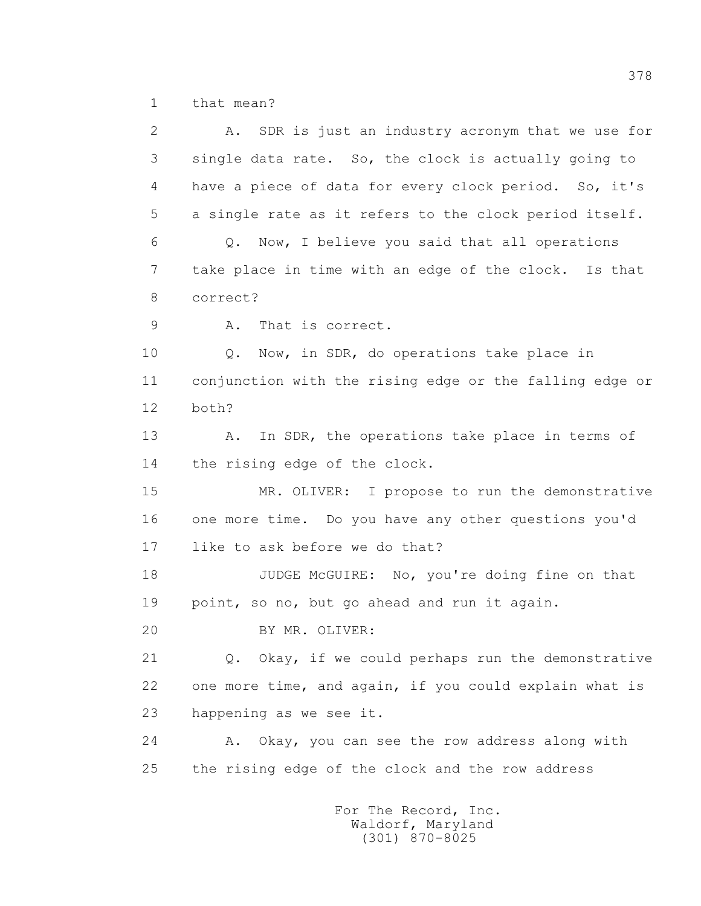1 that mean?

| $\mathbf{2}$  | SDR is just an industry acronym that we use for<br>Α.   |
|---------------|---------------------------------------------------------|
| 3             | single data rate. So, the clock is actually going to    |
| 4             | have a piece of data for every clock period. So, it's   |
| 5             | a single rate as it refers to the clock period itself.  |
| 6             | Q. Now, I believe you said that all operations          |
| 7             | take place in time with an edge of the clock. Is that   |
| 8             | correct?                                                |
| $\mathcal{G}$ | That is correct.<br>Α.                                  |
| 10            | Now, in SDR, do operations take place in<br>Q.          |
| 11            | conjunction with the rising edge or the falling edge or |
| 12            | both?                                                   |
| 13            | In SDR, the operations take place in terms of<br>Α.     |
| 14            | the rising edge of the clock.                           |
| 15            | MR. OLIVER: I propose to run the demonstrative          |
| 16            | one more time. Do you have any other questions you'd    |
| 17            | like to ask before we do that?                          |
| 18            | JUDGE McGUIRE: No, you're doing fine on that            |
| 19            | point, so no, but go ahead and run it again.            |
| 20            | BY MR. OLIVER:                                          |
| 21            | Q. Okay, if we could perhaps run the demonstrative      |
| 22            | one more time, and again, if you could explain what is  |
| 23            | happening as we see it.                                 |
| 24            | Okay, you can see the row address along with<br>Α.      |
| 25            | the rising edge of the clock and the row address        |
|               | For The Record, Inc.                                    |

Waldorf, Maryland (301) 870-8025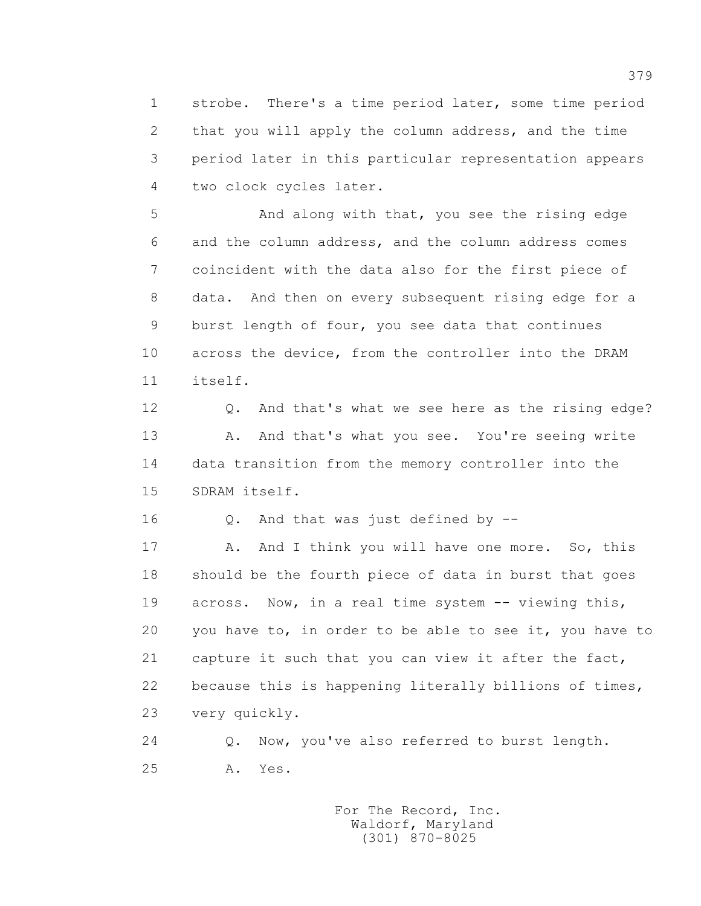1 strobe. There's a time period later, some time period 2 that you will apply the column address, and the time 3 period later in this particular representation appears 4 two clock cycles later.

 5 And along with that, you see the rising edge 6 and the column address, and the column address comes 7 coincident with the data also for the first piece of 8 data. And then on every subsequent rising edge for a 9 burst length of four, you see data that continues 10 across the device, from the controller into the DRAM 11 itself.

 12 Q. And that's what we see here as the rising edge? 13 A. And that's what you see. You're seeing write 14 data transition from the memory controller into the 15 SDRAM itself.

16 Q. And that was just defined by --

17 A. And I think you will have one more. So, this 18 should be the fourth piece of data in burst that goes 19 across. Now, in a real time system -- viewing this, 20 you have to, in order to be able to see it, you have to 21 capture it such that you can view it after the fact, 22 because this is happening literally billions of times, 23 very quickly.

 24 Q. Now, you've also referred to burst length. 25 A. Yes.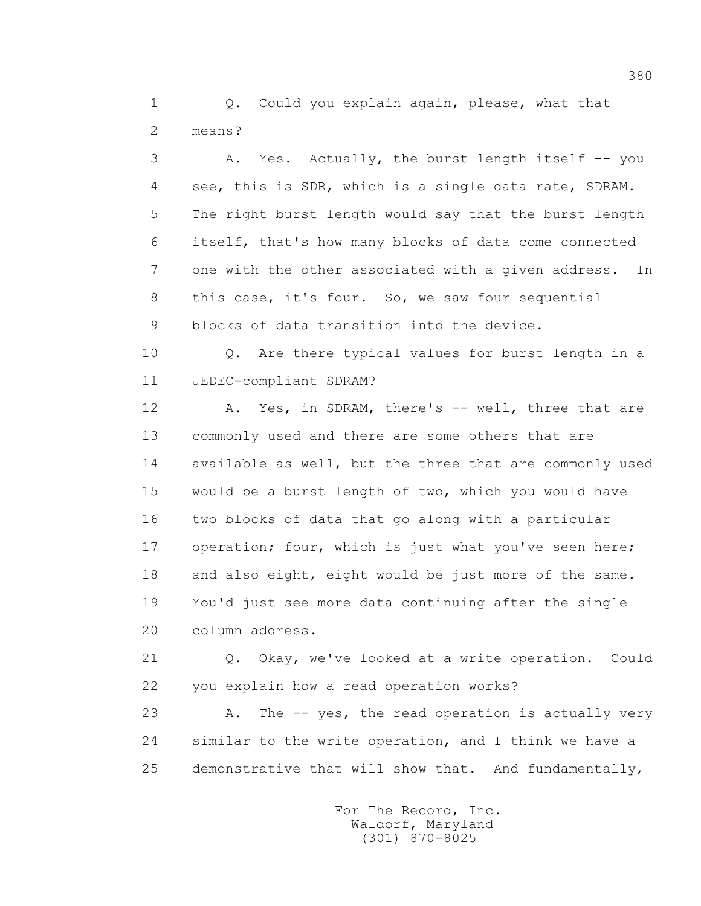1 0. Could you explain again, please, what that 2 means?

 3 A. Yes. Actually, the burst length itself -- you 4 see, this is SDR, which is a single data rate, SDRAM. 5 The right burst length would say that the burst length 6 itself, that's how many blocks of data come connected 7 one with the other associated with a given address. In 8 this case, it's four. So, we saw four sequential 9 blocks of data transition into the device.

 10 Q. Are there typical values for burst length in a 11 JEDEC-compliant SDRAM?

12 A. Yes, in SDRAM, there's -- well, three that are 13 commonly used and there are some others that are 14 available as well, but the three that are commonly used 15 would be a burst length of two, which you would have 16 two blocks of data that go along with a particular 17 operation; four, which is just what you've seen here; 18 and also eight, eight would be just more of the same. 19 You'd just see more data continuing after the single 20 column address.

 21 Q. Okay, we've looked at a write operation. Could 22 you explain how a read operation works?

23 A. The -- yes, the read operation is actually very 24 similar to the write operation, and I think we have a 25 demonstrative that will show that. And fundamentally,

> For The Record, Inc. Waldorf, Maryland (301) 870-8025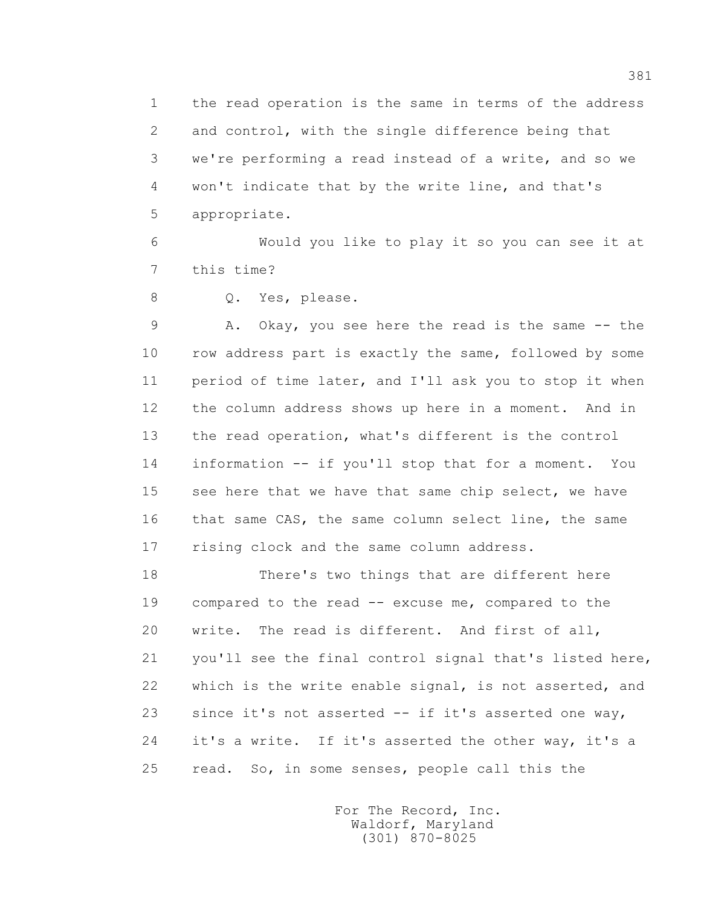1 the read operation is the same in terms of the address 2 and control, with the single difference being that 3 we're performing a read instead of a write, and so we 4 won't indicate that by the write line, and that's 5 appropriate.

 6 Would you like to play it so you can see it at 7 this time?

8 Q. Yes, please.

 9 A. Okay, you see here the read is the same -- the 10 row address part is exactly the same, followed by some 11 period of time later, and I'll ask you to stop it when 12 the column address shows up here in a moment. And in 13 the read operation, what's different is the control 14 information -- if you'll stop that for a moment. You 15 see here that we have that same chip select, we have 16 that same CAS, the same column select line, the same 17 rising clock and the same column address.

 18 There's two things that are different here 19 compared to the read -- excuse me, compared to the 20 write. The read is different. And first of all, 21 you'll see the final control signal that's listed here, 22 which is the write enable signal, is not asserted, and 23 since it's not asserted -- if it's asserted one way, 24 it's a write. If it's asserted the other way, it's a 25 read. So, in some senses, people call this the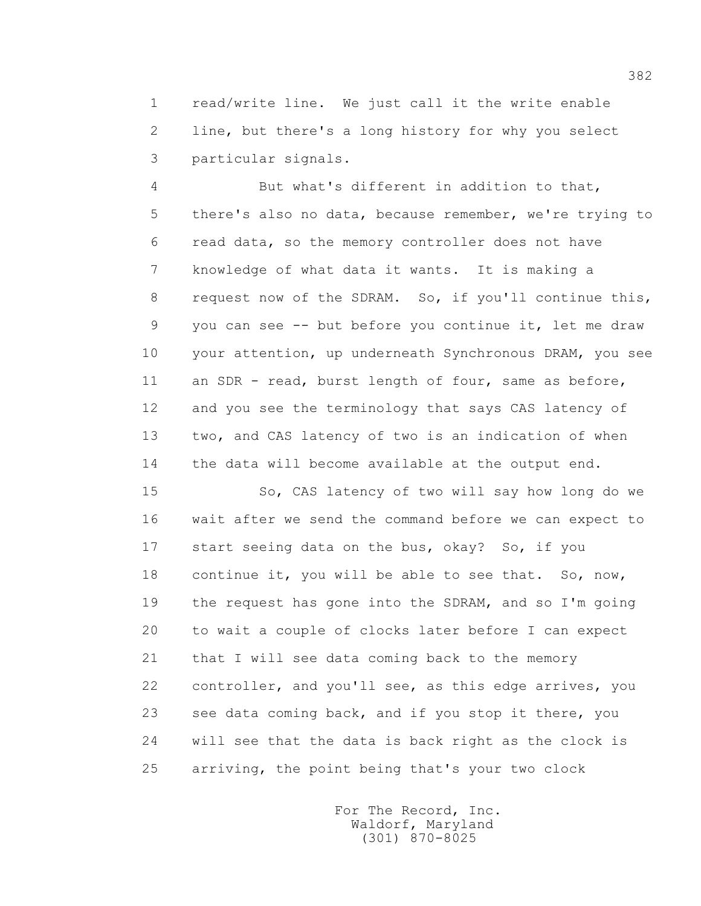1 read/write line. We just call it the write enable 2 line, but there's a long history for why you select 3 particular signals.

 4 But what's different in addition to that, 5 there's also no data, because remember, we're trying to 6 read data, so the memory controller does not have 7 knowledge of what data it wants. It is making a 8 request now of the SDRAM. So, if you'll continue this, 9 you can see -- but before you continue it, let me draw 10 your attention, up underneath Synchronous DRAM, you see 11 an SDR - read, burst length of four, same as before, 12 and you see the terminology that says CAS latency of 13 two, and CAS latency of two is an indication of when 14 the data will become available at the output end.

 15 So, CAS latency of two will say how long do we 16 wait after we send the command before we can expect to 17 start seeing data on the bus, okay? So, if you 18 continue it, you will be able to see that. So, now, 19 the request has gone into the SDRAM, and so I'm going 20 to wait a couple of clocks later before I can expect 21 that I will see data coming back to the memory 22 controller, and you'll see, as this edge arrives, you 23 see data coming back, and if you stop it there, you 24 will see that the data is back right as the clock is 25 arriving, the point being that's your two clock

> For The Record, Inc. Waldorf, Maryland (301) 870-8025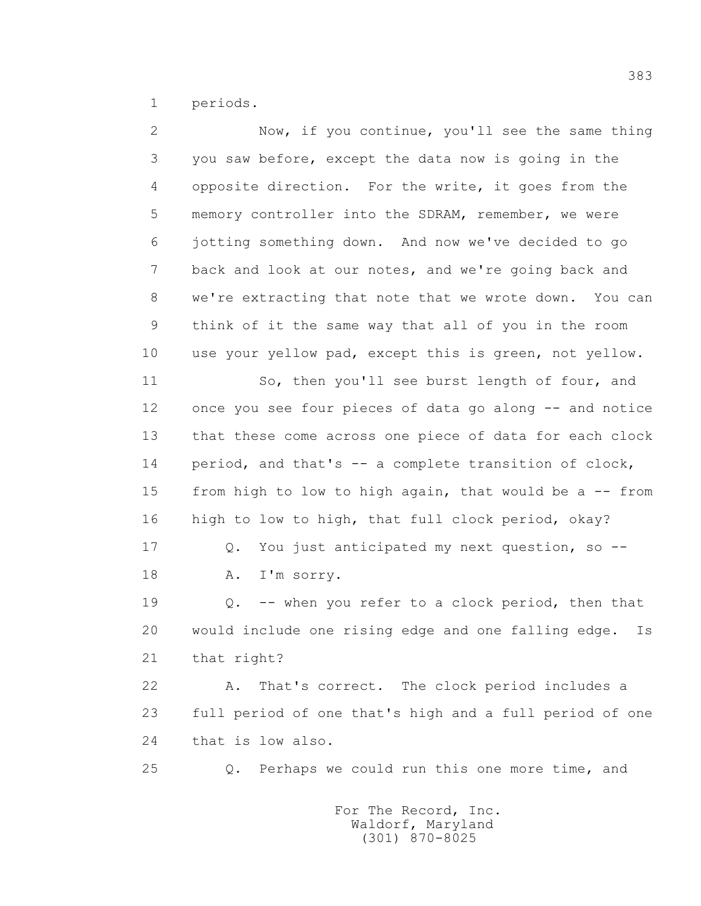1 periods.

| $\overline{2}$ | Now, if you continue, you'll see the same thing           |
|----------------|-----------------------------------------------------------|
| 3              | you saw before, except the data now is going in the       |
| 4              | opposite direction. For the write, it goes from the       |
| 5              | memory controller into the SDRAM, remember, we were       |
| 6              | jotting something down. And now we've decided to go       |
| 7              | back and look at our notes, and we're going back and      |
| 8              | we're extracting that note that we wrote down. You can    |
| 9              | think of it the same way that all of you in the room      |
| 10             | use your yellow pad, except this is green, not yellow.    |
| 11             | So, then you'll see burst length of four, and             |
| 12             | once you see four pieces of data go along -- and notice   |
| 13             | that these come across one piece of data for each clock   |
| 14             | period, and that's -- a complete transition of clock,     |
| 15             | from high to low to high again, that would be a -- from   |
| 16             | high to low to high, that full clock period, okay?        |
| 17             | You just anticipated my next question, so --<br>Q.        |
| 18             | I'm sorry.<br>Α.                                          |
| 19             | -- when you refer to a clock period, then that<br>Q.      |
| 20             | would include one rising edge and one falling edge.<br>Is |
| 21             | that right?                                               |
| 22             | That's correct. The clock period includes a<br>Α.         |
| 23             | full period of one that's high and a full period of one   |
| 24             | that is low also.                                         |
| 25             | Perhaps we could run this one more time, and<br>Q.        |
|                |                                                           |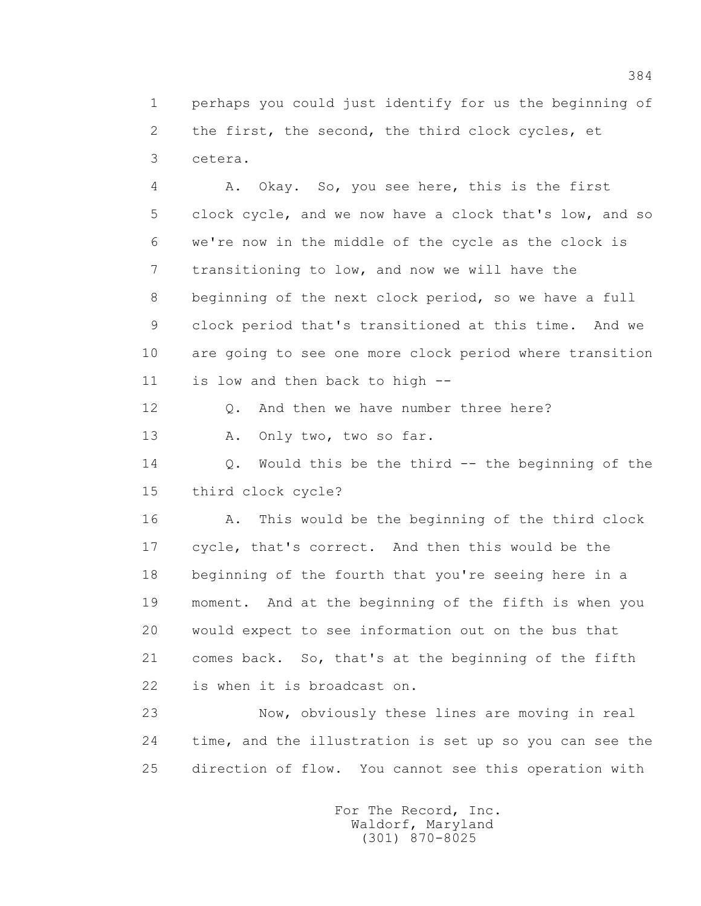1 perhaps you could just identify for us the beginning of 2 the first, the second, the third clock cycles, et 3 cetera.

 4 A. Okay. So, you see here, this is the first 5 clock cycle, and we now have a clock that's low, and so 6 we're now in the middle of the cycle as the clock is 7 transitioning to low, and now we will have the 8 beginning of the next clock period, so we have a full 9 clock period that's transitioned at this time. And we 10 are going to see one more clock period where transition 11 is low and then back to high --

12 0. And then we have number three here?

13 A. Only two, two so far.

 14 Q. Would this be the third -- the beginning of the 15 third clock cycle?

 16 A. This would be the beginning of the third clock 17 cycle, that's correct. And then this would be the 18 beginning of the fourth that you're seeing here in a 19 moment. And at the beginning of the fifth is when you 20 would expect to see information out on the bus that 21 comes back. So, that's at the beginning of the fifth 22 is when it is broadcast on.

 23 Now, obviously these lines are moving in real 24 time, and the illustration is set up so you can see the 25 direction of flow. You cannot see this operation with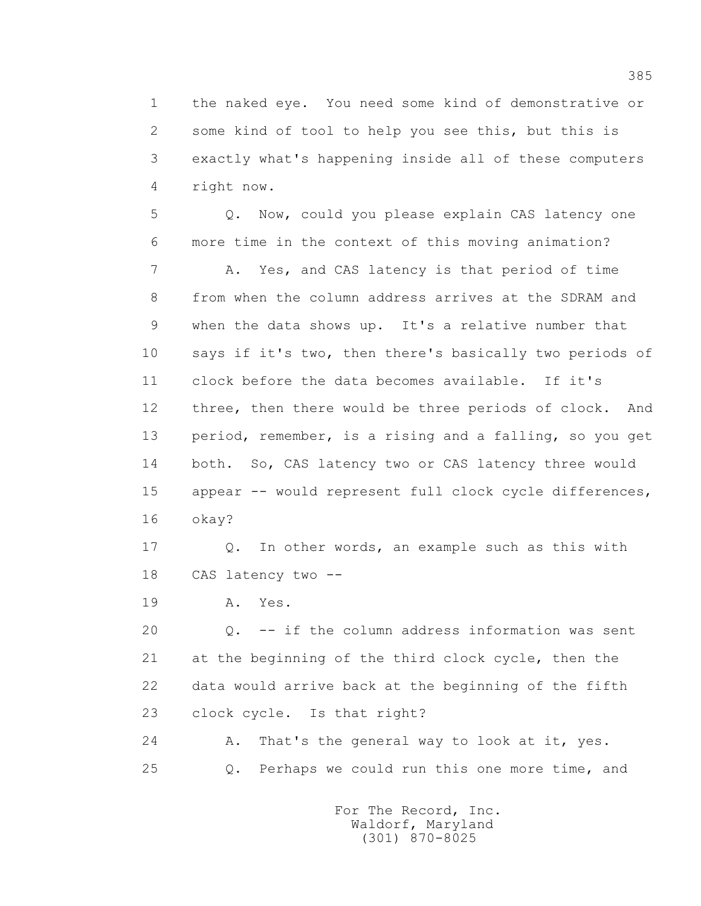1 the naked eye. You need some kind of demonstrative or 2 some kind of tool to help you see this, but this is 3 exactly what's happening inside all of these computers 4 right now.

 5 Q. Now, could you please explain CAS latency one 6 more time in the context of this moving animation?

 7 A. Yes, and CAS latency is that period of time 8 from when the column address arrives at the SDRAM and 9 when the data shows up. It's a relative number that 10 says if it's two, then there's basically two periods of 11 clock before the data becomes available. If it's 12 three, then there would be three periods of clock. And 13 period, remember, is a rising and a falling, so you get 14 both. So, CAS latency two or CAS latency three would 15 appear -- would represent full clock cycle differences, 16 okay?

 17 Q. In other words, an example such as this with 18 CAS latency two --

19 **A.** Yes.

 20 Q. -- if the column address information was sent 21 at the beginning of the third clock cycle, then the 22 data would arrive back at the beginning of the fifth 23 clock cycle. Is that right?

 24 A. That's the general way to look at it, yes. 25 Q. Perhaps we could run this one more time, and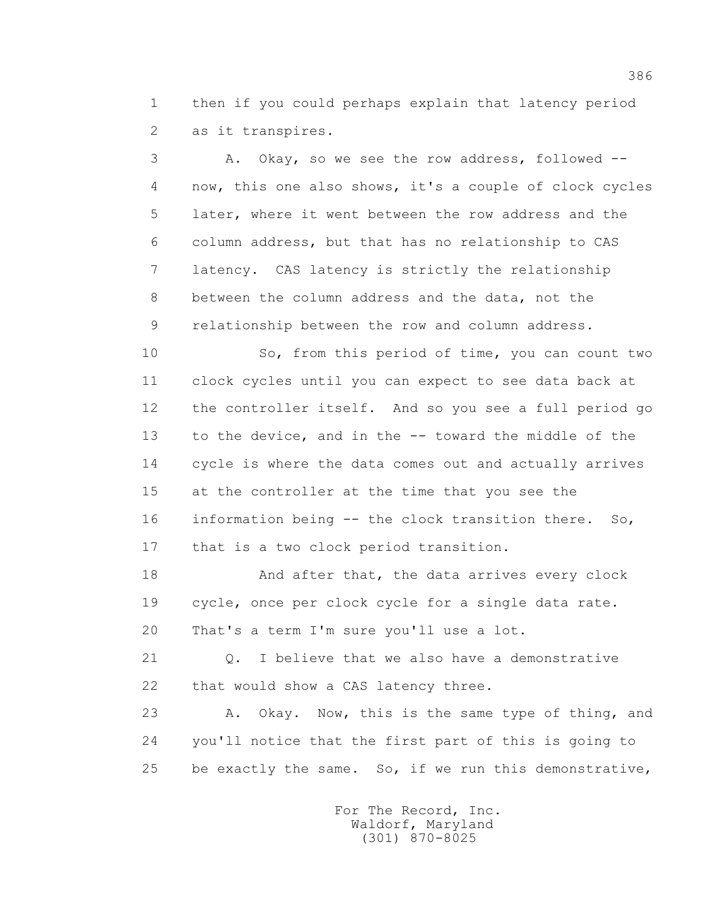1 then if you could perhaps explain that latency period 2 as it transpires.

 3 A. Okay, so we see the row address, followed -- 4 now, this one also shows, it's a couple of clock cycles 5 later, where it went between the row address and the 6 column address, but that has no relationship to CAS 7 latency. CAS latency is strictly the relationship 8 between the column address and the data, not the 9 relationship between the row and column address.

 10 So, from this period of time, you can count two 11 clock cycles until you can expect to see data back at 12 the controller itself. And so you see a full period go 13 to the device, and in the -- toward the middle of the 14 cycle is where the data comes out and actually arrives 15 at the controller at the time that you see the 16 information being -- the clock transition there. So, 17 that is a two clock period transition.

18 And after that, the data arrives every clock 19 cycle, once per clock cycle for a single data rate. 20 That's a term I'm sure you'll use a lot.

21 0. I believe that we also have a demonstrative 22 that would show a CAS latency three.

23 A. Okay. Now, this is the same type of thing, and 24 you'll notice that the first part of this is going to 25 be exactly the same. So, if we run this demonstrative,

> For The Record, Inc. Waldorf, Maryland (301) 870-8025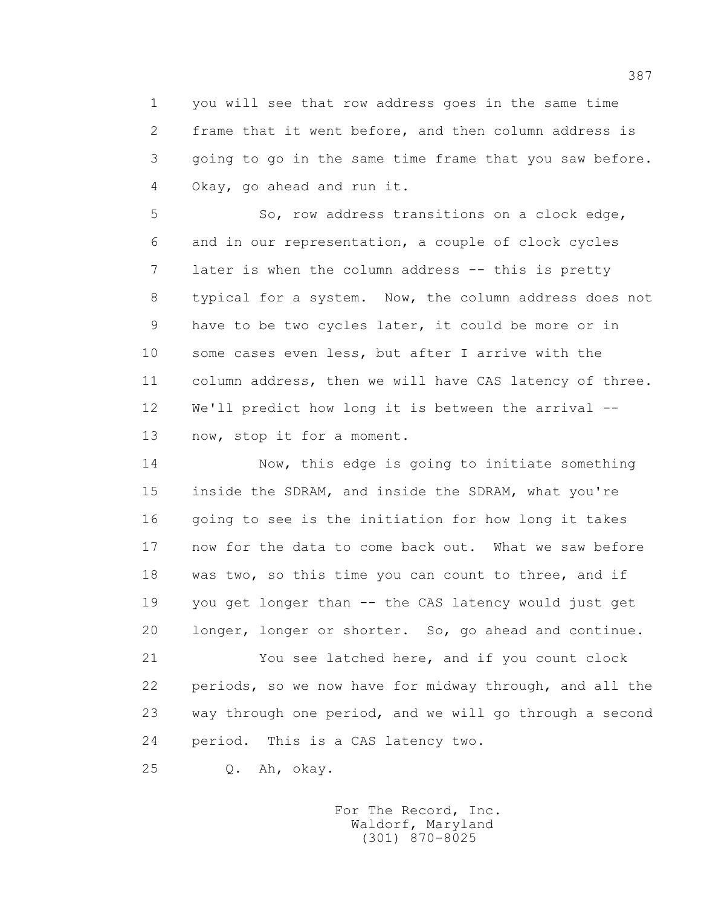1 you will see that row address goes in the same time 2 frame that it went before, and then column address is 3 going to go in the same time frame that you saw before. 4 Okay, go ahead and run it.

 5 So, row address transitions on a clock edge, 6 and in our representation, a couple of clock cycles 7 later is when the column address -- this is pretty 8 typical for a system. Now, the column address does not 9 have to be two cycles later, it could be more or in 10 some cases even less, but after I arrive with the 11 column address, then we will have CAS latency of three. 12 We'll predict how long it is between the arrival -- 13 now, stop it for a moment.

 14 Now, this edge is going to initiate something 15 inside the SDRAM, and inside the SDRAM, what you're 16 going to see is the initiation for how long it takes 17 now for the data to come back out. What we saw before 18 was two, so this time you can count to three, and if 19 you get longer than -- the CAS latency would just get 20 longer, longer or shorter. So, go ahead and continue.

 21 You see latched here, and if you count clock 22 periods, so we now have for midway through, and all the 23 way through one period, and we will go through a second 24 period. This is a CAS latency two.

25 Q. Ah, okay.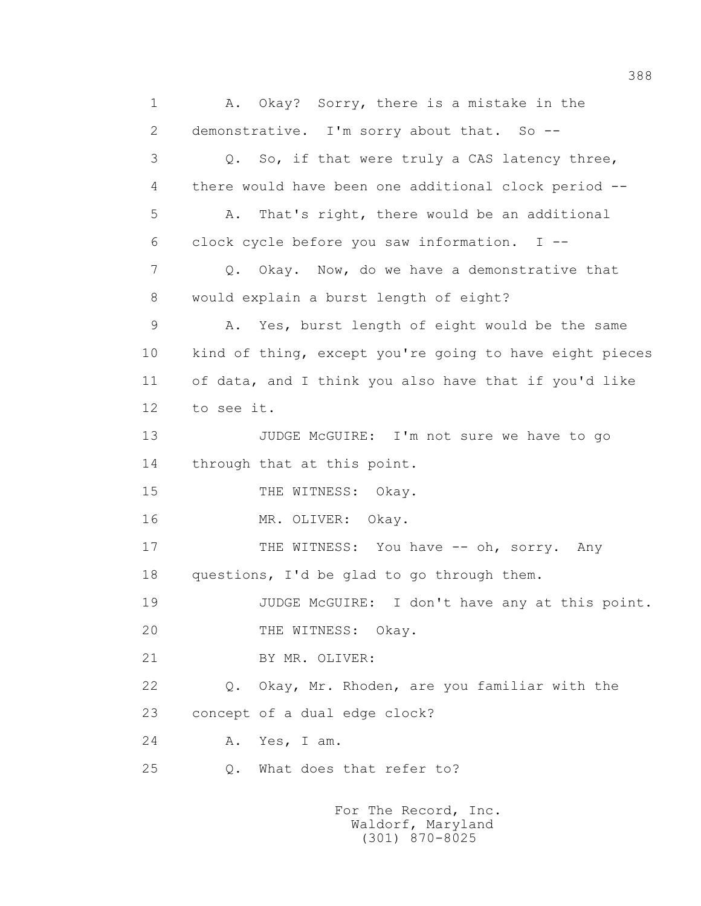1 A. Okay? Sorry, there is a mistake in the 2 demonstrative. I'm sorry about that. So -- 3 Q. So, if that were truly a CAS latency three, 4 there would have been one additional clock period -- 5 A. That's right, there would be an additional 6 clock cycle before you saw information. I -- 7 Q. Okay. Now, do we have a demonstrative that 8 would explain a burst length of eight? 9 A. Yes, burst length of eight would be the same 10 kind of thing, except you're going to have eight pieces 11 of data, and I think you also have that if you'd like 12 to see it. 13 JUDGE McGUIRE: I'm not sure we have to go 14 through that at this point. 15 THE WITNESS: Okay. 16 MR. OLIVER: Okay. 17 THE WITNESS: You have -- oh, sorry. Any 18 questions, I'd be glad to go through them. 19 JUDGE McGUIRE: I don't have any at this point. 20 THE WITNESS: Okay. 21 BY MR. OLIVER: 22 Q. Okay, Mr. Rhoden, are you familiar with the 23 concept of a dual edge clock? 24 A. Yes, I am. 25 Q. What does that refer to? For The Record, Inc.

 Waldorf, Maryland (301) 870-8025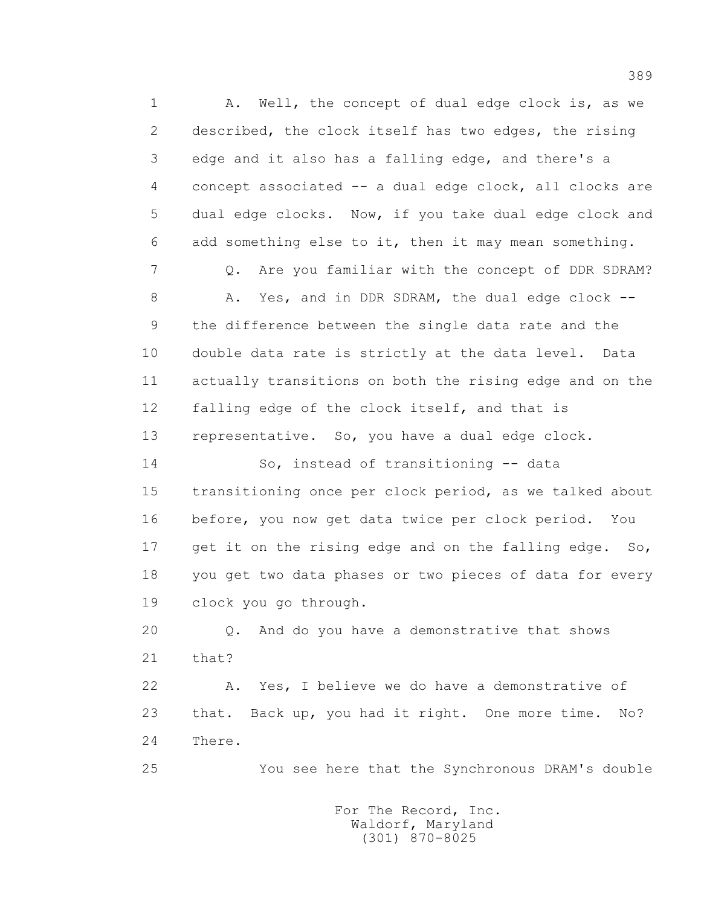1 A. Well, the concept of dual edge clock is, as we 2 described, the clock itself has two edges, the rising 3 edge and it also has a falling edge, and there's a 4 concept associated -- a dual edge clock, all clocks are 5 dual edge clocks. Now, if you take dual edge clock and 6 add something else to it, then it may mean something. 7 Q. Are you familiar with the concept of DDR SDRAM? 8 A. Yes, and in DDR SDRAM, the dual edge clock -- 9 the difference between the single data rate and the 10 double data rate is strictly at the data level. Data 11 actually transitions on both the rising edge and on the 12 falling edge of the clock itself, and that is 13 representative. So, you have a dual edge clock. 14 So, instead of transitioning -- data 15 transitioning once per clock period, as we talked about 16 before, you now get data twice per clock period. You 17 get it on the rising edge and on the falling edge. So, 18 you get two data phases or two pieces of data for every 19 clock you go through. 20 Q. And do you have a demonstrative that shows 21 that? 22 A. Yes, I believe we do have a demonstrative of 23 that. Back up, you had it right. One more time. No? 24 There. 25 You see here that the Synchronous DRAM's double

> For The Record, Inc. Waldorf, Maryland (301) 870-8025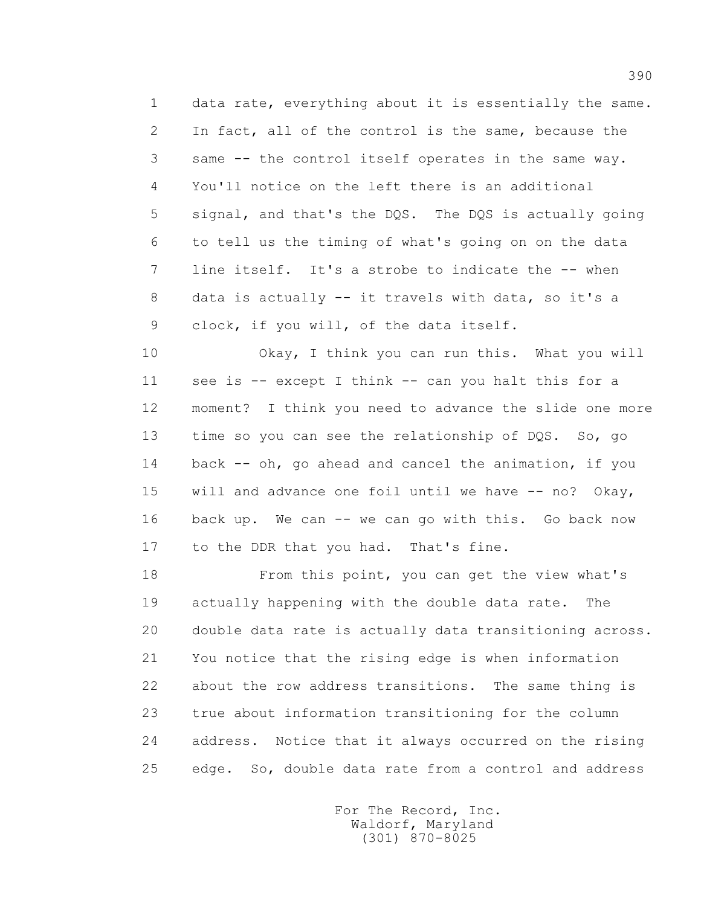1 data rate, everything about it is essentially the same. 2 In fact, all of the control is the same, because the 3 same -- the control itself operates in the same way. 4 You'll notice on the left there is an additional 5 signal, and that's the DQS. The DQS is actually going 6 to tell us the timing of what's going on on the data 7 line itself. It's a strobe to indicate the -- when 8 data is actually -- it travels with data, so it's a 9 clock, if you will, of the data itself.

 10 Okay, I think you can run this. What you will 11 see is -- except I think -- can you halt this for a 12 moment? I think you need to advance the slide one more 13 time so you can see the relationship of DQS. So, go 14 back -- oh, go ahead and cancel the animation, if you 15 will and advance one foil until we have -- no? Okay, 16 back up. We can -- we can go with this. Go back now 17 to the DDR that you had. That's fine.

 18 From this point, you can get the view what's 19 actually happening with the double data rate. The 20 double data rate is actually data transitioning across. 21 You notice that the rising edge is when information 22 about the row address transitions. The same thing is 23 true about information transitioning for the column 24 address. Notice that it always occurred on the rising 25 edge. So, double data rate from a control and address

> For The Record, Inc. Waldorf, Maryland (301) 870-8025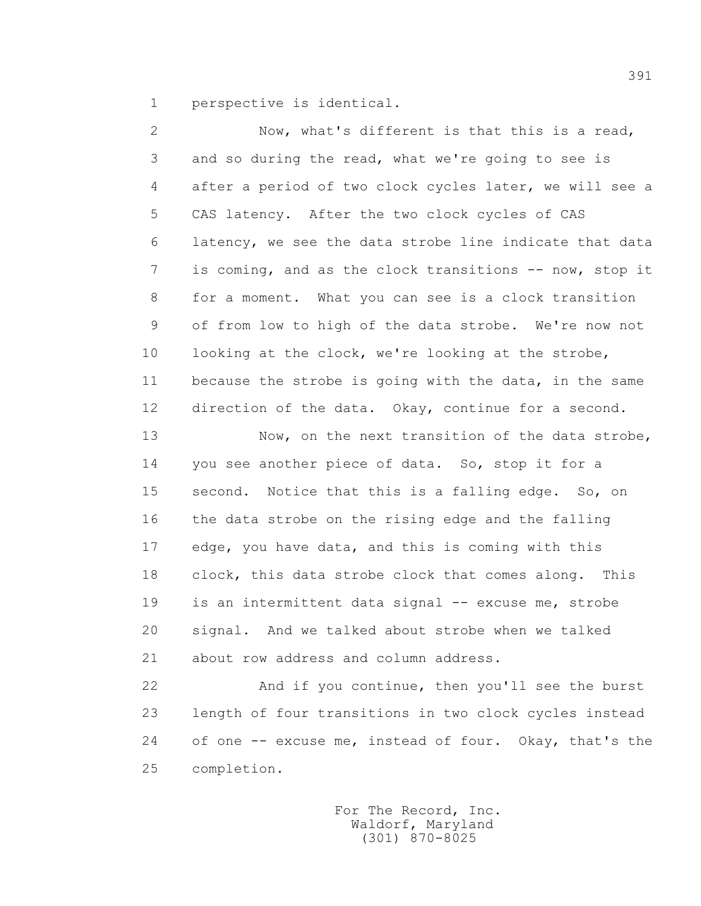1 perspective is identical.

 2 Now, what's different is that this is a read, 3 and so during the read, what we're going to see is 4 after a period of two clock cycles later, we will see a 5 CAS latency. After the two clock cycles of CAS 6 latency, we see the data strobe line indicate that data 7 is coming, and as the clock transitions -- now, stop it 8 for a moment. What you can see is a clock transition 9 of from low to high of the data strobe. We're now not 10 looking at the clock, we're looking at the strobe, 11 because the strobe is going with the data, in the same 12 direction of the data. Okay, continue for a second. 13 Now, on the next transition of the data strobe,

 14 you see another piece of data. So, stop it for a 15 second. Notice that this is a falling edge. So, on 16 the data strobe on the rising edge and the falling 17 edge, you have data, and this is coming with this 18 clock, this data strobe clock that comes along. This 19 is an intermittent data signal -- excuse me, strobe 20 signal. And we talked about strobe when we talked 21 about row address and column address.

 22 And if you continue, then you'll see the burst 23 length of four transitions in two clock cycles instead 24 of one -- excuse me, instead of four. Okay, that's the 25 completion.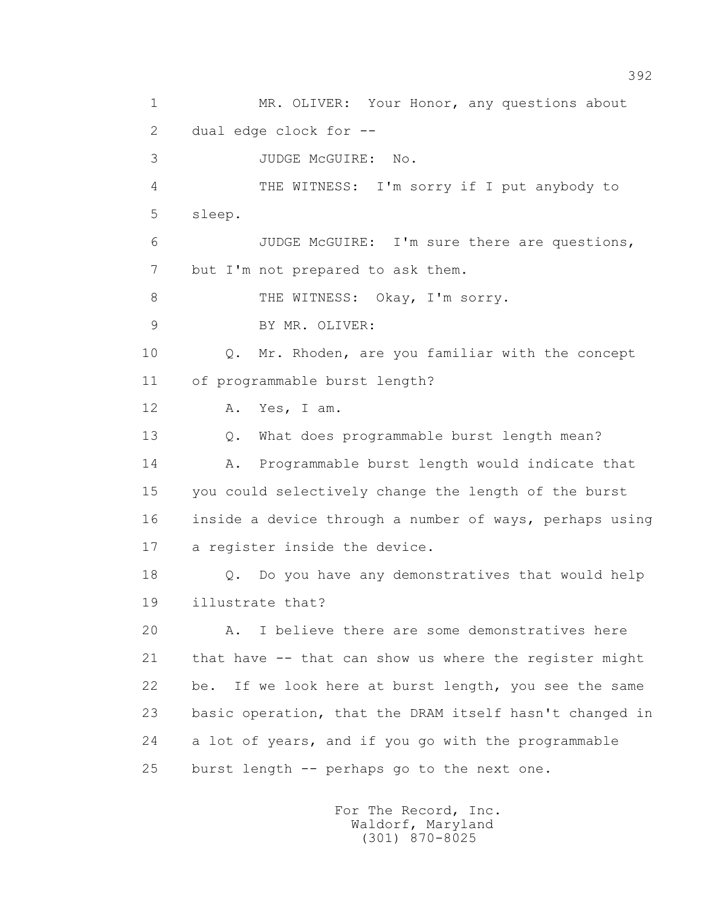1 MR. OLIVER: Your Honor, any questions about 2 dual edge clock for -- 3 JUDGE McGUIRE: No. 4 THE WITNESS: I'm sorry if I put anybody to 5 sleep. 6 JUDGE McGUIRE: I'm sure there are questions, 7 but I'm not prepared to ask them. 8 THE WITNESS: Okay, I'm sorry. 9 BY MR. OLIVER: 10 Q. Mr. Rhoden, are you familiar with the concept 11 of programmable burst length? 12 A. Yes, I am. 13 Q. What does programmable burst length mean? 14 A. Programmable burst length would indicate that 15 you could selectively change the length of the burst 16 inside a device through a number of ways, perhaps using 17 a register inside the device. 18 Q. Do you have any demonstratives that would help 19 illustrate that? 20 A. I believe there are some demonstratives here 21 that have -- that can show us where the register might 22 be. If we look here at burst length, you see the same 23 basic operation, that the DRAM itself hasn't changed in 24 a lot of years, and if you go with the programmable 25 burst length -- perhaps go to the next one.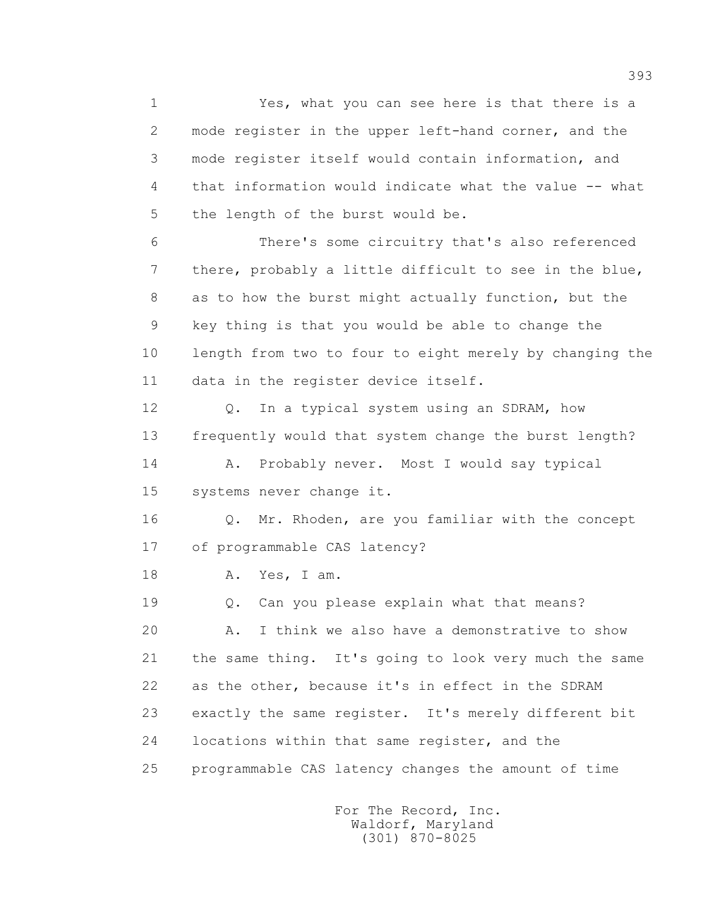1 Yes, what you can see here is that there is a 2 mode register in the upper left-hand corner, and the 3 mode register itself would contain information, and 4 that information would indicate what the value -- what 5 the length of the burst would be. 6 There's some circuitry that's also referenced 7 there, probably a little difficult to see in the blue, 8 as to how the burst might actually function, but the 9 key thing is that you would be able to change the 10 length from two to four to eight merely by changing the 11 data in the register device itself. 12 Q. In a typical system using an SDRAM, how 13 frequently would that system change the burst length? 14 A. Probably never. Most I would say typical 15 systems never change it. 16 Q. Mr. Rhoden, are you familiar with the concept 17 of programmable CAS latency? 18 A. Yes, I am. 19 Q. Can you please explain what that means? 20 A. I think we also have a demonstrative to show 21 the same thing. It's going to look very much the same 22 as the other, because it's in effect in the SDRAM 23 exactly the same register. It's merely different bit 24 locations within that same register, and the 25 programmable CAS latency changes the amount of time

> For The Record, Inc. Waldorf, Maryland (301) 870-8025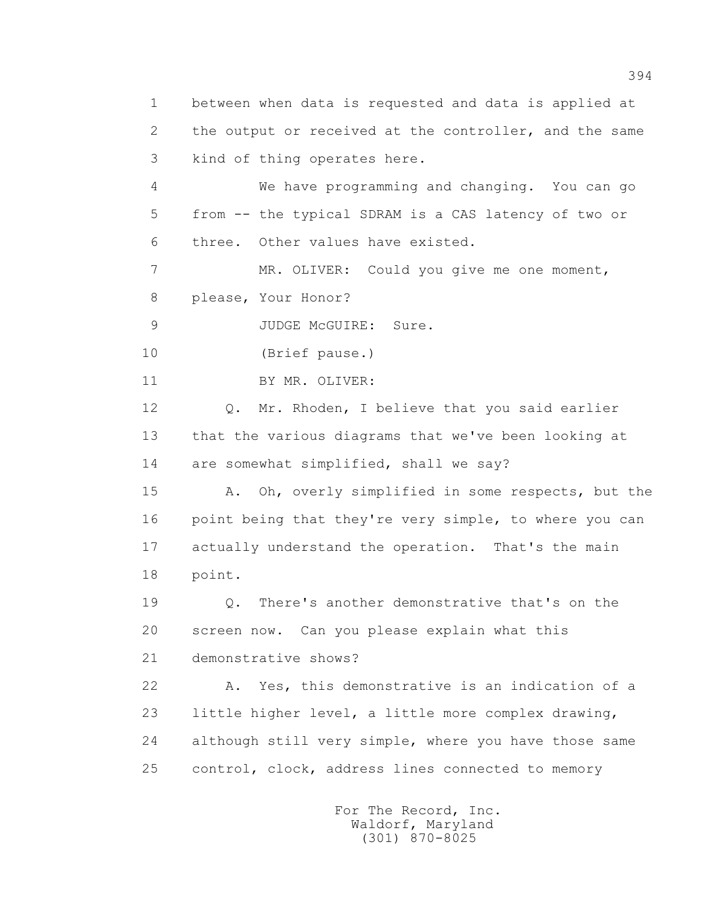1 between when data is requested and data is applied at 2 the output or received at the controller, and the same 3 kind of thing operates here. 4 We have programming and changing. You can go 5 from -- the typical SDRAM is a CAS latency of two or 6 three. Other values have existed. 7 MR. OLIVER: Could you give me one moment, 8 please, Your Honor? 9 JUDGE McGUIRE: Sure. 10 (Brief pause.) 11 BY MR. OLIVER: 12 Q. Mr. Rhoden, I believe that you said earlier 13 that the various diagrams that we've been looking at 14 are somewhat simplified, shall we say? 15 A. Oh, overly simplified in some respects, but the 16 point being that they're very simple, to where you can 17 actually understand the operation. That's the main 18 point. 19 Q. There's another demonstrative that's on the 20 screen now. Can you please explain what this 21 demonstrative shows? 22 A. Yes, this demonstrative is an indication of a 23 little higher level, a little more complex drawing, 24 although still very simple, where you have those same 25 control, clock, address lines connected to memory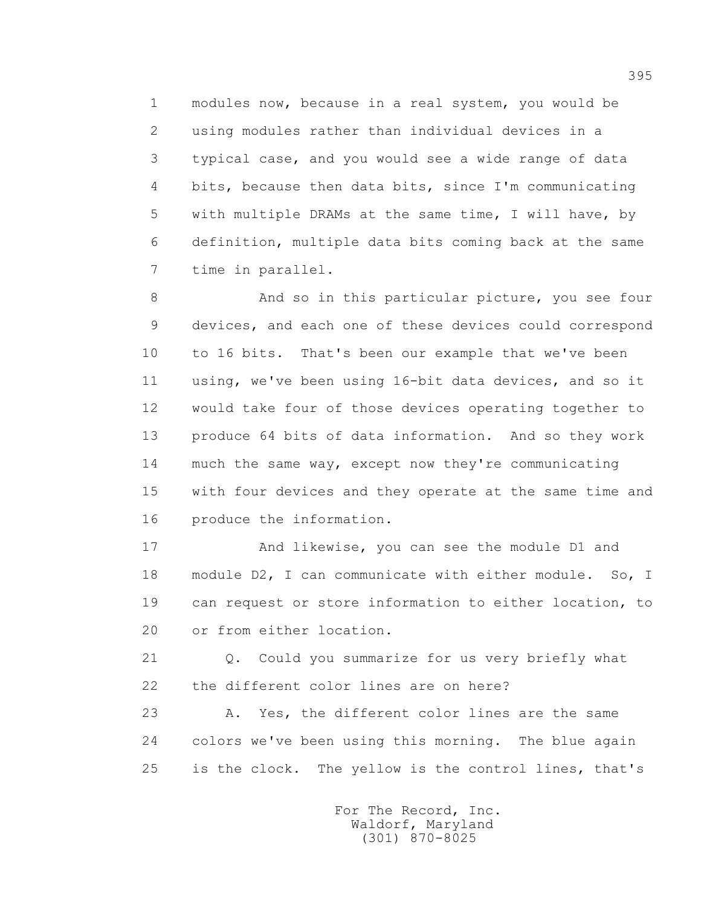1 modules now, because in a real system, you would be 2 using modules rather than individual devices in a 3 typical case, and you would see a wide range of data 4 bits, because then data bits, since I'm communicating 5 with multiple DRAMs at the same time, I will have, by 6 definition, multiple data bits coming back at the same 7 time in parallel.

 8 And so in this particular picture, you see four 9 devices, and each one of these devices could correspond 10 to 16 bits. That's been our example that we've been 11 using, we've been using 16-bit data devices, and so it 12 would take four of those devices operating together to 13 produce 64 bits of data information. And so they work 14 much the same way, except now they're communicating 15 with four devices and they operate at the same time and 16 produce the information.

 17 And likewise, you can see the module D1 and 18 module D2, I can communicate with either module. So, I 19 can request or store information to either location, to 20 or from either location.

 21 Q. Could you summarize for us very briefly what 22 the different color lines are on here?

 23 A. Yes, the different color lines are the same 24 colors we've been using this morning. The blue again 25 is the clock. The yellow is the control lines, that's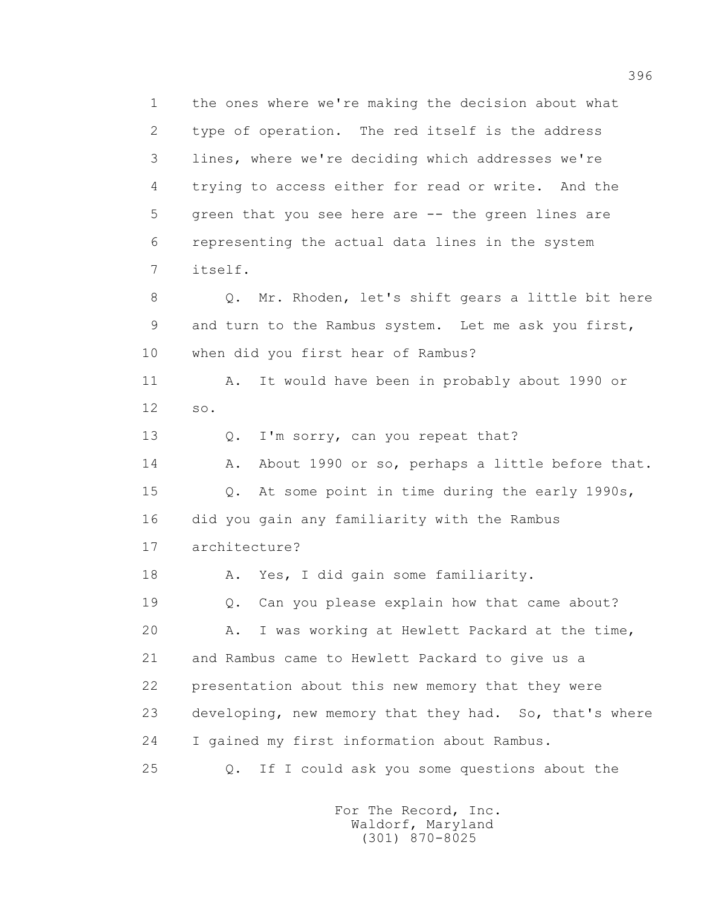1 the ones where we're making the decision about what 2 type of operation. The red itself is the address 3 lines, where we're deciding which addresses we're 4 trying to access either for read or write. And the 5 green that you see here are -- the green lines are 6 representing the actual data lines in the system 7 itself. 8 Q. Mr. Rhoden, let's shift gears a little bit here 9 and turn to the Rambus system. Let me ask you first, 10 when did you first hear of Rambus? 11 A. It would have been in probably about 1990 or 12 so. 13 Q. I'm sorry, can you repeat that? 14 A. About 1990 or so, perhaps a little before that. 15 Q. At some point in time during the early 1990s, 16 did you gain any familiarity with the Rambus 17 architecture? 18 A. Yes, I did gain some familiarity. 19 Q. Can you please explain how that came about? 20 A. I was working at Hewlett Packard at the time, 21 and Rambus came to Hewlett Packard to give us a 22 presentation about this new memory that they were 23 developing, new memory that they had. So, that's where 24 I gained my first information about Rambus. 25 Q. If I could ask you some questions about the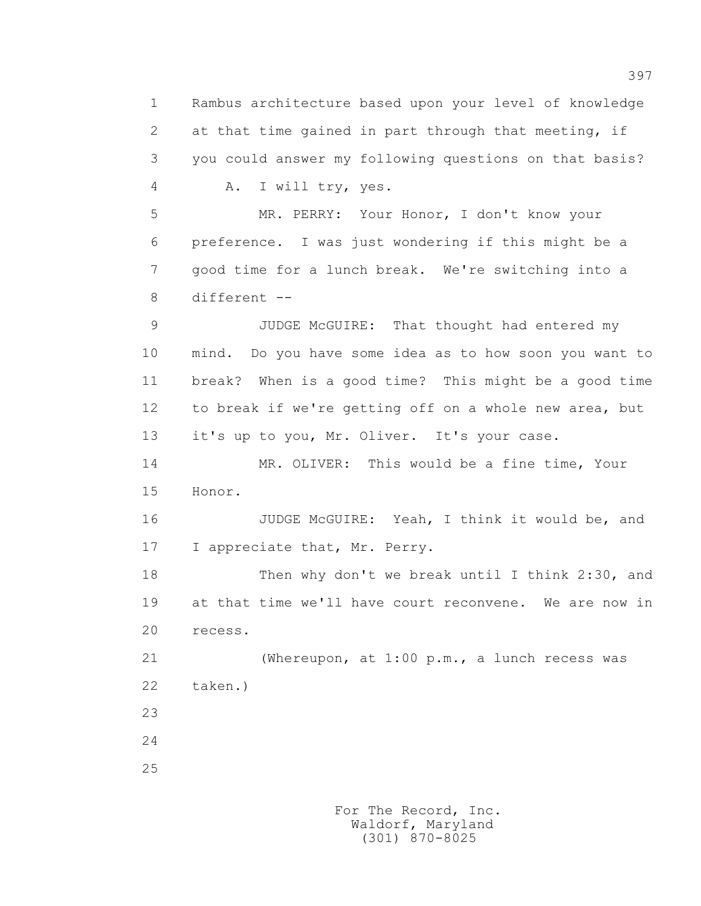1 Rambus architecture based upon your level of knowledge 2 at that time gained in part through that meeting, if 3 you could answer my following questions on that basis? 4 A. I will try, yes. 5 MR. PERRY: Your Honor, I don't know your 6 preference. I was just wondering if this might be a 7 good time for a lunch break. We're switching into a 8 different -- 9 JUDGE McGUIRE: That thought had entered my 10 mind. Do you have some idea as to how soon you want to 11 break? When is a good time? This might be a good time 12 to break if we're getting off on a whole new area, but 13 it's up to you, Mr. Oliver. It's your case. 14 MR. OLIVER: This would be a fine time, Your 15 Honor. 16 JUDGE McGUIRE: Yeah, I think it would be, and 17 I appreciate that, Mr. Perry. 18 Then why don't we break until I think 2:30, and 19 at that time we'll have court reconvene. We are now in 20 recess. 21 (Whereupon, at 1:00 p.m., a lunch recess was 22 taken.) 23 24 25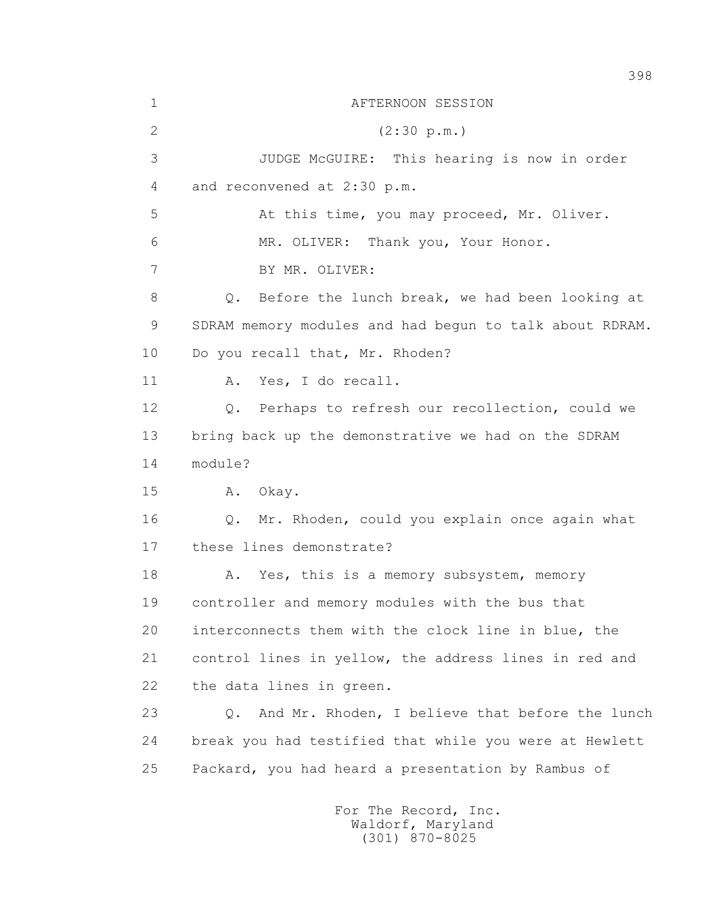1 AFTERNOON SESSION 2 (2:30 p.m.) 3 JUDGE McGUIRE: This hearing is now in order 4 and reconvened at 2:30 p.m. 5 At this time, you may proceed, Mr. Oliver. 6 MR. OLIVER: Thank you, Your Honor. 7 BY MR. OLIVER: 8 Q. Before the lunch break, we had been looking at 9 SDRAM memory modules and had begun to talk about RDRAM. 10 Do you recall that, Mr. Rhoden? 11 A. Yes, I do recall. 12 Q. Perhaps to refresh our recollection, could we 13 bring back up the demonstrative we had on the SDRAM  $14$  module? 15 A. Okay. 16 Q. Mr. Rhoden, could you explain once again what 17 these lines demonstrate? 18 A. Yes, this is a memory subsystem, memory 19 controller and memory modules with the bus that 20 interconnects them with the clock line in blue, the 21 control lines in yellow, the address lines in red and 22 the data lines in green. 23 Q. And Mr. Rhoden, I believe that before the lunch 24 break you had testified that while you were at Hewlett 25 Packard, you had heard a presentation by Rambus of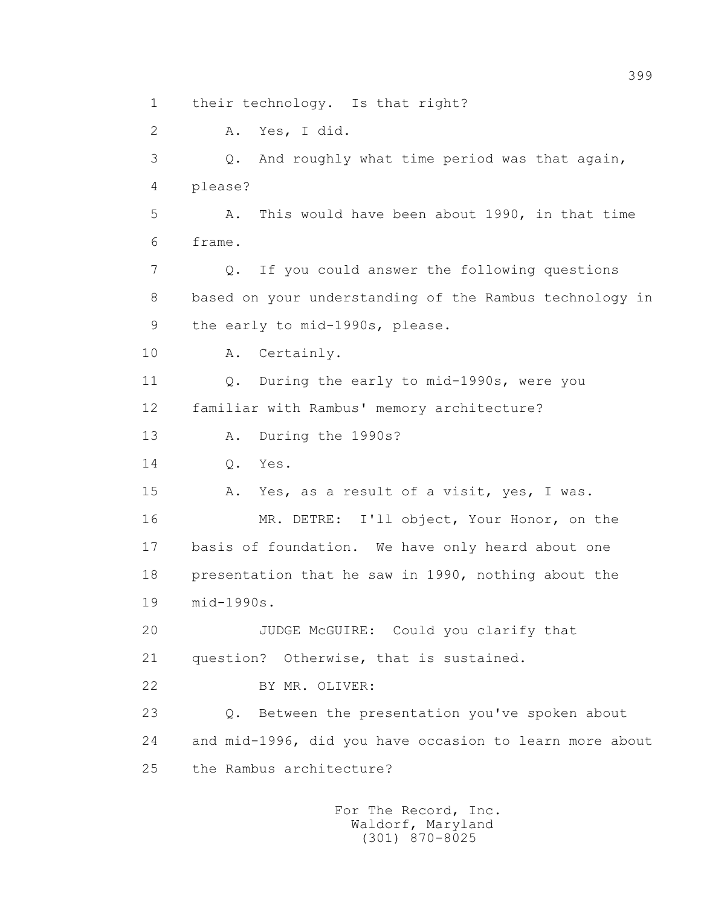1 their technology. Is that right?

 2 A. Yes, I did. 3 Q. And roughly what time period was that again, 4 please? 5 A. This would have been about 1990, in that time 6 frame. 7 Q. If you could answer the following questions 8 based on your understanding of the Rambus technology in 9 the early to mid-1990s, please. 10 A. Certainly. 11 Q. During the early to mid-1990s, were you 12 familiar with Rambus' memory architecture? 13 A. During the 1990s? 14 Q. Yes. 15 A. Yes, as a result of a visit, yes, I was. 16 MR. DETRE: I'll object, Your Honor, on the 17 basis of foundation. We have only heard about one 18 presentation that he saw in 1990, nothing about the 19 mid-1990s. 20 JUDGE McGUIRE: Could you clarify that 21 question? Otherwise, that is sustained. 22 BY MR. OLIVER: 23 Q. Between the presentation you've spoken about 24 and mid-1996, did you have occasion to learn more about 25 the Rambus architecture?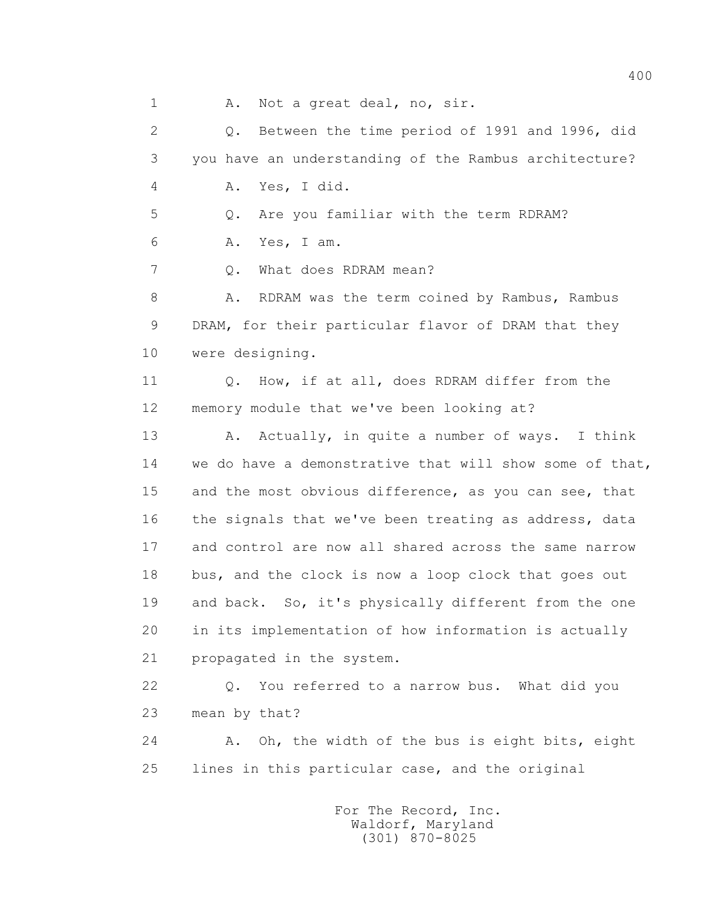1 A. Not a great deal, no, sir.

 2 Q. Between the time period of 1991 and 1996, did 3 you have an understanding of the Rambus architecture? 4 A. Yes, I did. 5 Q. Are you familiar with the term RDRAM? 6 A. Yes, I am. 7 0. What does RDRAM mean? 8 A. RDRAM was the term coined by Rambus, Rambus 9 DRAM, for their particular flavor of DRAM that they 10 were designing. 11 0. How, if at all, does RDRAM differ from the 12 memory module that we've been looking at? 13 A. Actually, in quite a number of ways. I think 14 we do have a demonstrative that will show some of that, 15 and the most obvious difference, as you can see, that 16 the signals that we've been treating as address, data 17 and control are now all shared across the same narrow 18 bus, and the clock is now a loop clock that goes out 19 and back. So, it's physically different from the one 20 in its implementation of how information is actually 21 propagated in the system. 22 Q. You referred to a narrow bus. What did you 23 mean by that? 24 A. Oh, the width of the bus is eight bits, eight 25 lines in this particular case, and the original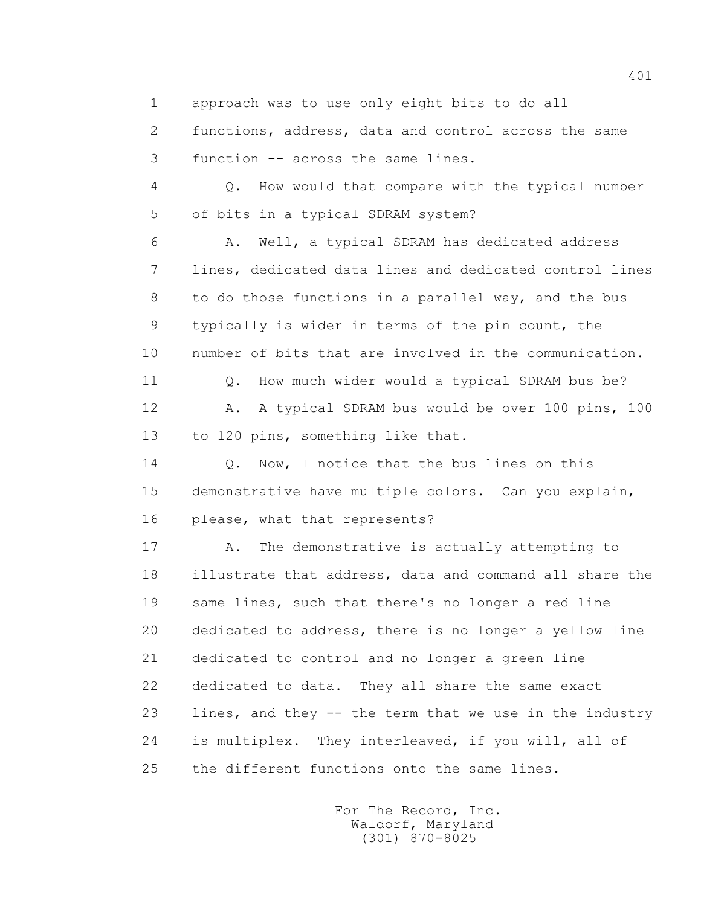1 approach was to use only eight bits to do all

 2 functions, address, data and control across the same 3 function -- across the same lines.

 4 Q. How would that compare with the typical number 5 of bits in a typical SDRAM system?

 6 A. Well, a typical SDRAM has dedicated address 7 lines, dedicated data lines and dedicated control lines 8 to do those functions in a parallel way, and the bus 9 typically is wider in terms of the pin count, the 10 number of bits that are involved in the communication. 11 Q. How much wider would a typical SDRAM bus be?

12 A. A typical SDRAM bus would be over 100 pins, 100 13 to 120 pins, something like that.

14 O. Now, I notice that the bus lines on this 15 demonstrative have multiple colors. Can you explain, 16 please, what that represents?

17 A. The demonstrative is actually attempting to 18 illustrate that address, data and command all share the 19 same lines, such that there's no longer a red line 20 dedicated to address, there is no longer a yellow line 21 dedicated to control and no longer a green line 22 dedicated to data. They all share the same exact 23 lines, and they -- the term that we use in the industry 24 is multiplex. They interleaved, if you will, all of 25 the different functions onto the same lines.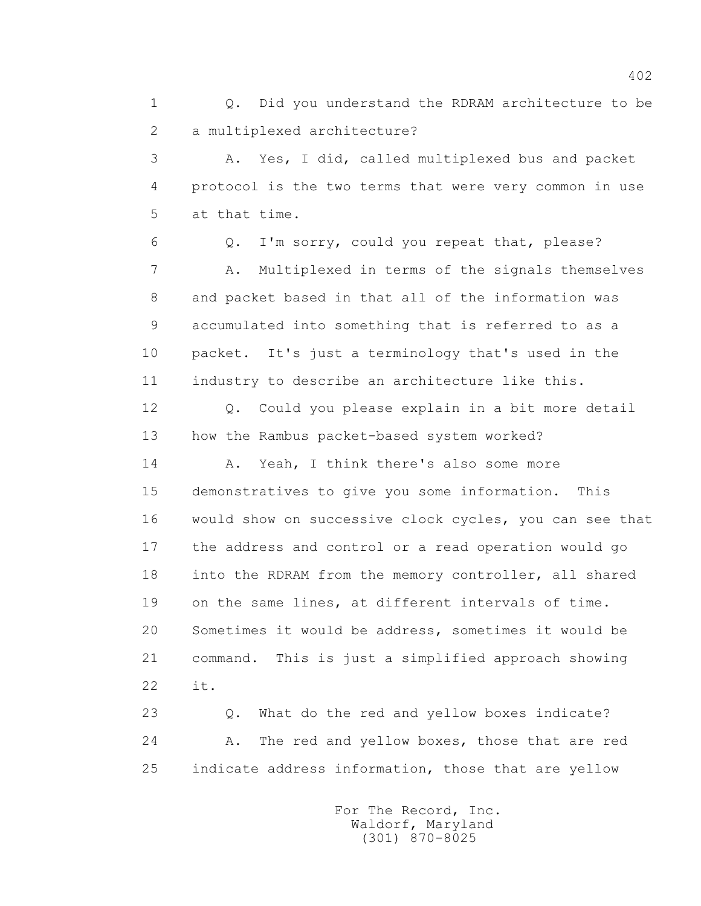1 Q. Did you understand the RDRAM architecture to be 2 a multiplexed architecture?

 3 A. Yes, I did, called multiplexed bus and packet 4 protocol is the two terms that were very common in use 5 at that time.

 6 Q. I'm sorry, could you repeat that, please? 7 A. Multiplexed in terms of the signals themselves 8 and packet based in that all of the information was 9 accumulated into something that is referred to as a 10 packet. It's just a terminology that's used in the 11 industry to describe an architecture like this.

 12 Q. Could you please explain in a bit more detail 13 how the Rambus packet-based system worked?

 14 A. Yeah, I think there's also some more 15 demonstratives to give you some information. This 16 would show on successive clock cycles, you can see that 17 the address and control or a read operation would go 18 into the RDRAM from the memory controller, all shared 19 on the same lines, at different intervals of time. 20 Sometimes it would be address, sometimes it would be 21 command. This is just a simplified approach showing 22 it.

 23 Q. What do the red and yellow boxes indicate? 24 A. The red and yellow boxes, those that are red 25 indicate address information, those that are yellow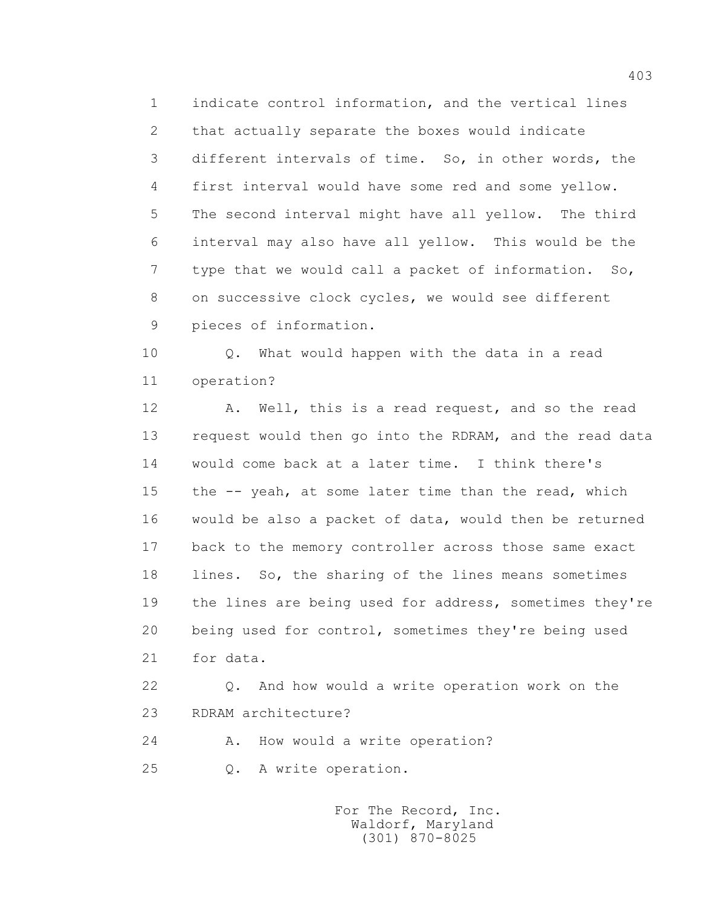1 indicate control information, and the vertical lines 2 that actually separate the boxes would indicate 3 different intervals of time. So, in other words, the 4 first interval would have some red and some yellow. 5 The second interval might have all yellow. The third 6 interval may also have all yellow. This would be the 7 type that we would call a packet of information. So, 8 on successive clock cycles, we would see different 9 pieces of information.

 10 Q. What would happen with the data in a read 11 operation?

12 A. Well, this is a read request, and so the read 13 request would then go into the RDRAM, and the read data 14 would come back at a later time. I think there's 15 the -- yeah, at some later time than the read, which 16 would be also a packet of data, would then be returned 17 back to the memory controller across those same exact 18 lines. So, the sharing of the lines means sometimes 19 the lines are being used for address, sometimes they're 20 being used for control, sometimes they're being used 21 for data.

 22 Q. And how would a write operation work on the 23 RDRAM architecture?

24 A. How would a write operation?

25 Q. A write operation.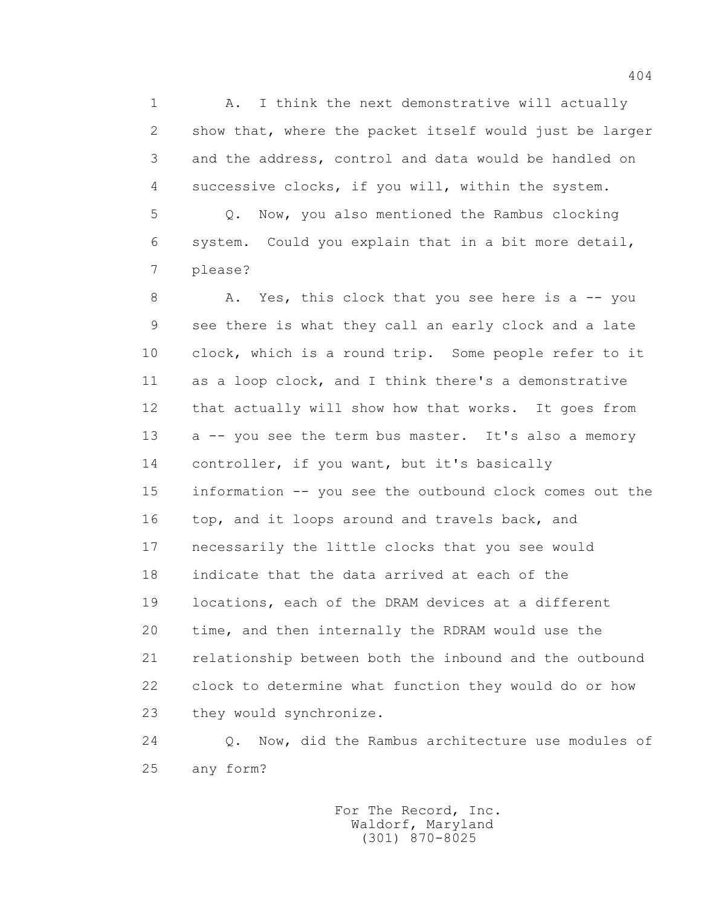1 A. I think the next demonstrative will actually 2 show that, where the packet itself would just be larger 3 and the address, control and data would be handled on 4 successive clocks, if you will, within the system.

 5 Q. Now, you also mentioned the Rambus clocking 6 system. Could you explain that in a bit more detail, 7 please?

8 A. Yes, this clock that you see here is a -- you 9 see there is what they call an early clock and a late 10 clock, which is a round trip. Some people refer to it 11 as a loop clock, and I think there's a demonstrative 12 that actually will show how that works. It goes from 13 a -- you see the term bus master. It's also a memory 14 controller, if you want, but it's basically 15 information -- you see the outbound clock comes out the 16 top, and it loops around and travels back, and 17 necessarily the little clocks that you see would 18 indicate that the data arrived at each of the 19 locations, each of the DRAM devices at a different 20 time, and then internally the RDRAM would use the 21 relationship between both the inbound and the outbound 22 clock to determine what function they would do or how 23 they would synchronize.

 24 Q. Now, did the Rambus architecture use modules of 25 any form?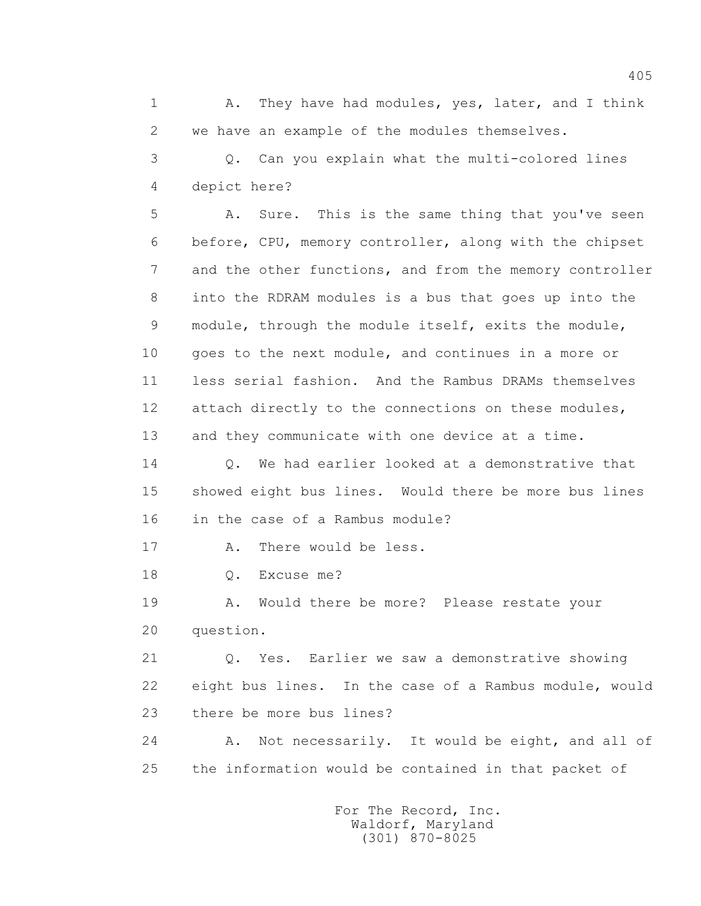1 A. They have had modules, yes, later, and I think 2 we have an example of the modules themselves.

 3 Q. Can you explain what the multi-colored lines 4 depict here?

 5 A. Sure. This is the same thing that you've seen 6 before, CPU, memory controller, along with the chipset 7 and the other functions, and from the memory controller 8 into the RDRAM modules is a bus that goes up into the 9 module, through the module itself, exits the module, 10 goes to the next module, and continues in a more or 11 less serial fashion. And the Rambus DRAMs themselves 12 attach directly to the connections on these modules, 13 and they communicate with one device at a time.

 14 Q. We had earlier looked at a demonstrative that 15 showed eight bus lines. Would there be more bus lines 16 in the case of a Rambus module?

17 A. There would be less.

18 0. Excuse me?

 19 A. Would there be more? Please restate your 20 question.

 21 Q. Yes. Earlier we saw a demonstrative showing 22 eight bus lines. In the case of a Rambus module, would 23 there be more bus lines?

 24 A. Not necessarily. It would be eight, and all of 25 the information would be contained in that packet of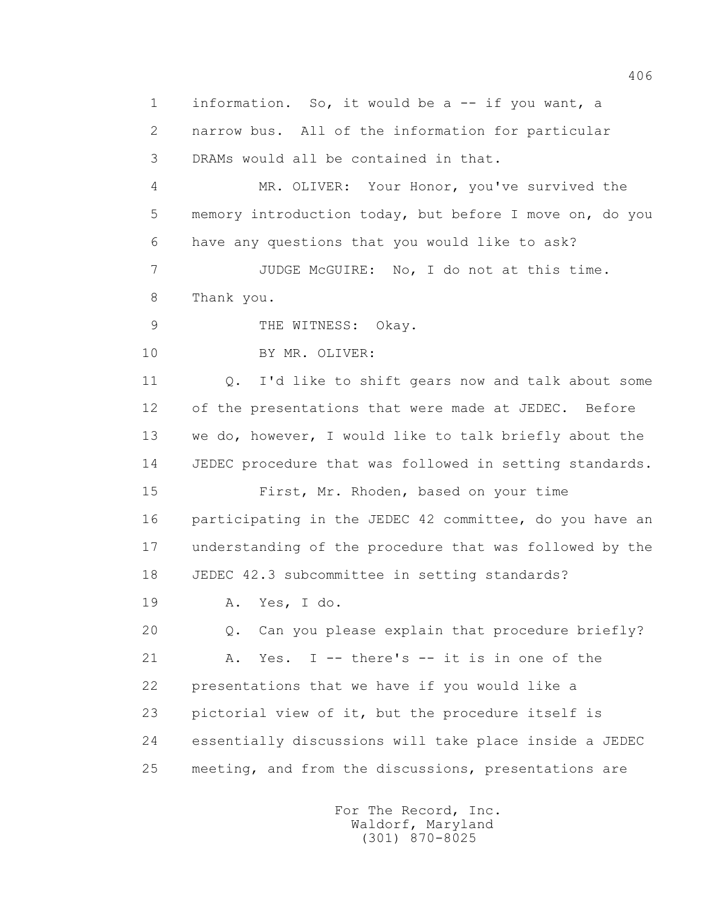1 information. So, it would be a -- if you want, a 2 narrow bus. All of the information for particular 3 DRAMs would all be contained in that. 4 MR. OLIVER: Your Honor, you've survived the 5 memory introduction today, but before I move on, do you 6 have any questions that you would like to ask? 7 JUDGE McGUIRE: No, I do not at this time. 8 Thank you. 9 THE WITNESS: Okay. 10 BY MR. OLIVER: 11 0. I'd like to shift gears now and talk about some 12 of the presentations that were made at JEDEC. Before 13 we do, however, I would like to talk briefly about the 14 JEDEC procedure that was followed in setting standards. 15 First, Mr. Rhoden, based on your time 16 participating in the JEDEC 42 committee, do you have an 17 understanding of the procedure that was followed by the 18 JEDEC 42.3 subcommittee in setting standards? 19 A. Yes, I do. 20 0. Can you please explain that procedure briefly? 21 A. Yes. I -- there's -- it is in one of the 22 presentations that we have if you would like a 23 pictorial view of it, but the procedure itself is 24 essentially discussions will take place inside a JEDEC 25 meeting, and from the discussions, presentations are

> For The Record, Inc. Waldorf, Maryland (301) 870-8025

406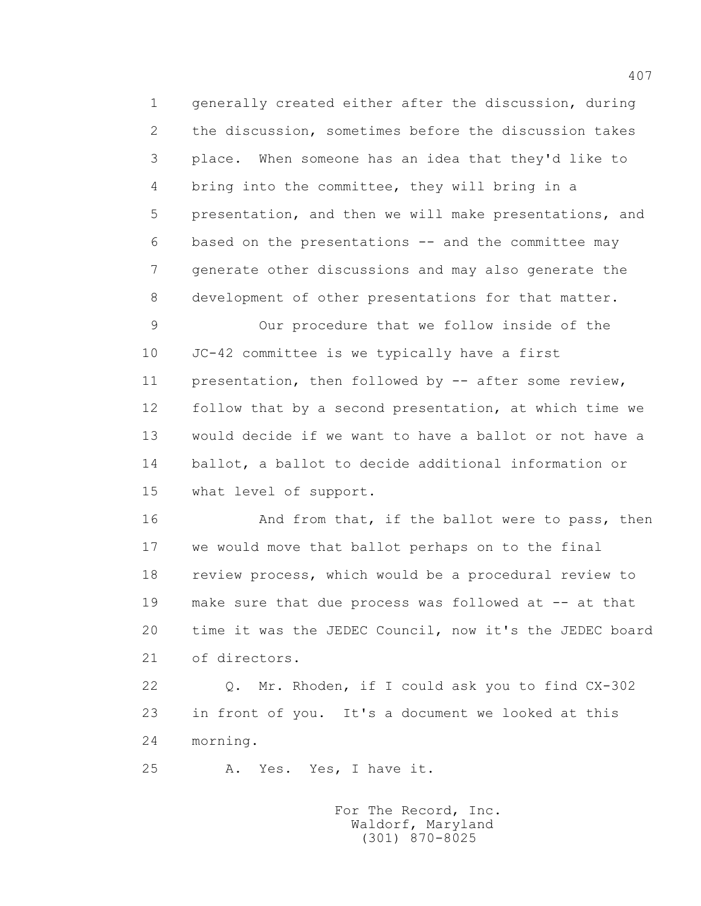1 generally created either after the discussion, during 2 the discussion, sometimes before the discussion takes 3 place. When someone has an idea that they'd like to 4 bring into the committee, they will bring in a 5 presentation, and then we will make presentations, and 6 based on the presentations -- and the committee may 7 generate other discussions and may also generate the 8 development of other presentations for that matter. 9 Our procedure that we follow inside of the 10 JC-42 committee is we typically have a first

 11 presentation, then followed by -- after some review, 12 follow that by a second presentation, at which time we 13 would decide if we want to have a ballot or not have a 14 ballot, a ballot to decide additional information or 15 what level of support.

16 And from that, if the ballot were to pass, then 17 we would move that ballot perhaps on to the final 18 review process, which would be a procedural review to 19 make sure that due process was followed at -- at that 20 time it was the JEDEC Council, now it's the JEDEC board 21 of directors.

 22 Q. Mr. Rhoden, if I could ask you to find CX-302 23 in front of you. It's a document we looked at this 24 morning.

25 A. Yes. Yes, I have it.

 For The Record, Inc. Waldorf, Maryland (301) 870-8025

407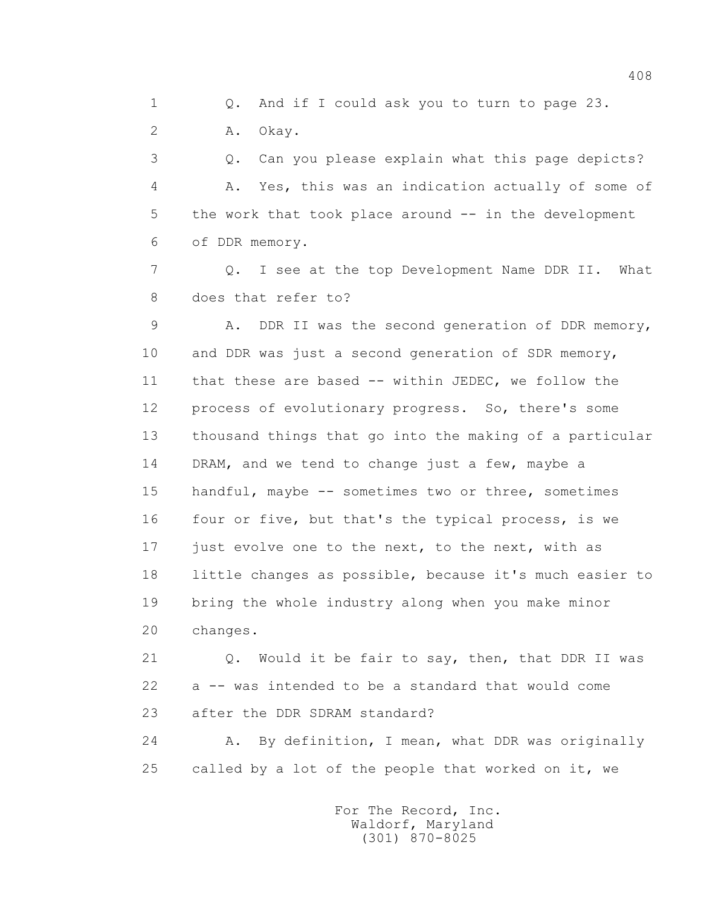1 Q. And if I could ask you to turn to page 23.

2 A. Okay.

 3 Q. Can you please explain what this page depicts? 4 A. Yes, this was an indication actually of some of 5 the work that took place around -- in the development 6 of DDR memory.

 7 Q. I see at the top Development Name DDR II. What 8 does that refer to?

 9 A. DDR II was the second generation of DDR memory, 10 and DDR was just a second generation of SDR memory, 11 that these are based -- within JEDEC, we follow the 12 process of evolutionary progress. So, there's some 13 thousand things that go into the making of a particular 14 DRAM, and we tend to change just a few, maybe a 15 handful, maybe -- sometimes two or three, sometimes 16 four or five, but that's the typical process, is we 17 just evolve one to the next, to the next, with as 18 little changes as possible, because it's much easier to 19 bring the whole industry along when you make minor 20 changes.

 21 Q. Would it be fair to say, then, that DDR II was 22 a -- was intended to be a standard that would come 23 after the DDR SDRAM standard?

 24 A. By definition, I mean, what DDR was originally 25 called by a lot of the people that worked on it, we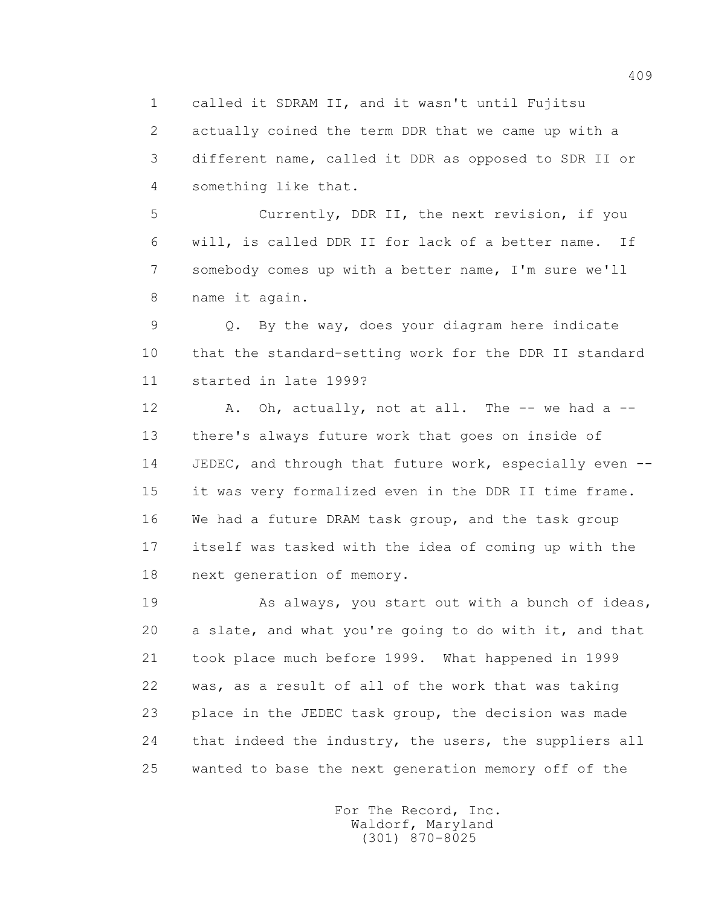1 called it SDRAM II, and it wasn't until Fujitsu 2 actually coined the term DDR that we came up with a

 3 different name, called it DDR as opposed to SDR II or 4 something like that.

 5 Currently, DDR II, the next revision, if you 6 will, is called DDR II for lack of a better name. If 7 somebody comes up with a better name, I'm sure we'll 8 name it again.

 9 Q. By the way, does your diagram here indicate 10 that the standard-setting work for the DDR II standard 11 started in late 1999?

12 A. Oh, actually, not at all. The -- we had a -- 13 there's always future work that goes on inside of 14 JEDEC, and through that future work, especially even -- 15 it was very formalized even in the DDR II time frame. 16 We had a future DRAM task group, and the task group 17 itself was tasked with the idea of coming up with the 18 next generation of memory.

 19 As always, you start out with a bunch of ideas, 20 a slate, and what you're going to do with it, and that 21 took place much before 1999. What happened in 1999 22 was, as a result of all of the work that was taking 23 place in the JEDEC task group, the decision was made 24 that indeed the industry, the users, the suppliers all 25 wanted to base the next generation memory off of the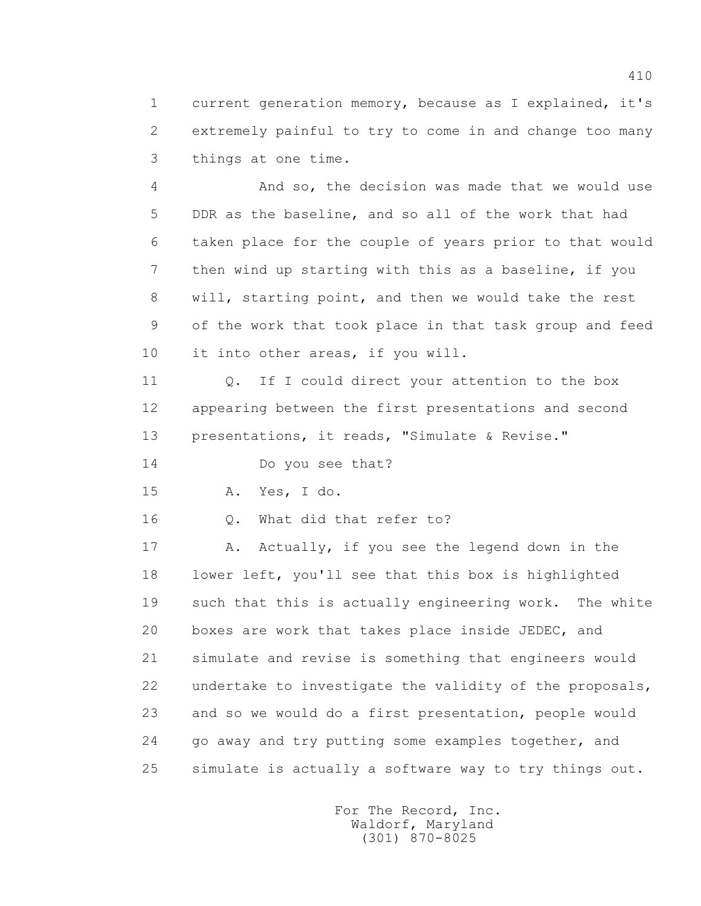1 current generation memory, because as I explained, it's 2 extremely painful to try to come in and change too many 3 things at one time.

 4 And so, the decision was made that we would use 5 DDR as the baseline, and so all of the work that had 6 taken place for the couple of years prior to that would 7 then wind up starting with this as a baseline, if you 8 will, starting point, and then we would take the rest 9 of the work that took place in that task group and feed 10 it into other areas, if you will.

11 0. If I could direct your attention to the box 12 appearing between the first presentations and second 13 presentations, it reads, "Simulate & Revise."

14 Do you see that?

15 A. Yes, I do.

16 0. What did that refer to?

17 A. Actually, if you see the legend down in the 18 lower left, you'll see that this box is highlighted 19 such that this is actually engineering work. The white 20 boxes are work that takes place inside JEDEC, and 21 simulate and revise is something that engineers would 22 undertake to investigate the validity of the proposals, 23 and so we would do a first presentation, people would 24 go away and try putting some examples together, and 25 simulate is actually a software way to try things out.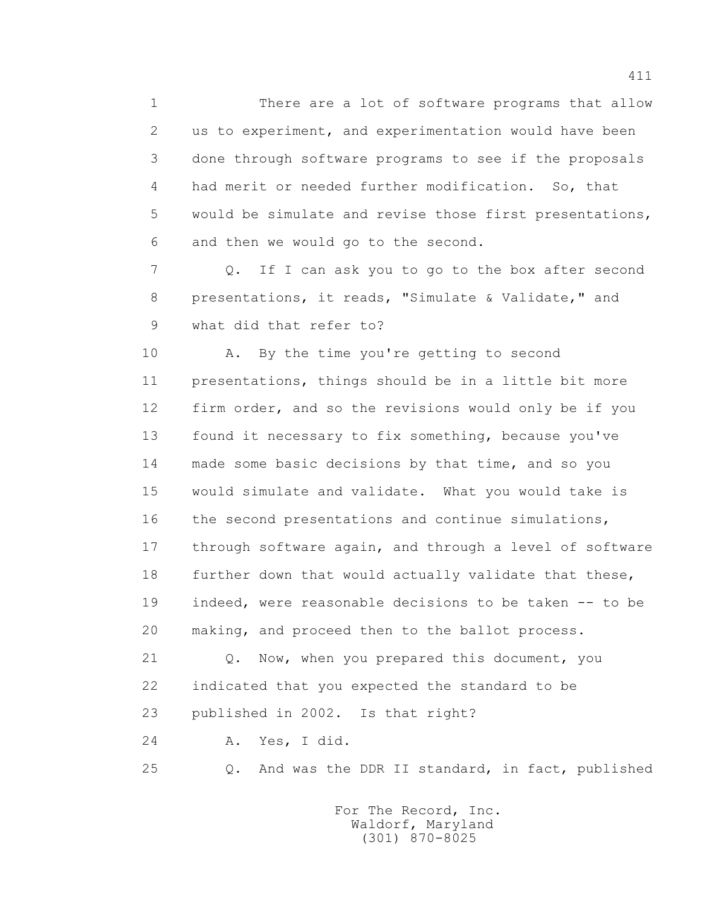1 There are a lot of software programs that allow 2 us to experiment, and experimentation would have been 3 done through software programs to see if the proposals 4 had merit or needed further modification. So, that 5 would be simulate and revise those first presentations, 6 and then we would go to the second.

 7 Q. If I can ask you to go to the box after second 8 presentations, it reads, "Simulate & Validate," and 9 what did that refer to?

 10 A. By the time you're getting to second 11 presentations, things should be in a little bit more 12 firm order, and so the revisions would only be if you 13 found it necessary to fix something, because you've 14 made some basic decisions by that time, and so you 15 would simulate and validate. What you would take is 16 the second presentations and continue simulations, 17 through software again, and through a level of software 18 further down that would actually validate that these, 19 indeed, were reasonable decisions to be taken -- to be 20 making, and proceed then to the ballot process.

 21 Q. Now, when you prepared this document, you 22 indicated that you expected the standard to be 23 published in 2002. Is that right?

24 A. Yes, I did.

25 Q. And was the DDR II standard, in fact, published

 For The Record, Inc. Waldorf, Maryland (301) 870-8025

411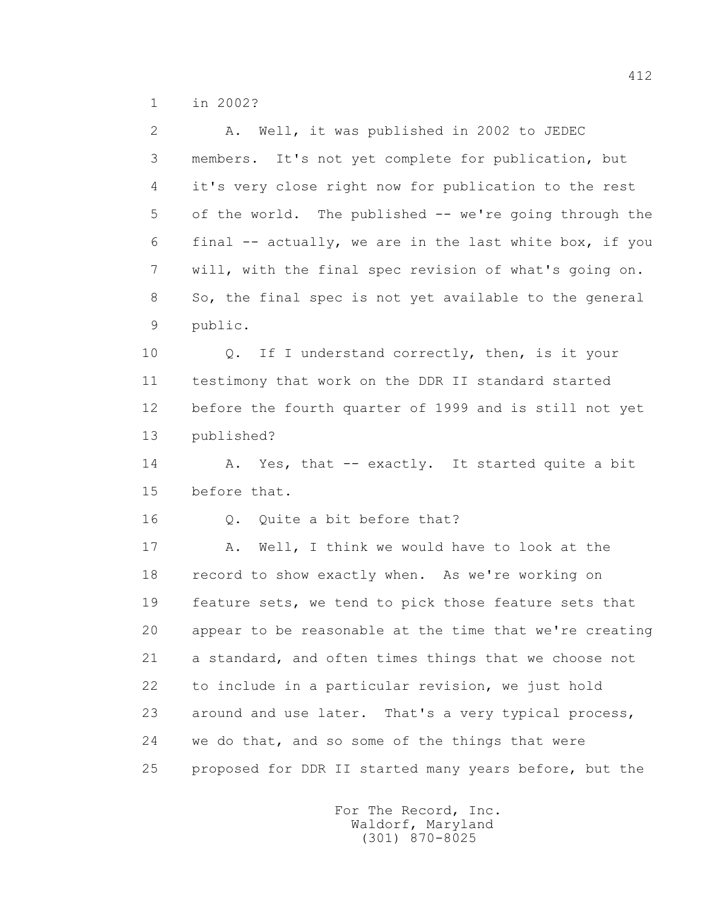1 in 2002?

 2 A. Well, it was published in 2002 to JEDEC 3 members. It's not yet complete for publication, but 4 it's very close right now for publication to the rest 5 of the world. The published -- we're going through the 6 final -- actually, we are in the last white box, if you 7 will, with the final spec revision of what's going on. 8 So, the final spec is not yet available to the general 9 public. 10 Q. If I understand correctly, then, is it your 11 testimony that work on the DDR II standard started 12 before the fourth quarter of 1999 and is still not yet 13 published? 14 A. Yes, that -- exactly. It started quite a bit 15 before that. 16 0. Ouite a bit before that? 17 A. Well, I think we would have to look at the 18 record to show exactly when. As we're working on 19 feature sets, we tend to pick those feature sets that 20 appear to be reasonable at the time that we're creating 21 a standard, and often times things that we choose not 22 to include in a particular revision, we just hold 23 around and use later. That's a very typical process, 24 we do that, and so some of the things that were 25 proposed for DDR II started many years before, but the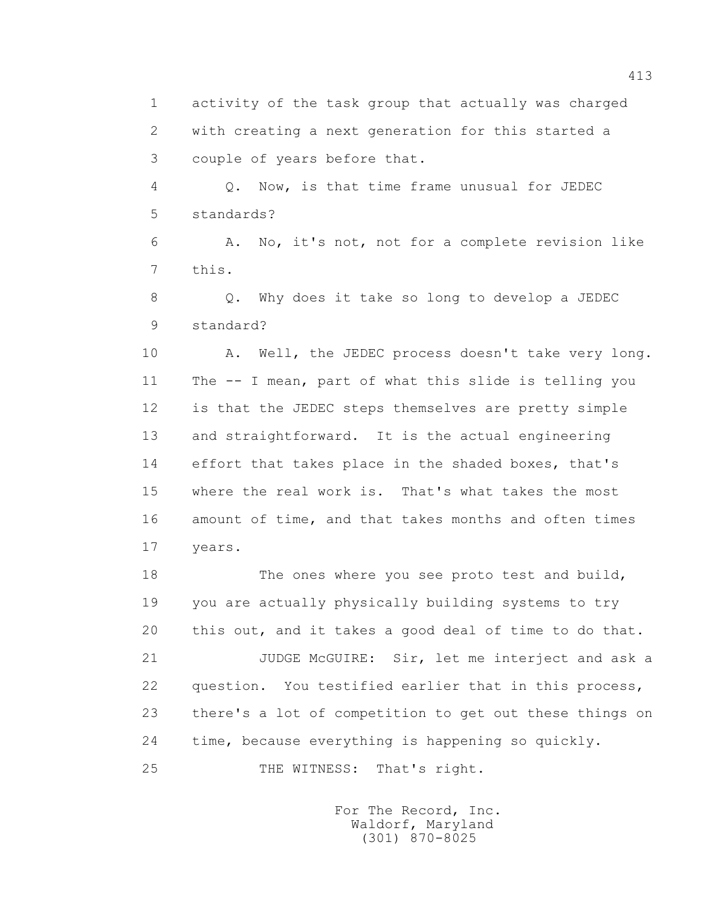1 activity of the task group that actually was charged 2 with creating a next generation for this started a 3 couple of years before that.

 4 Q. Now, is that time frame unusual for JEDEC 5 standards?

 6 A. No, it's not, not for a complete revision like 7 this.

 8 Q. Why does it take so long to develop a JEDEC 9 standard?

10 A. Well, the JEDEC process doesn't take very long. 11 The -- I mean, part of what this slide is telling you 12 is that the JEDEC steps themselves are pretty simple 13 and straightforward. It is the actual engineering 14 effort that takes place in the shaded boxes, that's 15 where the real work is. That's what takes the most 16 amount of time, and that takes months and often times 17 years.

 18 The ones where you see proto test and build, 19 you are actually physically building systems to try 20 this out, and it takes a good deal of time to do that. 21 JUDGE McGUIRE: Sir, let me interject and ask a 22 question. You testified earlier that in this process, 23 there's a lot of competition to get out these things on 24 time, because everything is happening so quickly. 25 THE WITNESS: That's right.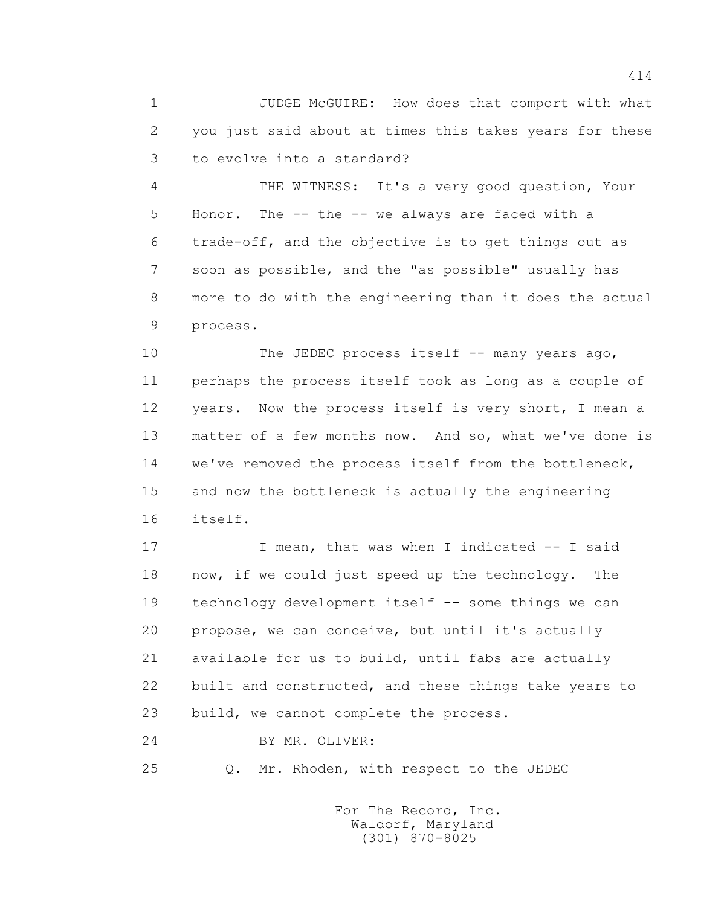1 JUDGE McGUIRE: How does that comport with what 2 you just said about at times this takes years for these 3 to evolve into a standard?

 4 THE WITNESS: It's a very good question, Your 5 Honor. The -- the -- we always are faced with a 6 trade-off, and the objective is to get things out as 7 soon as possible, and the "as possible" usually has 8 more to do with the engineering than it does the actual 9 process.

10 The JEDEC process itself -- many years ago, 11 perhaps the process itself took as long as a couple of 12 years. Now the process itself is very short, I mean a 13 matter of a few months now. And so, what we've done is 14 we've removed the process itself from the bottleneck, 15 and now the bottleneck is actually the engineering 16 itself.

17 I mean, that was when I indicated -- I said 18 now, if we could just speed up the technology. The 19 technology development itself -- some things we can 20 propose, we can conceive, but until it's actually 21 available for us to build, until fabs are actually 22 built and constructed, and these things take years to 23 build, we cannot complete the process.

24 BY MR. OLIVER:

25 Q. Mr. Rhoden, with respect to the JEDEC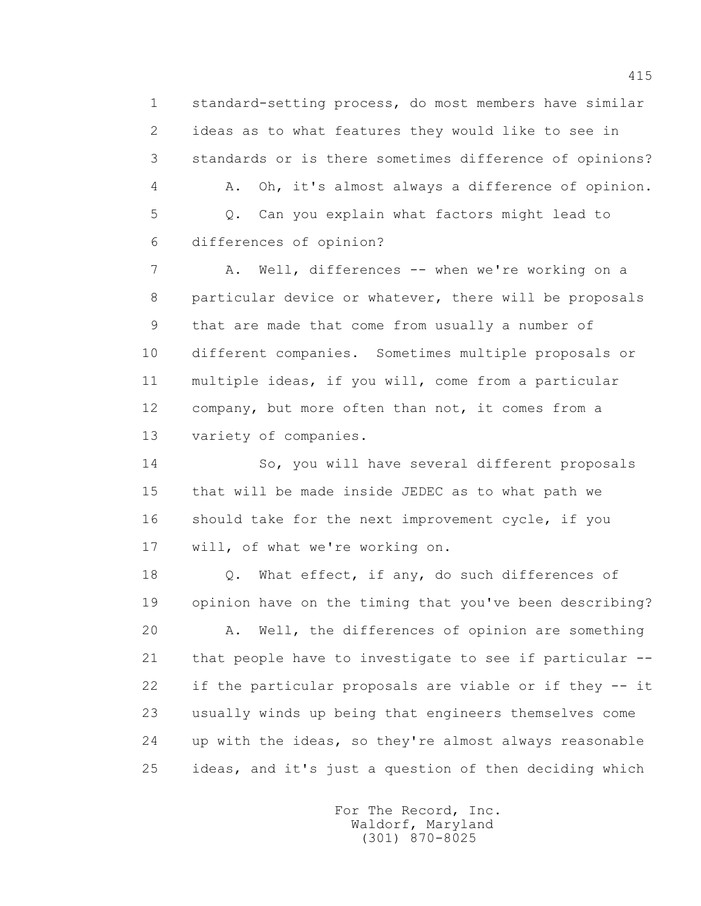1 standard-setting process, do most members have similar 2 ideas as to what features they would like to see in 3 standards or is there sometimes difference of opinions?

 4 A. Oh, it's almost always a difference of opinion. 5 Q. Can you explain what factors might lead to 6 differences of opinion?

7 A. Well, differences -- when we're working on a 8 particular device or whatever, there will be proposals 9 that are made that come from usually a number of 10 different companies. Sometimes multiple proposals or 11 multiple ideas, if you will, come from a particular 12 company, but more often than not, it comes from a 13 variety of companies.

 14 So, you will have several different proposals 15 that will be made inside JEDEC as to what path we 16 should take for the next improvement cycle, if you 17 will, of what we're working on.

18 Q. What effect, if any, do such differences of 19 opinion have on the timing that you've been describing?

 20 A. Well, the differences of opinion are something 21 that people have to investigate to see if particular -- 22 if the particular proposals are viable or if they -- it 23 usually winds up being that engineers themselves come 24 up with the ideas, so they're almost always reasonable 25 ideas, and it's just a question of then deciding which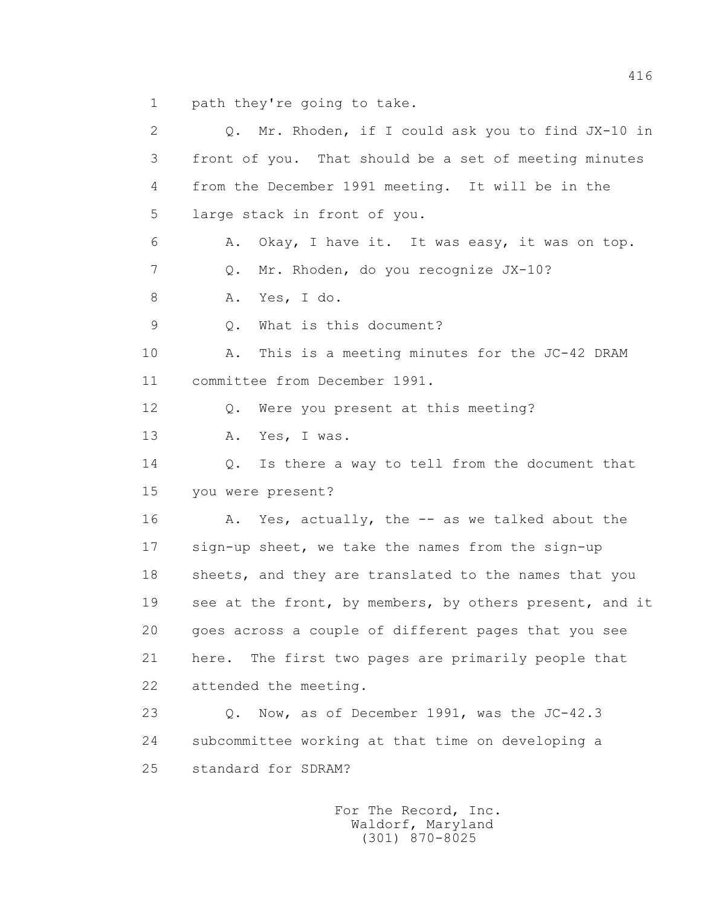1 path they're going to take.

| $\mathbf{2}$   | Q. Mr. Rhoden, if I could ask you to find JX-10 in         |
|----------------|------------------------------------------------------------|
| 3              | front of you. That should be a set of meeting minutes      |
| 4              | from the December 1991 meeting. It will be in the          |
| 5              | large stack in front of you.                               |
| 6              | Okay, I have it. It was easy, it was on top.<br>Α.         |
| 7              | Mr. Rhoden, do you recognize JX-10?<br>Q.                  |
| 8              | Yes, I do.<br>Α.                                           |
| $\overline{9}$ | What is this document?<br>Q.                               |
| 10             | This is a meeting minutes for the JC-42 DRAM<br>Α.         |
| 11             | committee from December 1991.                              |
| 12             | Were you present at this meeting?<br>Q.                    |
| 13             | Yes, I was.<br>Α.                                          |
| 14             | Q. Is there a way to tell from the document that           |
| 15             | you were present?                                          |
| 16             | A. Yes, actually, the -- as we talked about the            |
| 17             | sign-up sheet, we take the names from the sign-up          |
| 18             | sheets, and they are translated to the names that you      |
| 19             | see at the front, by members, by others present, and it    |
| 20             | goes across a couple of different pages that you see       |
| 21             | here. The first two pages are primarily people that        |
| 22             | attended the meeting.                                      |
| 23             | Now, as of December 1991, was the JC-42.3<br>$Q_{\bullet}$ |
| 24             | subcommittee working at that time on developing a          |
| 25             | standard for SDRAM?                                        |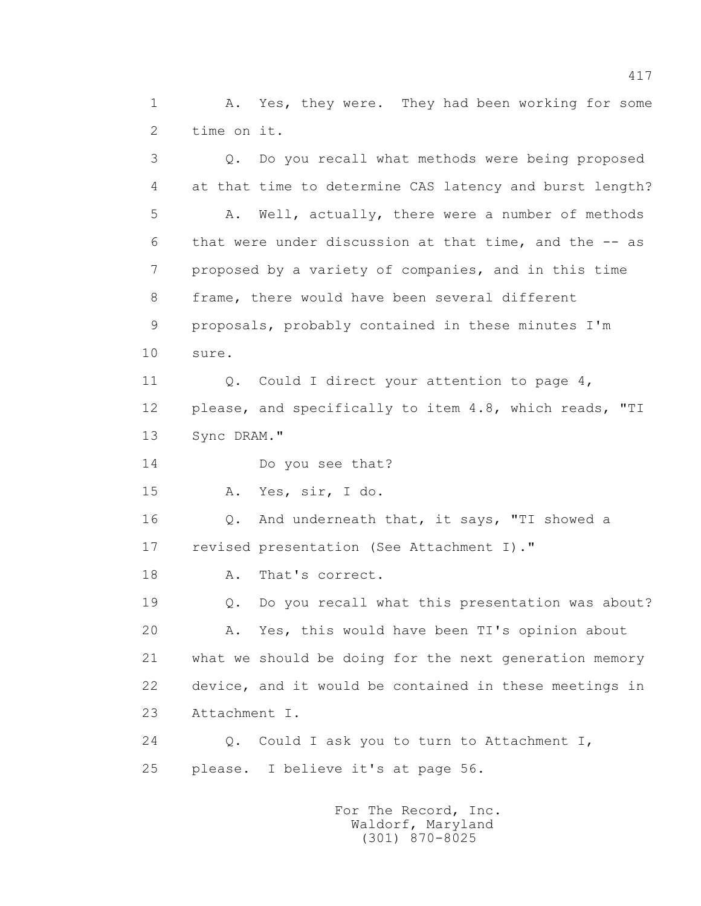1 A. Yes, they were. They had been working for some 2 time on it.

 3 Q. Do you recall what methods were being proposed 4 at that time to determine CAS latency and burst length? 5 A. Well, actually, there were a number of methods 6 that were under discussion at that time, and the -- as 7 proposed by a variety of companies, and in this time 8 frame, there would have been several different 9 proposals, probably contained in these minutes I'm 10 sure. 11 Q. Could I direct your attention to page 4, 12 please, and specifically to item 4.8, which reads, "TI 13 Sync DRAM." 14 Do you see that? 15 A. Yes, sir, I do. 16 Q. And underneath that, it says, "TI showed a 17 revised presentation (See Attachment I)." 18 A. That's correct. 19 Q. Do you recall what this presentation was about? 20 A. Yes, this would have been TI's opinion about 21 what we should be doing for the next generation memory 22 device, and it would be contained in these meetings in 23 Attachment I. 24 Q. Could I ask you to turn to Attachment I, 25 please. I believe it's at page 56.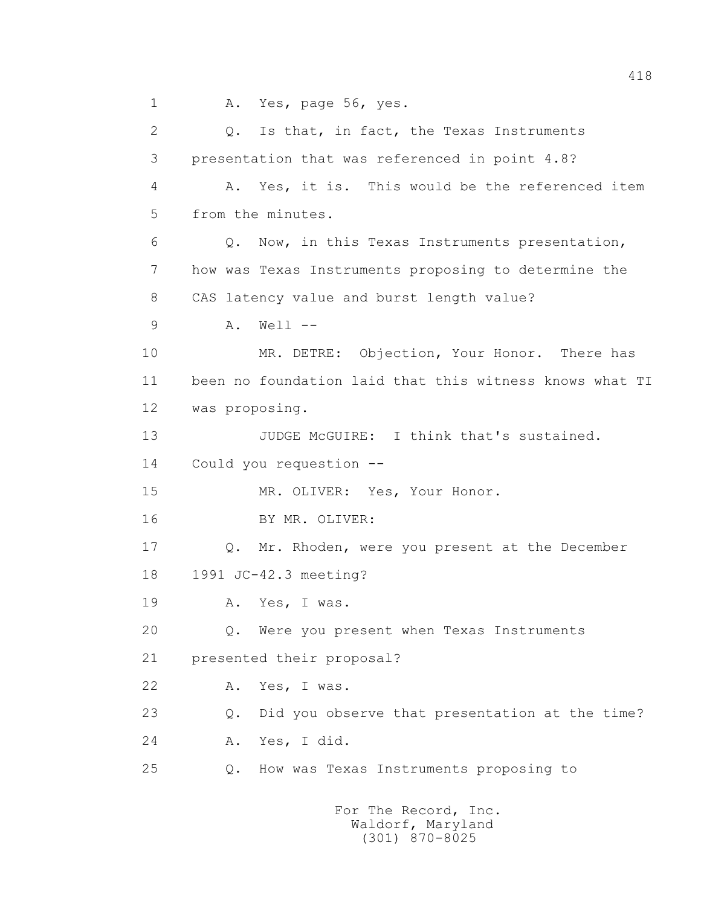1 A. Yes, page 56, yes.

 2 Q. Is that, in fact, the Texas Instruments 3 presentation that was referenced in point 4.8? 4 A. Yes, it is. This would be the referenced item 5 from the minutes. 6 Q. Now, in this Texas Instruments presentation, 7 how was Texas Instruments proposing to determine the 8 CAS latency value and burst length value? 9 A. Well -- 10 MR. DETRE: Objection, Your Honor. There has 11 been no foundation laid that this witness knows what TI 12 was proposing. 13 JUDGE McGUIRE: I think that's sustained. 14 Could you requestion -- 15 MR. OLIVER: Yes, Your Honor. 16 BY MR. OLIVER: 17 Q. Mr. Rhoden, were you present at the December 18 1991 JC-42.3 meeting? 19 A. Yes, I was. 20 Q. Were you present when Texas Instruments 21 presented their proposal? 22 A. Yes, I was. 23 Q. Did you observe that presentation at the time? 24 A. Yes, I did. 25 Q. How was Texas Instruments proposing to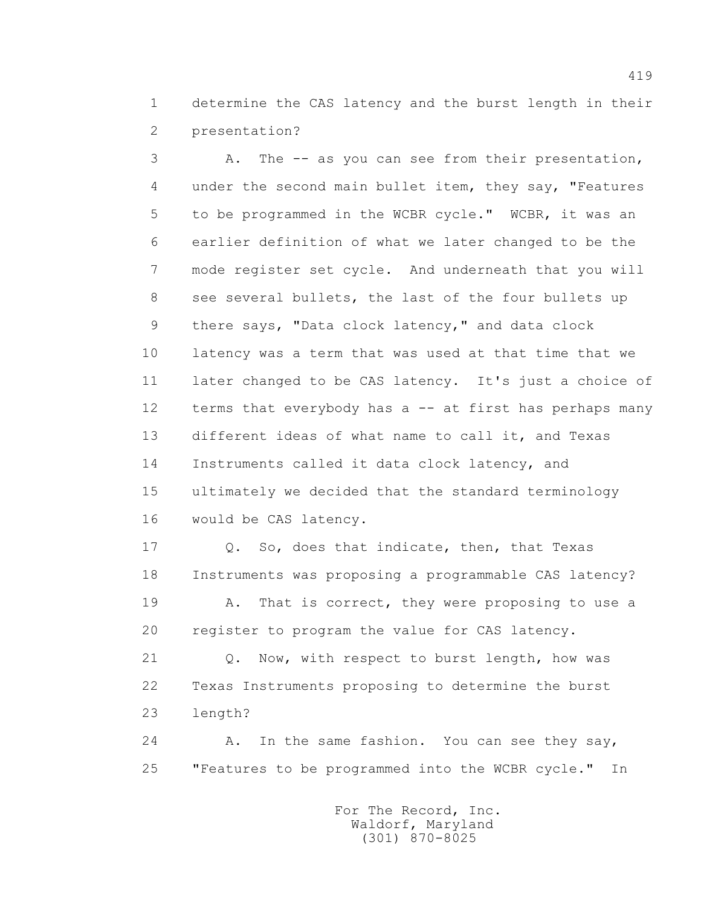1 determine the CAS latency and the burst length in their 2 presentation?

 3 A. The -- as you can see from their presentation, 4 under the second main bullet item, they say, "Features 5 to be programmed in the WCBR cycle." WCBR, it was an 6 earlier definition of what we later changed to be the 7 mode register set cycle. And underneath that you will 8 see several bullets, the last of the four bullets up 9 there says, "Data clock latency," and data clock 10 latency was a term that was used at that time that we 11 later changed to be CAS latency. It's just a choice of 12 terms that everybody has a -- at first has perhaps many 13 different ideas of what name to call it, and Texas 14 Instruments called it data clock latency, and 15 ultimately we decided that the standard terminology 16 would be CAS latency.

 17 Q. So, does that indicate, then, that Texas 18 Instruments was proposing a programmable CAS latency? 19 A. That is correct, they were proposing to use a 20 register to program the value for CAS latency.

 21 Q. Now, with respect to burst length, how was 22 Texas Instruments proposing to determine the burst 23 length?

24 A. In the same fashion. You can see they say, 25 "Features to be programmed into the WCBR cycle." In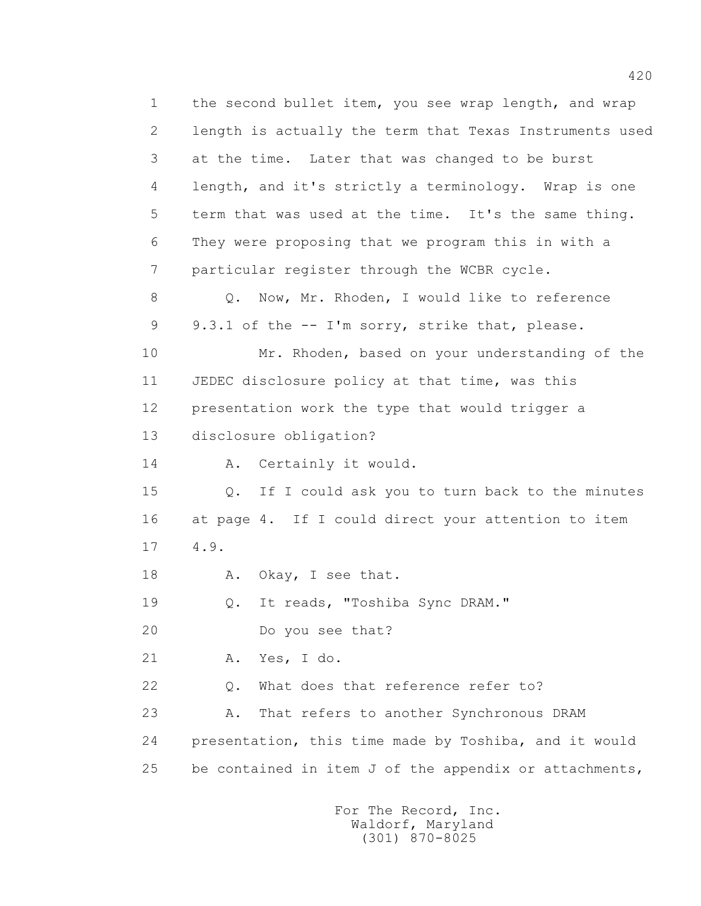1 the second bullet item, you see wrap length, and wrap 2 length is actually the term that Texas Instruments used 3 at the time. Later that was changed to be burst 4 length, and it's strictly a terminology. Wrap is one 5 term that was used at the time. It's the same thing. 6 They were proposing that we program this in with a 7 particular register through the WCBR cycle. 8 Q. Now, Mr. Rhoden, I would like to reference 9 9.3.1 of the -- I'm sorry, strike that, please. 10 Mr. Rhoden, based on your understanding of the 11 JEDEC disclosure policy at that time, was this 12 presentation work the type that would trigger a 13 disclosure obligation? 14 A. Certainly it would. 15 Q. If I could ask you to turn back to the minutes 16 at page 4. If I could direct your attention to item 17 4.9. 18 A. Okay, I see that. 19 Q. It reads, "Toshiba Sync DRAM." 20 Do you see that? 21 A. Yes, I do. 22 0. What does that reference refer to? 23 A. That refers to another Synchronous DRAM 24 presentation, this time made by Toshiba, and it would 25 be contained in item J of the appendix or attachments,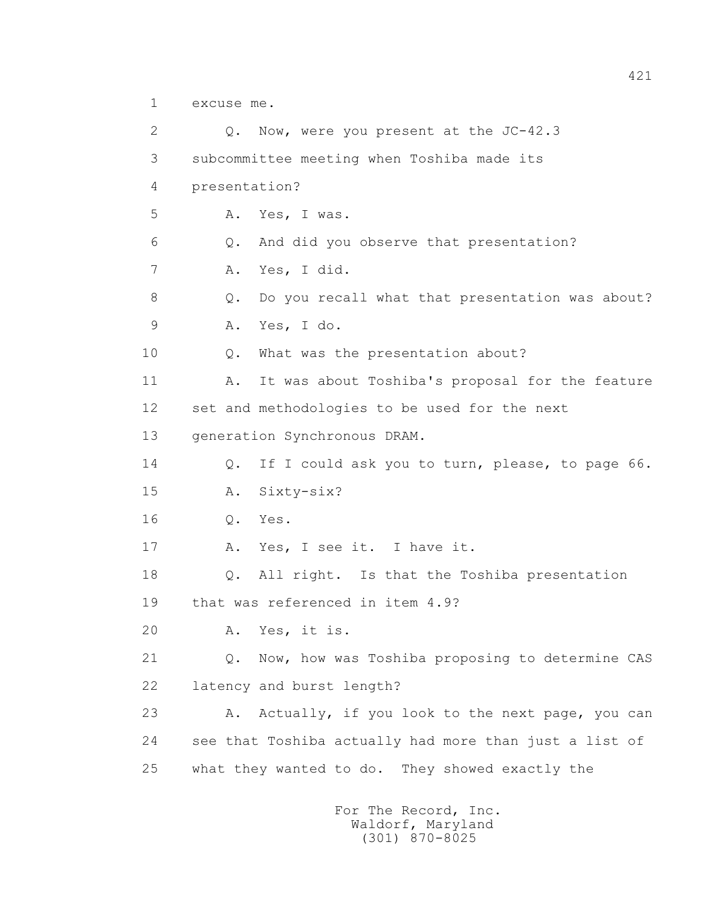1 excuse me.

 2 Q. Now, were you present at the JC-42.3 3 subcommittee meeting when Toshiba made its 4 presentation? 5 A. Yes, I was. 6 Q. And did you observe that presentation? 7 A. Yes, I did. 8 Q. Do you recall what that presentation was about? 9 A. Yes, I do. 10 Q. What was the presentation about? 11 A. It was about Toshiba's proposal for the feature 12 set and methodologies to be used for the next 13 generation Synchronous DRAM. 14 Q. If I could ask you to turn, please, to page 66. 15 A. Sixty-six? 16 Q. Yes. 17 A. Yes, I see it. I have it. 18 Q. All right. Is that the Toshiba presentation 19 that was referenced in item 4.9? 20 A. Yes, it is. 21 Q. Now, how was Toshiba proposing to determine CAS 22 latency and burst length? 23 A. Actually, if you look to the next page, you can 24 see that Toshiba actually had more than just a list of 25 what they wanted to do. They showed exactly the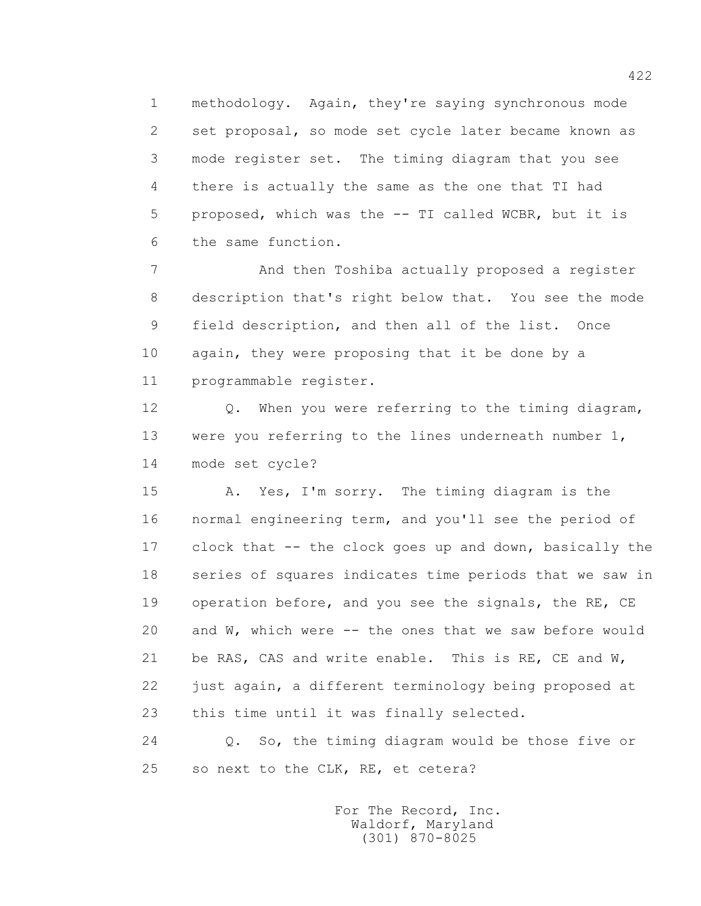1 methodology. Again, they're saying synchronous mode 2 set proposal, so mode set cycle later became known as 3 mode register set. The timing diagram that you see 4 there is actually the same as the one that TI had 5 proposed, which was the -- TI called WCBR, but it is 6 the same function.

 7 And then Toshiba actually proposed a register 8 description that's right below that. You see the mode 9 field description, and then all of the list. Once 10 again, they were proposing that it be done by a 11 programmable register.

 12 Q. When you were referring to the timing diagram, 13 were you referring to the lines underneath number 1, 14 mode set cycle?

 15 A. Yes, I'm sorry. The timing diagram is the 16 normal engineering term, and you'll see the period of 17 clock that -- the clock goes up and down, basically the 18 series of squares indicates time periods that we saw in 19 operation before, and you see the signals, the RE, CE 20 and W, which were -- the ones that we saw before would 21 be RAS, CAS and write enable. This is RE, CE and W, 22 just again, a different terminology being proposed at 23 this time until it was finally selected.

 24 Q. So, the timing diagram would be those five or 25 so next to the CLK, RE, et cetera?

> For The Record, Inc. Waldorf, Maryland (301) 870-8025

422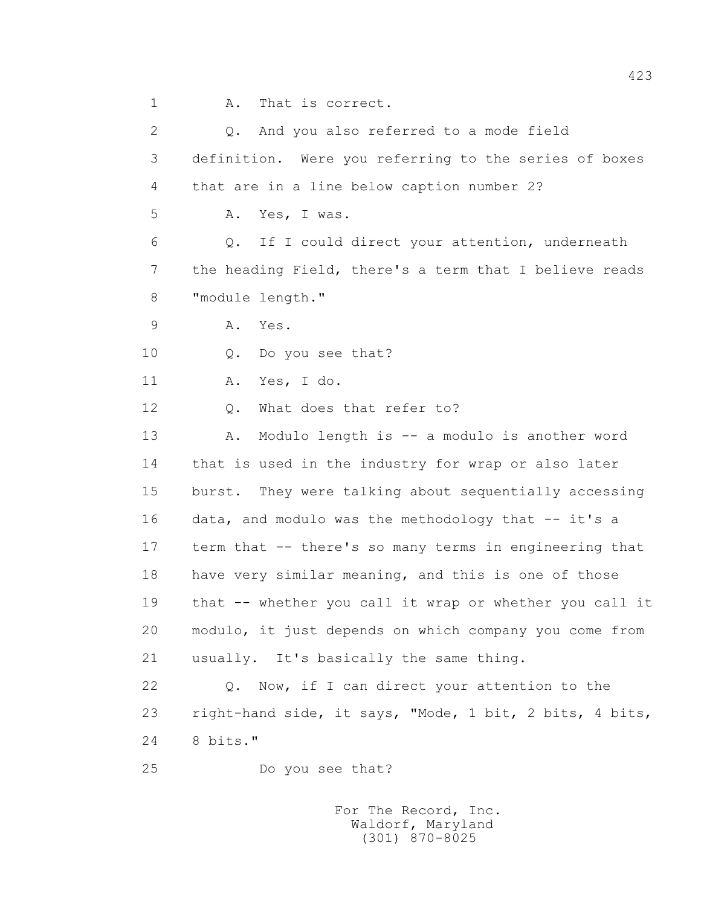1 A. That is correct.

 2 Q. And you also referred to a mode field 3 definition. Were you referring to the series of boxes 4 that are in a line below caption number 2? 5 A. Yes, I was. 6 Q. If I could direct your attention, underneath 7 the heading Field, there's a term that I believe reads 8 "module length." 9 A. Yes. 10 Q. Do you see that? 11 A. Yes, I do. 12 Q. What does that refer to? 13 A. Modulo length is -- a modulo is another word 14 that is used in the industry for wrap or also later 15 burst. They were talking about sequentially accessing 16 data, and modulo was the methodology that -- it's a 17 term that -- there's so many terms in engineering that 18 have very similar meaning, and this is one of those 19 that -- whether you call it wrap or whether you call it 20 modulo, it just depends on which company you come from 21 usually. It's basically the same thing. 22 Q. Now, if I can direct your attention to the 23 right-hand side, it says, "Mode, 1 bit, 2 bits, 4 bits, 24 8 bits." 25 Do you see that?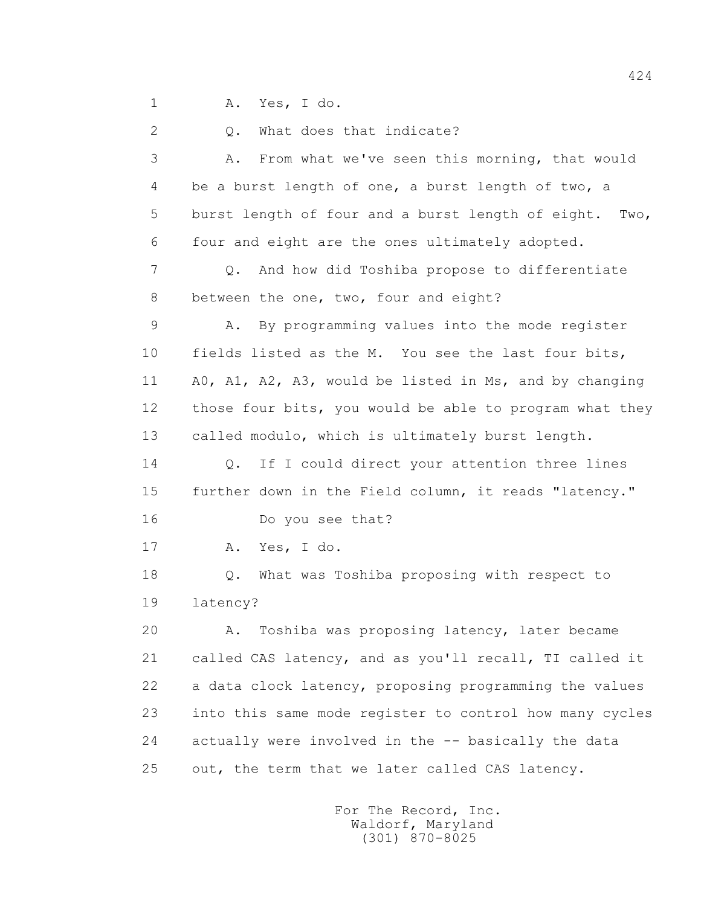1 A. Yes, I do.

2 Q. What does that indicate?

 3 A. From what we've seen this morning, that would 4 be a burst length of one, a burst length of two, a 5 burst length of four and a burst length of eight. Two, 6 four and eight are the ones ultimately adopted. 7 Q. And how did Toshiba propose to differentiate 8 between the one, two, four and eight? 9 A. By programming values into the mode register 10 fields listed as the M. You see the last four bits, 11 A0, A1, A2, A3, would be listed in Ms, and by changing 12 those four bits, you would be able to program what they 13 called modulo, which is ultimately burst length. 14 Q. If I could direct your attention three lines 15 further down in the Field column, it reads "latency." 16 Do you see that? 17 A. Yes, I do. 18 Q. What was Toshiba proposing with respect to 19 latency? 20 A. Toshiba was proposing latency, later became 21 called CAS latency, and as you'll recall, TI called it 22 a data clock latency, proposing programming the values 23 into this same mode register to control how many cycles 24 actually were involved in the -- basically the data 25 out, the term that we later called CAS latency.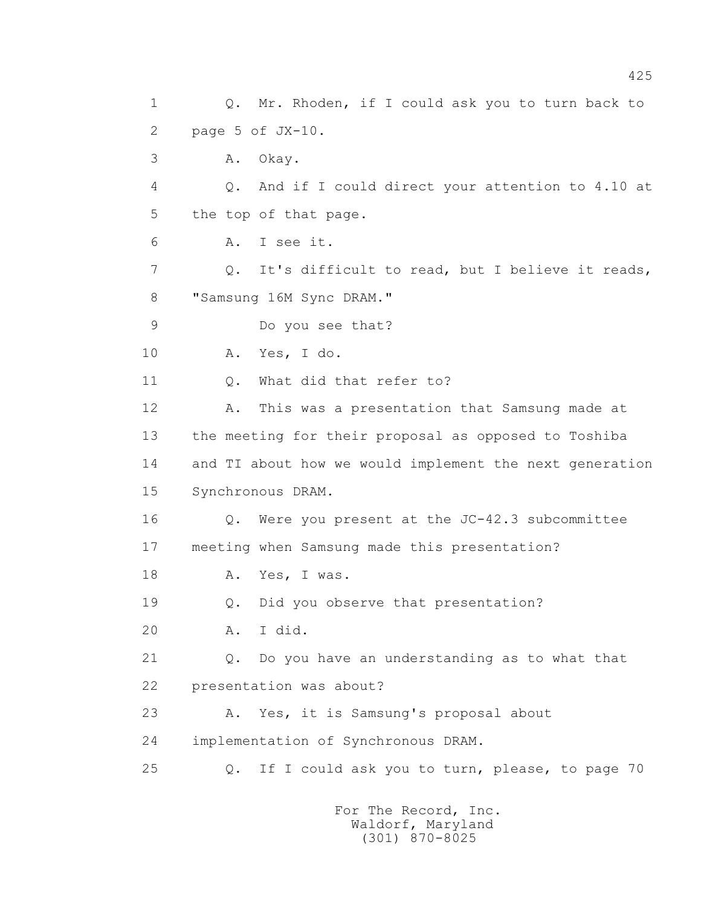1 Q. Mr. Rhoden, if I could ask you to turn back to 2 page 5 of JX-10. 3 A. Okay. 4 Q. And if I could direct your attention to 4.10 at 5 the top of that page. 6 A. I see it. 7 Q. It's difficult to read, but I believe it reads, 8 "Samsung 16M Sync DRAM." 9 Do you see that? 10 A. Yes, I do. 11 0. What did that refer to? 12 A. This was a presentation that Samsung made at 13 the meeting for their proposal as opposed to Toshiba 14 and TI about how we would implement the next generation 15 Synchronous DRAM. 16 Q. Were you present at the JC-42.3 subcommittee 17 meeting when Samsung made this presentation? 18 A. Yes, I was. 19 Q. Did you observe that presentation? 20 A. I did. 21 Q. Do you have an understanding as to what that 22 presentation was about? 23 A. Yes, it is Samsung's proposal about 24 implementation of Synchronous DRAM. 25 Q. If I could ask you to turn, please, to page 70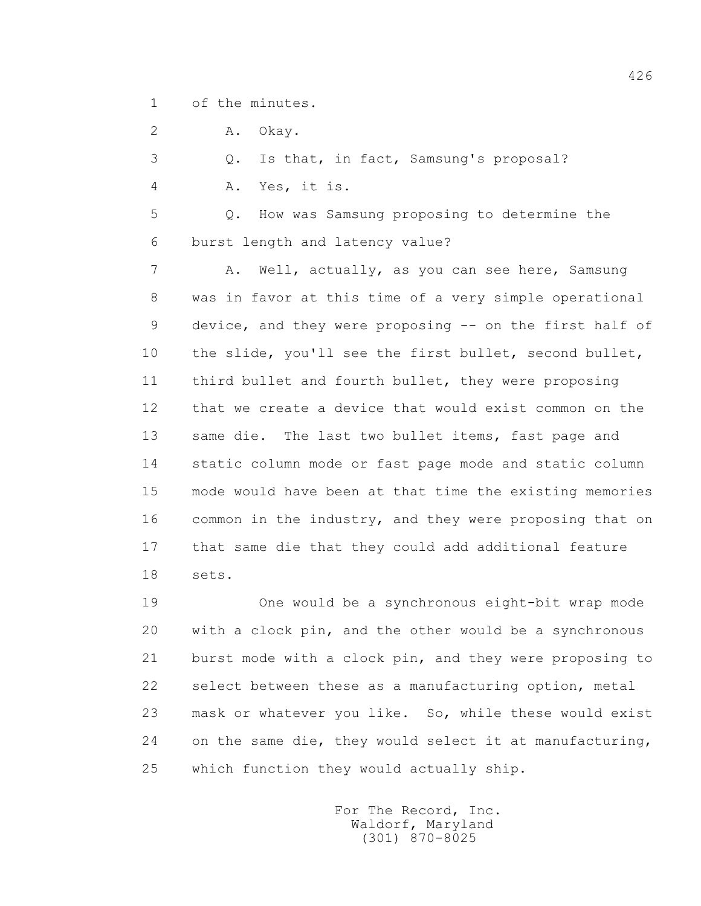1 of the minutes.

2 A. Okay.

3 Q. Is that, in fact, Samsung's proposal?

4 A. Yes, it is.

 5 Q. How was Samsung proposing to determine the 6 burst length and latency value?

 7 A. Well, actually, as you can see here, Samsung 8 was in favor at this time of a very simple operational 9 device, and they were proposing -- on the first half of 10 the slide, you'll see the first bullet, second bullet, 11 third bullet and fourth bullet, they were proposing 12 that we create a device that would exist common on the 13 same die. The last two bullet items, fast page and 14 static column mode or fast page mode and static column 15 mode would have been at that time the existing memories 16 common in the industry, and they were proposing that on 17 that same die that they could add additional feature 18 sets.

 19 One would be a synchronous eight-bit wrap mode 20 with a clock pin, and the other would be a synchronous 21 burst mode with a clock pin, and they were proposing to 22 select between these as a manufacturing option, metal 23 mask or whatever you like. So, while these would exist 24 on the same die, they would select it at manufacturing, 25 which function they would actually ship.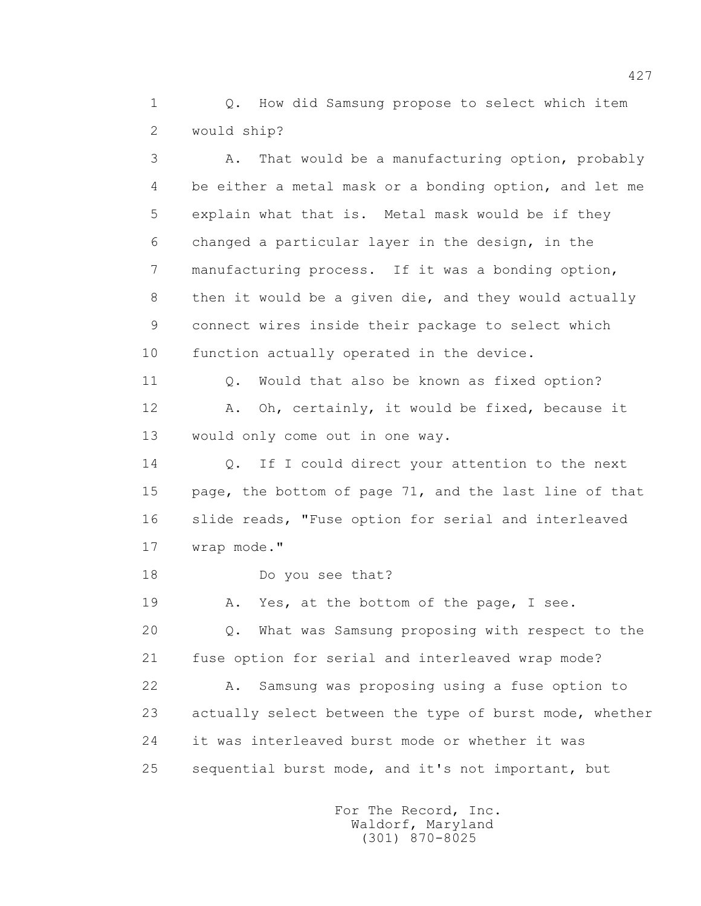1 0. How did Samsung propose to select which item 2 would ship?

 3 A. That would be a manufacturing option, probably 4 be either a metal mask or a bonding option, and let me 5 explain what that is. Metal mask would be if they 6 changed a particular layer in the design, in the 7 manufacturing process. If it was a bonding option, 8 then it would be a given die, and they would actually 9 connect wires inside their package to select which 10 function actually operated in the device. 11 O. Would that also be known as fixed option? 12 A. Oh, certainly, it would be fixed, because it 13 would only come out in one way. 14 Q. If I could direct your attention to the next 15 page, the bottom of page 71, and the last line of that 16 slide reads, "Fuse option for serial and interleaved 17 wrap mode." 18 Do you see that? 19 A. Yes, at the bottom of the page, I see. 20 Q. What was Samsung proposing with respect to the 21 fuse option for serial and interleaved wrap mode? 22 A. Samsung was proposing using a fuse option to 23 actually select between the type of burst mode, whether 24 it was interleaved burst mode or whether it was 25 sequential burst mode, and it's not important, but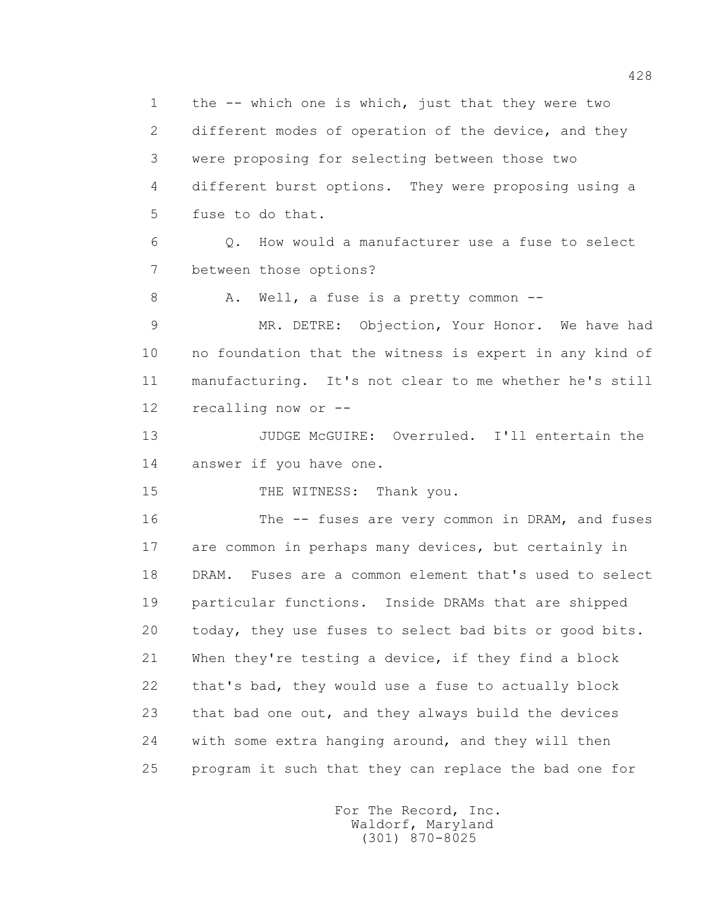1 the -- which one is which, just that they were two 2 different modes of operation of the device, and they 3 were proposing for selecting between those two 4 different burst options. They were proposing using a 5 fuse to do that. 6 Q. How would a manufacturer use a fuse to select 7 between those options? 8 A. Well, a fuse is a pretty common -- 9 MR. DETRE: Objection, Your Honor. We have had 10 no foundation that the witness is expert in any kind of 11 manufacturing. It's not clear to me whether he's still 12 recalling now or -- 13 JUDGE McGUIRE: Overruled. I'll entertain the 14 answer if you have one. 15 THE WITNESS: Thank you. 16 The -- fuses are very common in DRAM, and fuses 17 are common in perhaps many devices, but certainly in 18 DRAM. Fuses are a common element that's used to select 19 particular functions. Inside DRAMs that are shipped 20 today, they use fuses to select bad bits or good bits. 21 When they're testing a device, if they find a block 22 that's bad, they would use a fuse to actually block 23 that bad one out, and they always build the devices 24 with some extra hanging around, and they will then 25 program it such that they can replace the bad one for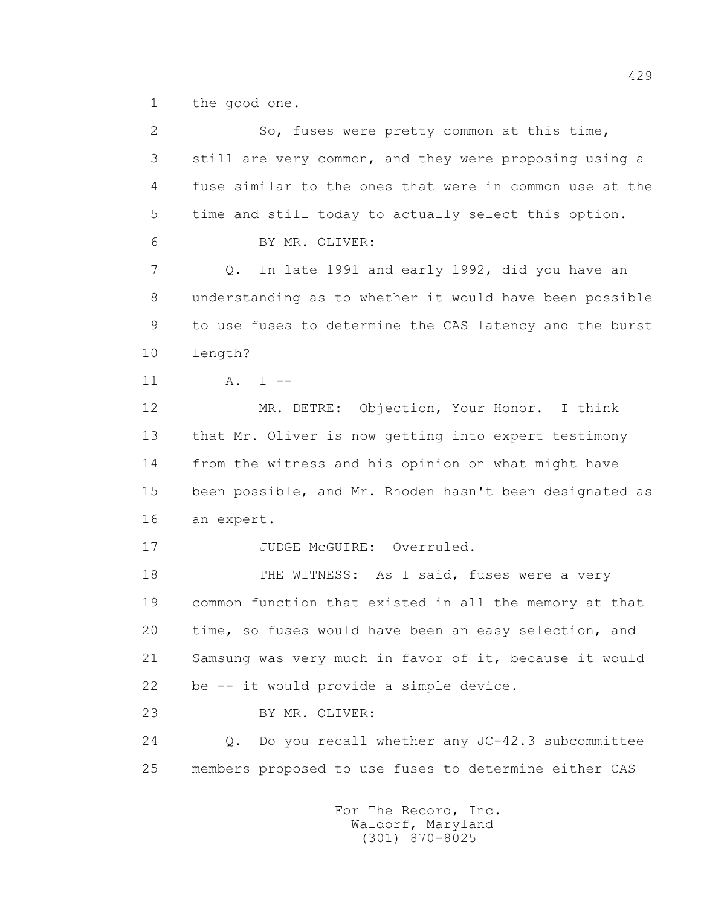1 the good one.

| $\mathbf{2}$ | So, fuses were pretty common at this time,              |
|--------------|---------------------------------------------------------|
| 3            | still are very common, and they were proposing using a  |
| 4            | fuse similar to the ones that were in common use at the |
| 5            | time and still today to actually select this option.    |
| 6            | BY MR. OLIVER:                                          |
| 7            | In late 1991 and early 1992, did you have an<br>Q.      |
| 8            | understanding as to whether it would have been possible |
| 9            | to use fuses to determine the CAS latency and the burst |
| 10           | length?                                                 |
| 11           | $A. I --$                                               |
| 12           | MR. DETRE: Objection, Your Honor. I think               |
| 13           | that Mr. Oliver is now getting into expert testimony    |
| 14           | from the witness and his opinion on what might have     |
| 15           | been possible, and Mr. Rhoden hasn't been designated as |
| 16           | an expert.                                              |
| 17           | JUDGE McGUIRE: Overruled.                               |
| 18           | THE WITNESS: As I said, fuses were a very               |
| 19           | common function that existed in all the memory at that  |
| 20           | time, so fuses would have been an easy selection, and   |
| 21           | Samsung was very much in favor of it, because it would  |
| 22           | be -- it would provide a simple device.                 |
| 23           | BY MR. OLIVER:                                          |
| 24           | Do you recall whether any JC-42.3 subcommittee<br>Q.    |
| 25           | members proposed to use fuses to determine either CAS   |
|              |                                                         |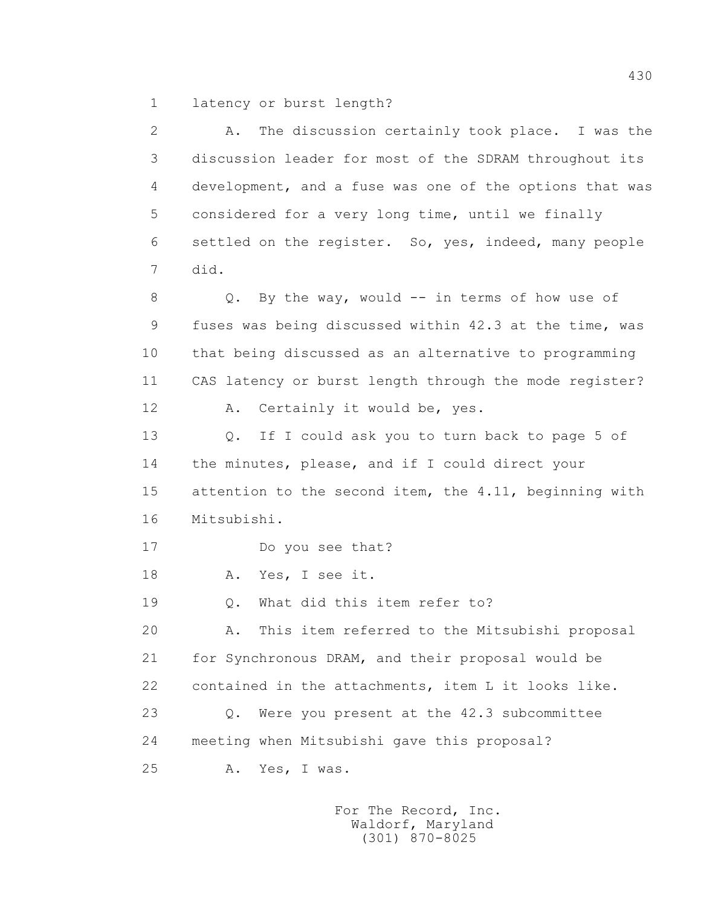1 latency or burst length?

 2 A. The discussion certainly took place. I was the 3 discussion leader for most of the SDRAM throughout its 4 development, and a fuse was one of the options that was 5 considered for a very long time, until we finally 6 settled on the register. So, yes, indeed, many people 7 did. 8 Q. By the way, would -- in terms of how use of 9 fuses was being discussed within 42.3 at the time, was 10 that being discussed as an alternative to programming 11 CAS latency or burst length through the mode register? 12 A. Certainly it would be, yes. 13 Q. If I could ask you to turn back to page 5 of 14 the minutes, please, and if I could direct your 15 attention to the second item, the 4.11, beginning with 16 Mitsubishi. 17 Do you see that? 18 A. Yes, I see it. 19 Q. What did this item refer to? 20 A. This item referred to the Mitsubishi proposal 21 for Synchronous DRAM, and their proposal would be 22 contained in the attachments, item L it looks like. 23 Q. Were you present at the 42.3 subcommittee 24 meeting when Mitsubishi gave this proposal? 25 A. Yes, I was.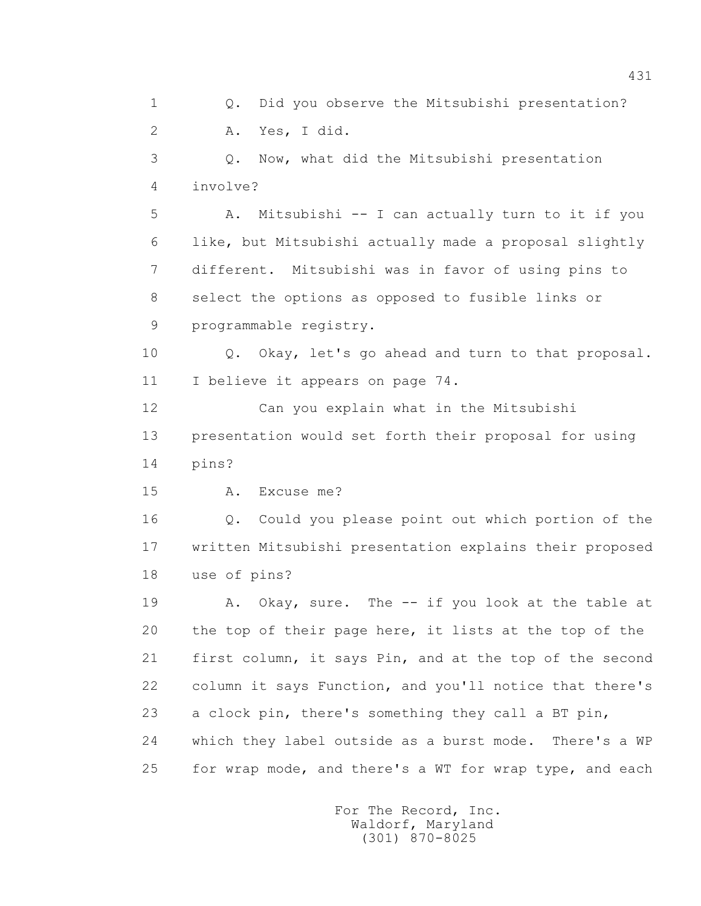1 Q. Did you observe the Mitsubishi presentation? 2 A. Yes, I did. 3 Q. Now, what did the Mitsubishi presentation 4 involve? 5 A. Mitsubishi -- I can actually turn to it if you 6 like, but Mitsubishi actually made a proposal slightly 7 different. Mitsubishi was in favor of using pins to 8 select the options as opposed to fusible links or 9 programmable registry. 10 Q. Okay, let's go ahead and turn to that proposal. 11 I believe it appears on page 74. 12 Can you explain what in the Mitsubishi 13 presentation would set forth their proposal for using 14 pins? 15 A. Excuse me? 16 Q. Could you please point out which portion of the 17 written Mitsubishi presentation explains their proposed 18 use of pins? 19 A. Okay, sure. The -- if you look at the table at 20 the top of their page here, it lists at the top of the 21 first column, it says Pin, and at the top of the second 22 column it says Function, and you'll notice that there's 23 a clock pin, there's something they call a BT pin, 24 which they label outside as a burst mode. There's a WP 25 for wrap mode, and there's a WT for wrap type, and each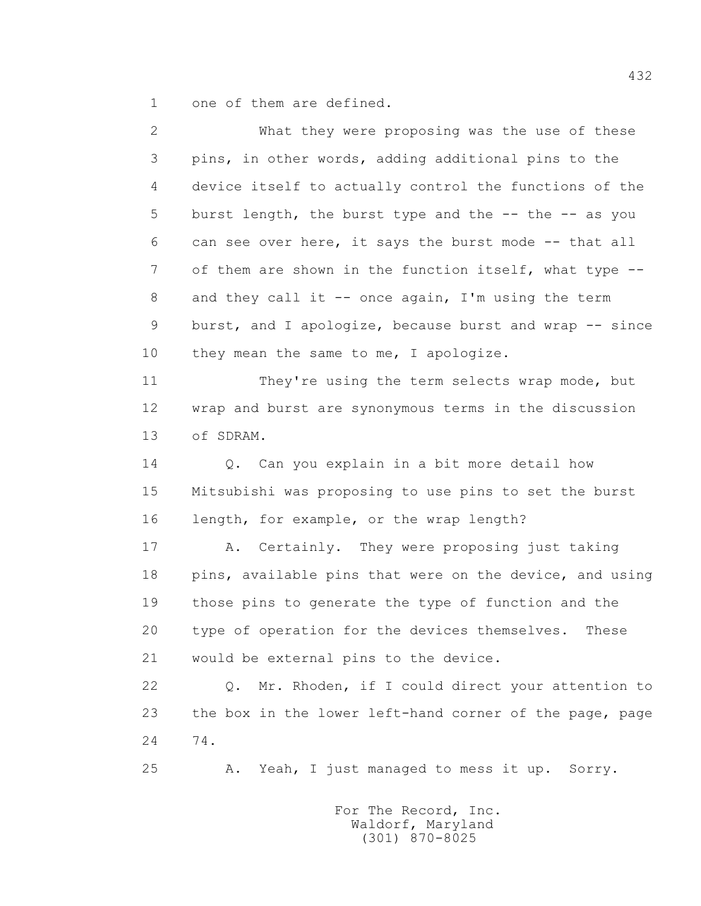1 one of them are defined.

 2 What they were proposing was the use of these 3 pins, in other words, adding additional pins to the 4 device itself to actually control the functions of the 5 burst length, the burst type and the -- the -- as you 6 can see over here, it says the burst mode -- that all 7 of them are shown in the function itself, what type --8 and they call it -- once again, I'm using the term 9 burst, and I apologize, because burst and wrap -- since 10 they mean the same to me, I apologize. 11 They're using the term selects wrap mode, but 12 wrap and burst are synonymous terms in the discussion 13 of SDRAM. 14 Q. Can you explain in a bit more detail how 15 Mitsubishi was proposing to use pins to set the burst 16 length, for example, or the wrap length? 17 A. Certainly. They were proposing just taking 18 pins, available pins that were on the device, and using 19 those pins to generate the type of function and the 20 type of operation for the devices themselves. These 21 would be external pins to the device. 22 Q. Mr. Rhoden, if I could direct your attention to 23 the box in the lower left-hand corner of the page, page 24 74. 25 A. Yeah, I just managed to mess it up. Sorry.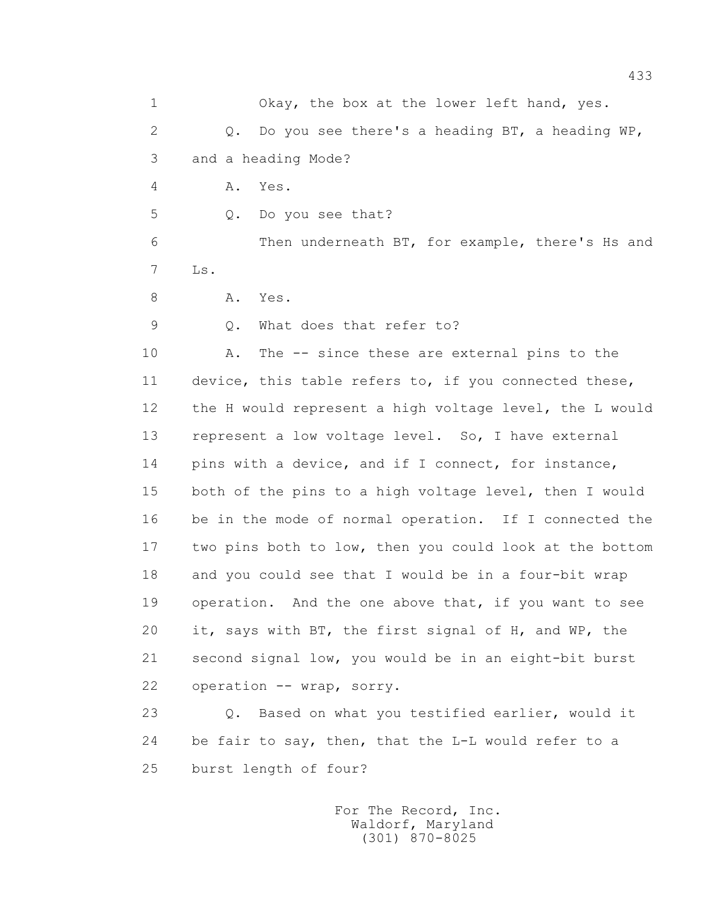1 Okay, the box at the lower left hand, yes. 2 Q. Do you see there's a heading BT, a heading WP, 3 and a heading Mode? 4 A. Yes. 5 Q. Do you see that? 6 Then underneath BT, for example, there's Hs and 7 Ls. 8 A. Yes. 9 Q. What does that refer to? 10 A. The -- since these are external pins to the 11 device, this table refers to, if you connected these, 12 the H would represent a high voltage level, the L would 13 represent a low voltage level. So, I have external 14 pins with a device, and if I connect, for instance, 15 both of the pins to a high voltage level, then I would 16 be in the mode of normal operation. If I connected the 17 two pins both to low, then you could look at the bottom 18 and you could see that I would be in a four-bit wrap 19 operation. And the one above that, if you want to see 20 it, says with BT, the first signal of H, and WP, the 21 second signal low, you would be in an eight-bit burst 22 operation -- wrap, sorry. 23 Q. Based on what you testified earlier, would it 24 be fair to say, then, that the L-L would refer to a 25 burst length of four?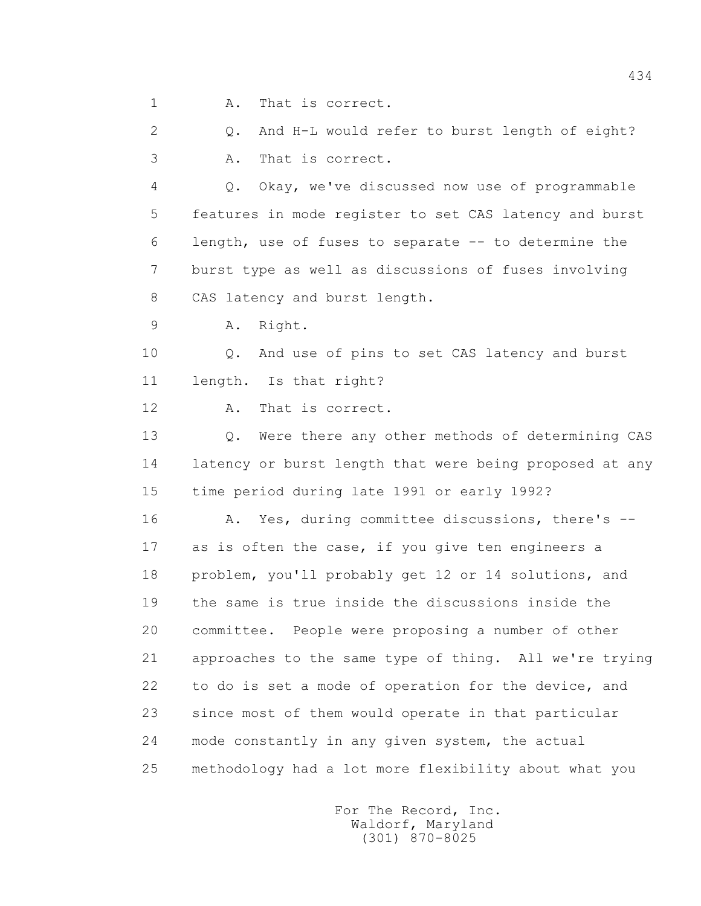1 A. That is correct.

 2 Q. And H-L would refer to burst length of eight? 3 A. That is correct.

 4 Q. Okay, we've discussed now use of programmable 5 features in mode register to set CAS latency and burst 6 length, use of fuses to separate -- to determine the 7 burst type as well as discussions of fuses involving 8 CAS latency and burst length.

9 A. Right.

 10 Q. And use of pins to set CAS latency and burst 11 length. Is that right?

12 A. That is correct.

 13 Q. Were there any other methods of determining CAS 14 latency or burst length that were being proposed at any 15 time period during late 1991 or early 1992?

 16 A. Yes, during committee discussions, there's -- 17 as is often the case, if you give ten engineers a 18 problem, you'll probably get 12 or 14 solutions, and 19 the same is true inside the discussions inside the 20 committee. People were proposing a number of other 21 approaches to the same type of thing. All we're trying 22 to do is set a mode of operation for the device, and 23 since most of them would operate in that particular 24 mode constantly in any given system, the actual 25 methodology had a lot more flexibility about what you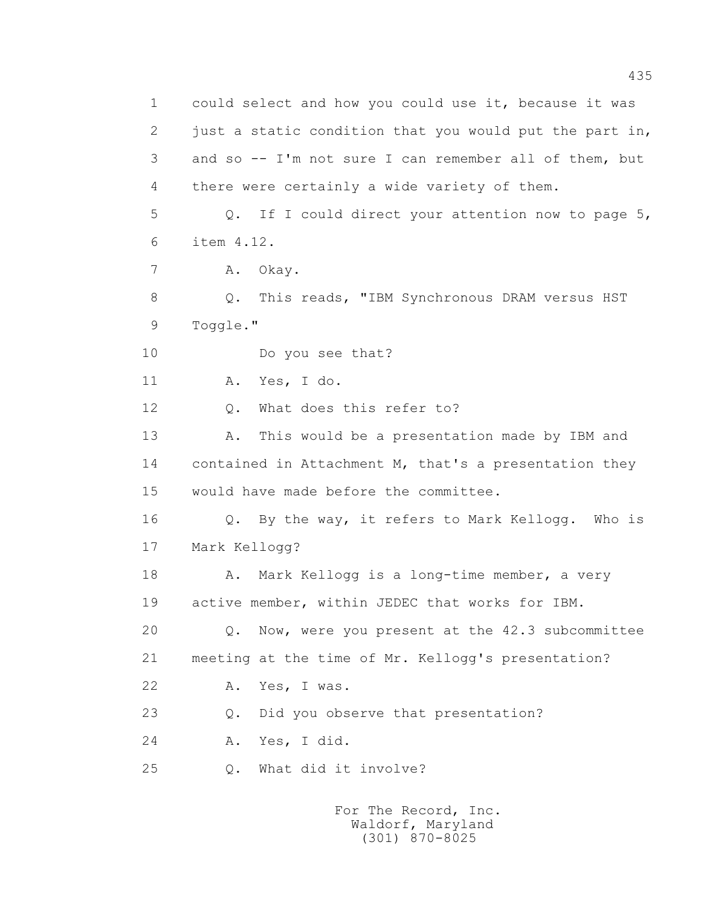1 could select and how you could use it, because it was 2 just a static condition that you would put the part in, 3 and so -- I'm not sure I can remember all of them, but 4 there were certainly a wide variety of them. 5 Q. If I could direct your attention now to page 5, 6 item 4.12. 7 A. Okay. 8 Q. This reads, "IBM Synchronous DRAM versus HST 9 Toggle." 10 Do you see that? 11 A. Yes, I do. 12 Q. What does this refer to? 13 A. This would be a presentation made by IBM and 14 contained in Attachment M, that's a presentation they 15 would have made before the committee. 16 Q. By the way, it refers to Mark Kellogg. Who is 17 Mark Kellogg? 18 A. Mark Kellogg is a long-time member, a very 19 active member, within JEDEC that works for IBM. 20 Q. Now, were you present at the 42.3 subcommittee 21 meeting at the time of Mr. Kellogg's presentation? 22 A. Yes, I was. 23 0. Did you observe that presentation? 24 A. Yes, I did. 25 Q. What did it involve?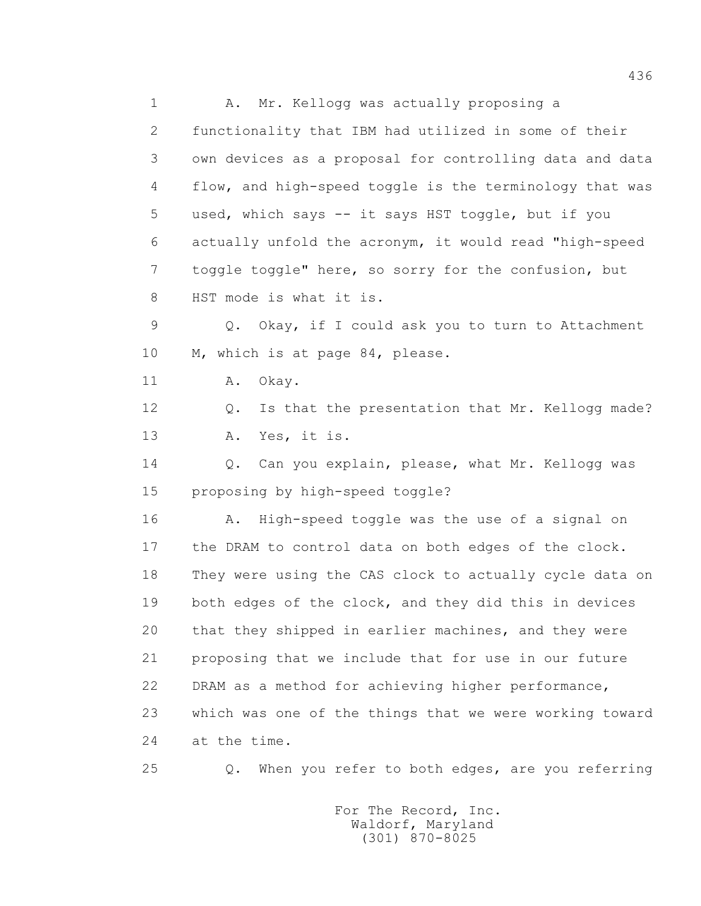1 A. Mr. Kellogg was actually proposing a 2 functionality that IBM had utilized in some of their 3 own devices as a proposal for controlling data and data 4 flow, and high-speed toggle is the terminology that was 5 used, which says -- it says HST toggle, but if you 6 actually unfold the acronym, it would read "high-speed 7 toggle toggle" here, so sorry for the confusion, but 8 HST mode is what it is. 9 Q. Okay, if I could ask you to turn to Attachment 10 M, which is at page 84, please. 11 A. Okay. 12 Q. Is that the presentation that Mr. Kellogg made? 13 A. Yes, it is. 14 Q. Can you explain, please, what Mr. Kellogg was 15 proposing by high-speed toggle? 16 A. High-speed toggle was the use of a signal on 17 the DRAM to control data on both edges of the clock. 18 They were using the CAS clock to actually cycle data on 19 both edges of the clock, and they did this in devices 20 that they shipped in earlier machines, and they were 21 proposing that we include that for use in our future 22 DRAM as a method for achieving higher performance, 23 which was one of the things that we were working toward 24 at the time. 25 Q. When you refer to both edges, are you referring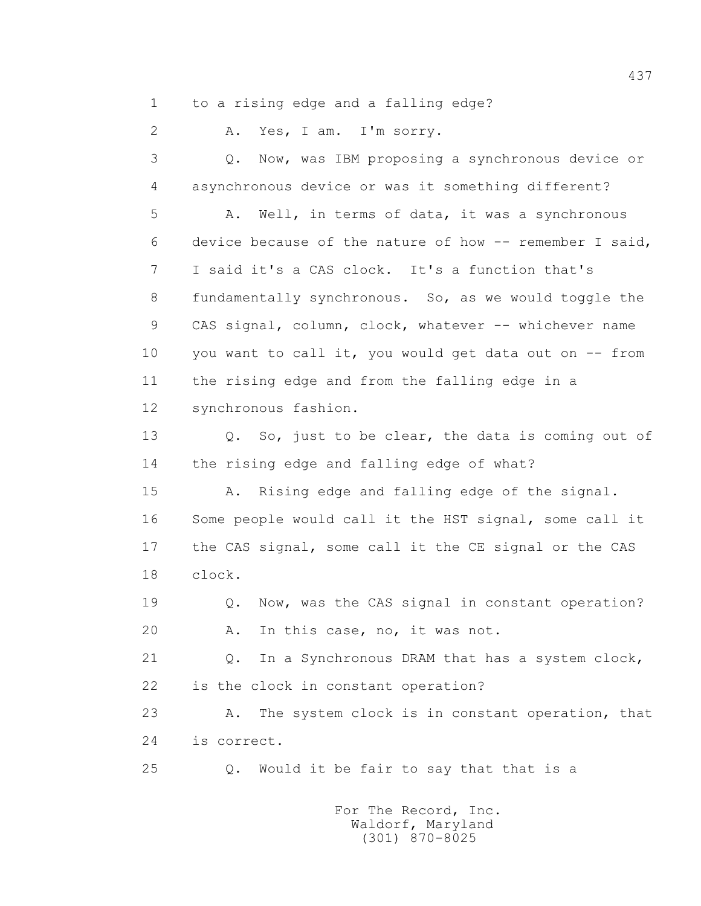1 to a rising edge and a falling edge?

2 A. Yes, I am. I'm sorry.

 3 Q. Now, was IBM proposing a synchronous device or 4 asynchronous device or was it something different?

 5 A. Well, in terms of data, it was a synchronous 6 device because of the nature of how -- remember I said, 7 I said it's a CAS clock. It's a function that's 8 fundamentally synchronous. So, as we would toggle the 9 CAS signal, column, clock, whatever -- whichever name 10 you want to call it, you would get data out on -- from 11 the rising edge and from the falling edge in a 12 synchronous fashion.

 13 Q. So, just to be clear, the data is coming out of 14 the rising edge and falling edge of what?

 15 A. Rising edge and falling edge of the signal. 16 Some people would call it the HST signal, some call it 17 the CAS signal, some call it the CE signal or the CAS 18 clock.

19 **Q.** Now, was the CAS signal in constant operation? 20 A. In this case, no, it was not.

 21 Q. In a Synchronous DRAM that has a system clock, 22 is the clock in constant operation?

 23 A. The system clock is in constant operation, that 24 is correct.

25 Q. Would it be fair to say that that is a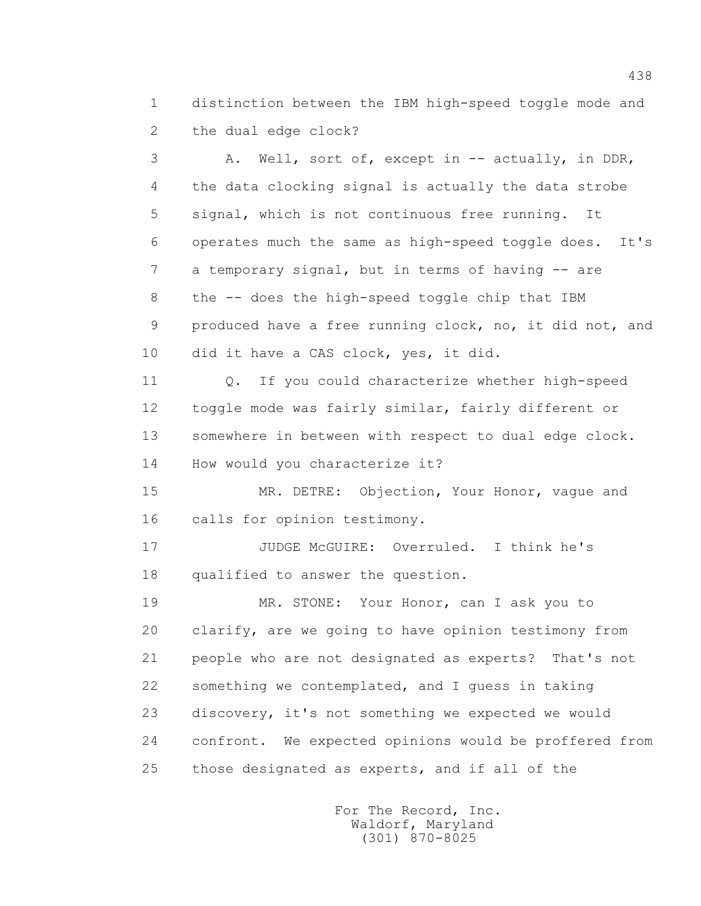1 distinction between the IBM high-speed toggle mode and 2 the dual edge clock?

 3 A. Well, sort of, except in -- actually, in DDR, 4 the data clocking signal is actually the data strobe 5 signal, which is not continuous free running. It 6 operates much the same as high-speed toggle does. It's 7 a temporary signal, but in terms of having -- are 8 the -- does the high-speed toggle chip that IBM 9 produced have a free running clock, no, it did not, and 10 did it have a CAS clock, yes, it did.

 11 Q. If you could characterize whether high-speed 12 toggle mode was fairly similar, fairly different or 13 somewhere in between with respect to dual edge clock. 14 How would you characterize it?

 15 MR. DETRE: Objection, Your Honor, vague and 16 calls for opinion testimony.

 17 JUDGE McGUIRE: Overruled. I think he's 18 qualified to answer the question.

 19 MR. STONE: Your Honor, can I ask you to 20 clarify, are we going to have opinion testimony from 21 people who are not designated as experts? That's not 22 something we contemplated, and I guess in taking 23 discovery, it's not something we expected we would 24 confront. We expected opinions would be proffered from 25 those designated as experts, and if all of the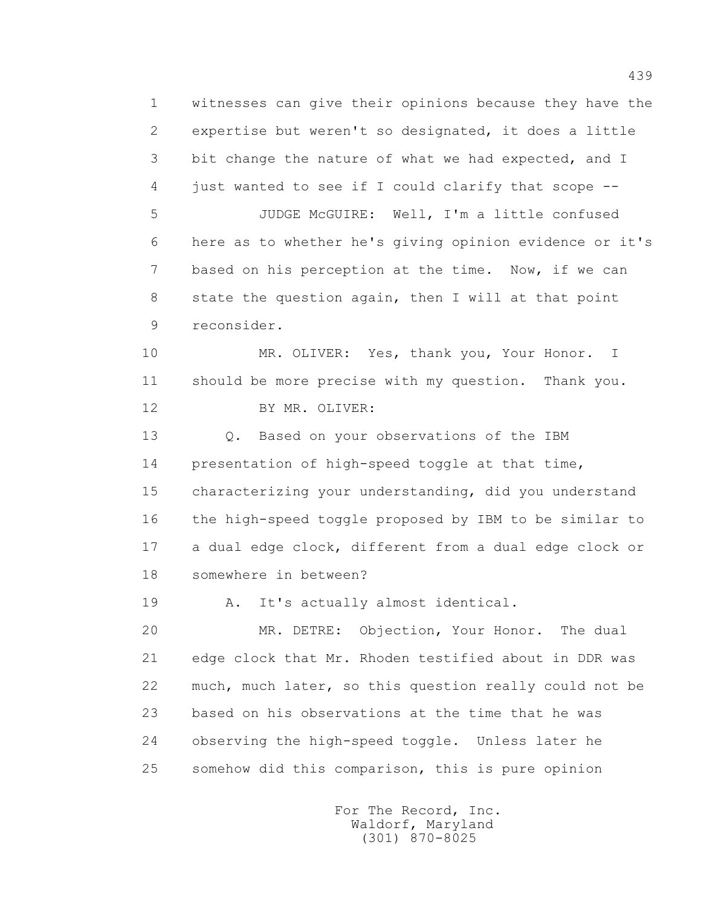1 witnesses can give their opinions because they have the 2 expertise but weren't so designated, it does a little 3 bit change the nature of what we had expected, and I 4 just wanted to see if I could clarify that scope -- 5 JUDGE McGUIRE: Well, I'm a little confused 6 here as to whether he's giving opinion evidence or it's 7 based on his perception at the time. Now, if we can 8 state the question again, then I will at that point 9 reconsider. 10 MR. OLIVER: Yes, thank you, Your Honor. I 11 should be more precise with my question. Thank you. 12 BY MR. OLIVER: 13 Q. Based on your observations of the IBM 14 presentation of high-speed toggle at that time, 15 characterizing your understanding, did you understand 16 the high-speed toggle proposed by IBM to be similar to 17 a dual edge clock, different from a dual edge clock or 18 somewhere in between? 19 A. It's actually almost identical. 20 MR. DETRE: Objection, Your Honor. The dual 21 edge clock that Mr. Rhoden testified about in DDR was 22 much, much later, so this question really could not be 23 based on his observations at the time that he was 24 observing the high-speed toggle. Unless later he 25 somehow did this comparison, this is pure opinion

> For The Record, Inc. Waldorf, Maryland (301) 870-8025

439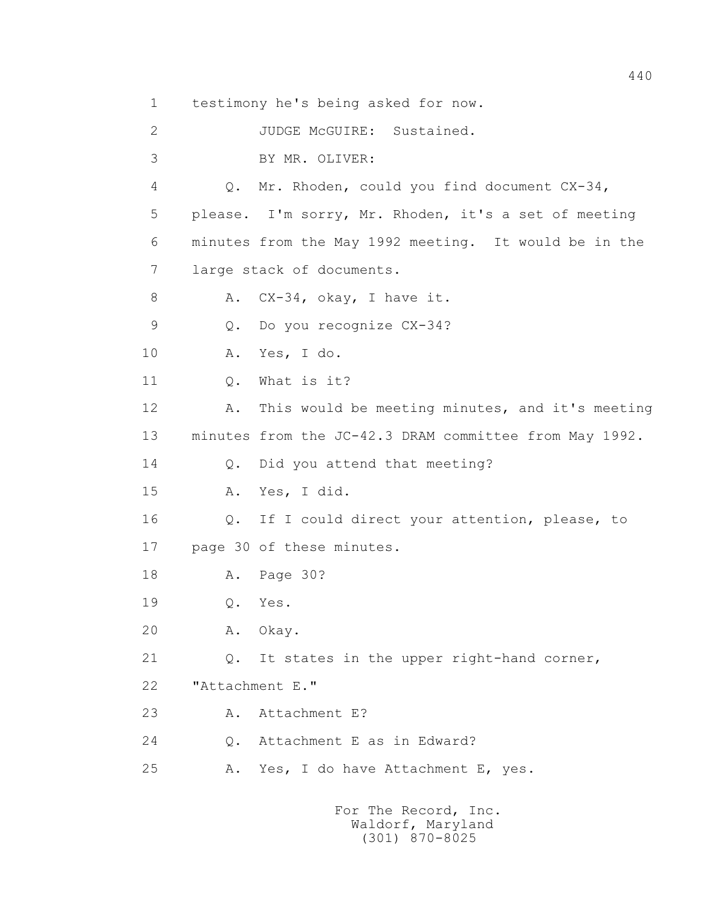1 testimony he's being asked for now.

2 JUDGE McGUIRE: Sustained.

3 BY MR. OLIVER:

 4 Q. Mr. Rhoden, could you find document CX-34, 5 please. I'm sorry, Mr. Rhoden, it's a set of meeting 6 minutes from the May 1992 meeting. It would be in the 7 large stack of documents.

8 A. CX-34, okay, I have it.

9 Q. Do you recognize CX-34?

10 A. Yes, I do.

11 0. What is it?

 12 A. This would be meeting minutes, and it's meeting 13 minutes from the JC-42.3 DRAM committee from May 1992.

14 Q. Did you attend that meeting?

15 A. Yes, I did.

 16 Q. If I could direct your attention, please, to 17 page 30 of these minutes.

18 A. Page 30?

19 Q. Yes.

20 A. Okay.

21 Q. It states in the upper right-hand corner,

22 "Attachment E."

23 A. Attachment E?

24 Q. Attachment E as in Edward?

25 A. Yes, I do have Attachment E, yes.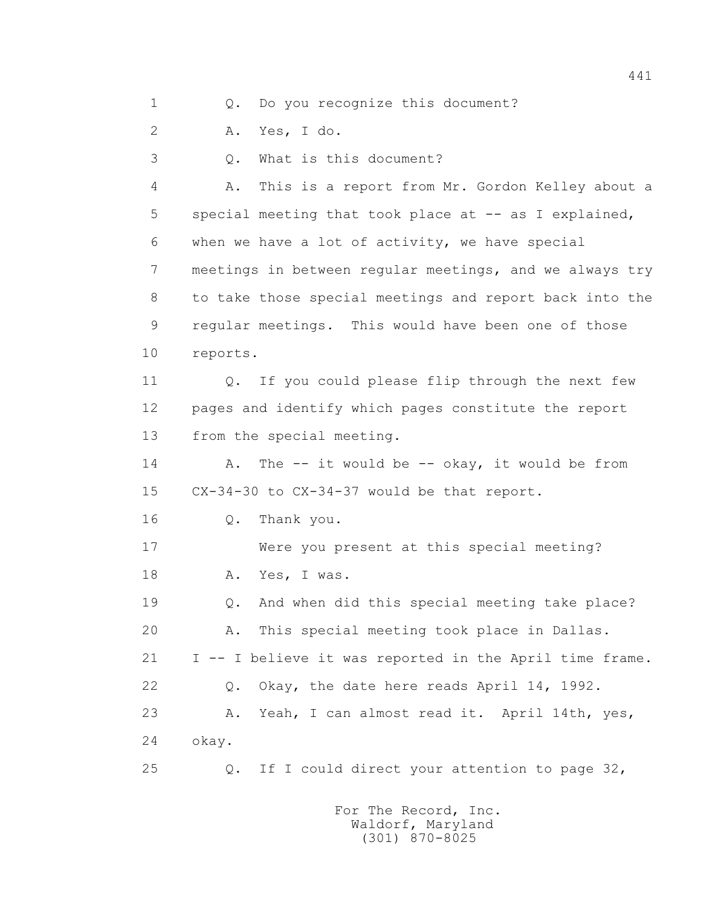1 0. Do you recognize this document?

2 A. Yes, I do.

3 Q. What is this document?

 4 A. This is a report from Mr. Gordon Kelley about a 5 special meeting that took place at -- as I explained, 6 when we have a lot of activity, we have special 7 meetings in between regular meetings, and we always try 8 to take those special meetings and report back into the 9 regular meetings. This would have been one of those 10 reports.

 11 Q. If you could please flip through the next few 12 pages and identify which pages constitute the report 13 from the special meeting.

14 A. The -- it would be -- okay, it would be from 15 CX-34-30 to CX-34-37 would be that report.

16 Q. Thank you.

 17 Were you present at this special meeting? 18 A. Yes, I was.

 19 Q. And when did this special meeting take place? 20 A. This special meeting took place in Dallas. 21 I -- I believe it was reported in the April time frame. 22 Q. Okay, the date here reads April 14, 1992. 23 A. Yeah, I can almost read it. April 14th, yes, 24 okay.

25 Q. If I could direct your attention to page 32,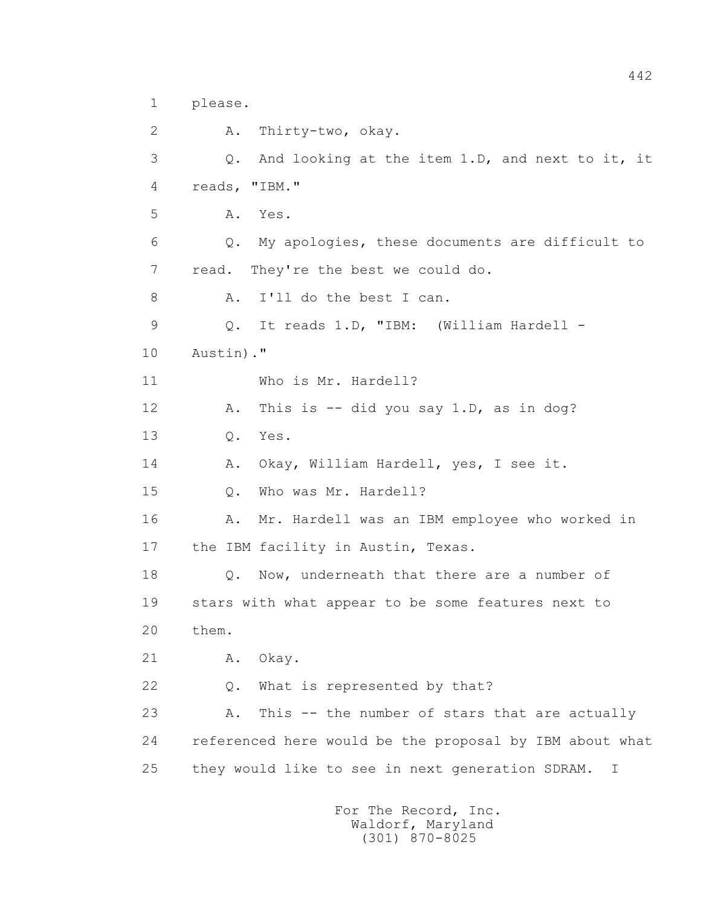```
 1 please.
```
 2 A. Thirty-two, okay. 3 Q. And looking at the item 1.D, and next to it, it 4 reads, "IBM." 5 A. Yes. 6 Q. My apologies, these documents are difficult to 7 read. They're the best we could do. 8 A. I'll do the best I can. 9 Q. It reads 1.D, "IBM: (William Hardell - 10 Austin)." 11 Who is Mr. Hardell? 12 A. This is -- did you say 1.D, as in dog? 13 Q. Yes. 14 A. Okay, William Hardell, yes, I see it. 15 Q. Who was Mr. Hardell? 16 A. Mr. Hardell was an IBM employee who worked in 17 the IBM facility in Austin, Texas. 18 **Q.** Now, underneath that there are a number of 19 stars with what appear to be some features next to 20 them. 21 A. Okay. 22 Q. What is represented by that? 23 A. This -- the number of stars that are actually 24 referenced here would be the proposal by IBM about what 25 they would like to see in next generation SDRAM. I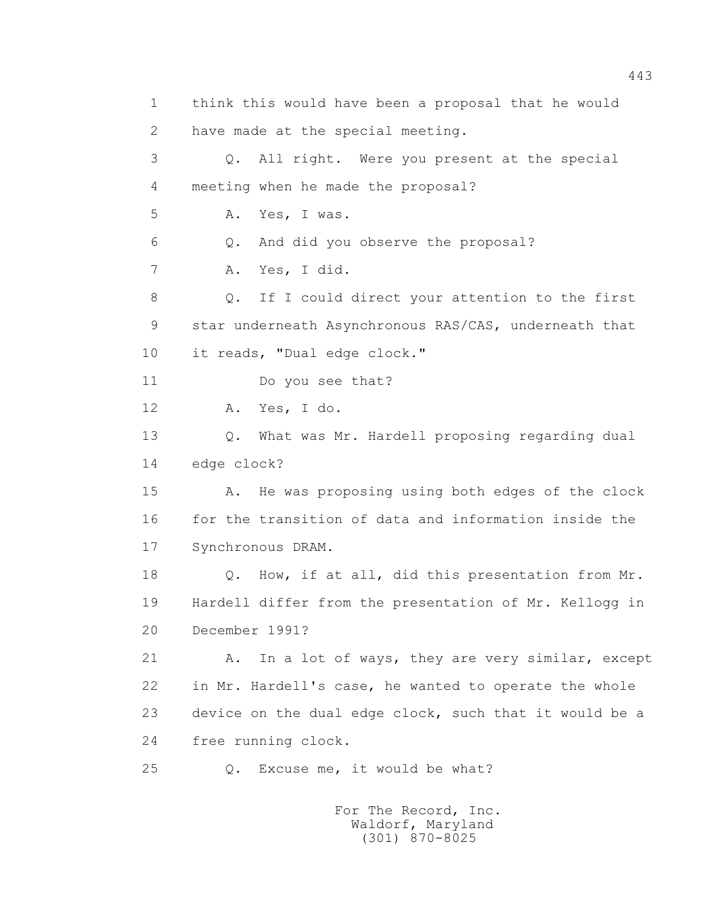1 think this would have been a proposal that he would 2 have made at the special meeting. 3 Q. All right. Were you present at the special 4 meeting when he made the proposal? 5 A. Yes, I was. 6 Q. And did you observe the proposal? 7 A. Yes, I did. 8 Q. If I could direct your attention to the first 9 star underneath Asynchronous RAS/CAS, underneath that 10 it reads, "Dual edge clock." 11 Do you see that? 12 A. Yes, I do. 13 Q. What was Mr. Hardell proposing regarding dual 14 edge clock? 15 A. He was proposing using both edges of the clock 16 for the transition of data and information inside the 17 Synchronous DRAM. 18 Q. How, if at all, did this presentation from Mr. 19 Hardell differ from the presentation of Mr. Kellogg in 20 December 1991? 21 A. In a lot of ways, they are very similar, except 22 in Mr. Hardell's case, he wanted to operate the whole 23 device on the dual edge clock, such that it would be a 24 free running clock. 25 Q. Excuse me, it would be what?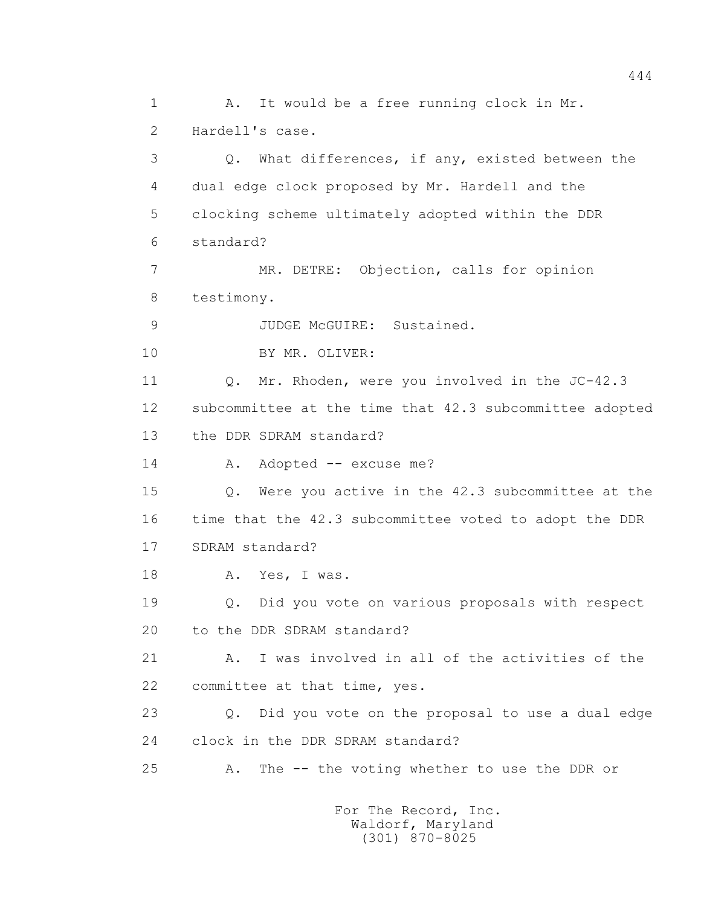1 A. It would be a free running clock in Mr. 2 Hardell's case. 3 Q. What differences, if any, existed between the 4 dual edge clock proposed by Mr. Hardell and the 5 clocking scheme ultimately adopted within the DDR 6 standard? 7 MR. DETRE: Objection, calls for opinion 8 testimony. 9 JUDGE McGUIRE: Sustained. 10 BY MR. OLIVER: 11 Q. Mr. Rhoden, were you involved in the JC-42.3 12 subcommittee at the time that 42.3 subcommittee adopted 13 the DDR SDRAM standard? 14 A. Adopted -- excuse me? 15 Q. Were you active in the 42.3 subcommittee at the 16 time that the 42.3 subcommittee voted to adopt the DDR 17 SDRAM standard? 18 A. Yes, I was. 19 Q. Did you vote on various proposals with respect 20 to the DDR SDRAM standard? 21 A. I was involved in all of the activities of the 22 committee at that time, yes. 23 Q. Did you vote on the proposal to use a dual edge 24 clock in the DDR SDRAM standard? 25 A. The -- the voting whether to use the DDR or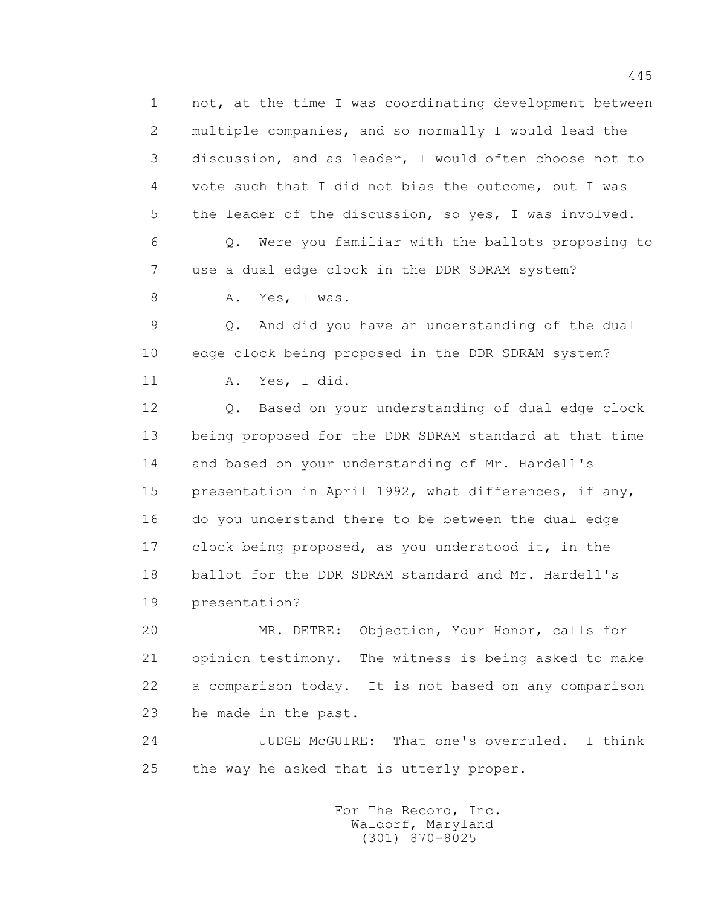1 not, at the time I was coordinating development between 2 multiple companies, and so normally I would lead the 3 discussion, and as leader, I would often choose not to 4 vote such that I did not bias the outcome, but I was 5 the leader of the discussion, so yes, I was involved. 6 Q. Were you familiar with the ballots proposing to 7 use a dual edge clock in the DDR SDRAM system? 8 A. Yes, I was. 9 Q. And did you have an understanding of the dual 10 edge clock being proposed in the DDR SDRAM system? 11 A. Yes, I did. 12 Q. Based on your understanding of dual edge clock 13 being proposed for the DDR SDRAM standard at that time 14 and based on your understanding of Mr. Hardell's 15 presentation in April 1992, what differences, if any, 16 do you understand there to be between the dual edge 17 clock being proposed, as you understood it, in the 18 ballot for the DDR SDRAM standard and Mr. Hardell's 19 presentation? 20 MR. DETRE: Objection, Your Honor, calls for 21 opinion testimony. The witness is being asked to make 22 a comparison today. It is not based on any comparison 23 he made in the past.

 24 JUDGE McGUIRE: That one's overruled. I think 25 the way he asked that is utterly proper.

> For The Record, Inc. Waldorf, Maryland (301) 870-8025

445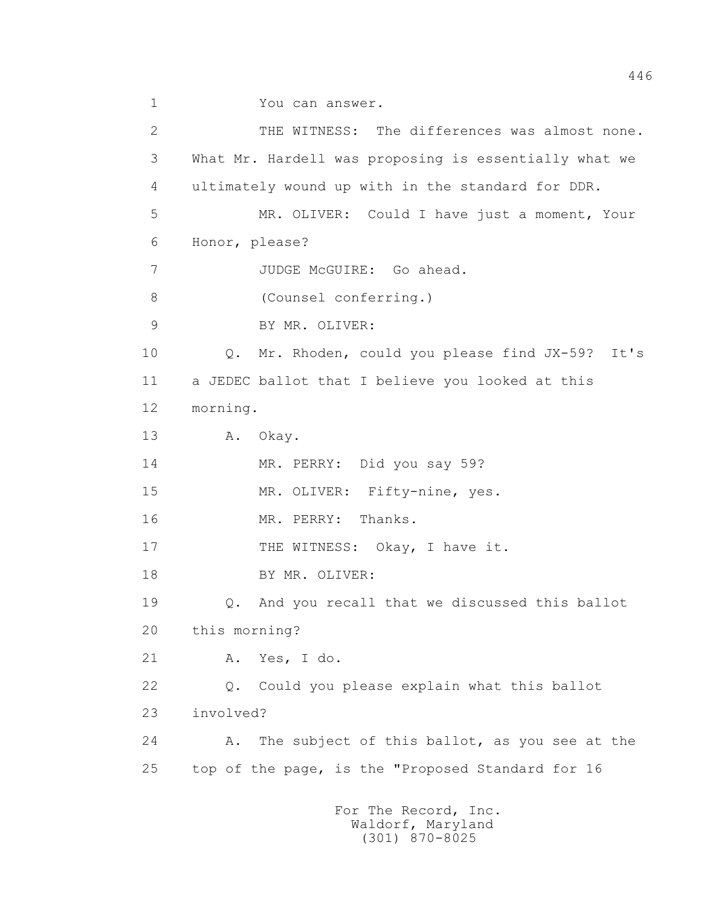```
 1 You can answer. 
 2 THE WITNESS: The differences was almost none.
 3 What Mr. Hardell was proposing is essentially what we 
 4 ultimately wound up with in the standard for DDR. 
 5 MR. OLIVER: Could I have just a moment, Your 
 6 Honor, please? 
 7 JUDGE McGUIRE: Go ahead. 
 8 (Counsel conferring.)
 9 BY MR. OLIVER:
 10 Q. Mr. Rhoden, could you please find JX-59? It's 
 11 a JEDEC ballot that I believe you looked at this 
 12 morning. 
 13 A. Okay. 
 14 MR. PERRY: Did you say 59? 
 15 MR. OLIVER: Fifty-nine, yes. 
 16 MR. PERRY: Thanks. 
17 THE WITNESS: Okay, I have it.
18 BY MR. OLIVER:
 19 Q. And you recall that we discussed this ballot 
 20 this morning? 
 21 A. Yes, I do. 
 22 Q. Could you please explain what this ballot 
 23 involved? 
 24 A. The subject of this ballot, as you see at the 
 25 top of the page, is the "Proposed Standard for 16
```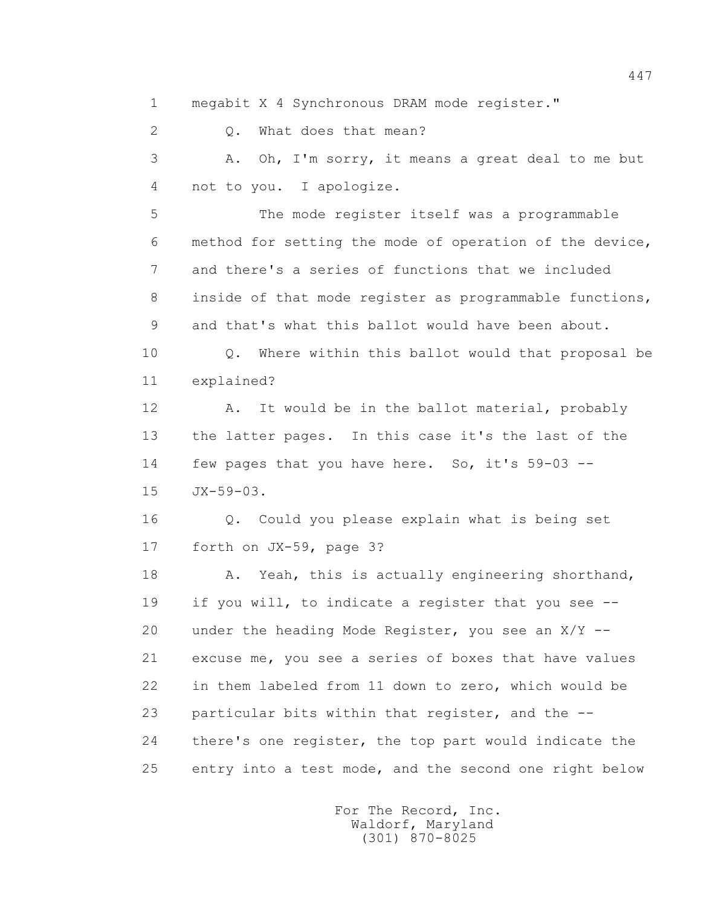1 megabit X 4 Synchronous DRAM mode register."

2 0. What does that mean?

 3 A. Oh, I'm sorry, it means a great deal to me but 4 not to you. I apologize.

 5 The mode register itself was a programmable 6 method for setting the mode of operation of the device, 7 and there's a series of functions that we included 8 inside of that mode register as programmable functions, 9 and that's what this ballot would have been about.

 10 Q. Where within this ballot would that proposal be 11 explained?

12 A. It would be in the ballot material, probably 13 the latter pages. In this case it's the last of the 14 few pages that you have here. So, it's 59-03 -- 15 JX-59-03.

 16 Q. Could you please explain what is being set 17 forth on JX-59, page 3?

18 A. Yeah, this is actually engineering shorthand, 19 if you will, to indicate a register that you see -- 20 under the heading Mode Register, you see an  $X/Y$  -- 21 excuse me, you see a series of boxes that have values 22 in them labeled from 11 down to zero, which would be 23 particular bits within that register, and the -- 24 there's one register, the top part would indicate the 25 entry into a test mode, and the second one right below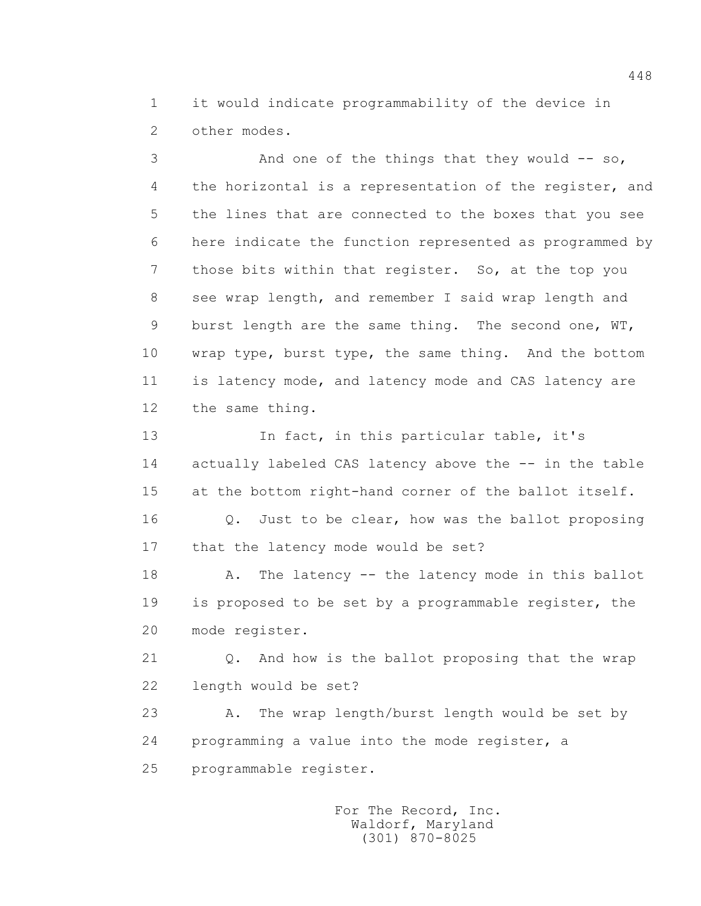1 it would indicate programmability of the device in 2 other modes.

3 And one of the things that they would -- so, 4 the horizontal is a representation of the register, and 5 the lines that are connected to the boxes that you see 6 here indicate the function represented as programmed by 7 those bits within that register. So, at the top you 8 see wrap length, and remember I said wrap length and 9 burst length are the same thing. The second one, WT, 10 wrap type, burst type, the same thing. And the bottom 11 is latency mode, and latency mode and CAS latency are 12 the same thing.

 13 In fact, in this particular table, it's 14 actually labeled CAS latency above the -- in the table 15 at the bottom right-hand corner of the ballot itself.

 16 Q. Just to be clear, how was the ballot proposing 17 that the latency mode would be set?

18 A. The latency -- the latency mode in this ballot 19 is proposed to be set by a programmable register, the 20 mode register.

 21 Q. And how is the ballot proposing that the wrap 22 length would be set?

 23 A. The wrap length/burst length would be set by 24 programming a value into the mode register, a 25 programmable register.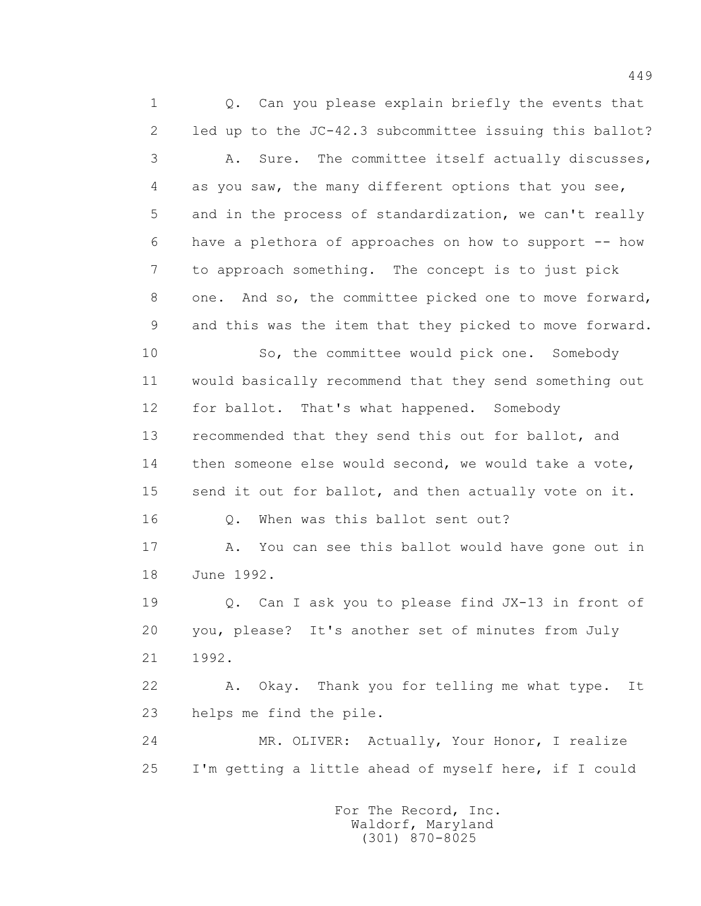1 0. Can you please explain briefly the events that 2 led up to the JC-42.3 subcommittee issuing this ballot? 3 A. Sure. The committee itself actually discusses, 4 as you saw, the many different options that you see, 5 and in the process of standardization, we can't really 6 have a plethora of approaches on how to support -- how 7 to approach something. The concept is to just pick 8 one. And so, the committee picked one to move forward, 9 and this was the item that they picked to move forward. 10 So, the committee would pick one. Somebody 11 would basically recommend that they send something out 12 for ballot. That's what happened. Somebody 13 recommended that they send this out for ballot, and 14 then someone else would second, we would take a vote, 15 send it out for ballot, and then actually vote on it. 16 0. When was this ballot sent out? 17 A. You can see this ballot would have gone out in 18 June 1992. 19 Q. Can I ask you to please find JX-13 in front of 20 you, please? It's another set of minutes from July 21 1992. 22 A. Okay. Thank you for telling me what type. It 23 helps me find the pile. 24 MR. OLIVER: Actually, Your Honor, I realize 25 I'm getting a little ahead of myself here, if I could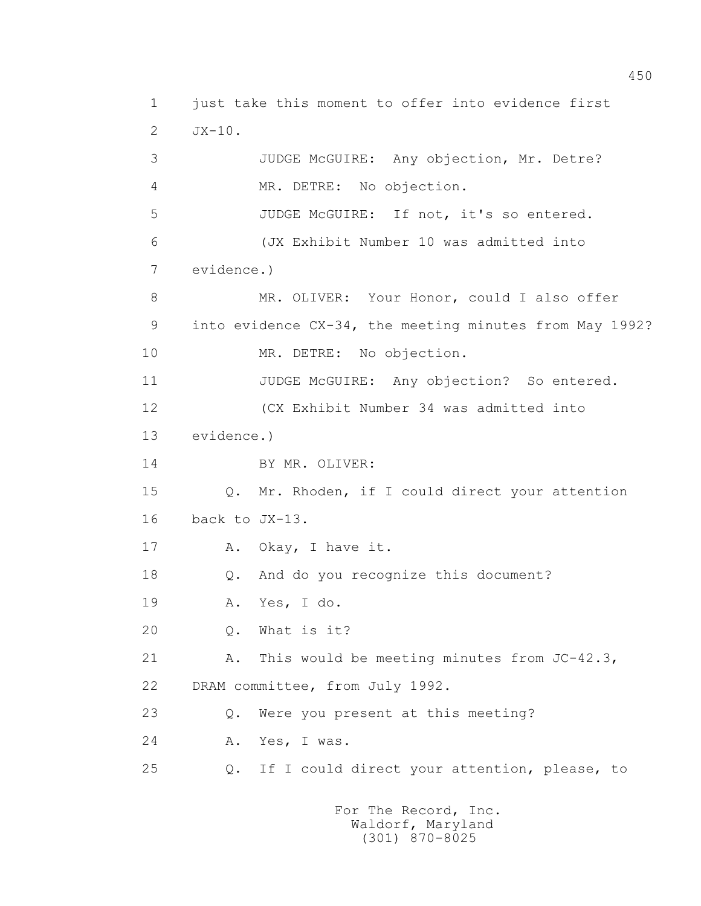1 just take this moment to offer into evidence first 2 JX-10. 3 JUDGE McGUIRE: Any objection, Mr. Detre? 4 MR. DETRE: No objection. 5 JUDGE McGUIRE: If not, it's so entered. 6 (JX Exhibit Number 10 was admitted into 7 evidence.) 8 MR. OLIVER: Your Honor, could I also offer 9 into evidence CX-34, the meeting minutes from May 1992? 10 MR. DETRE: No objection. 11 JUDGE McGUIRE: Any objection? So entered. 12 (CX Exhibit Number 34 was admitted into 13 evidence.) 14 BY MR. OLIVER: 15 Q. Mr. Rhoden, if I could direct your attention 16 back to JX-13. 17 A. Okay, I have it. 18 Q. And do you recognize this document? 19 A. Yes, I do. 20 Q. What is it? 21 A. This would be meeting minutes from JC-42.3, 22 DRAM committee, from July 1992. 23 Q. Were you present at this meeting? 24 A. Yes, I was. 25 Q. If I could direct your attention, please, to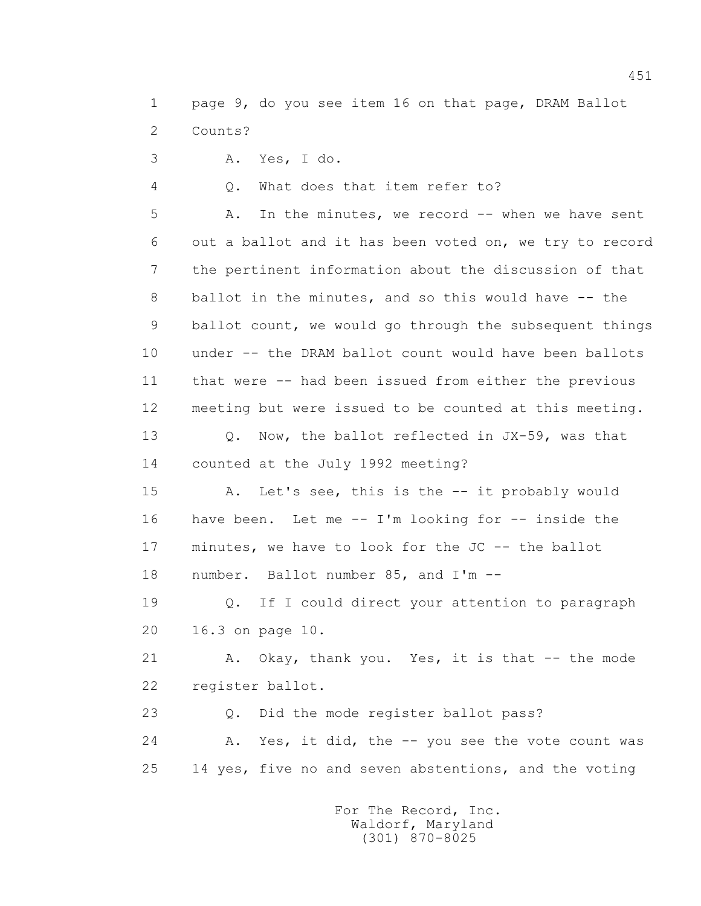1 page 9, do you see item 16 on that page, DRAM Ballot 2 Counts?

3 A. Yes, I do.

4 Q. What does that item refer to?

5 A. In the minutes, we record -- when we have sent 6 out a ballot and it has been voted on, we try to record 7 the pertinent information about the discussion of that 8 ballot in the minutes, and so this would have -- the 9 ballot count, we would go through the subsequent things 10 under -- the DRAM ballot count would have been ballots 11 that were -- had been issued from either the previous 12 meeting but were issued to be counted at this meeting.

 13 Q. Now, the ballot reflected in JX-59, was that 14 counted at the July 1992 meeting?

 15 A. Let's see, this is the -- it probably would 16 have been. Let me -- I'm looking for -- inside the 17 minutes, we have to look for the JC -- the ballot 18 number. Ballot number 85, and I'm --

 19 Q. If I could direct your attention to paragraph 20 16.3 on page 10.

 21 A. Okay, thank you. Yes, it is that -- the mode 22 register ballot.

23 Q. Did the mode register ballot pass?

24 A. Yes, it did, the -- you see the vote count was 25 14 yes, five no and seven abstentions, and the voting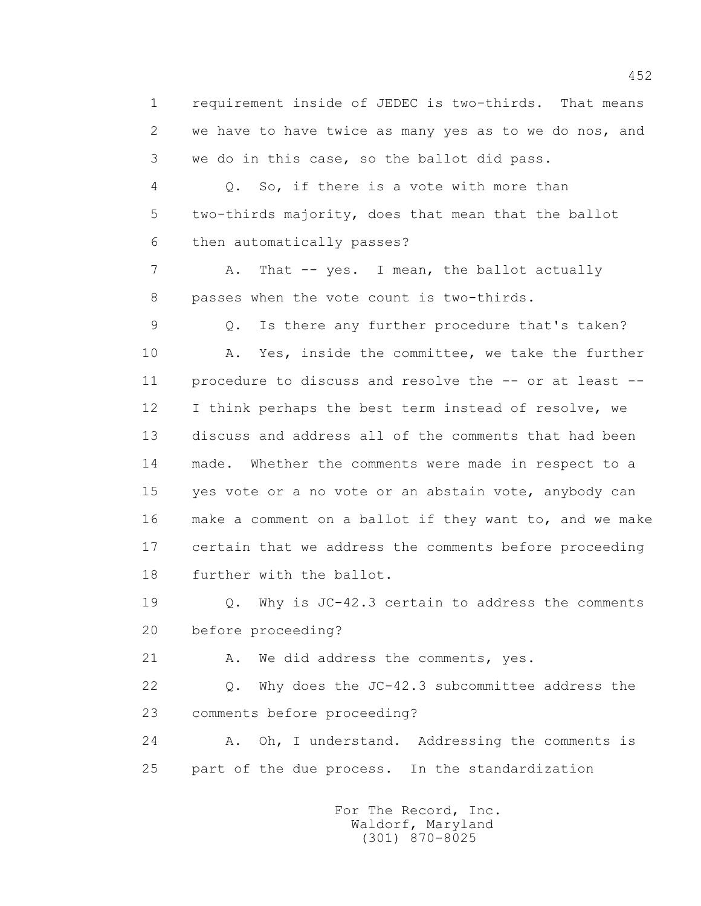1 requirement inside of JEDEC is two-thirds. That means 2 we have to have twice as many yes as to we do nos, and 3 we do in this case, so the ballot did pass.

 4 Q. So, if there is a vote with more than 5 two-thirds majority, does that mean that the ballot 6 then automatically passes?

7 A. That -- yes. I mean, the ballot actually 8 passes when the vote count is two-thirds.

 9 Q. Is there any further procedure that's taken? 10 A. Yes, inside the committee, we take the further 11 procedure to discuss and resolve the -- or at least -- 12 I think perhaps the best term instead of resolve, we 13 discuss and address all of the comments that had been 14 made. Whether the comments were made in respect to a 15 yes vote or a no vote or an abstain vote, anybody can 16 make a comment on a ballot if they want to, and we make 17 certain that we address the comments before proceeding 18 further with the ballot.

 19 Q. Why is JC-42.3 certain to address the comments 20 before proceeding?

21 A. We did address the comments, yes.

 22 Q. Why does the JC-42.3 subcommittee address the 23 comments before proceeding?

 24 A. Oh, I understand. Addressing the comments is 25 part of the due process. In the standardization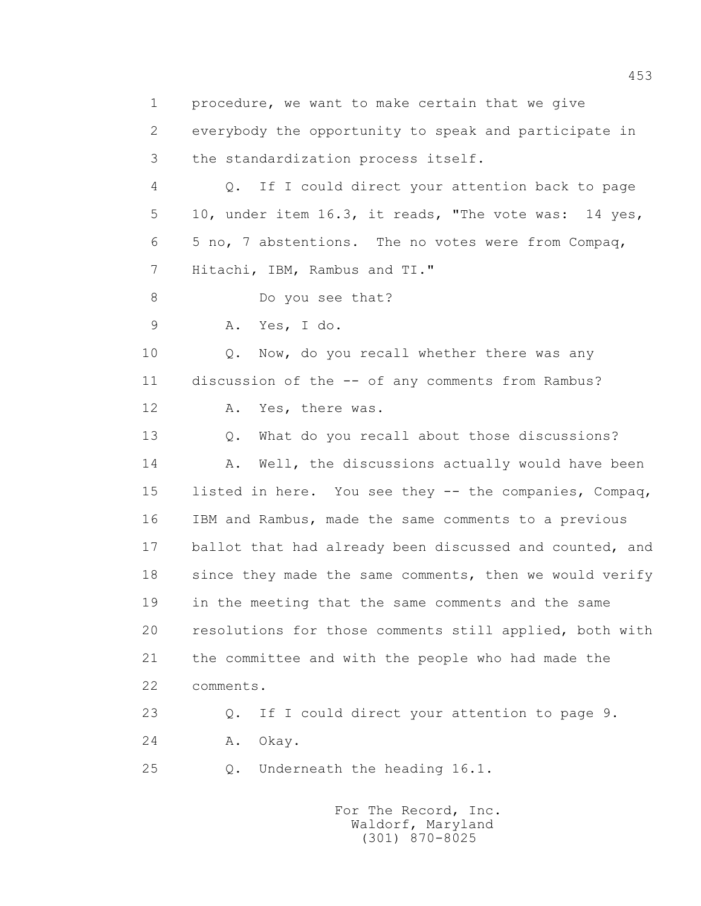1 procedure, we want to make certain that we give 2 everybody the opportunity to speak and participate in 3 the standardization process itself. 4 Q. If I could direct your attention back to page 5 10, under item 16.3, it reads, "The vote was: 14 yes, 6 5 no, 7 abstentions. The no votes were from Compaq, 7 Hitachi, IBM, Rambus and TI." 8 Do you see that? 9 A. Yes, I do. 10 Q. Now, do you recall whether there was any 11 discussion of the -- of any comments from Rambus? 12 A. Yes, there was. 13 Q. What do you recall about those discussions? 14 A. Well, the discussions actually would have been 15 listed in here. You see they -- the companies, Compaq, 16 IBM and Rambus, made the same comments to a previous 17 ballot that had already been discussed and counted, and 18 since they made the same comments, then we would verify 19 in the meeting that the same comments and the same 20 resolutions for those comments still applied, both with 21 the committee and with the people who had made the 22 comments. 23 Q. If I could direct your attention to page 9. 24 A. Okay. 25 Q. Underneath the heading 16.1.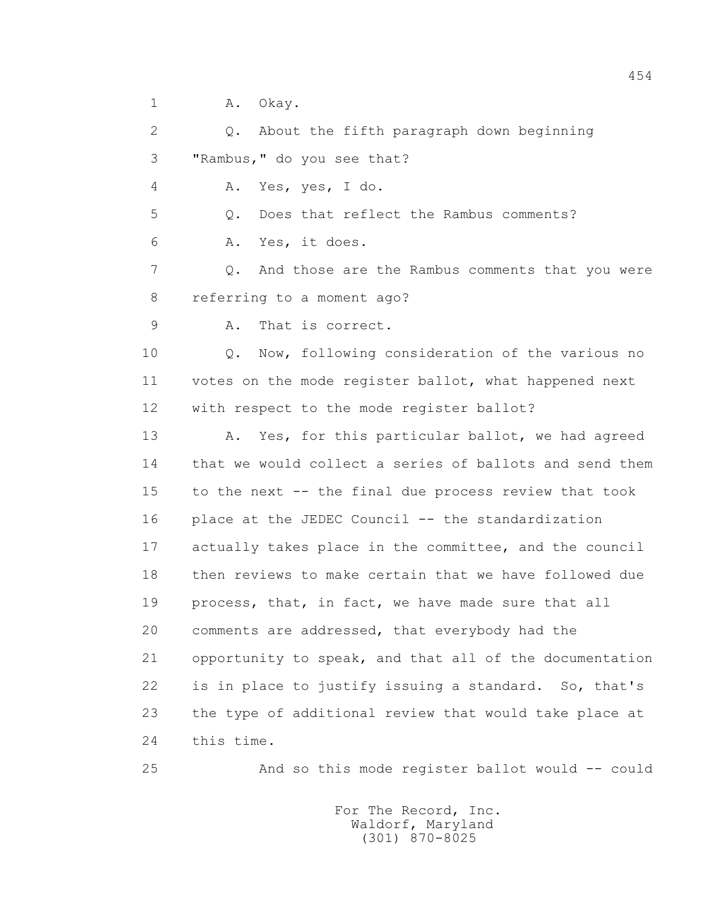1 A. Okay.

 2 Q. About the fifth paragraph down beginning 3 "Rambus," do you see that? 4 A. Yes, yes, I do. 5 Q. Does that reflect the Rambus comments? 6 A. Yes, it does. 7 Q. And those are the Rambus comments that you were 8 referring to a moment ago? 9 A. That is correct. 10 Q. Now, following consideration of the various no 11 votes on the mode register ballot, what happened next 12 with respect to the mode register ballot? 13 A. Yes, for this particular ballot, we had agreed 14 that we would collect a series of ballots and send them 15 to the next -- the final due process review that took 16 place at the JEDEC Council -- the standardization 17 actually takes place in the committee, and the council 18 then reviews to make certain that we have followed due 19 process, that, in fact, we have made sure that all 20 comments are addressed, that everybody had the 21 opportunity to speak, and that all of the documentation 22 is in place to justify issuing a standard. So, that's 23 the type of additional review that would take place at 24 this time.

25 And so this mode register ballot would -- could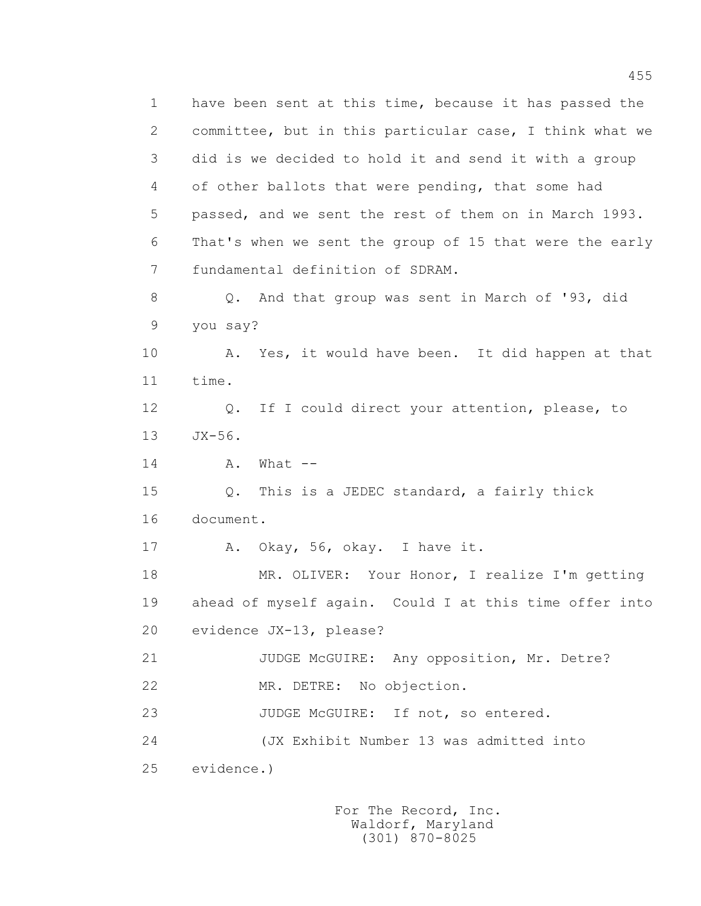1 have been sent at this time, because it has passed the 2 committee, but in this particular case, I think what we 3 did is we decided to hold it and send it with a group 4 of other ballots that were pending, that some had 5 passed, and we sent the rest of them on in March 1993. 6 That's when we sent the group of 15 that were the early 7 fundamental definition of SDRAM. 8 Q. And that group was sent in March of '93, did 9 you say? 10 A. Yes, it would have been. It did happen at that 11 time. 12 Q. If I could direct your attention, please, to 13 JX-56. 14 A. What -- 15 Q. This is a JEDEC standard, a fairly thick 16 document. 17 A. Okay, 56, okay. I have it. 18 MR. OLIVER: Your Honor, I realize I'm getting 19 ahead of myself again. Could I at this time offer into 20 evidence JX-13, please? 21 JUDGE McGUIRE: Any opposition, Mr. Detre? 22 MR. DETRE: No objection. 23 JUDGE McGUIRE: If not, so entered. 24 (JX Exhibit Number 13 was admitted into 25 evidence.)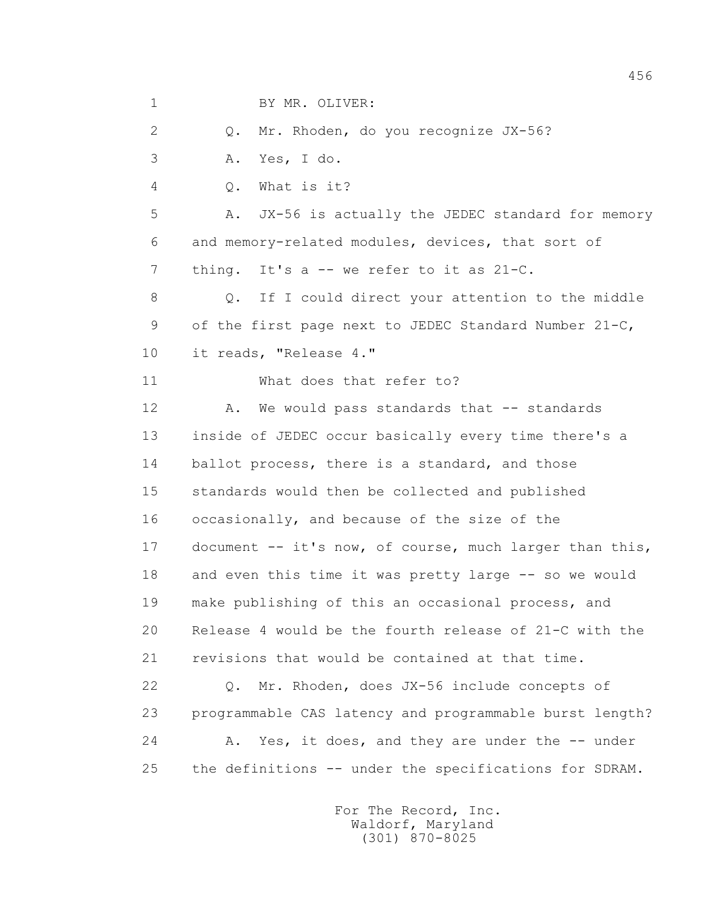1 BY MR. OLIVER:

2 Q. Mr. Rhoden, do you recognize JX-56?

3 A. Yes, I do.

4 Q. What is it?

 5 A. JX-56 is actually the JEDEC standard for memory 6 and memory-related modules, devices, that sort of 7 thing. It's a -- we refer to it as 21-C.

 8 Q. If I could direct your attention to the middle 9 of the first page next to JEDEC Standard Number 21-C, 10 it reads, "Release 4."

11 What does that refer to?

12 A. We would pass standards that -- standards 13 inside of JEDEC occur basically every time there's a 14 ballot process, there is a standard, and those 15 standards would then be collected and published 16 occasionally, and because of the size of the 17 document -- it's now, of course, much larger than this, 18 and even this time it was pretty large -- so we would 19 make publishing of this an occasional process, and 20 Release 4 would be the fourth release of 21-C with the 21 revisions that would be contained at that time.

 22 Q. Mr. Rhoden, does JX-56 include concepts of 23 programmable CAS latency and programmable burst length? 24 A. Yes, it does, and they are under the -- under 25 the definitions -- under the specifications for SDRAM.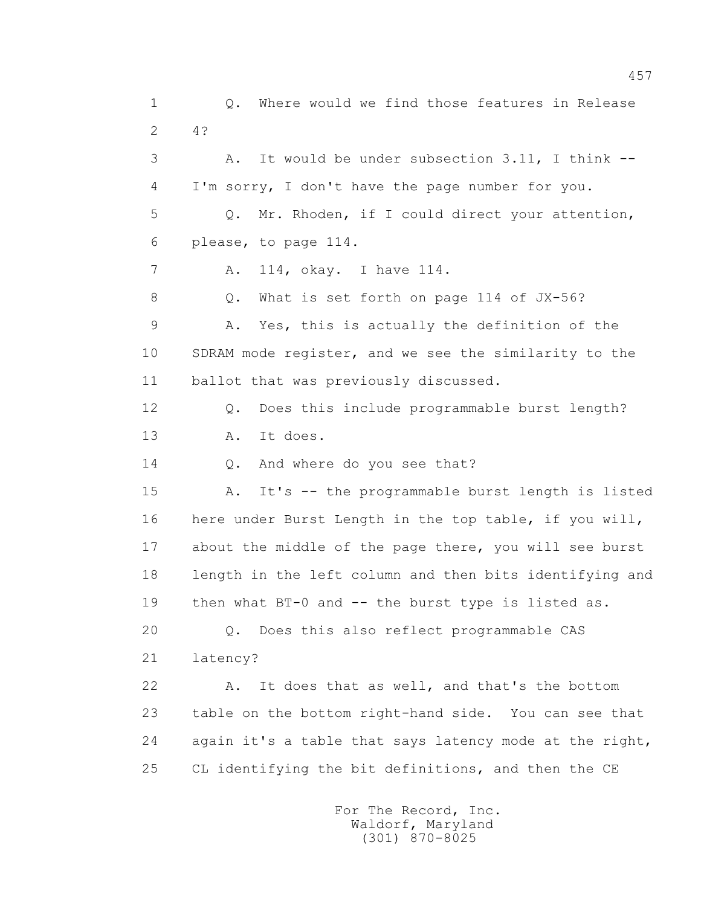1 Q. Where would we find those features in Release 2 4? 3 A. It would be under subsection 3.11, I think -- 4 I'm sorry, I don't have the page number for you. 5 Q. Mr. Rhoden, if I could direct your attention, 6 please, to page 114. 7 A. 114, okay. I have 114. 8 Q. What is set forth on page 114 of JX-56? 9 A. Yes, this is actually the definition of the 10 SDRAM mode register, and we see the similarity to the 11 ballot that was previously discussed. 12 Q. Does this include programmable burst length? 13 A. It does. 14 0. And where do you see that? 15 A. It's -- the programmable burst length is listed 16 here under Burst Length in the top table, if you will, 17 about the middle of the page there, you will see burst 18 length in the left column and then bits identifying and 19 then what BT-0 and -- the burst type is listed as. 20 Q. Does this also reflect programmable CAS 21 latency? 22 A. It does that as well, and that's the bottom 23 table on the bottom right-hand side. You can see that 24 again it's a table that says latency mode at the right, 25 CL identifying the bit definitions, and then the CE

> For The Record, Inc. Waldorf, Maryland (301) 870-8025

457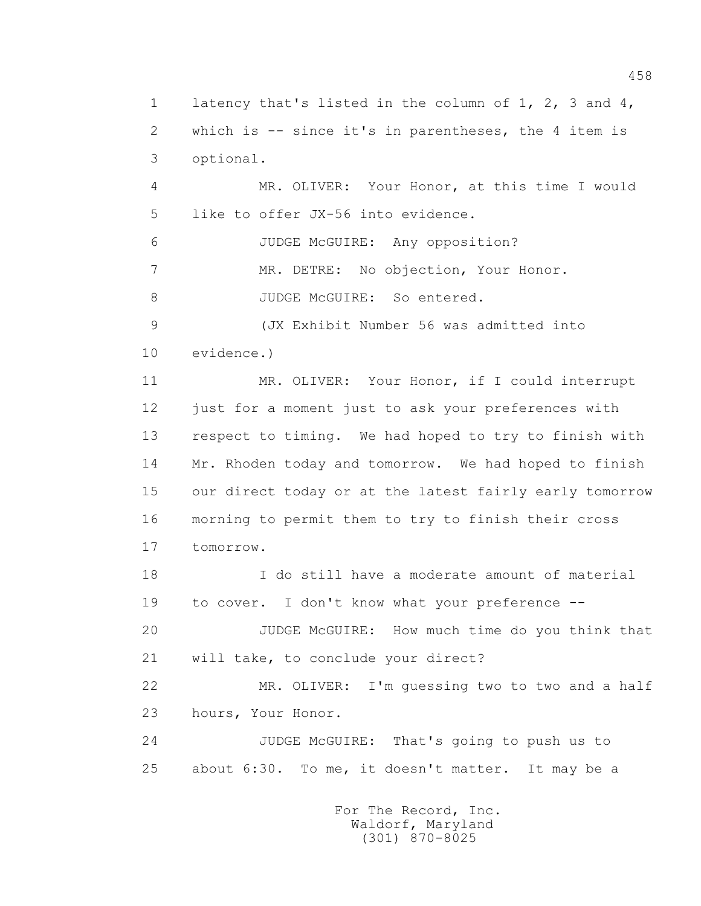1 latency that's listed in the column of 1, 2, 3 and 4, 2 which is -- since it's in parentheses, the 4 item is 3 optional. 4 MR. OLIVER: Your Honor, at this time I would 5 like to offer JX-56 into evidence. 6 JUDGE McGUIRE: Any opposition? 7 MR. DETRE: No objection, Your Honor. 8 JUDGE McGUIRE: So entered. 9 (JX Exhibit Number 56 was admitted into 10 evidence.) 11 MR. OLIVER: Your Honor, if I could interrupt 12 just for a moment just to ask your preferences with 13 respect to timing. We had hoped to try to finish with 14 Mr. Rhoden today and tomorrow. We had hoped to finish 15 our direct today or at the latest fairly early tomorrow 16 morning to permit them to try to finish their cross 17 tomorrow. 18 I do still have a moderate amount of material 19 to cover. I don't know what your preference -- 20 JUDGE McGUIRE: How much time do you think that 21 will take, to conclude your direct? 22 MR. OLIVER: I'm guessing two to two and a half 23 hours, Your Honor. 24 JUDGE McGUIRE: That's going to push us to 25 about 6:30. To me, it doesn't matter. It may be a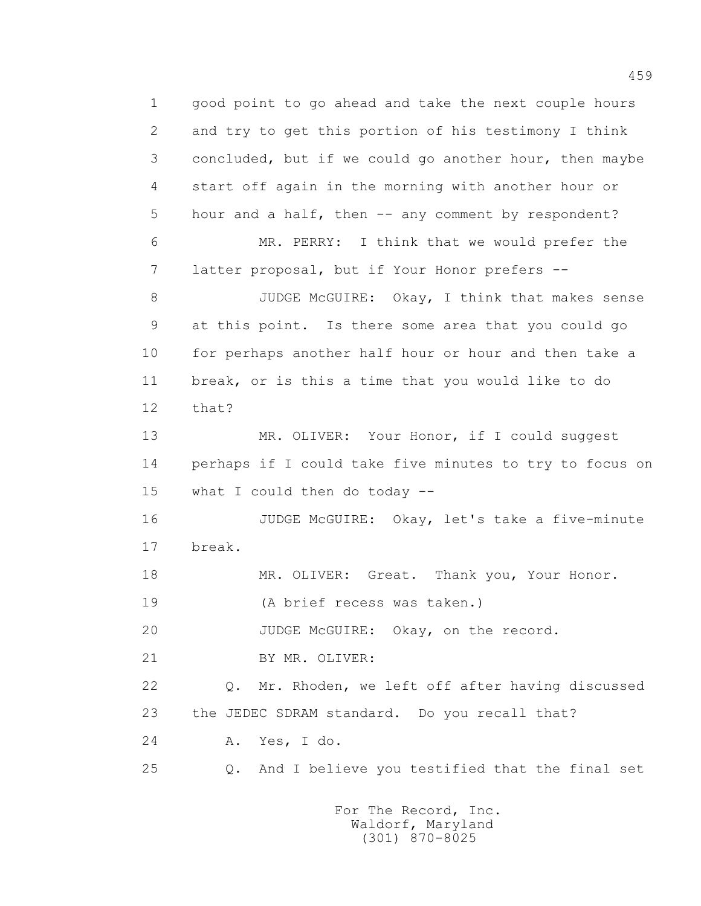1 good point to go ahead and take the next couple hours 2 and try to get this portion of his testimony I think 3 concluded, but if we could go another hour, then maybe 4 start off again in the morning with another hour or 5 hour and a half, then -- any comment by respondent? 6 MR. PERRY: I think that we would prefer the 7 latter proposal, but if Your Honor prefers -- 8 JUDGE McGUIRE: Okay, I think that makes sense 9 at this point. Is there some area that you could go 10 for perhaps another half hour or hour and then take a 11 break, or is this a time that you would like to do 12 that? 13 MR. OLIVER: Your Honor, if I could suggest 14 perhaps if I could take five minutes to try to focus on 15 what I could then do today -- 16 JUDGE McGUIRE: Okay, let's take a five-minute 17 break. 18 MR. OLIVER: Great. Thank you, Your Honor. 19 (A brief recess was taken.) 20 JUDGE McGUIRE: Okay, on the record. 21 BY MR. OLIVER: 22 Q. Mr. Rhoden, we left off after having discussed 23 the JEDEC SDRAM standard. Do you recall that? 24 A. Yes, I do. 25 Q. And I believe you testified that the final set

> For The Record, Inc. Waldorf, Maryland (301) 870-8025

459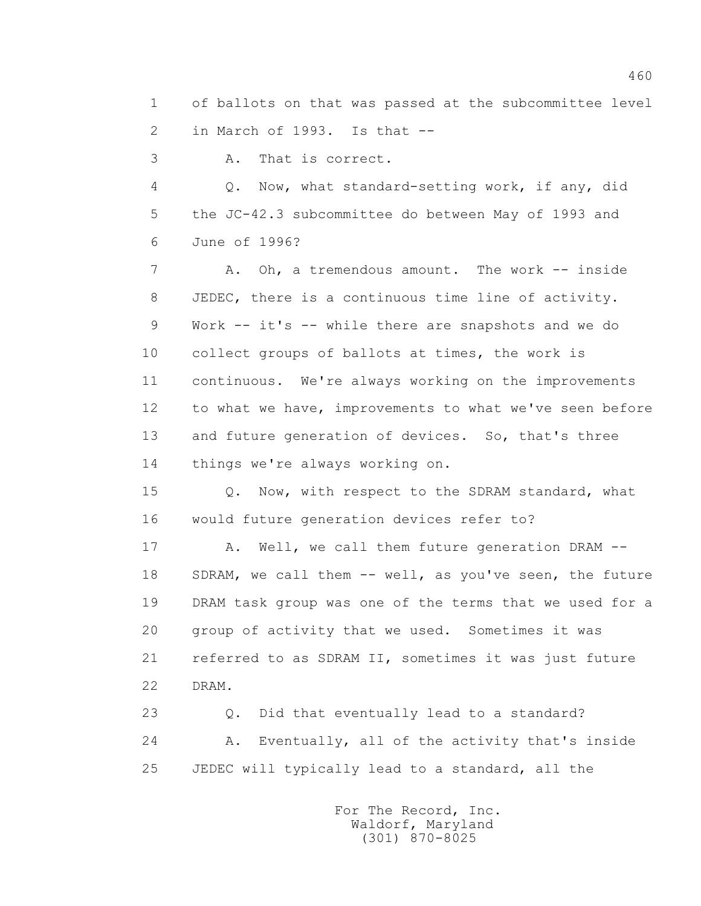1 of ballots on that was passed at the subcommittee level 2 in March of 1993. Is that --

3 A. That is correct.

 4 Q. Now, what standard-setting work, if any, did 5 the JC-42.3 subcommittee do between May of 1993 and 6 June of 1996?

7 A. Oh, a tremendous amount. The work -- inside 8 JEDEC, there is a continuous time line of activity. 9 Work -- it's -- while there are snapshots and we do 10 collect groups of ballots at times, the work is 11 continuous. We're always working on the improvements 12 to what we have, improvements to what we've seen before 13 and future generation of devices. So, that's three 14 things we're always working on.

 15 Q. Now, with respect to the SDRAM standard, what 16 would future generation devices refer to?

17 A. Well, we call them future generation DRAM --18 SDRAM, we call them -- well, as you've seen, the future 19 DRAM task group was one of the terms that we used for a 20 group of activity that we used. Sometimes it was 21 referred to as SDRAM II, sometimes it was just future 22 DRAM.

 23 Q. Did that eventually lead to a standard? 24 A. Eventually, all of the activity that's inside 25 JEDEC will typically lead to a standard, all the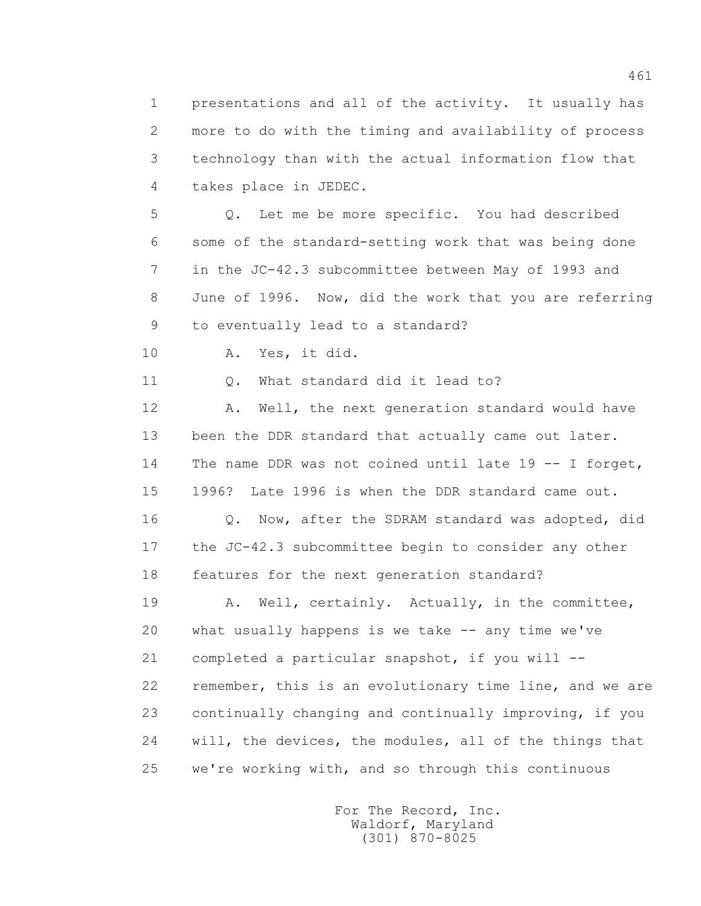1 presentations and all of the activity. It usually has 2 more to do with the timing and availability of process 3 technology than with the actual information flow that 4 takes place in JEDEC.

 5 Q. Let me be more specific. You had described 6 some of the standard-setting work that was being done 7 in the JC-42.3 subcommittee between May of 1993 and 8 June of 1996. Now, did the work that you are referring 9 to eventually lead to a standard?

10 A. Yes, it did.

11 Q. What standard did it lead to?

12 A. Well, the next generation standard would have 13 been the DDR standard that actually came out later. 14 The name DDR was not coined until late 19 -- I forget, 15 1996? Late 1996 is when the DDR standard came out.

 16 Q. Now, after the SDRAM standard was adopted, did 17 the JC-42.3 subcommittee begin to consider any other 18 features for the next generation standard?

19 A. Well, certainly. Actually, in the committee, 20 what usually happens is we take -- any time we've 21 completed a particular snapshot, if you will -- 22 remember, this is an evolutionary time line, and we are 23 continually changing and continually improving, if you 24 will, the devices, the modules, all of the things that 25 we're working with, and so through this continuous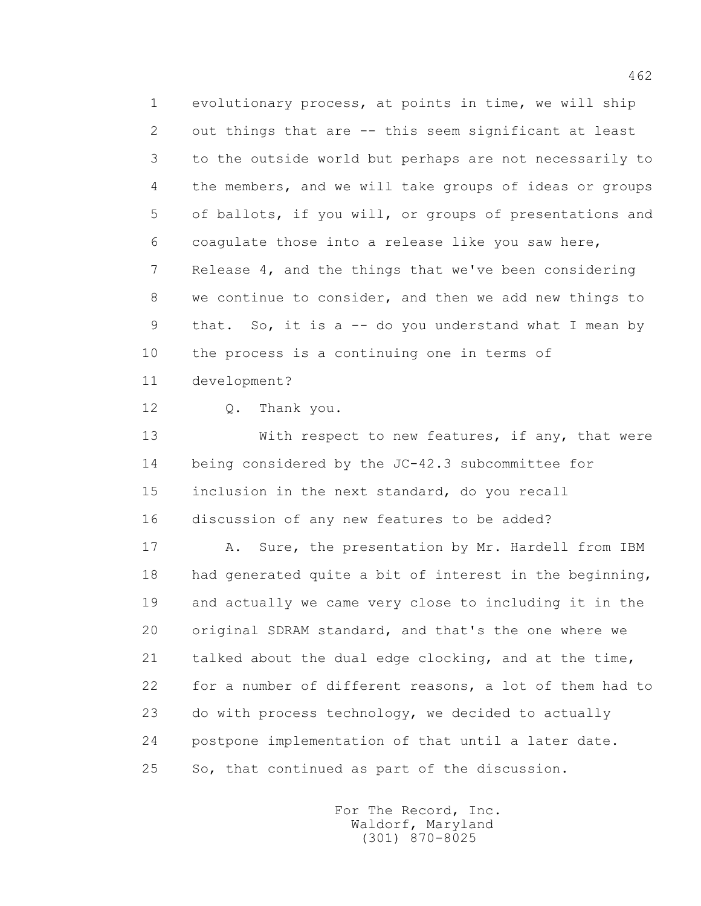1 evolutionary process, at points in time, we will ship 2 out things that are -- this seem significant at least 3 to the outside world but perhaps are not necessarily to 4 the members, and we will take groups of ideas or groups 5 of ballots, if you will, or groups of presentations and 6 coagulate those into a release like you saw here, 7 Release 4, and the things that we've been considering 8 we continue to consider, and then we add new things to 9 that. So, it is a -- do you understand what I mean by 10 the process is a continuing one in terms of 11 development?

12 Q. Thank you.

13 With respect to new features, if any, that were 14 being considered by the JC-42.3 subcommittee for 15 inclusion in the next standard, do you recall 16 discussion of any new features to be added?

17 A. Sure, the presentation by Mr. Hardell from IBM 18 had generated quite a bit of interest in the beginning, 19 and actually we came very close to including it in the 20 original SDRAM standard, and that's the one where we 21 talked about the dual edge clocking, and at the time, 22 for a number of different reasons, a lot of them had to 23 do with process technology, we decided to actually 24 postpone implementation of that until a later date. 25 So, that continued as part of the discussion.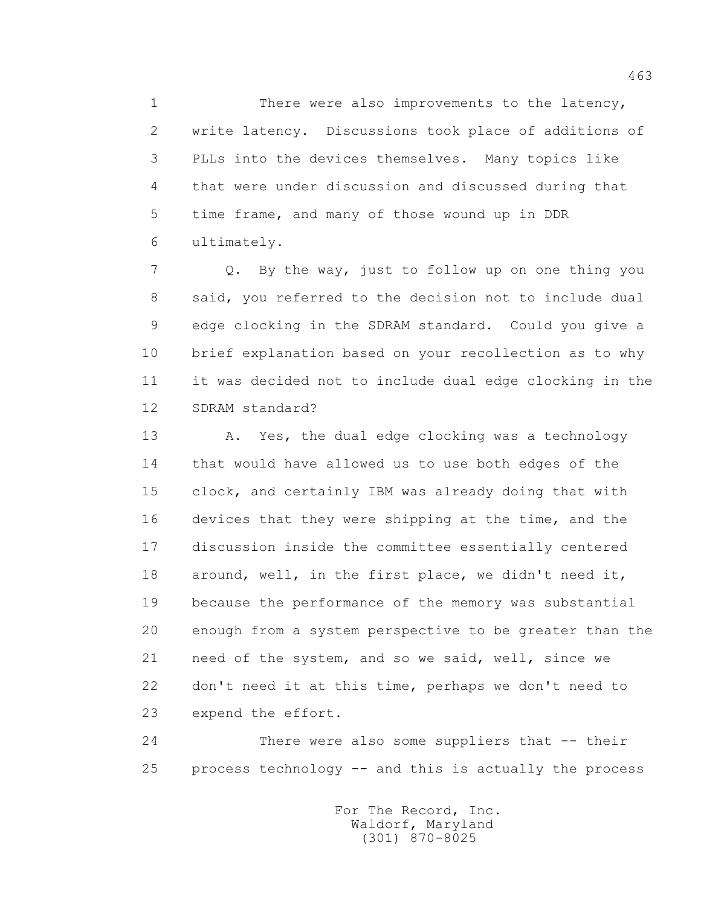1 There were also improvements to the latency, 2 write latency. Discussions took place of additions of 3 PLLs into the devices themselves. Many topics like 4 that were under discussion and discussed during that 5 time frame, and many of those wound up in DDR 6 ultimately.

 7 Q. By the way, just to follow up on one thing you 8 said, you referred to the decision not to include dual 9 edge clocking in the SDRAM standard. Could you give a 10 brief explanation based on your recollection as to why 11 it was decided not to include dual edge clocking in the 12 SDRAM standard?

 13 A. Yes, the dual edge clocking was a technology 14 that would have allowed us to use both edges of the 15 clock, and certainly IBM was already doing that with 16 devices that they were shipping at the time, and the 17 discussion inside the committee essentially centered 18 around, well, in the first place, we didn't need it, 19 because the performance of the memory was substantial 20 enough from a system perspective to be greater than the 21 need of the system, and so we said, well, since we 22 don't need it at this time, perhaps we don't need to 23 expend the effort.

 24 There were also some suppliers that -- their 25 process technology -- and this is actually the process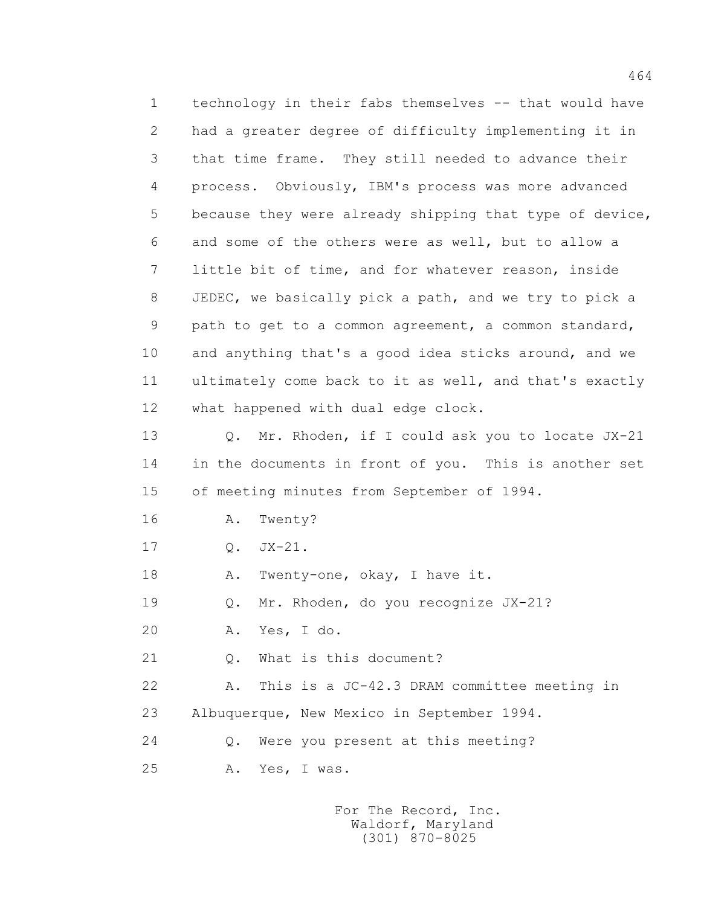1 technology in their fabs themselves -- that would have 2 had a greater degree of difficulty implementing it in 3 that time frame. They still needed to advance their 4 process. Obviously, IBM's process was more advanced 5 because they were already shipping that type of device, 6 and some of the others were as well, but to allow a 7 little bit of time, and for whatever reason, inside 8 JEDEC, we basically pick a path, and we try to pick a 9 path to get to a common agreement, a common standard, 10 and anything that's a good idea sticks around, and we 11 ultimately come back to it as well, and that's exactly 12 what happened with dual edge clock. 13 Q. Mr. Rhoden, if I could ask you to locate JX-21 14 in the documents in front of you. This is another set 15 of meeting minutes from September of 1994. 16 A. Twenty? 17 Q. JX-21. 18 A. Twenty-one, okay, I have it. 19 Q. Mr. Rhoden, do you recognize JX-21?

20 A. Yes, I do.

21 0. What is this document?

 22 A. This is a JC-42.3 DRAM committee meeting in 23 Albuquerque, New Mexico in September 1994.

24 Q. Were you present at this meeting?

25 A. Yes, I was.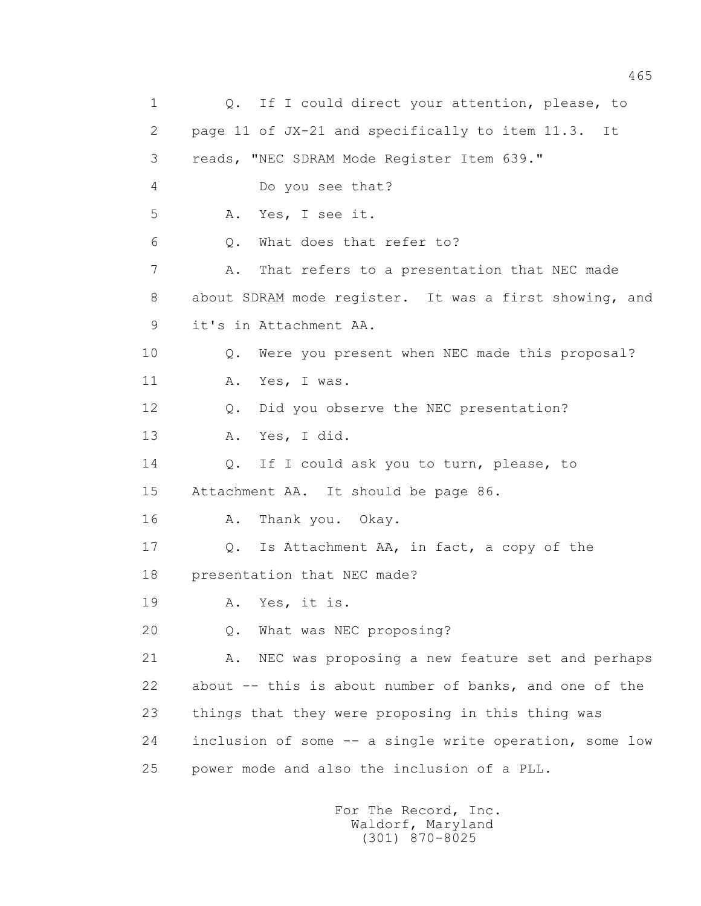1 0. If I could direct your attention, please, to 2 page 11 of JX-21 and specifically to item 11.3. It 3 reads, "NEC SDRAM Mode Register Item 639." 4 Do you see that? 5 A. Yes, I see it. 6 Q. What does that refer to? 7 A. That refers to a presentation that NEC made 8 about SDRAM mode register. It was a first showing, and 9 it's in Attachment AA. 10 Q. Were you present when NEC made this proposal? 11 A. Yes, I was. 12 Q. Did you observe the NEC presentation? 13 A. Yes, I did. 14 Q. If I could ask you to turn, please, to 15 Attachment AA. It should be page 86. 16 A. Thank you. Okay. 17 Q. Is Attachment AA, in fact, a copy of the 18 presentation that NEC made? 19 A. Yes, it is. 20 Q. What was NEC proposing? 21 A. NEC was proposing a new feature set and perhaps 22 about -- this is about number of banks, and one of the 23 things that they were proposing in this thing was 24 inclusion of some -- a single write operation, some low 25 power mode and also the inclusion of a PLL.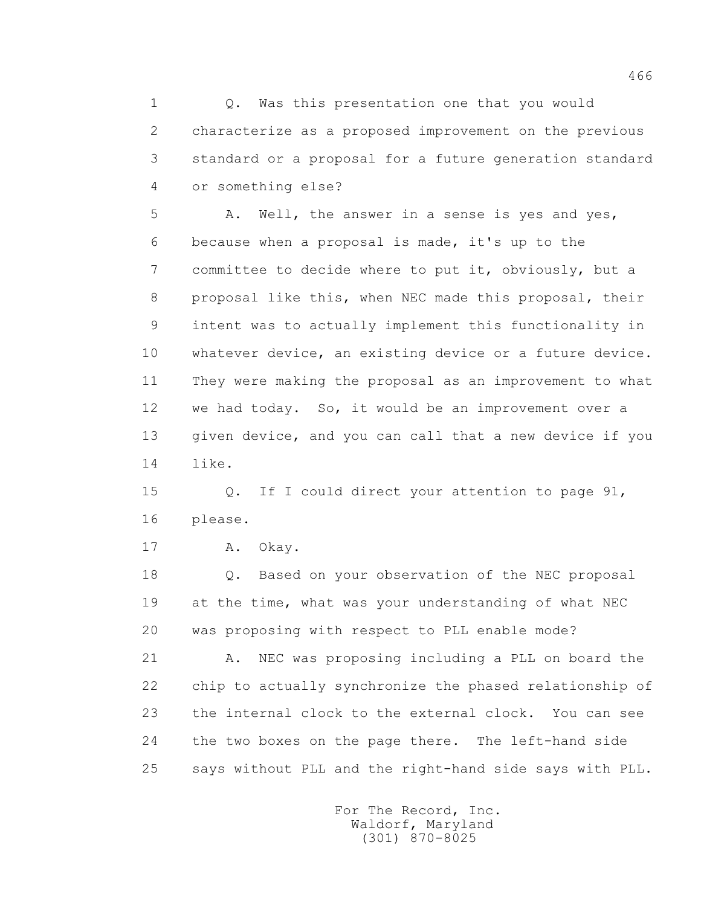1 Q. Was this presentation one that you would 2 characterize as a proposed improvement on the previous 3 standard or a proposal for a future generation standard 4 or something else?

5 A. Well, the answer in a sense is yes and yes, 6 because when a proposal is made, it's up to the 7 committee to decide where to put it, obviously, but a 8 proposal like this, when NEC made this proposal, their 9 intent was to actually implement this functionality in 10 whatever device, an existing device or a future device. 11 They were making the proposal as an improvement to what 12 we had today. So, it would be an improvement over a 13 given device, and you can call that a new device if you 14 like.

 15 Q. If I could direct your attention to page 91, 16 please.

17 A. Okay.

 18 Q. Based on your observation of the NEC proposal 19 at the time, what was your understanding of what NEC 20 was proposing with respect to PLL enable mode?

 21 A. NEC was proposing including a PLL on board the 22 chip to actually synchronize the phased relationship of 23 the internal clock to the external clock. You can see 24 the two boxes on the page there. The left-hand side 25 says without PLL and the right-hand side says with PLL.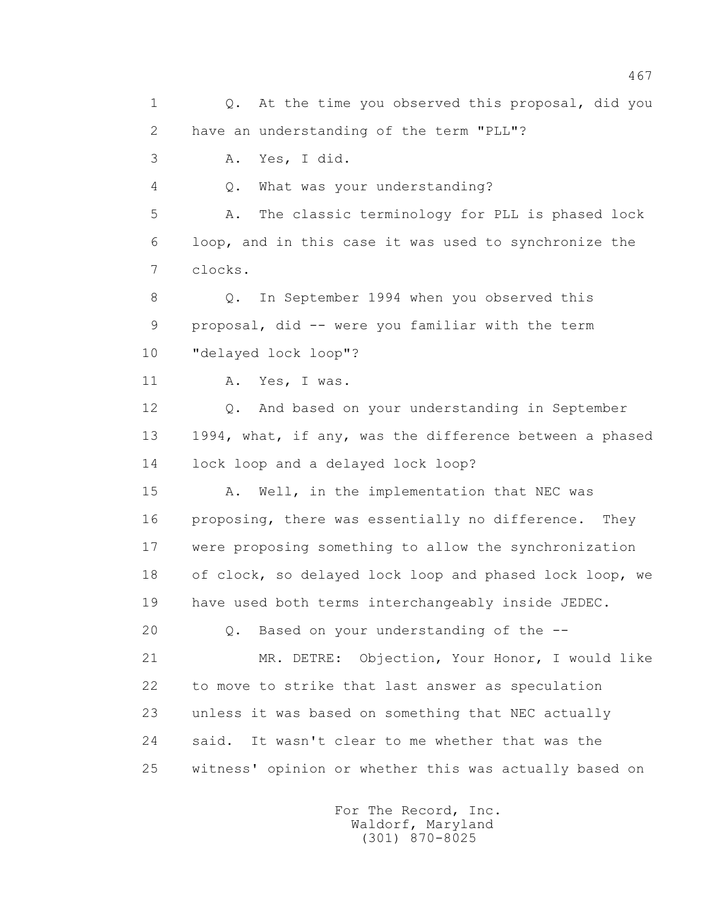1 0. At the time you observed this proposal, did you 2 have an understanding of the term "PLL"? 3 A. Yes, I did. 4 Q. What was your understanding? 5 A. The classic terminology for PLL is phased lock 6 loop, and in this case it was used to synchronize the 7 clocks. 8 Q. In September 1994 when you observed this 9 proposal, did -- were you familiar with the term 10 "delayed lock loop"? 11 A. Yes, I was. 12 Q. And based on your understanding in September 13 1994, what, if any, was the difference between a phased 14 lock loop and a delayed lock loop? 15 A. Well, in the implementation that NEC was 16 proposing, there was essentially no difference. They 17 were proposing something to allow the synchronization 18 of clock, so delayed lock loop and phased lock loop, we 19 have used both terms interchangeably inside JEDEC. 20 Q. Based on your understanding of the -- 21 MR. DETRE: Objection, Your Honor, I would like 22 to move to strike that last answer as speculation 23 unless it was based on something that NEC actually 24 said. It wasn't clear to me whether that was the 25 witness' opinion or whether this was actually based on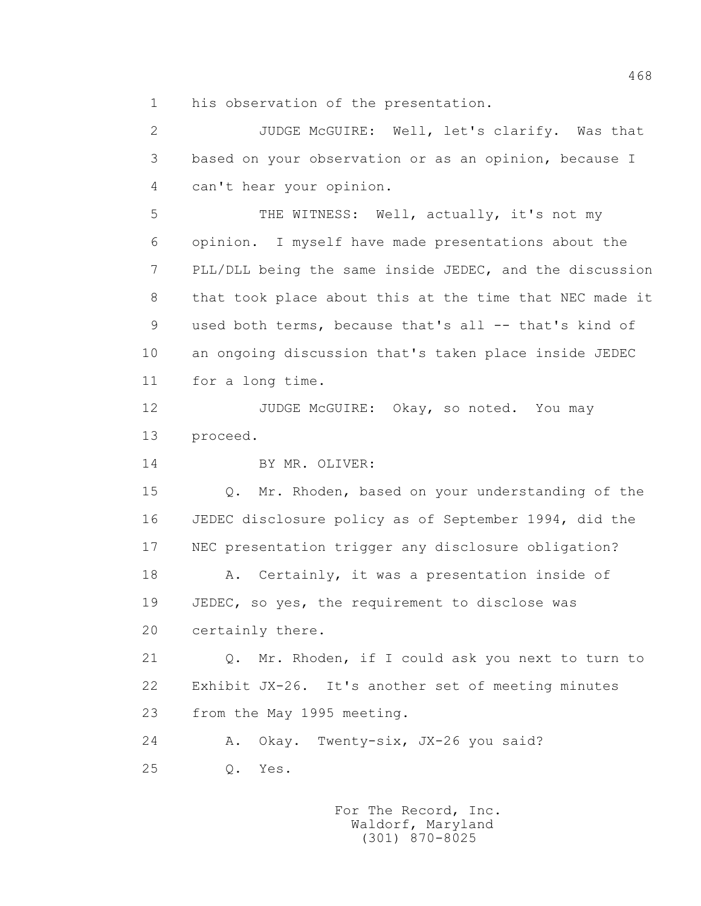1 his observation of the presentation.

 2 JUDGE McGUIRE: Well, let's clarify. Was that 3 based on your observation or as an opinion, because I 4 can't hear your opinion. 5 THE WITNESS: Well, actually, it's not my 6 opinion. I myself have made presentations about the 7 PLL/DLL being the same inside JEDEC, and the discussion 8 that took place about this at the time that NEC made it 9 used both terms, because that's all -- that's kind of 10 an ongoing discussion that's taken place inside JEDEC 11 for a long time. 12 JUDGE McGUIRE: Okay, so noted. You may 13 proceed. 14 BY MR. OLIVER: 15 Q. Mr. Rhoden, based on your understanding of the 16 JEDEC disclosure policy as of September 1994, did the 17 NEC presentation trigger any disclosure obligation? 18 A. Certainly, it was a presentation inside of 19 JEDEC, so yes, the requirement to disclose was 20 certainly there. 21 Q. Mr. Rhoden, if I could ask you next to turn to 22 Exhibit JX-26. It's another set of meeting minutes 23 from the May 1995 meeting. 24 A. Okay. Twenty-six, JX-26 you said? 25 Q. Yes.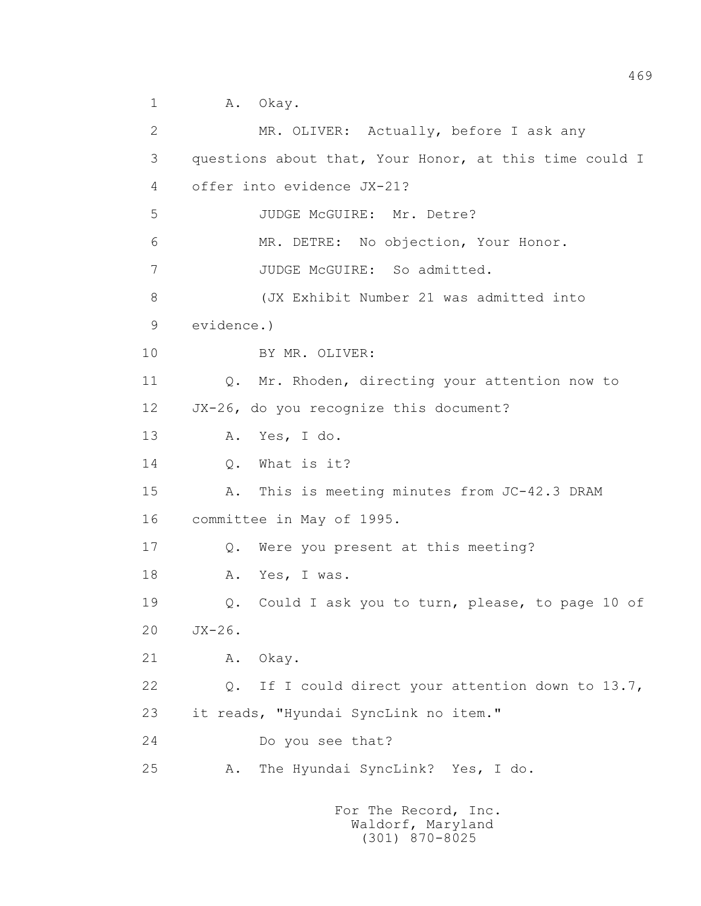1 A. Okay.

 2 MR. OLIVER: Actually, before I ask any 3 questions about that, Your Honor, at this time could I 4 offer into evidence JX-21? 5 JUDGE McGUIRE: Mr. Detre? 6 MR. DETRE: No objection, Your Honor. 7 JUDGE McGUIRE: So admitted. 8 (JX Exhibit Number 21 was admitted into 9 evidence.) 10 BY MR. OLIVER: 11 Q. Mr. Rhoden, directing your attention now to 12 JX-26, do you recognize this document? 13 A. Yes, I do. 14 0. What is it? 15 A. This is meeting minutes from JC-42.3 DRAM 16 committee in May of 1995. 17 Q. Were you present at this meeting? 18 A. Yes, I was. 19 Q. Could I ask you to turn, please, to page 10 of 20 JX-26. 21 A. Okay. 22 Q. If I could direct your attention down to 13.7, 23 it reads, "Hyundai SyncLink no item." 24 Do you see that? 25 A. The Hyundai SyncLink? Yes, I do.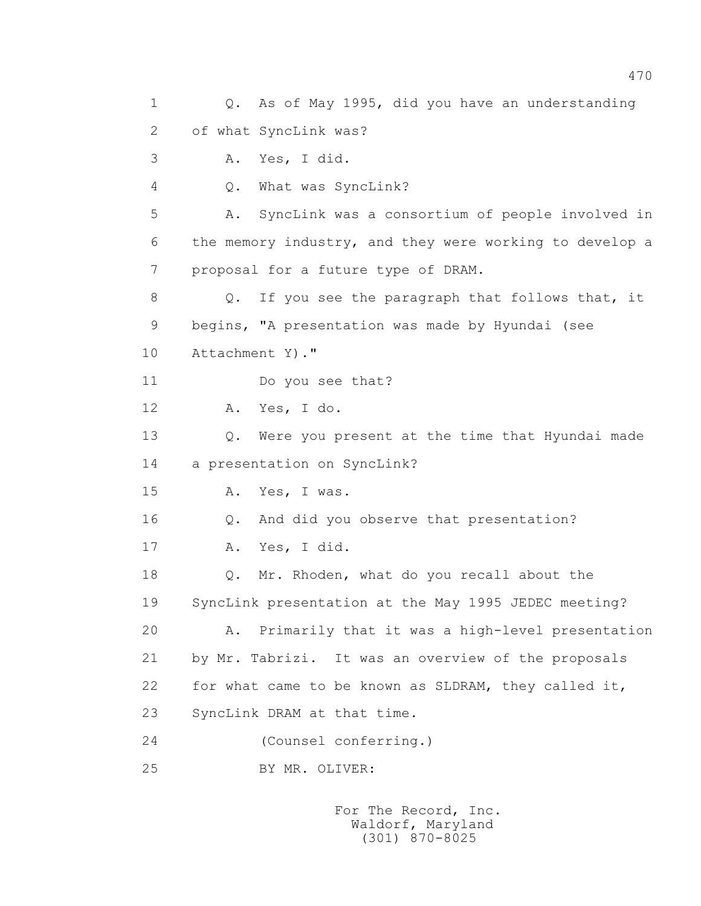1 Q. As of May 1995, did you have an understanding 2 of what SyncLink was? 3 A. Yes, I did. 4 Q. What was SyncLink? 5 A. SyncLink was a consortium of people involved in 6 the memory industry, and they were working to develop a 7 proposal for a future type of DRAM. 8 Q. If you see the paragraph that follows that, it 9 begins, "A presentation was made by Hyundai (see 10 Attachment Y)." 11 Do you see that? 12 A. Yes, I do. 13 Q. Were you present at the time that Hyundai made 14 a presentation on SyncLink? 15 A. Yes, I was. 16 Q. And did you observe that presentation? 17 A. Yes, I did. 18 Q. Mr. Rhoden, what do you recall about the 19 SyncLink presentation at the May 1995 JEDEC meeting? 20 A. Primarily that it was a high-level presentation 21 by Mr. Tabrizi. It was an overview of the proposals 22 for what came to be known as SLDRAM, they called it, 23 SyncLink DRAM at that time. 24 (Counsel conferring.) 25 BY MR. OLIVER: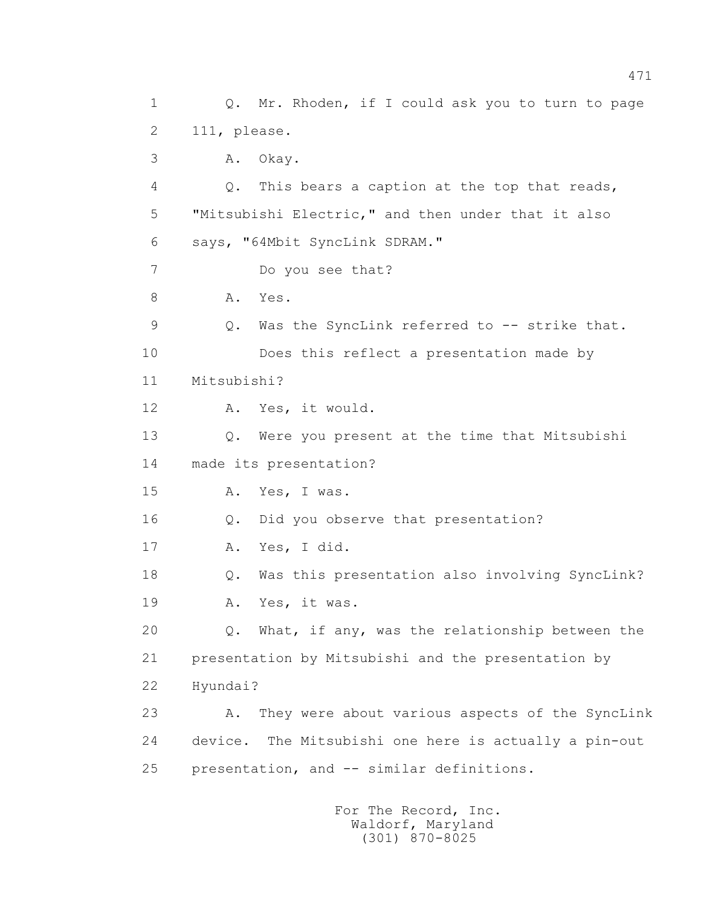1 Q. Mr. Rhoden, if I could ask you to turn to page 2 111, please. 3 A. Okay. 4 Q. This bears a caption at the top that reads, 5 "Mitsubishi Electric," and then under that it also 6 says, "64Mbit SyncLink SDRAM." 7 Do you see that? 8 A. Yes. 9 Q. Was the SyncLink referred to -- strike that. 10 Does this reflect a presentation made by 11 Mitsubishi? 12 A. Yes, it would. 13 Q. Were you present at the time that Mitsubishi 14 made its presentation? 15 A. Yes, I was. 16 Q. Did you observe that presentation? 17 A. Yes, I did. 18 Q. Was this presentation also involving SyncLink? 19 A. Yes, it was. 20 Q. What, if any, was the relationship between the 21 presentation by Mitsubishi and the presentation by 22 Hyundai? 23 A. They were about various aspects of the SyncLink 24 device. The Mitsubishi one here is actually a pin-out 25 presentation, and -- similar definitions.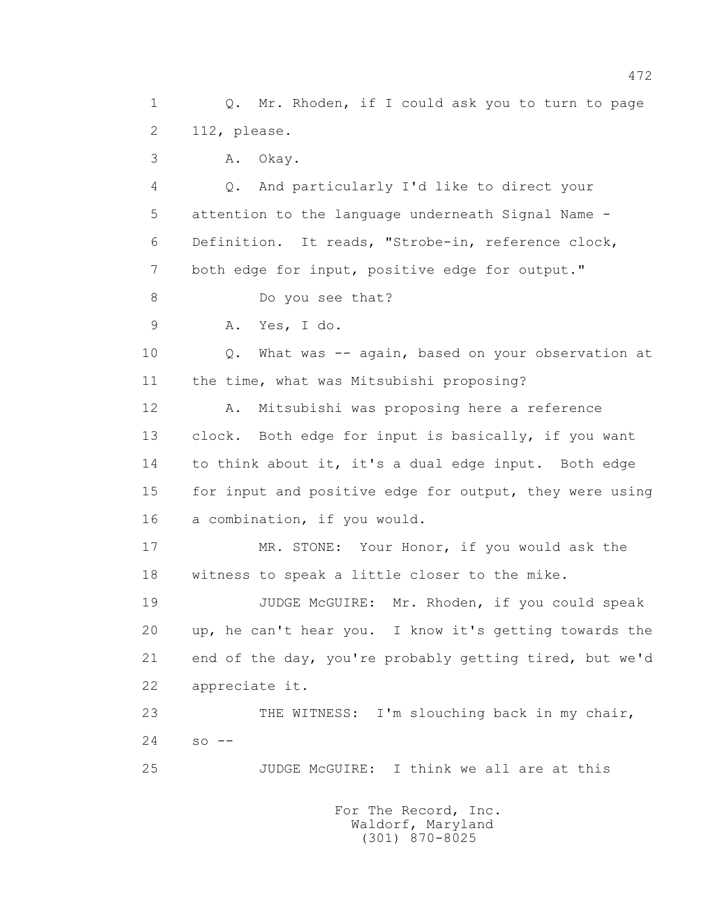1 Q. Mr. Rhoden, if I could ask you to turn to page 2 112, please.

3 A. Okay.

 4 Q. And particularly I'd like to direct your 5 attention to the language underneath Signal Name - 6 Definition. It reads, "Strobe-in, reference clock, 7 both edge for input, positive edge for output." 8 Do you see that? 9 A. Yes, I do. 10 Q. What was -- again, based on your observation at 11 the time, what was Mitsubishi proposing? 12 A. Mitsubishi was proposing here a reference 13 clock. Both edge for input is basically, if you want 14 to think about it, it's a dual edge input. Both edge 15 for input and positive edge for output, they were using 16 a combination, if you would. 17 MR. STONE: Your Honor, if you would ask the 18 witness to speak a little closer to the mike.

19 JUDGE McGUIRE: Mr. Rhoden, if you could speak 20 up, he can't hear you. I know it's getting towards the 21 end of the day, you're probably getting tired, but we'd 22 appreciate it.

23 THE WITNESS: I'm slouching back in my chair,  $24$  so  $-$ 

25 JUDGE McGUIRE: I think we all are at this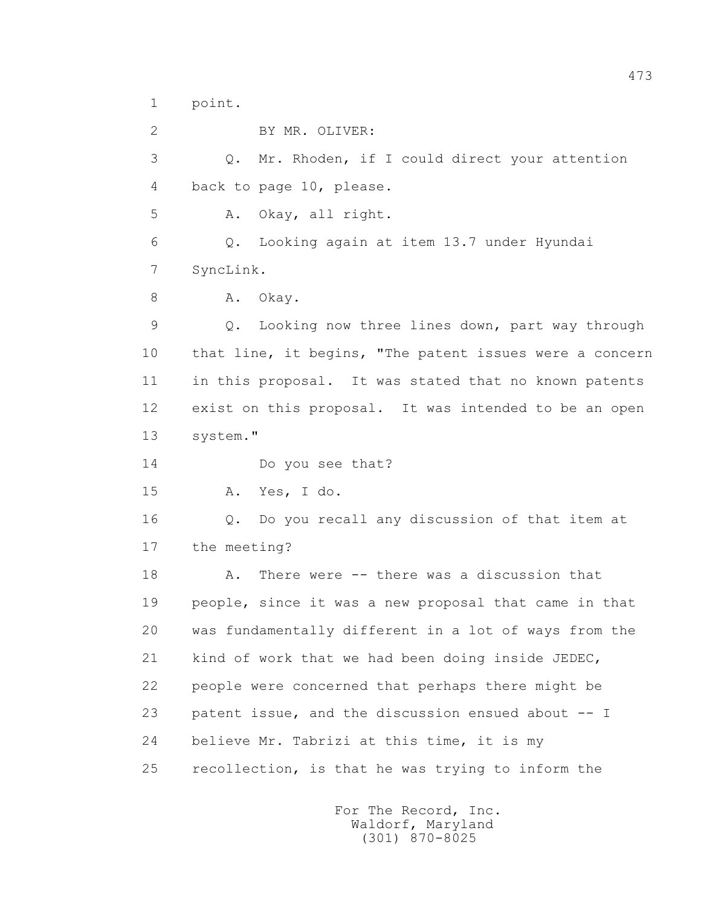1 point.

 2 BY MR. OLIVER: 3 Q. Mr. Rhoden, if I could direct your attention 4 back to page 10, please. 5 A. Okay, all right. 6 Q. Looking again at item 13.7 under Hyundai 7 SyncLink. 8 A. Okay. 9 Q. Looking now three lines down, part way through 10 that line, it begins, "The patent issues were a concern 11 in this proposal. It was stated that no known patents 12 exist on this proposal. It was intended to be an open 13 system." 14 Do you see that? 15 A. Yes, I do. 16 Q. Do you recall any discussion of that item at 17 the meeting? 18 A. There were -- there was a discussion that 19 people, since it was a new proposal that came in that 20 was fundamentally different in a lot of ways from the 21 kind of work that we had been doing inside JEDEC, 22 people were concerned that perhaps there might be 23 patent issue, and the discussion ensued about -- I 24 believe Mr. Tabrizi at this time, it is my 25 recollection, is that he was trying to inform the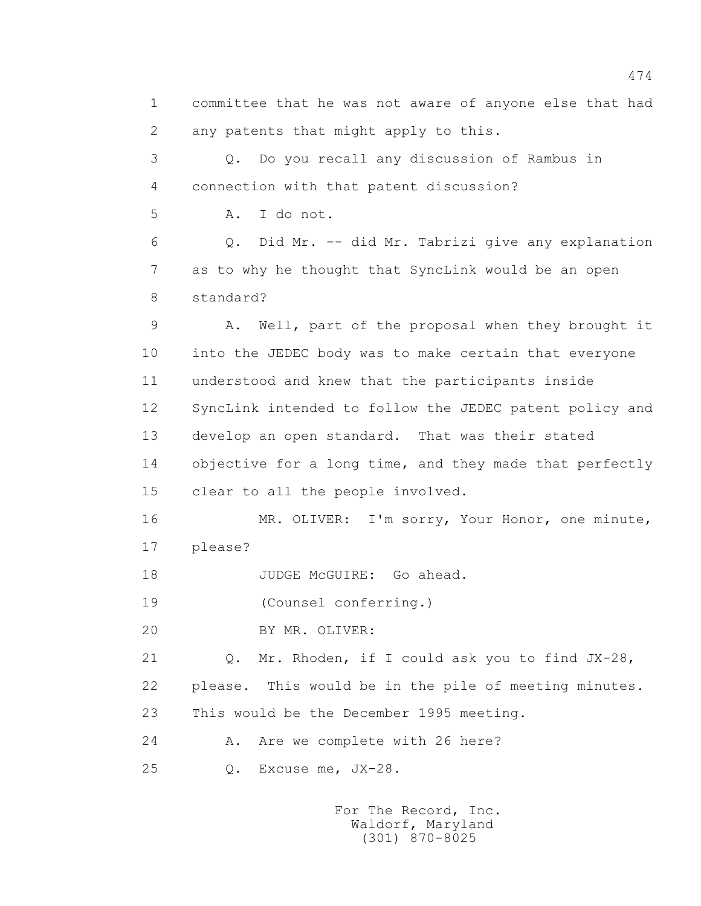1 committee that he was not aware of anyone else that had 2 any patents that might apply to this. 3 Q. Do you recall any discussion of Rambus in 4 connection with that patent discussion? 5 A. I do not. 6 Q. Did Mr. -- did Mr. Tabrizi give any explanation 7 as to why he thought that SyncLink would be an open 8 standard? 9 A. Well, part of the proposal when they brought it 10 into the JEDEC body was to make certain that everyone 11 understood and knew that the participants inside 12 SyncLink intended to follow the JEDEC patent policy and 13 develop an open standard. That was their stated 14 objective for a long time, and they made that perfectly 15 clear to all the people involved. 16 MR. OLIVER: I'm sorry, Your Honor, one minute, 17 please? 18 JUDGE McGUIRE: Go ahead. 19 (Counsel conferring.) 20 BY MR. OLIVER: 21 Q. Mr. Rhoden, if I could ask you to find JX-28, 22 please. This would be in the pile of meeting minutes. 23 This would be the December 1995 meeting. 24 A. Are we complete with 26 here? 25 Q. Excuse me, JX-28.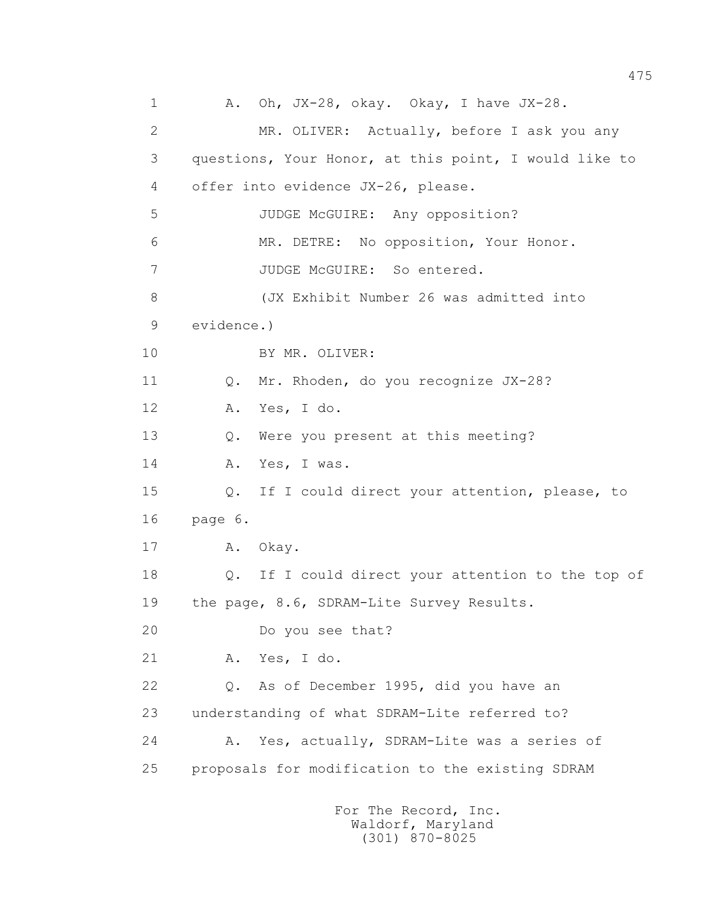1 A. Oh, JX-28, okay. Okay, I have JX-28. 2 MR. OLIVER: Actually, before I ask you any 3 questions, Your Honor, at this point, I would like to 4 offer into evidence JX-26, please. 5 JUDGE McGUIRE: Any opposition? 6 MR. DETRE: No opposition, Your Honor. 7 JUDGE McGUIRE: So entered. 8 (JX Exhibit Number 26 was admitted into 9 evidence.) 10 BY MR. OLIVER: 11 0. Mr. Rhoden, do you recognize JX-28? 12 A. Yes, I do. 13 Q. Were you present at this meeting? 14 A. Yes, I was. 15 Q. If I could direct your attention, please, to 16 page 6. 17 A. Okay. 18 Q. If I could direct your attention to the top of 19 the page, 8.6, SDRAM-Lite Survey Results. 20 Do you see that? 21 A. Yes, I do. 22 Q. As of December 1995, did you have an 23 understanding of what SDRAM-Lite referred to? 24 A. Yes, actually, SDRAM-Lite was a series of 25 proposals for modification to the existing SDRAM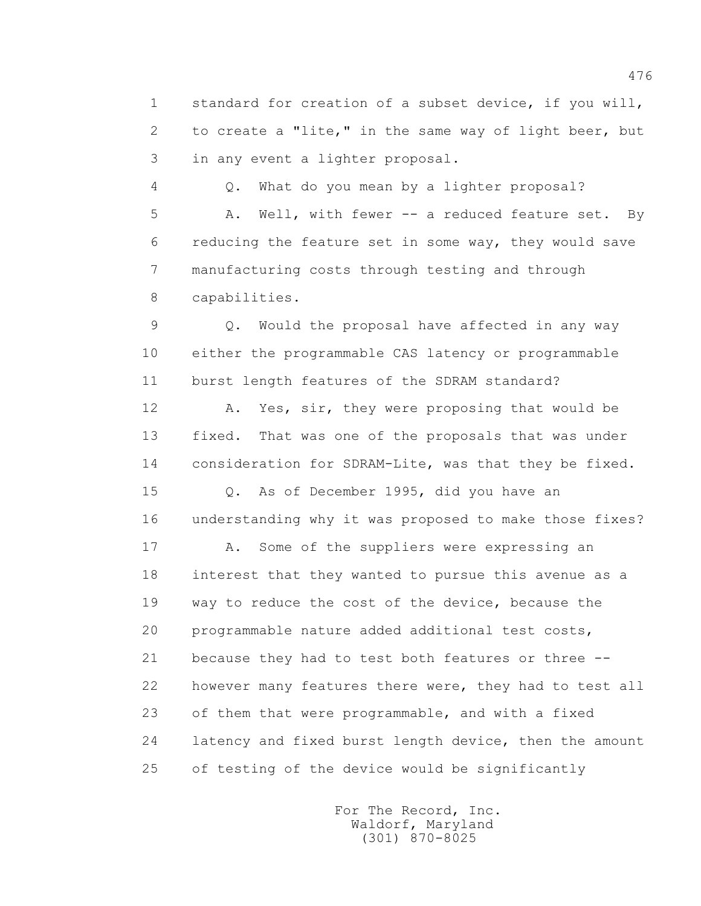1 standard for creation of a subset device, if you will, 2 to create a "lite," in the same way of light beer, but 3 in any event a lighter proposal.

 4 Q. What do you mean by a lighter proposal? 5 A. Well, with fewer -- a reduced feature set. By 6 reducing the feature set in some way, they would save 7 manufacturing costs through testing and through 8 capabilities.

 9 Q. Would the proposal have affected in any way 10 either the programmable CAS latency or programmable 11 burst length features of the SDRAM standard?

 12 A. Yes, sir, they were proposing that would be 13 fixed. That was one of the proposals that was under 14 consideration for SDRAM-Lite, was that they be fixed.

 15 Q. As of December 1995, did you have an 16 understanding why it was proposed to make those fixes?

17 A. Some of the suppliers were expressing an 18 interest that they wanted to pursue this avenue as a 19 way to reduce the cost of the device, because the 20 programmable nature added additional test costs, 21 because they had to test both features or three -- 22 however many features there were, they had to test all 23 of them that were programmable, and with a fixed 24 latency and fixed burst length device, then the amount 25 of testing of the device would be significantly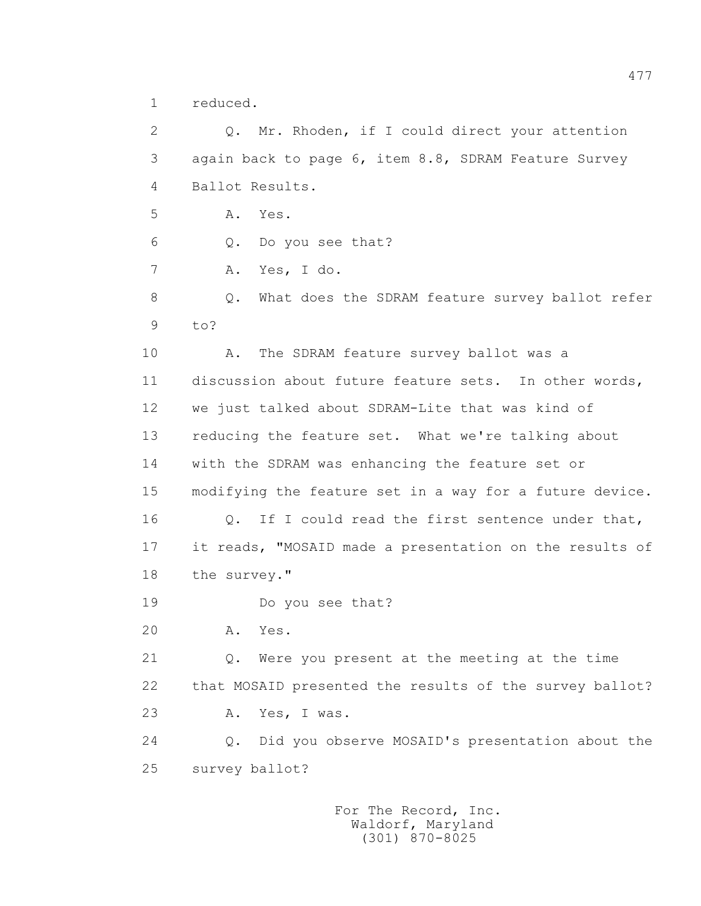1 reduced.

 2 Q. Mr. Rhoden, if I could direct your attention 3 again back to page 6, item 8.8, SDRAM Feature Survey 4 Ballot Results. 5 A. Yes. 6 Q. Do you see that? 7 A. Yes, I do. 8 Q. What does the SDRAM feature survey ballot refer 9 to? 10 A. The SDRAM feature survey ballot was a 11 discussion about future feature sets. In other words, 12 we just talked about SDRAM-Lite that was kind of 13 reducing the feature set. What we're talking about 14 with the SDRAM was enhancing the feature set or 15 modifying the feature set in a way for a future device. 16 0. If I could read the first sentence under that, 17 it reads, "MOSAID made a presentation on the results of 18 the survey." 19 Do you see that? 20 A. Yes. 21 Q. Were you present at the meeting at the time 22 that MOSAID presented the results of the survey ballot? 23 A. Yes, I was. 24 Q. Did you observe MOSAID's presentation about the 25 survey ballot?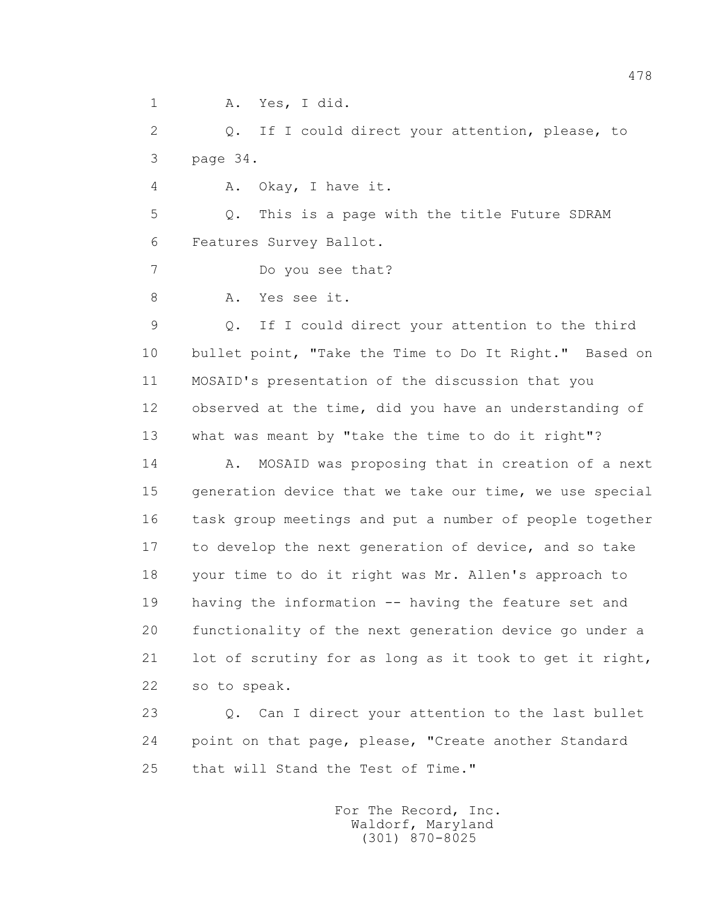1 A. Yes, I did.

 2 Q. If I could direct your attention, please, to 3 page 34.

4 A. Okay, I have it.

 5 Q. This is a page with the title Future SDRAM 6 Features Survey Ballot.

7 Do you see that?

8 A. Yes see it.

 9 Q. If I could direct your attention to the third 10 bullet point, "Take the Time to Do It Right." Based on 11 MOSAID's presentation of the discussion that you 12 observed at the time, did you have an understanding of 13 what was meant by "take the time to do it right"?

14 A. MOSAID was proposing that in creation of a next 15 generation device that we take our time, we use special 16 task group meetings and put a number of people together 17 to develop the next generation of device, and so take 18 your time to do it right was Mr. Allen's approach to 19 having the information -- having the feature set and 20 functionality of the next generation device go under a 21 lot of scrutiny for as long as it took to get it right, 22 so to speak.

 23 Q. Can I direct your attention to the last bullet 24 point on that page, please, "Create another Standard 25 that will Stand the Test of Time."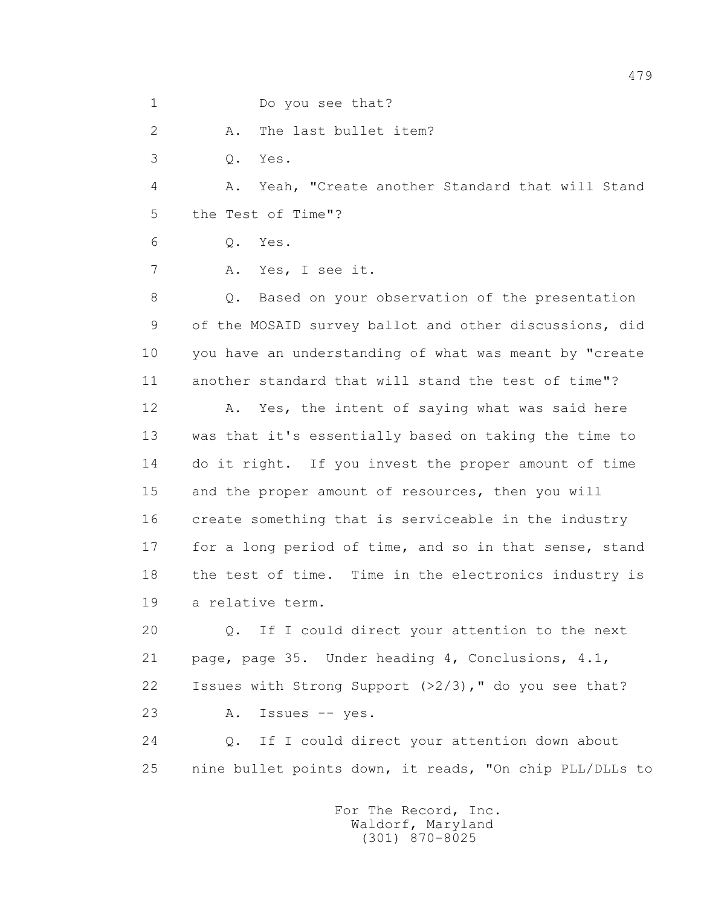1 Do you see that?

2 A. The last bullet item?

3 Q. Yes.

 4 A. Yeah, "Create another Standard that will Stand 5 the Test of Time"?

6 Q. Yes.

7 A. Yes, I see it.

 8 Q. Based on your observation of the presentation 9 of the MOSAID survey ballot and other discussions, did 10 you have an understanding of what was meant by "create 11 another standard that will stand the test of time"?

12 A. Yes, the intent of saying what was said here 13 was that it's essentially based on taking the time to 14 do it right. If you invest the proper amount of time 15 and the proper amount of resources, then you will 16 create something that is serviceable in the industry 17 for a long period of time, and so in that sense, stand 18 the test of time. Time in the electronics industry is 19 a relative term.

 20 Q. If I could direct your attention to the next 21 page, page 35. Under heading 4, Conclusions, 4.1, 22 Issues with Strong Support (>2/3)," do you see that? 23 A. Issues -- yes.

 24 Q. If I could direct your attention down about 25 nine bullet points down, it reads, "On chip PLL/DLLs to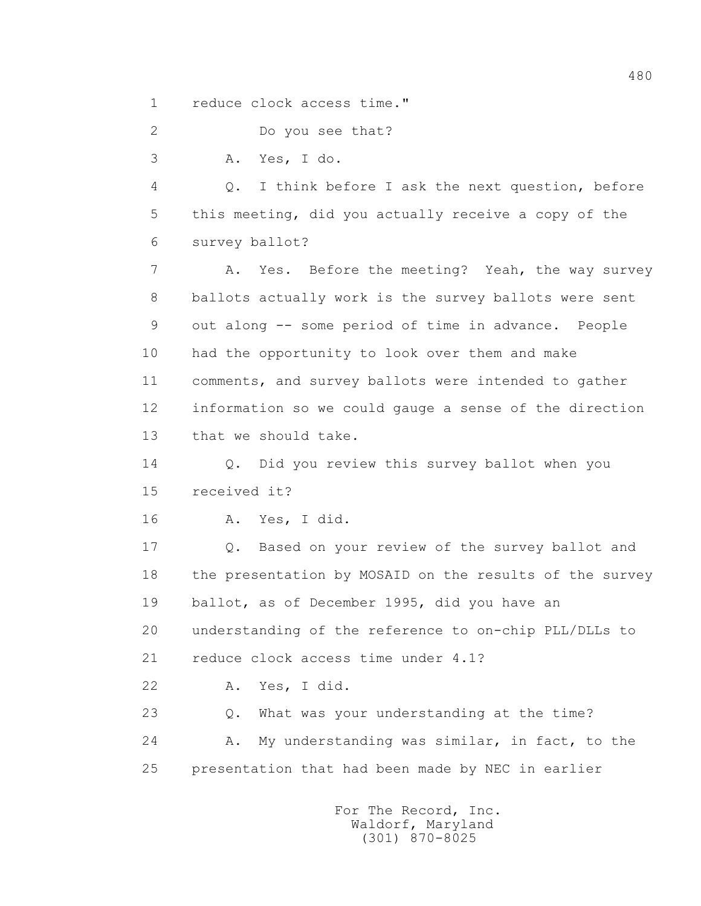1 reduce clock access time."

2 Do you see that?

3 A. Yes, I do.

 4 Q. I think before I ask the next question, before 5 this meeting, did you actually receive a copy of the 6 survey ballot?

 7 A. Yes. Before the meeting? Yeah, the way survey 8 ballots actually work is the survey ballots were sent 9 out along -- some period of time in advance. People 10 had the opportunity to look over them and make 11 comments, and survey ballots were intended to gather 12 information so we could gauge a sense of the direction 13 that we should take.

 14 Q. Did you review this survey ballot when you 15 received it?

16 A. Yes, I did.

 17 Q. Based on your review of the survey ballot and 18 the presentation by MOSAID on the results of the survey 19 ballot, as of December 1995, did you have an 20 understanding of the reference to on-chip PLL/DLLs to 21 reduce clock access time under 4.1?

22 A. Yes, I did.

 23 Q. What was your understanding at the time? 24 A. My understanding was similar, in fact, to the 25 presentation that had been made by NEC in earlier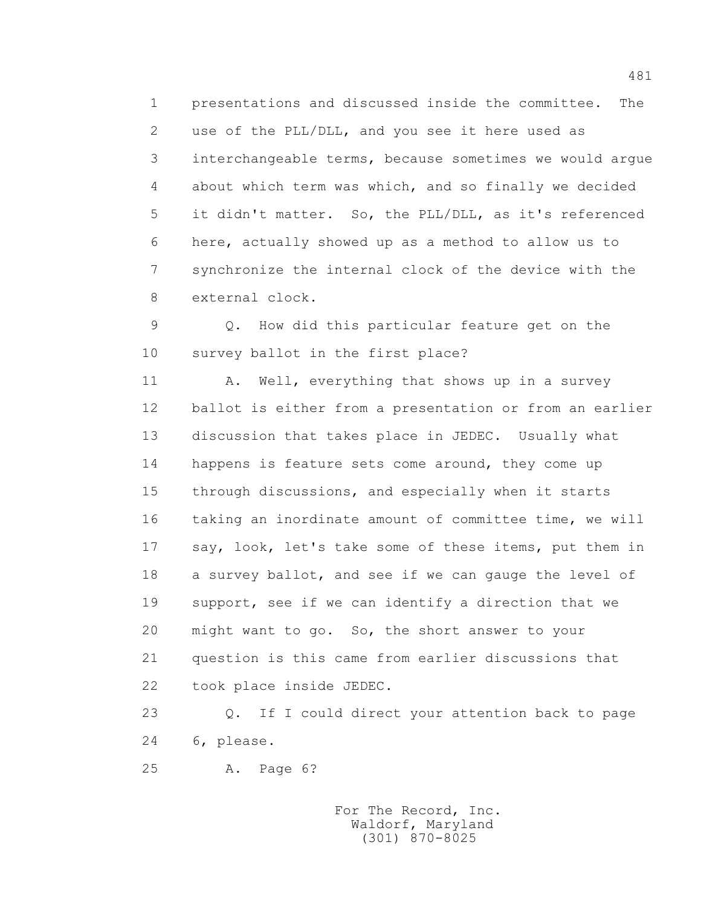1 presentations and discussed inside the committee. The 2 use of the PLL/DLL, and you see it here used as 3 interchangeable terms, because sometimes we would argue 4 about which term was which, and so finally we decided 5 it didn't matter. So, the PLL/DLL, as it's referenced 6 here, actually showed up as a method to allow us to 7 synchronize the internal clock of the device with the 8 external clock.

 9 Q. How did this particular feature get on the 10 survey ballot in the first place?

11 A. Well, everything that shows up in a survey 12 ballot is either from a presentation or from an earlier 13 discussion that takes place in JEDEC. Usually what 14 happens is feature sets come around, they come up 15 through discussions, and especially when it starts 16 taking an inordinate amount of committee time, we will 17 say, look, let's take some of these items, put them in 18 a survey ballot, and see if we can gauge the level of 19 support, see if we can identify a direction that we 20 might want to go. So, the short answer to your 21 question is this came from earlier discussions that 22 took place inside JEDEC.

 23 Q. If I could direct your attention back to page 24 6, please.

25 A. Page 6?

 For The Record, Inc. Waldorf, Maryland (301) 870-8025

481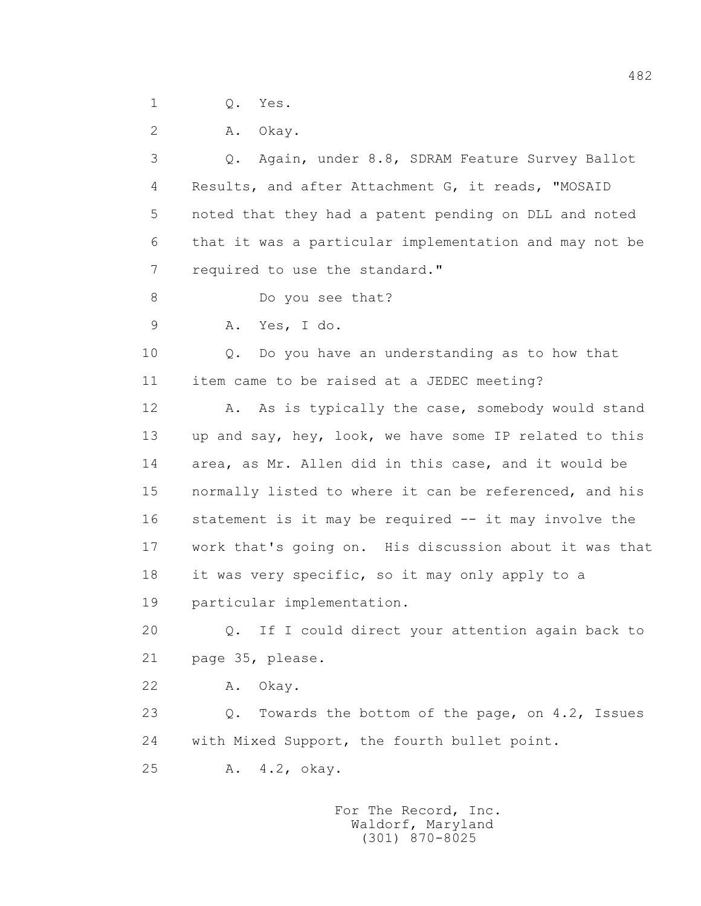1 Q. Yes.

2 A. Okay.

 3 Q. Again, under 8.8, SDRAM Feature Survey Ballot 4 Results, and after Attachment G, it reads, "MOSAID 5 noted that they had a patent pending on DLL and noted 6 that it was a particular implementation and may not be 7 required to use the standard." 8 Do you see that? 9 A. Yes, I do. 10 Q. Do you have an understanding as to how that 11 item came to be raised at a JEDEC meeting? 12 A. As is typically the case, somebody would stand 13 up and say, hey, look, we have some IP related to this 14 area, as Mr. Allen did in this case, and it would be 15 normally listed to where it can be referenced, and his 16 statement is it may be required -- it may involve the 17 work that's going on. His discussion about it was that 18 it was very specific, so it may only apply to a 19 particular implementation. 20 Q. If I could direct your attention again back to 21 page 35, please. 22 A. Okay. 23 0. Towards the bottom of the page, on 4.2, Issues 24 with Mixed Support, the fourth bullet point. 25 A. 4.2, okay.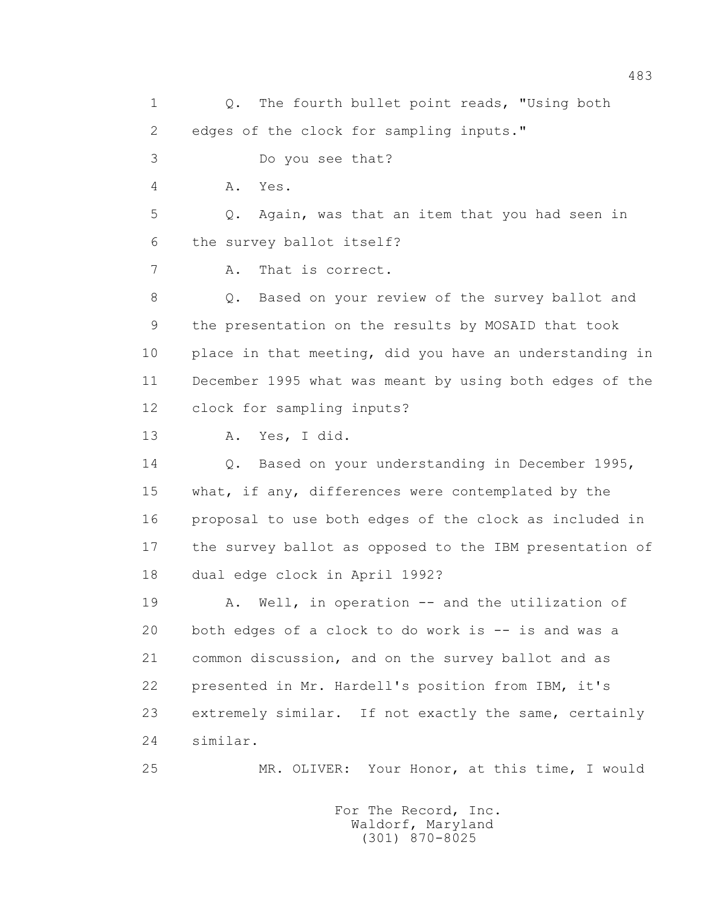1 0. The fourth bullet point reads, "Using both 2 edges of the clock for sampling inputs." 3 Do you see that? 4 A. Yes. 5 Q. Again, was that an item that you had seen in 6 the survey ballot itself? 7 A. That is correct. 8 Q. Based on your review of the survey ballot and 9 the presentation on the results by MOSAID that took 10 place in that meeting, did you have an understanding in 11 December 1995 what was meant by using both edges of the 12 clock for sampling inputs? 13 A. Yes, I did. 14 Q. Based on your understanding in December 1995, 15 what, if any, differences were contemplated by the 16 proposal to use both edges of the clock as included in 17 the survey ballot as opposed to the IBM presentation of 18 dual edge clock in April 1992? 19 A. Well, in operation -- and the utilization of 20 both edges of a clock to do work is -- is and was a 21 common discussion, and on the survey ballot and as 22 presented in Mr. Hardell's position from IBM, it's 23 extremely similar. If not exactly the same, certainly 24 similar. 25 MR. OLIVER: Your Honor, at this time, I would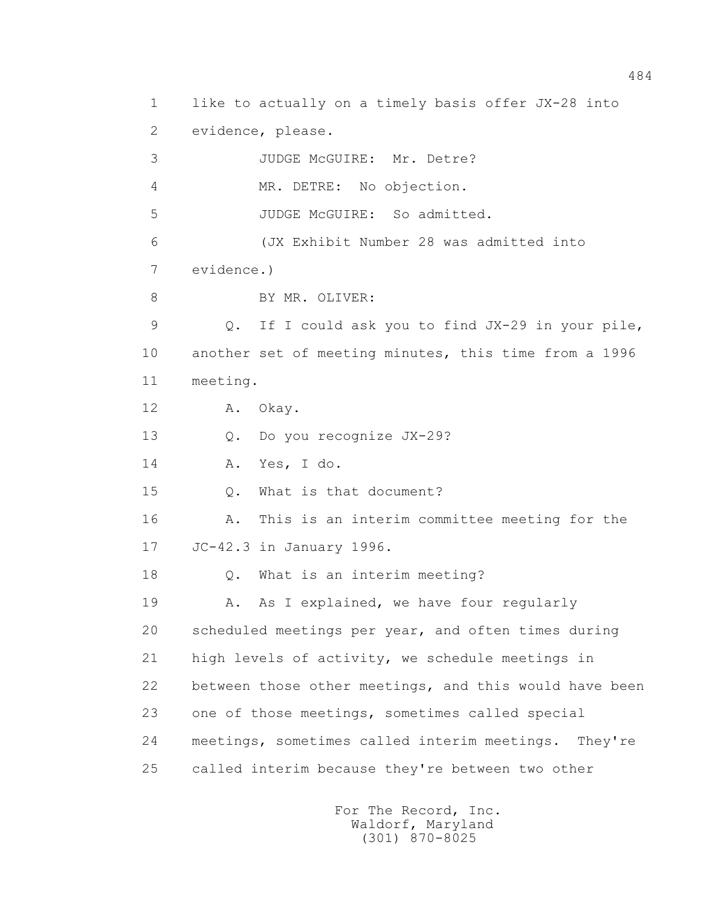1 like to actually on a timely basis offer JX-28 into 2 evidence, please. 3 JUDGE McGUIRE: Mr. Detre? 4 MR. DETRE: No objection. 5 JUDGE McGUIRE: So admitted. 6 (JX Exhibit Number 28 was admitted into 7 evidence.) 8 BY MR. OLIVER: 9 Q. If I could ask you to find JX-29 in your pile, 10 another set of meeting minutes, this time from a 1996 11 meeting. 12 A. Okay. 13 Q. Do you recognize JX-29? 14 A. Yes, I do. 15 Q. What is that document? 16 A. This is an interim committee meeting for the 17 JC-42.3 in January 1996. 18 Q. What is an interim meeting? 19 A. As I explained, we have four regularly 20 scheduled meetings per year, and often times during 21 high levels of activity, we schedule meetings in 22 between those other meetings, and this would have been 23 one of those meetings, sometimes called special 24 meetings, sometimes called interim meetings. They're 25 called interim because they're between two other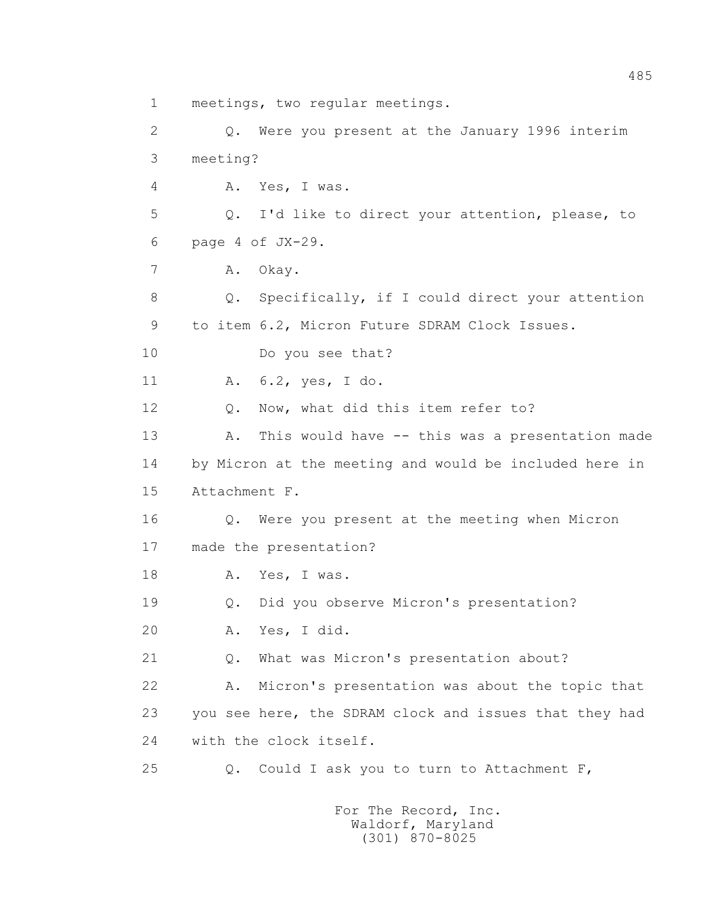1 meetings, two regular meetings.

 2 Q. Were you present at the January 1996 interim 3 meeting? 4 A. Yes, I was. 5 Q. I'd like to direct your attention, please, to 6 page 4 of JX-29. 7 A. Okay. 8 Q. Specifically, if I could direct your attention 9 to item 6.2, Micron Future SDRAM Clock Issues. 10 Do you see that? 11 A. 6.2, yes, I do. 12 Q. Now, what did this item refer to? 13 A. This would have -- this was a presentation made 14 by Micron at the meeting and would be included here in 15 Attachment F. 16 Q. Were you present at the meeting when Micron 17 made the presentation? 18 A. Yes, I was. 19 Q. Did you observe Micron's presentation? 20 A. Yes, I did. 21 Q. What was Micron's presentation about? 22 A. Micron's presentation was about the topic that 23 you see here, the SDRAM clock and issues that they had 24 with the clock itself. 25 Q. Could I ask you to turn to Attachment F,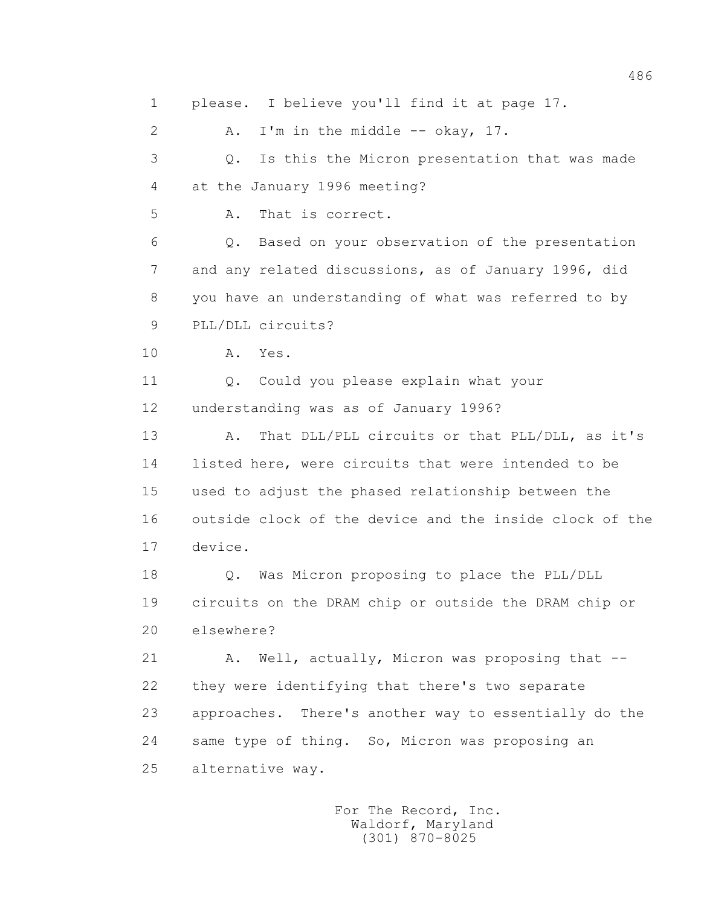1 please. I believe you'll find it at page 17. 2 A. I'm in the middle -- okay, 17. 3 Q. Is this the Micron presentation that was made 4 at the January 1996 meeting? 5 A. That is correct. 6 Q. Based on your observation of the presentation 7 and any related discussions, as of January 1996, did 8 you have an understanding of what was referred to by 9 PLL/DLL circuits? 10 A. Yes. 11 6. Could you please explain what your 12 understanding was as of January 1996? 13 A. That DLL/PLL circuits or that PLL/DLL, as it's 14 listed here, were circuits that were intended to be 15 used to adjust the phased relationship between the 16 outside clock of the device and the inside clock of the 17 device. 18 Q. Was Micron proposing to place the PLL/DLL 19 circuits on the DRAM chip or outside the DRAM chip or 20 elsewhere? 21 A. Well, actually, Micron was proposing that -- 22 they were identifying that there's two separate 23 approaches. There's another way to essentially do the 24 same type of thing. So, Micron was proposing an 25 alternative way.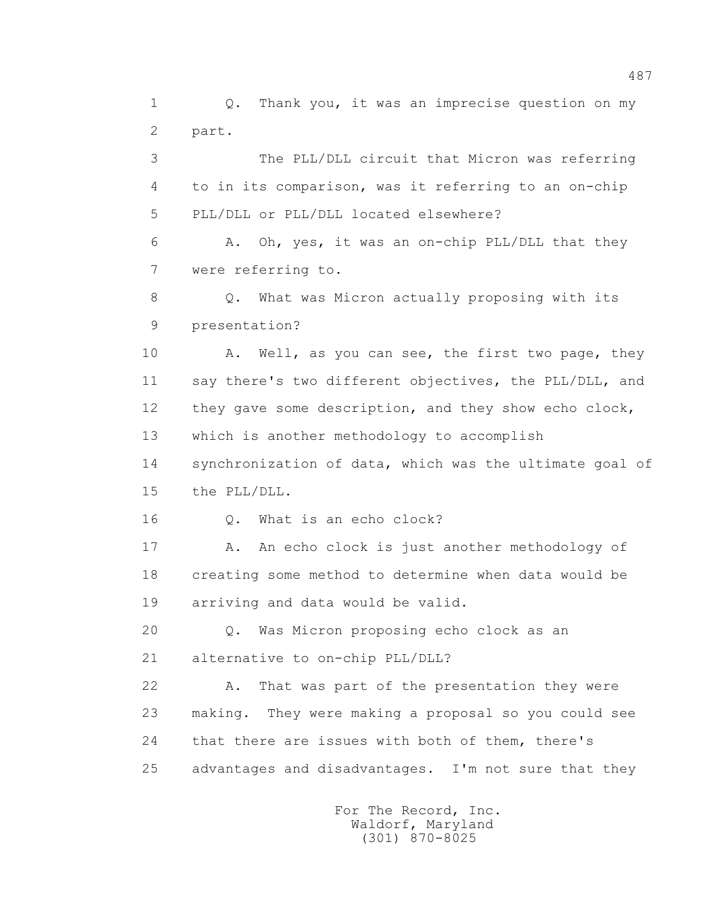1 0. Thank you, it was an imprecise question on my 2 part.

 3 The PLL/DLL circuit that Micron was referring 4 to in its comparison, was it referring to an on-chip 5 PLL/DLL or PLL/DLL located elsewhere?

 6 A. Oh, yes, it was an on-chip PLL/DLL that they 7 were referring to.

 8 Q. What was Micron actually proposing with its 9 presentation?

10 A. Well, as you can see, the first two page, they 11 say there's two different objectives, the PLL/DLL, and 12 they gave some description, and they show echo clock, 13 which is another methodology to accomplish

 14 synchronization of data, which was the ultimate goal of 15 the PLL/DLL.

16 0. What is an echo clock?

17 A. An echo clock is just another methodology of 18 creating some method to determine when data would be 19 arriving and data would be valid.

 20 Q. Was Micron proposing echo clock as an 21 alternative to on-chip PLL/DLL?

 22 A. That was part of the presentation they were 23 making. They were making a proposal so you could see 24 that there are issues with both of them, there's 25 advantages and disadvantages. I'm not sure that they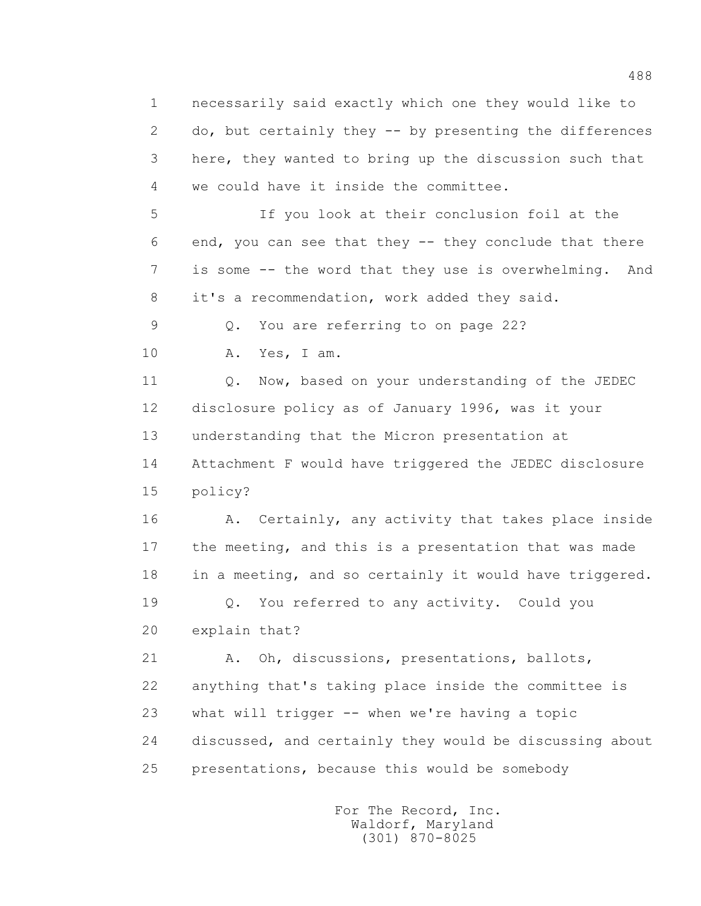1 necessarily said exactly which one they would like to 2 do, but certainly they -- by presenting the differences 3 here, they wanted to bring up the discussion such that 4 we could have it inside the committee.

 5 If you look at their conclusion foil at the 6 end, you can see that they -- they conclude that there 7 is some -- the word that they use is overwhelming. And 8 it's a recommendation, work added they said.

9 Q. You are referring to on page 22?

10 A. Yes, I am.

11 0. Now, based on your understanding of the JEDEC 12 disclosure policy as of January 1996, was it your 13 understanding that the Micron presentation at 14 Attachment F would have triggered the JEDEC disclosure 15 policy?

16 A. Certainly, any activity that takes place inside 17 the meeting, and this is a presentation that was made 18 in a meeting, and so certainly it would have triggered. 19 Q. You referred to any activity. Could you

20 explain that?

 21 A. Oh, discussions, presentations, ballots, 22 anything that's taking place inside the committee is 23 what will trigger -- when we're having a topic 24 discussed, and certainly they would be discussing about 25 presentations, because this would be somebody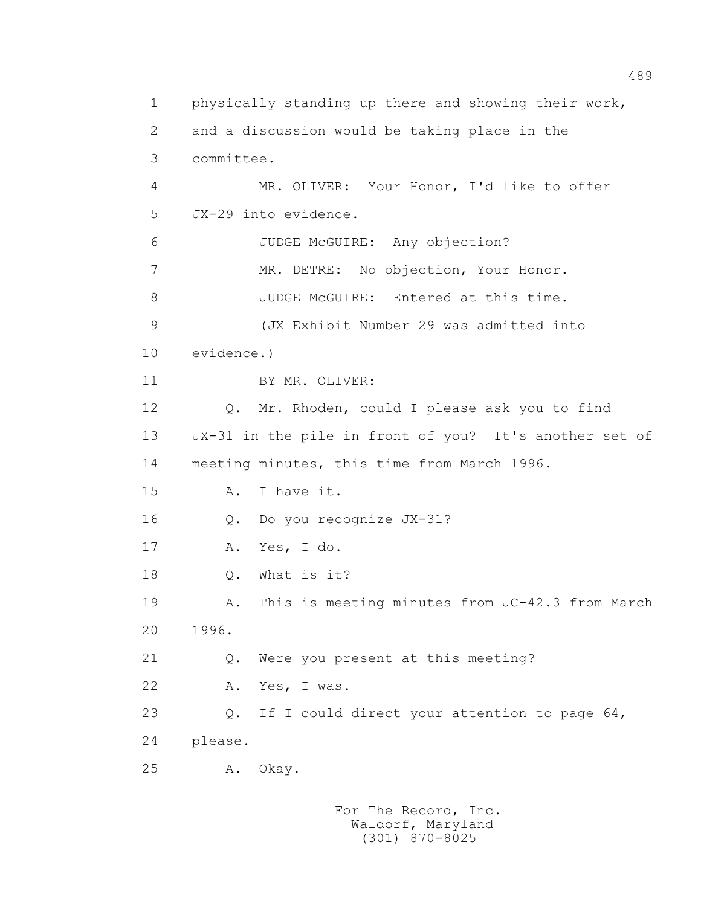1 physically standing up there and showing their work, 2 and a discussion would be taking place in the 3 committee. 4 MR. OLIVER: Your Honor, I'd like to offer 5 JX-29 into evidence. 6 JUDGE McGUIRE: Any objection? 7 MR. DETRE: No objection, Your Honor. 8 JUDGE McGUIRE: Entered at this time. 9 (JX Exhibit Number 29 was admitted into 10 evidence.) 11 BY MR. OLIVER: 12 Q. Mr. Rhoden, could I please ask you to find 13 JX-31 in the pile in front of you? It's another set of 14 meeting minutes, this time from March 1996. 15 A. I have it. 16 Q. Do you recognize JX-31? 17 A. Yes, I do. 18 Q. What is it? 19 A. This is meeting minutes from JC-42.3 from March 20 1996. 21 Q. Were you present at this meeting? 22 A. Yes, I was. 23 Q. If I could direct your attention to page 64, 24 please. 25 A. Okay.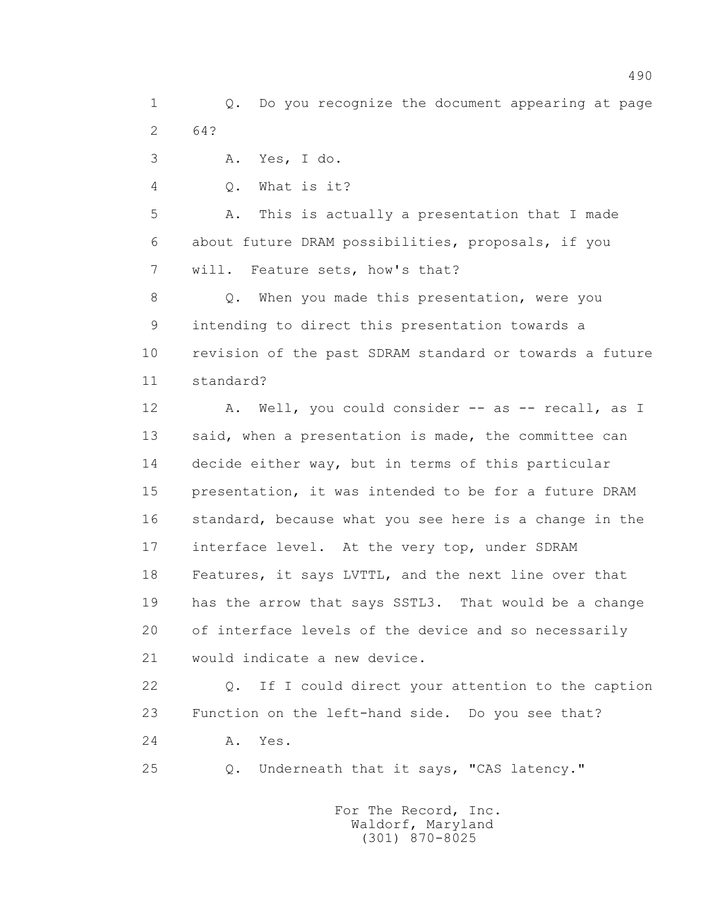1 Q. Do you recognize the document appearing at page 2 64?

3 A. Yes, I do.

4 Q. What is it?

 5 A. This is actually a presentation that I made 6 about future DRAM possibilities, proposals, if you 7 will. Feature sets, how's that?

 8 Q. When you made this presentation, were you 9 intending to direct this presentation towards a 10 revision of the past SDRAM standard or towards a future 11 standard?

12 A. Well, you could consider -- as -- recall, as I 13 said, when a presentation is made, the committee can 14 decide either way, but in terms of this particular 15 presentation, it was intended to be for a future DRAM 16 standard, because what you see here is a change in the 17 interface level. At the very top, under SDRAM 18 Features, it says LVTTL, and the next line over that 19 has the arrow that says SSTL3. That would be a change 20 of interface levels of the device and so necessarily 21 would indicate a new device.

 22 Q. If I could direct your attention to the caption 23 Function on the left-hand side. Do you see that?

24 A. Yes.

25 Q. Underneath that it says, "CAS latency."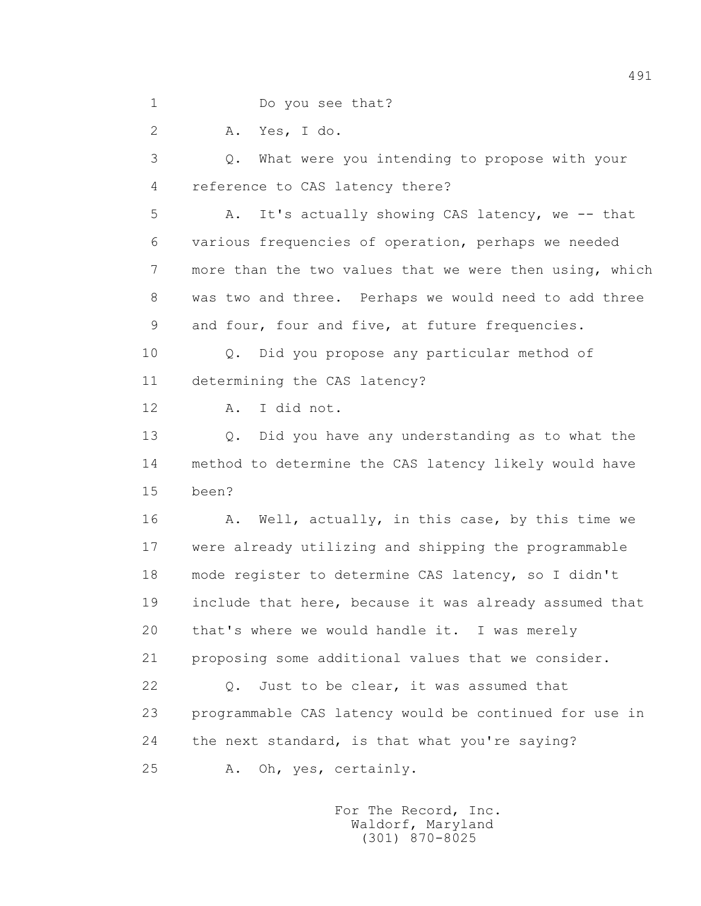1 Do you see that?

2 A. Yes, I do.

 3 Q. What were you intending to propose with your 4 reference to CAS latency there?

 5 A. It's actually showing CAS latency, we -- that 6 various frequencies of operation, perhaps we needed 7 more than the two values that we were then using, which 8 was two and three. Perhaps we would need to add three 9 and four, four and five, at future frequencies.

 10 Q. Did you propose any particular method of 11 determining the CAS latency?

12 A. I did not.

 13 Q. Did you have any understanding as to what the 14 method to determine the CAS latency likely would have 15 been?

16 A. Well, actually, in this case, by this time we 17 were already utilizing and shipping the programmable 18 mode register to determine CAS latency, so I didn't 19 include that here, because it was already assumed that 20 that's where we would handle it. I was merely 21 proposing some additional values that we consider.

22 Q. Just to be clear, it was assumed that 23 programmable CAS latency would be continued for use in 24 the next standard, is that what you're saying? 25 A. Oh, yes, certainly.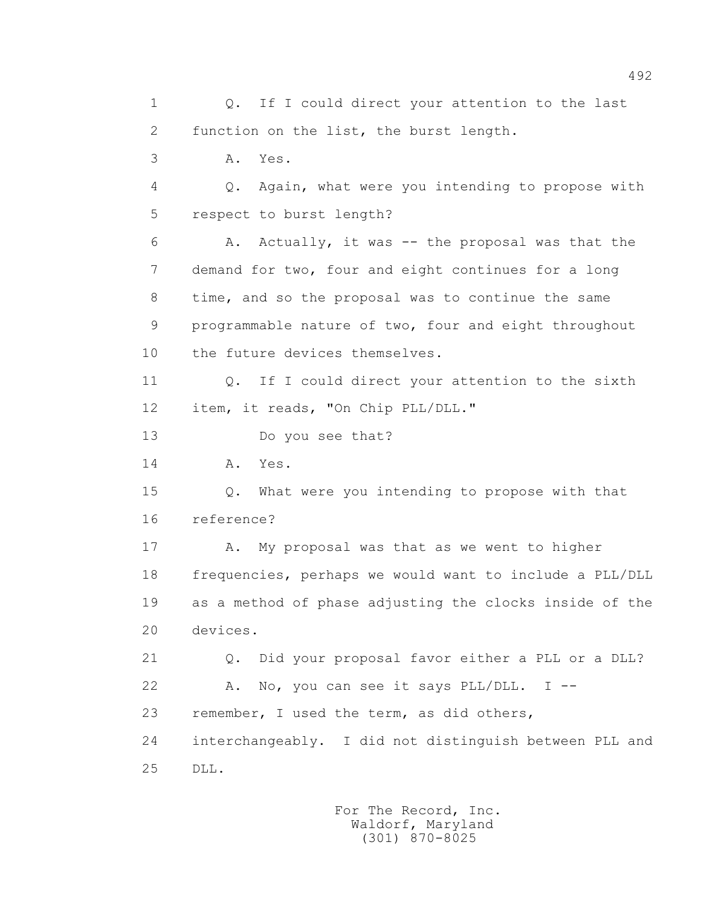1 0. If I could direct your attention to the last 2 function on the list, the burst length. 3 A. Yes. 4 Q. Again, what were you intending to propose with 5 respect to burst length? 6 A. Actually, it was -- the proposal was that the 7 demand for two, four and eight continues for a long 8 time, and so the proposal was to continue the same 9 programmable nature of two, four and eight throughout 10 the future devices themselves. 11 0. If I could direct your attention to the sixth 12 item, it reads, "On Chip PLL/DLL." 13 Do you see that? 14 **A.** Yes. 15 Q. What were you intending to propose with that 16 reference? 17 A. My proposal was that as we went to higher 18 frequencies, perhaps we would want to include a PLL/DLL 19 as a method of phase adjusting the clocks inside of the 20 devices. 21 Q. Did your proposal favor either a PLL or a DLL? 22 A. No, you can see it says PLL/DLL. I -- 23 remember, I used the term, as did others, 24 interchangeably. I did not distinguish between PLL and 25 DLL.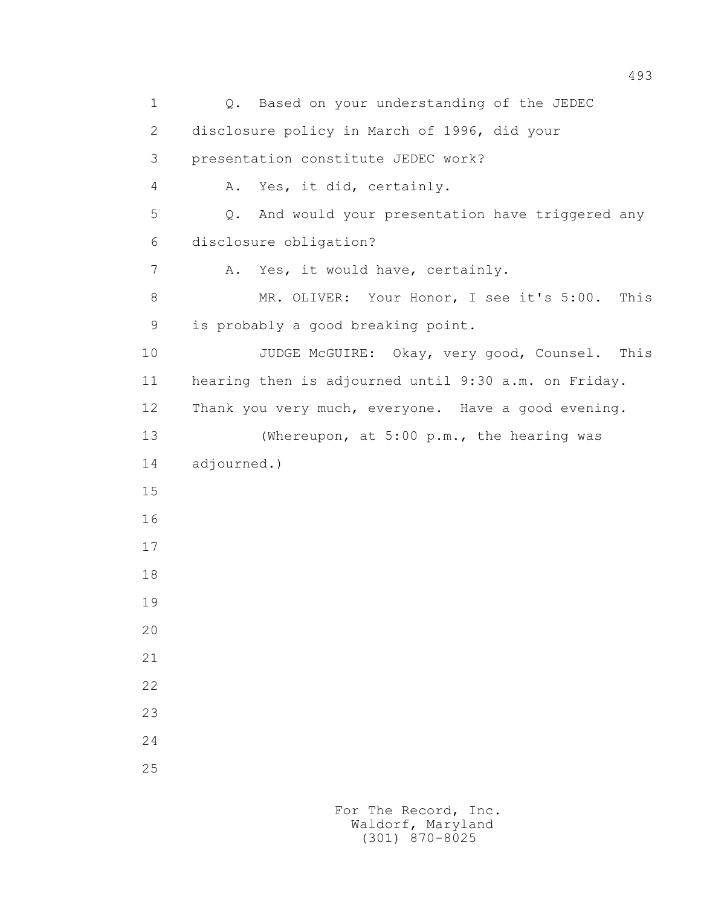1 Q. Based on your understanding of the JEDEC 2 disclosure policy in March of 1996, did your 3 presentation constitute JEDEC work? 4 A. Yes, it did, certainly. 5 Q. And would your presentation have triggered any 6 disclosure obligation? 7 A. Yes, it would have, certainly. 8 MR. OLIVER: Your Honor, I see it's 5:00. This 9 is probably a good breaking point. 10 JUDGE McGUIRE: Okay, very good, Counsel. This 11 hearing then is adjourned until 9:30 a.m. on Friday. 12 Thank you very much, everyone. Have a good evening. 13 (Whereupon, at 5:00 p.m., the hearing was 14 adjourned.) 15 16 17 18 19 20 21 22 23 24 25